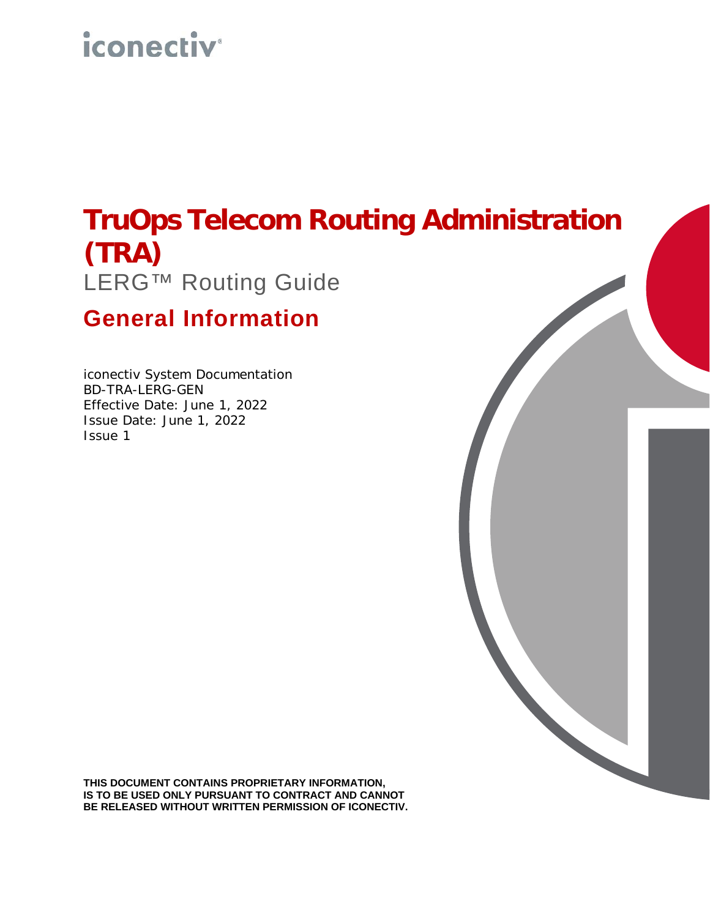# *iconectiv*

## **TruOps Telecom Routing Administration (TRA)** LERG™ Routing Guide

## **General Information**

iconectiv System Documentation BD-TRA-LERG-GEN Effective Date: June 1, 2022 Issue Date: June 1, 2022 Issue 1

**THIS DOCUMENT CONTAINS PROPRIETARY INFORMATION, IS TO BE USED ONLY PURSUANT TO CONTRACT AND CANNOT BE RELEASED WITHOUT WRITTEN PERMISSION OF ICONECTIV.**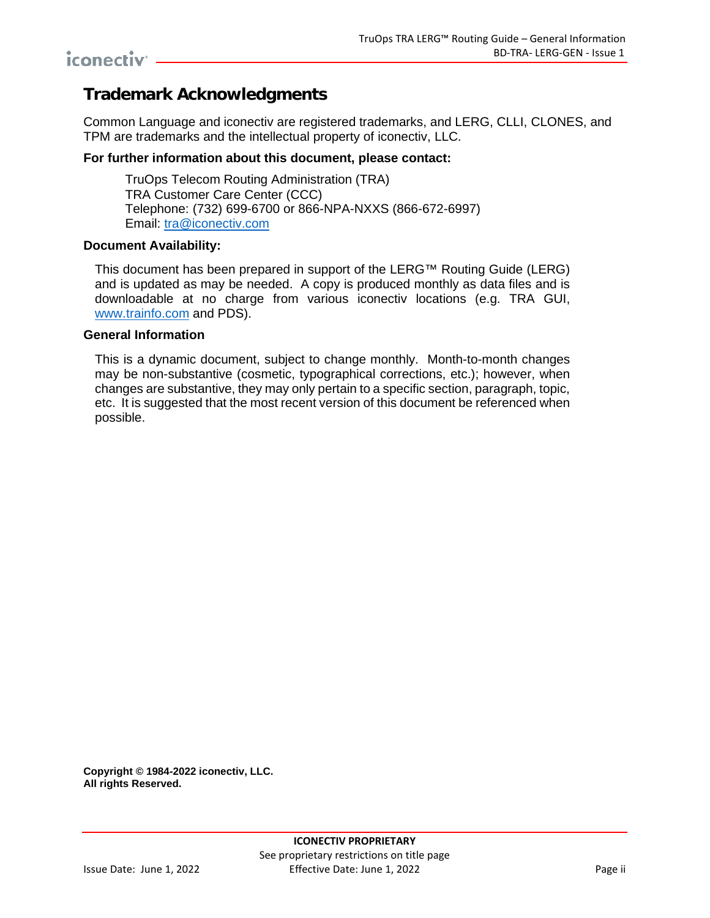### **Trademark Acknowledgments**

Common Language and iconectiv are registered trademarks, and LERG, CLLI, CLONES, and TPM are trademarks and the intellectual property of iconectiv, LLC.

#### **For further information about this document, please contact:**

TruOps Telecom Routing Administration (TRA) TRA Customer Care Center (CCC) Telephone: (732) 699-6700 or 866-NPA-NXXS (866-672-6997) Email: [tra@iconectiv.com](mailto:tra@iconectiv.com)

#### **Document Availability:**

This document has been prepared in support of the LERG™ Routing Guide (LERG) and is updated as may be needed. A copy is produced monthly as data files and is downloadable at no charge from various iconectiv locations (e.g. TRA GUI, [www.trainfo.com](http://www.trainfo.com/) and PDS).

#### **General Information**

This is a dynamic document, subject to change monthly. Month-to-month changes may be non-substantive (cosmetic, typographical corrections, etc.); however, when changes are substantive, they may only pertain to a specific section, paragraph, topic, etc. It is suggested that the most recent version of this document be referenced when possible.

**Copyright © 1984-2022 iconectiv, LLC. All rights Reserved.**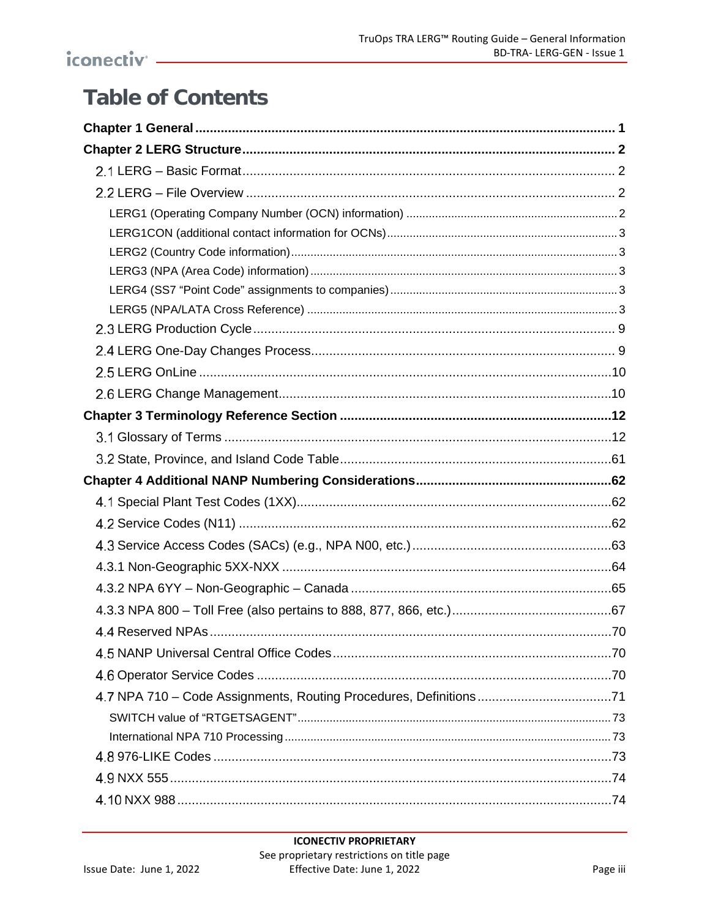## **Table of Contents**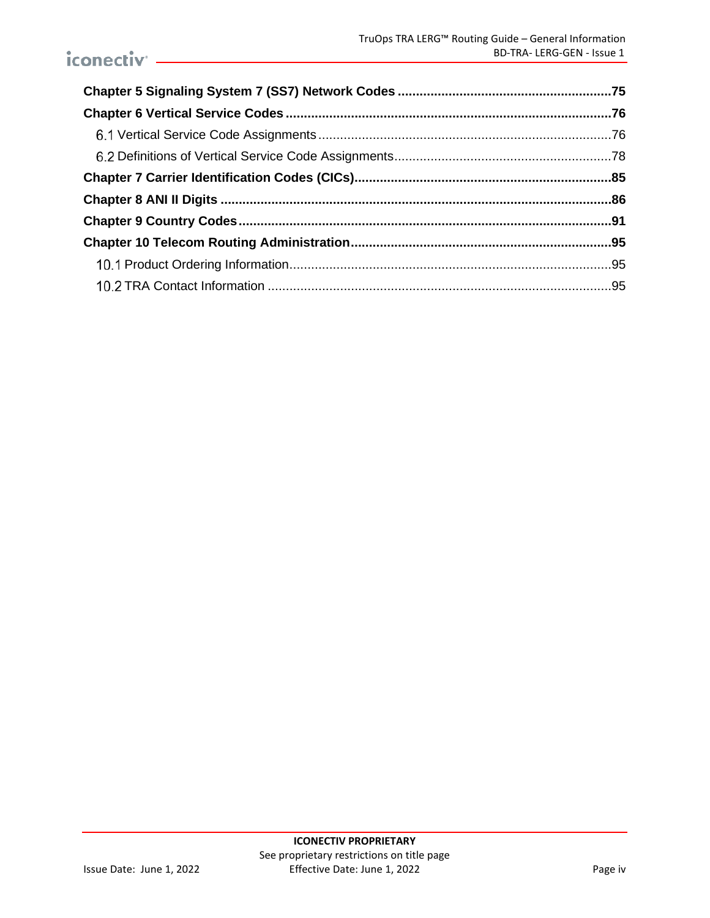## iconectiv<sup>-</sup>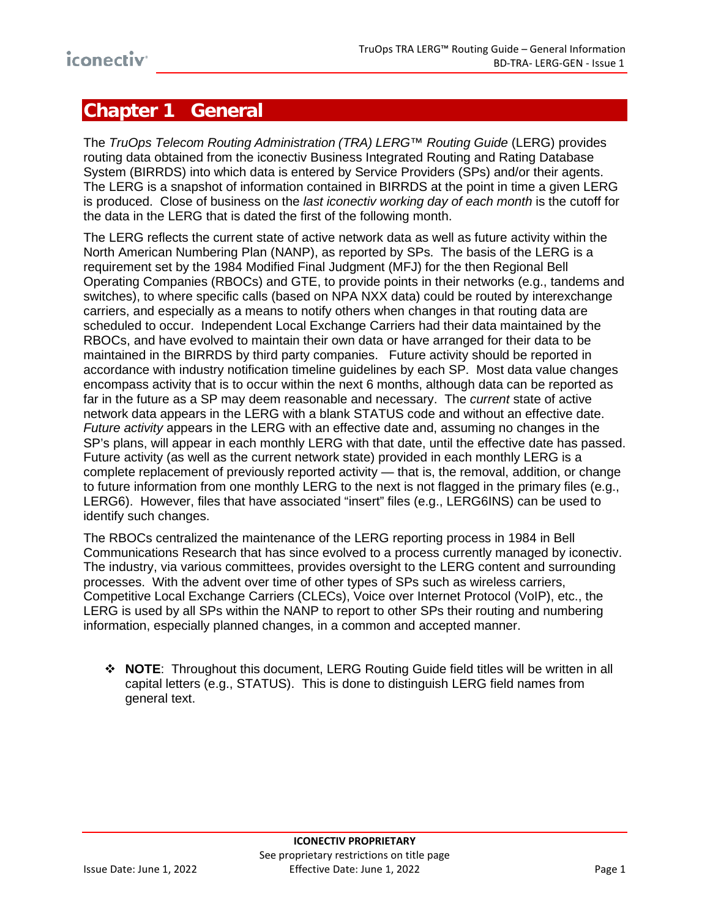## <span id="page-4-0"></span>**Chapter 1 General**

The *TruOps Telecom Routing Administration (TRA) LERG™ Routing Guide* (LERG) provides routing data obtained from the iconectiv Business Integrated Routing and Rating Database System (BIRRDS) into which data is entered by Service Providers (SPs) and/or their agents. The LERG is a snapshot of information contained in BIRRDS at the point in time a given LERG is produced. Close of business on the *last iconectiv working day of each month* is the cutoff for the data in the LERG that is dated the first of the following month.

The LERG reflects the current state of active network data as well as future activity within the North American Numbering Plan (NANP), as reported by SPs. The basis of the LERG is a requirement set by the 1984 Modified Final Judgment (MFJ) for the then Regional Bell Operating Companies (RBOCs) and GTE, to provide points in their networks (e.g., tandems and switches), to where specific calls (based on NPA NXX data) could be routed by interexchange carriers, and especially as a means to notify others when changes in that routing data are scheduled to occur. Independent Local Exchange Carriers had their data maintained by the RBOCs, and have evolved to maintain their own data or have arranged for their data to be maintained in the BIRRDS by third party companies. Future activity should be reported in accordance with industry notification timeline guidelines by each SP. Most data value changes encompass activity that is to occur within the next 6 months, although data can be reported as far in the future as a SP may deem reasonable and necessary. The *current* state of active network data appears in the LERG with a blank STATUS code and without an effective date. *Future activity* appears in the LERG with an effective date and, assuming no changes in the SP's plans, will appear in each monthly LERG with that date, until the effective date has passed. Future activity (as well as the current network state) provided in each monthly LERG is a complete replacement of previously reported activity — that is, the removal, addition, or change to future information from one monthly LERG to the next is not flagged in the primary files (e.g., LERG6). However, files that have associated "insert" files (e.g., LERG6INS) can be used to identify such changes.

The RBOCs centralized the maintenance of the LERG reporting process in 1984 in Bell Communications Research that has since evolved to a process currently managed by iconectiv. The industry, via various committees, provides oversight to the LERG content and surrounding processes. With the advent over time of other types of SPs such as wireless carriers, Competitive Local Exchange Carriers (CLECs), Voice over Internet Protocol (VoIP), etc., the LERG is used by all SPs within the NANP to report to other SPs their routing and numbering information, especially planned changes, in a common and accepted manner.

 **NOTE**: Throughout this document, LERG Routing Guide field titles will be written in all capital letters (e.g., STATUS). This is done to distinguish LERG field names from general text.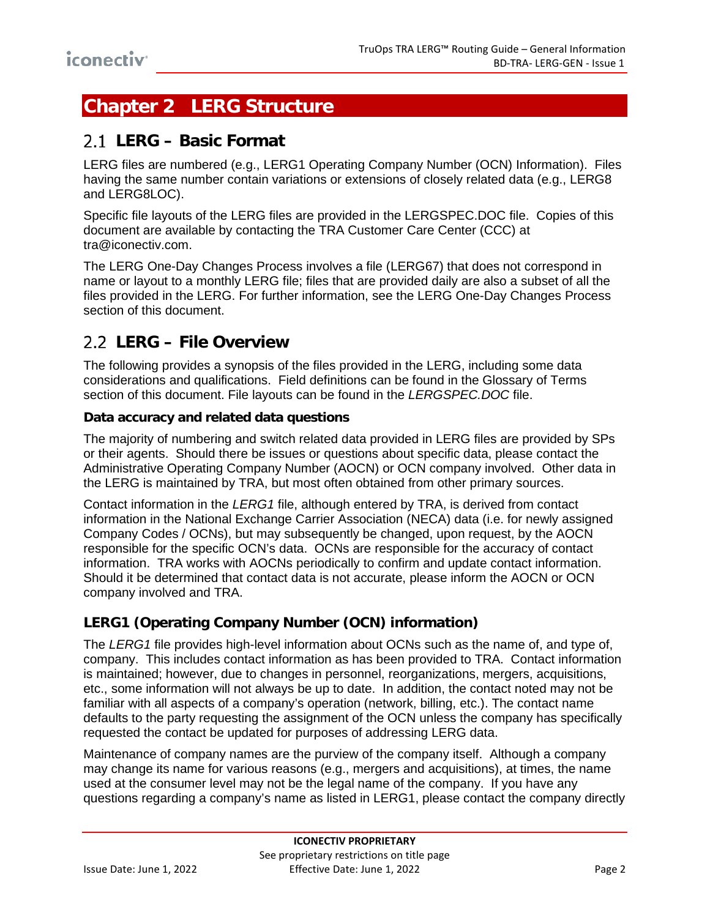## <span id="page-5-0"></span>**Chapter 2 LERG Structure**

## <span id="page-5-1"></span>**LERG – Basic Format**

LERG files are numbered (e.g., LERG1 Operating Company Number (OCN) Information). Files having the same number contain variations or extensions of closely related data (e.g., LERG8 and LERG8LOC).

Specific file layouts of the LERG files are provided in the LERGSPEC.DOC file. Copies of this document are available by contacting the TRA Customer Care Center (CCC) at tra@iconectiv.com.

The LERG One-Day Changes Process involves a file (LERG67) that does not correspond in name or layout to a monthly LERG file; files that are provided daily are also a subset of all the files provided in the LERG. For further information, see the [LERG One-Day Changes Process](#page-12-1) section of this document.

## <span id="page-5-2"></span>**LERG – File Overview**

The following provides a synopsis of the files provided in the LERG, including some data considerations and qualifications. Field definitions can be found in the [Glossary of Terms](#page-15-1) section of this document. File layouts can be found in the *LERGSPEC.DOC* file.

#### **Data accuracy and related data questions**

The majority of numbering and switch related data provided in LERG files are provided by SPs or their agents. Should there be issues or questions about specific data, please contact the Administrative Operating Company Number (AOCN) or OCN company involved. Other data in the LERG is maintained by TRA, but most often obtained from other primary sources.

Contact information in the *LERG1* file, although entered by TRA, is derived from contact information in the National Exchange Carrier Association (NECA) data (i.e. for newly assigned Company Codes / OCNs), but may subsequently be changed, upon request, by the AOCN responsible for the specific OCN's data. OCNs are responsible for the accuracy of contact information. TRA works with AOCNs periodically to confirm and update contact information. Should it be determined that contact data is not accurate, please inform the AOCN or OCN company involved and TRA.

#### <span id="page-5-3"></span>**LERG1 (Operating Company Number (OCN) information)**

The *LERG1* file provides high-level information about OCNs such as the name of, and type of, company. This includes contact information as has been provided to TRA. Contact information is maintained; however, due to changes in personnel, reorganizations, mergers, acquisitions, etc., some information will not always be up to date. In addition, the contact noted may not be familiar with all aspects of a company's operation (network, billing, etc.). The contact name defaults to the party requesting the assignment of the OCN unless the company has specifically requested the contact be updated for purposes of addressing LERG data.

Maintenance of company names are the purview of the company itself. Although a company may change its name for various reasons (e.g., mergers and acquisitions), at times, the name used at the consumer level may not be the legal name of the company. If you have any questions regarding a company's name as listed in LERG1, please contact the company directly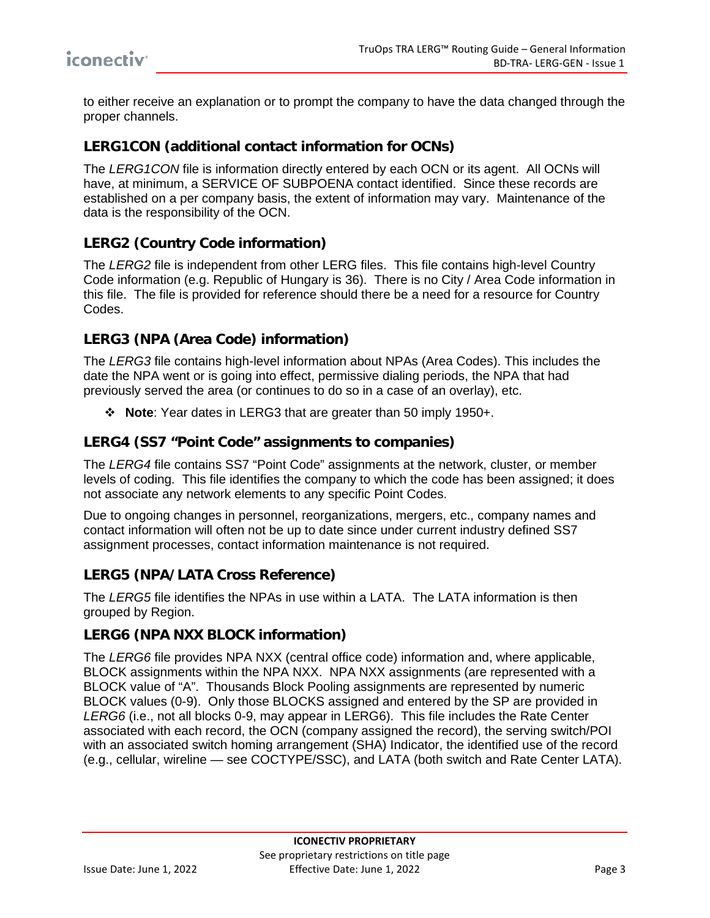to either receive an explanation or to prompt the company to have the data changed through the proper channels.

#### <span id="page-6-0"></span>**LERG1CON (additional contact information for OCNs)**

The *LERG1CON* file is information directly entered by each OCN or its agent. All OCNs will have, at minimum, a SERVICE OF SUBPOENA contact identified. Since these records are established on a per company basis, the extent of information may vary. Maintenance of the data is the responsibility of the OCN.

#### <span id="page-6-1"></span>**LERG2 (Country Code information)**

The *LERG2* file is independent from other LERG files. This file contains high-level Country Code information (e.g. Republic of Hungary is 36). There is no City / Area Code information in this file. The file is provided for reference should there be a need for a resource for Country Codes.

#### <span id="page-6-2"></span>**LERG3 (NPA (Area Code) information)**

The *LERG3* file contains high-level information about NPAs (Area Codes). This includes the date the NPA went or is going into effect, permissive dialing periods, the NPA that had previously served the area (or continues to do so in a case of an overlay), etc.

**Note**: Year dates in LERG3 that are greater than 50 imply 1950+.

#### <span id="page-6-3"></span>**LERG4 (SS7 "Point Code" assignments to companies)**

The *LERG4* file contains SS7 "Point Code" assignments at the network, cluster, or member levels of coding. This file identifies the company to which the code has been assigned; it does not associate any network elements to any specific Point Codes.

Due to ongoing changes in personnel, reorganizations, mergers, etc., company names and contact information will often not be up to date since under current industry defined SS7 assignment processes, contact information maintenance is not required.

#### <span id="page-6-4"></span>**LERG5 (NPA/LATA Cross Reference)**

The *LERG5* file identifies the NPAs in use within a LATA. The LATA information is then grouped by Region.

#### **LERG6 (NPA NXX BLOCK information)**

The *LERG6* file provides NPA NXX (central office code) information and, where applicable, BLOCK assignments within the NPA NXX. NPA NXX assignments (are represented with a BLOCK value of "A". Thousands Block Pooling assignments are represented by numeric BLOCK values (0-9). Only those BLOCKS assigned and entered by the SP are provided in *LERG6* (i.e., not all blocks 0-9, may appear in LERG6). This file includes the Rate Center associated with each record, the OCN (company assigned the record), the serving switch/POI with an associated switch homing arrangement (SHA) Indicator, the identified use of the record (e.g., cellular, wireline — see COCTYPE/SSC), and LATA (both switch and Rate Center LATA).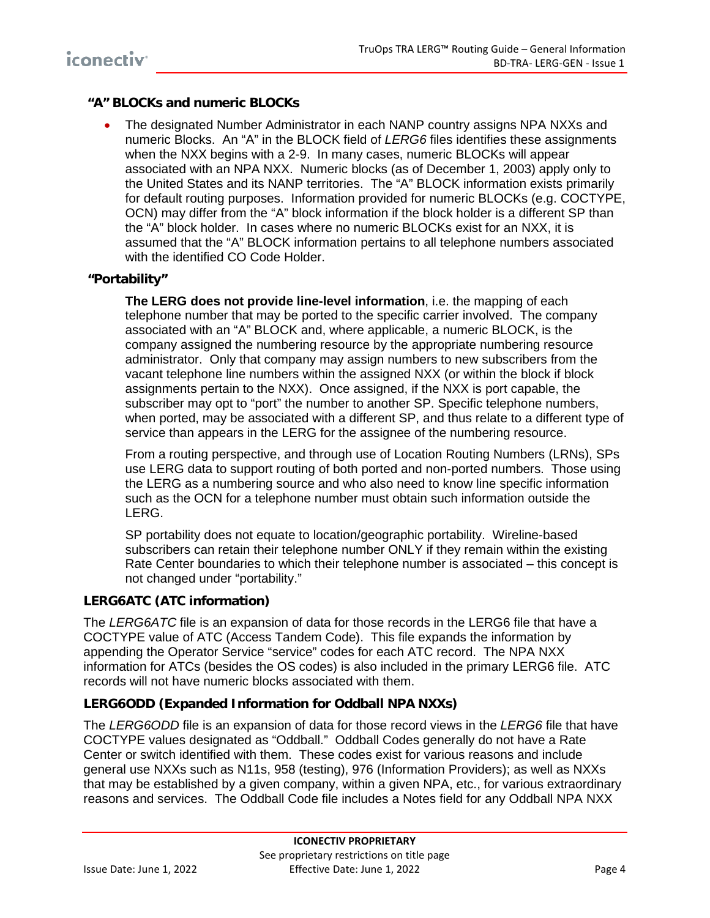#### **"A" BLOCKs and numeric BLOCKs**

• The designated Number Administrator in each NANP country assigns NPA NXXs and numeric Blocks. An "A" in the BLOCK field of *LERG6* files identifies these assignments when the NXX begins with a 2-9. In many cases, numeric BLOCKs will appear associated with an NPA NXX. Numeric blocks (as of December 1, 2003) apply only to the United States and its NANP territories. The "A" BLOCK information exists primarily for default routing purposes. Information provided for numeric BLOCKs (e.g. COCTYPE, OCN) may differ from the "A" block information if the block holder is a different SP than the "A" block holder. In cases where no numeric BLOCKs exist for an NXX, it is assumed that the "A" BLOCK information pertains to all telephone numbers associated with the identified CO Code Holder.

#### **"Portability"**

**The LERG does not provide line-level information**, i.e. the mapping of each telephone number that may be ported to the specific carrier involved. The company associated with an "A" BLOCK and, where applicable, a numeric BLOCK, is the company assigned the numbering resource by the appropriate numbering resource administrator. Only that company may assign numbers to new subscribers from the vacant telephone line numbers within the assigned NXX (or within the block if block assignments pertain to the NXX). Once assigned, if the NXX is port capable, the subscriber may opt to "port" the number to another SP. Specific telephone numbers. when ported, may be associated with a different SP, and thus relate to a different type of service than appears in the LERG for the assignee of the numbering resource.

From a routing perspective, and through use of Location Routing Numbers (LRNs), SPs use LERG data to support routing of both ported and non-ported numbers. Those using the LERG as a numbering source and who also need to know line specific information such as the OCN for a telephone number must obtain such information outside the LERG.

SP portability does not equate to location/geographic portability. Wireline-based subscribers can retain their telephone number ONLY if they remain within the existing Rate Center boundaries to which their telephone number is associated – this concept is not changed under "portability."

#### **LERG6ATC (ATC information)**

The *LERG6ATC* file is an expansion of data for those records in the LERG6 file that have a COCTYPE value of ATC (Access Tandem Code). This file expands the information by appending the Operator Service "service" codes for each ATC record. The NPA NXX information for ATCs (besides the OS codes) is also included in the primary LERG6 file. ATC records will not have numeric blocks associated with them.

#### **LERG6ODD (Expanded Information for Oddball NPA NXXs)**

The *LERG6ODD* file is an expansion of data for those record views in the *LERG6* file that have COCTYPE values designated as "Oddball." Oddball Codes generally do not have a Rate Center or switch identified with them. These codes exist for various reasons and include general use NXXs such as N11s, 958 (testing), 976 (Information Providers); as well as NXXs that may be established by a given company, within a given NPA, etc., for various extraordinary reasons and services. The Oddball Code file includes a Notes field for any Oddball NPA NXX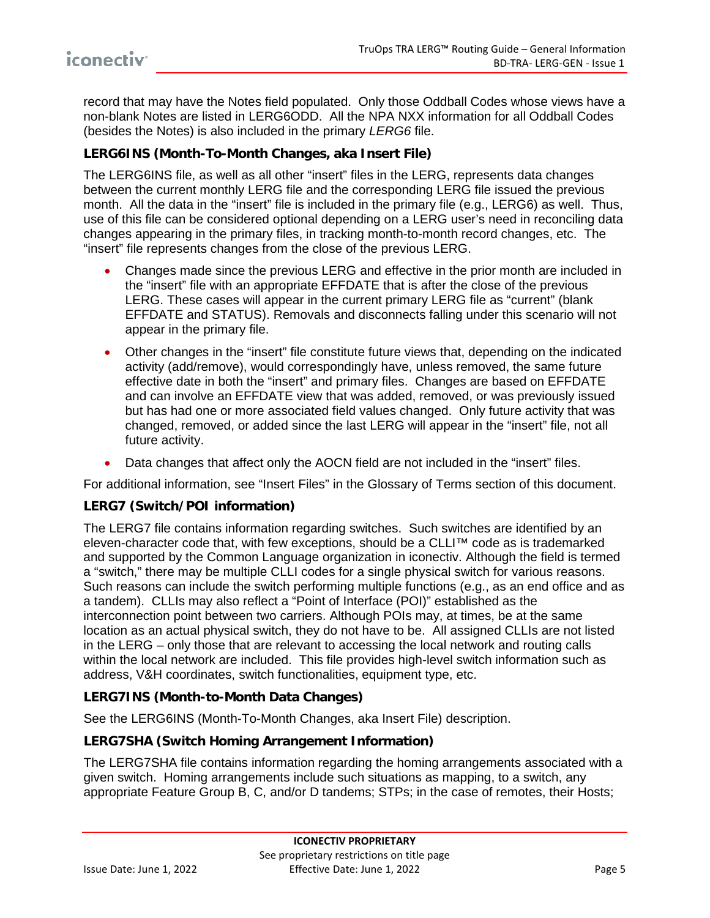record that may have the Notes field populated. Only those Oddball Codes whose views have a non-blank Notes are listed in LERG6ODD. All the NPA NXX information for all Oddball Codes (besides the Notes) is also included in the primary *LERG6* file.

#### <span id="page-8-0"></span>**LERG6INS (Month-To-Month Changes, aka Insert File)**

The LERG6INS file, as well as all other "insert" files in the LERG, represents data changes between the current monthly LERG file and the corresponding LERG file issued the previous month. All the data in the "insert" file is included in the primary file (e.g., LERG6) as well. Thus, use of this file can be considered optional depending on a LERG user's need in reconciling data changes appearing in the primary files, in tracking month-to-month record changes, etc. The "insert" file represents changes from the close of the previous LERG.

- Changes made since the previous LERG and effective in the prior month are included in the "insert" file with an appropriate EFFDATE that is after the close of the previous LERG. These cases will appear in the current primary LERG file as "current" (blank EFFDATE and STATUS). Removals and disconnects falling under this scenario will not appear in the primary file.
- Other changes in the "insert" file constitute future views that, depending on the indicated activity (add/remove), would correspondingly have, unless removed, the same future effective date in both the "insert" and primary files. Changes are based on EFFDATE and can involve an EFFDATE view that was added, removed, or was previously issued but has had one or more associated field values changed. Only future activity that was changed, removed, or added since the last LERG will appear in the "insert" file, not all future activity.
- Data changes that affect only the AOCN field are not included in the "insert" files.

For additional information, see "Insert Files" in the [Glossary of Terms](#page-15-1) section of this document.

#### **LERG7 (Switch/POI information)**

The LERG7 file contains information regarding switches. Such switches are identified by an eleven-character code that, with few exceptions, should be a CLLI™ code as is trademarked and supported by the Common Language organization in iconectiv. Although the field is termed a "switch," there may be multiple CLLI codes for a single physical switch for various reasons. Such reasons can include the switch performing multiple functions (e.g., as an end office and as a tandem). CLLIs may also reflect a "Point of Interface (POI)" established as the interconnection point between two carriers. Although POIs may, at times, be at the same location as an actual physical switch, they do not have to be. All assigned CLLIs are not listed in the LERG – only those that are relevant to accessing the local network and routing calls within the local network are included. This file provides high-level switch information such as address, V&H coordinates, switch functionalities, equipment type, etc.

#### **LERG7INS (Month-to-Month Data Changes)**

See the [LERG6INS \(Month-To-Month Changes,](#page-8-0) aka Insert File) description.

#### **LERG7SHA (Switch Homing Arrangement Information)**

The LERG7SHA file contains information regarding the homing arrangements associated with a given switch. Homing arrangements include such situations as mapping, to a switch, any appropriate Feature Group B, C, and/or D tandems; STPs; in the case of remotes, their Hosts;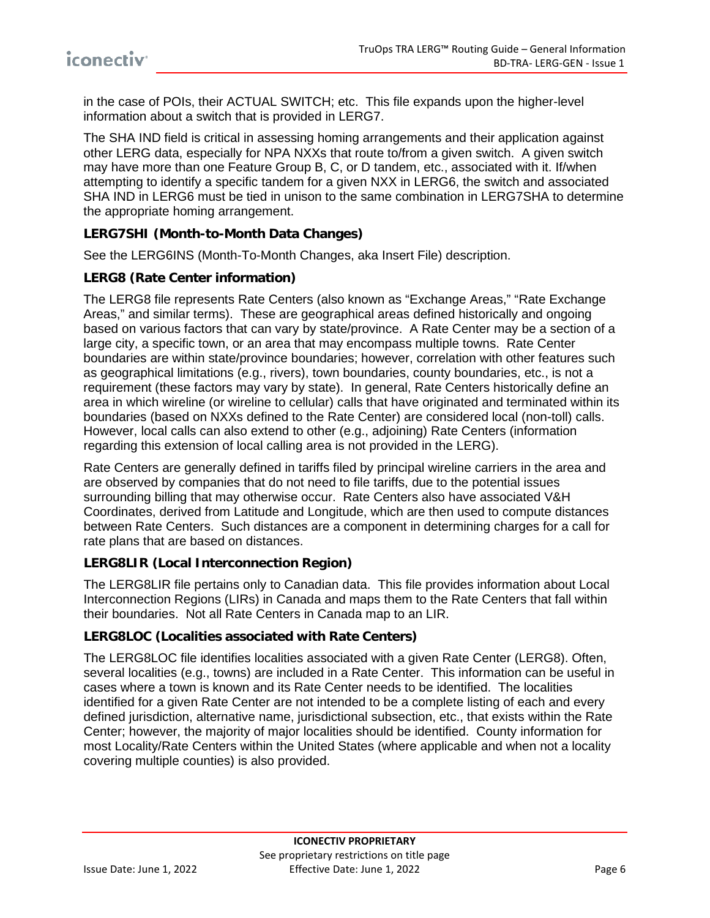in the case of POIs, their ACTUAL SWITCH; etc. This file expands upon the higher-level information about a switch that is provided in LERG7.

The SHA IND field is critical in assessing homing arrangements and their application against other LERG data, especially for NPA NXXs that route to/from a given switch. A given switch may have more than one Feature Group B, C, or D tandem, etc., associated with it. If/when attempting to identify a specific tandem for a given NXX in LERG6, the switch and associated SHA IND in LERG6 must be tied in unison to the same combination in LERG7SHA to determine the appropriate homing arrangement.

#### **LERG7SHI (Month-to-Month Data Changes)**

See the [LERG6INS \(Month-To-Month Changes, aka Insert File\)](#page-8-0) description.

#### **LERG8 (Rate Center information)**

The LERG8 file represents Rate Centers (also known as "Exchange Areas," "Rate Exchange Areas," and similar terms). These are geographical areas defined historically and ongoing based on various factors that can vary by state/province. A Rate Center may be a section of a large city, a specific town, or an area that may encompass multiple towns. Rate Center boundaries are within state/province boundaries; however, correlation with other features such as geographical limitations (e.g., rivers), town boundaries, county boundaries, etc., is not a requirement (these factors may vary by state). In general, Rate Centers historically define an area in which wireline (or wireline to cellular) calls that have originated and terminated within its boundaries (based on NXXs defined to the Rate Center) are considered local (non-toll) calls. However, local calls can also extend to other (e.g., adjoining) Rate Centers (information regarding this extension of local calling area is not provided in the LERG).

Rate Centers are generally defined in tariffs filed by principal wireline carriers in the area and are observed by companies that do not need to file tariffs, due to the potential issues surrounding billing that may otherwise occur. Rate Centers also have associated V&H Coordinates, derived from Latitude and Longitude, which are then used to compute distances between Rate Centers. Such distances are a component in determining charges for a call for rate plans that are based on distances.

#### **LERG8LIR (Local Interconnection Region)**

The LERG8LIR file pertains only to Canadian data. This file provides information about Local Interconnection Regions (LIRs) in Canada and maps them to the Rate Centers that fall within their boundaries. Not all Rate Centers in Canada map to an LIR.

#### **LERG8LOC (Localities associated with Rate Centers)**

The LERG8LOC file identifies localities associated with a given Rate Center (LERG8). Often, several localities (e.g., towns) are included in a Rate Center. This information can be useful in cases where a town is known and its Rate Center needs to be identified. The localities identified for a given Rate Center are not intended to be a complete listing of each and every defined jurisdiction, alternative name, jurisdictional subsection, etc., that exists within the Rate Center; however, the majority of major localities should be identified. County information for most Locality/Rate Centers within the United States (where applicable and when not a locality covering multiple counties) is also provided.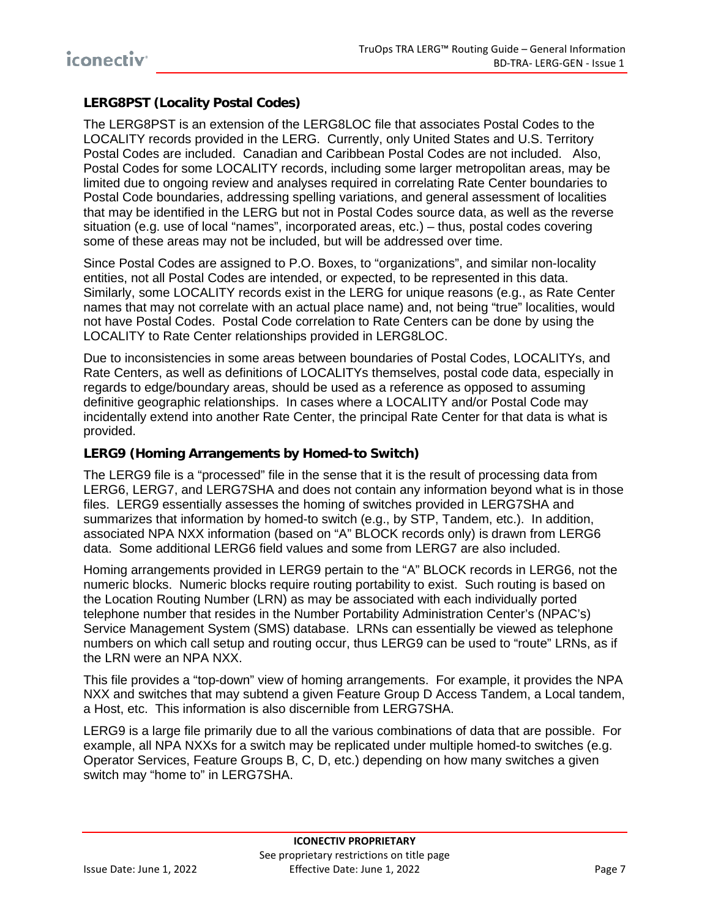#### **LERG8PST (Locality Postal Codes)**

The LERG8PST is an extension of the LERG8LOC file that associates Postal Codes to the LOCALITY records provided in the LERG. Currently, only United States and U.S. Territory Postal Codes are included. Canadian and Caribbean Postal Codes are not included. Also, Postal Codes for some LOCALITY records, including some larger metropolitan areas, may be limited due to ongoing review and analyses required in correlating Rate Center boundaries to Postal Code boundaries, addressing spelling variations, and general assessment of localities that may be identified in the LERG but not in Postal Codes source data, as well as the reverse situation (e.g. use of local "names", incorporated areas, etc.) – thus, postal codes covering some of these areas may not be included, but will be addressed over time.

Since Postal Codes are assigned to P.O. Boxes, to "organizations", and similar non-locality entities, not all Postal Codes are intended, or expected, to be represented in this data. Similarly, some LOCALITY records exist in the LERG for unique reasons (e.g., as Rate Center names that may not correlate with an actual place name) and, not being "true" localities, would not have Postal Codes. Postal Code correlation to Rate Centers can be done by using the LOCALITY to Rate Center relationships provided in LERG8LOC.

Due to inconsistencies in some areas between boundaries of Postal Codes, LOCALITYs, and Rate Centers, as well as definitions of LOCALITYs themselves, postal code data, especially in regards to edge/boundary areas, should be used as a reference as opposed to assuming definitive geographic relationships. In cases where a LOCALITY and/or Postal Code may incidentally extend into another Rate Center, the principal Rate Center for that data is what is provided.

#### **LERG9 (Homing Arrangements by Homed-to Switch)**

The LERG9 file is a "processed" file in the sense that it is the result of processing data from LERG6, LERG7, and LERG7SHA and does not contain any information beyond what is in those files. LERG9 essentially assesses the homing of switches provided in LERG7SHA and summarizes that information by homed-to switch (e.g., by STP, Tandem, etc.). In addition, associated NPA NXX information (based on "A" BLOCK records only) is drawn from LERG6 data. Some additional LERG6 field values and some from LERG7 are also included.

Homing arrangements provided in LERG9 pertain to the "A" BLOCK records in LERG6, not the numeric blocks. Numeric blocks require routing portability to exist. Such routing is based on the Location Routing Number (LRN) as may be associated with each individually ported telephone number that resides in the Number Portability Administration Center's (NPAC's) Service Management System (SMS) database. LRNs can essentially be viewed as telephone numbers on which call setup and routing occur, thus LERG9 can be used to "route" LRNs, as if the LRN were an NPA NXX.

This file provides a "top-down" view of homing arrangements. For example, it provides the NPA NXX and switches that may subtend a given Feature Group D Access Tandem, a Local tandem, a Host, etc. This information is also discernible from LERG7SHA.

LERG9 is a large file primarily due to all the various combinations of data that are possible. For example, all NPA NXXs for a switch may be replicated under multiple homed-to switches (e.g. Operator Services, Feature Groups B, C, D, etc.) depending on how many switches a given switch may "home to" in LERG7SHA.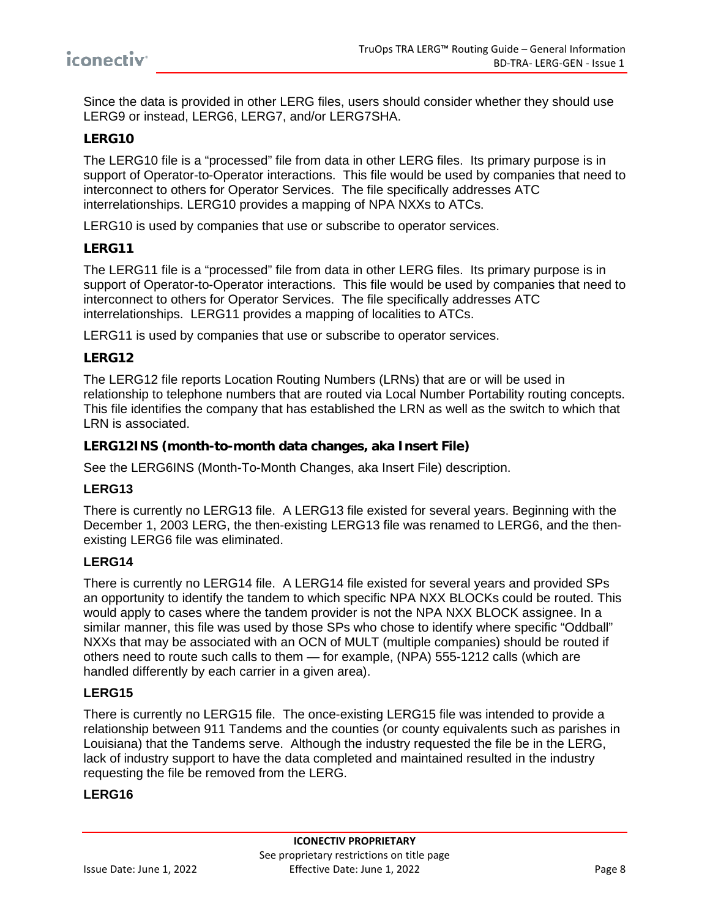

Since the data is provided in other LERG files, users should consider whether they should use LERG9 or instead, LERG6, LERG7, and/or LERG7SHA.

#### **LERG10**

The LERG10 file is a "processed" file from data in other LERG files. Its primary purpose is in support of Operator-to-Operator interactions. This file would be used by companies that need to interconnect to others for Operator Services. The file specifically addresses ATC interrelationships. LERG10 provides a mapping of NPA NXXs to ATCs.

LERG10 is used by companies that use or subscribe to operator services.

#### **LERG11**

The LERG11 file is a "processed" file from data in other LERG files. Its primary purpose is in support of Operator-to-Operator interactions. This file would be used by companies that need to interconnect to others for Operator Services. The file specifically addresses ATC interrelationships. LERG11 provides a mapping of localities to ATCs.

LERG11 is used by companies that use or subscribe to operator services.

#### **LERG12**

The LERG12 file reports Location Routing Numbers (LRNs) that are or will be used in relationship to telephone numbers that are routed via Local Number Portability routing concepts. This file identifies the company that has established the LRN as well as the switch to which that LRN is associated.

#### **LERG12INS (month-to-month data changes, aka Insert File)**

See the LERG6INS (Month-To-Month Changes, aka Insert File) description.

#### **LERG13**

There is currently no LERG13 file. A LERG13 file existed for several years. Beginning with the December 1, 2003 LERG, the then-existing LERG13 file was renamed to LERG6, and the thenexisting LERG6 file was eliminated.

#### **LERG14**

There is currently no LERG14 file. A LERG14 file existed for several years and provided SPs an opportunity to identify the tandem to which specific NPA NXX BLOCKs could be routed. This would apply to cases where the tandem provider is not the NPA NXX BLOCK assignee. In a similar manner, this file was used by those SPs who chose to identify where specific "Oddball" NXXs that may be associated with an OCN of MULT (multiple companies) should be routed if others need to route such calls to them — for example, (NPA) 555-1212 calls (which are handled differently by each carrier in a given area).

#### **LERG15**

There is currently no LERG15 file. The once-existing LERG15 file was intended to provide a relationship between 911 Tandems and the counties (or county equivalents such as parishes in Louisiana) that the Tandems serve. Although the industry requested the file be in the LERG, lack of industry support to have the data completed and maintained resulted in the industry requesting the file be removed from the LERG.

#### **LERG16**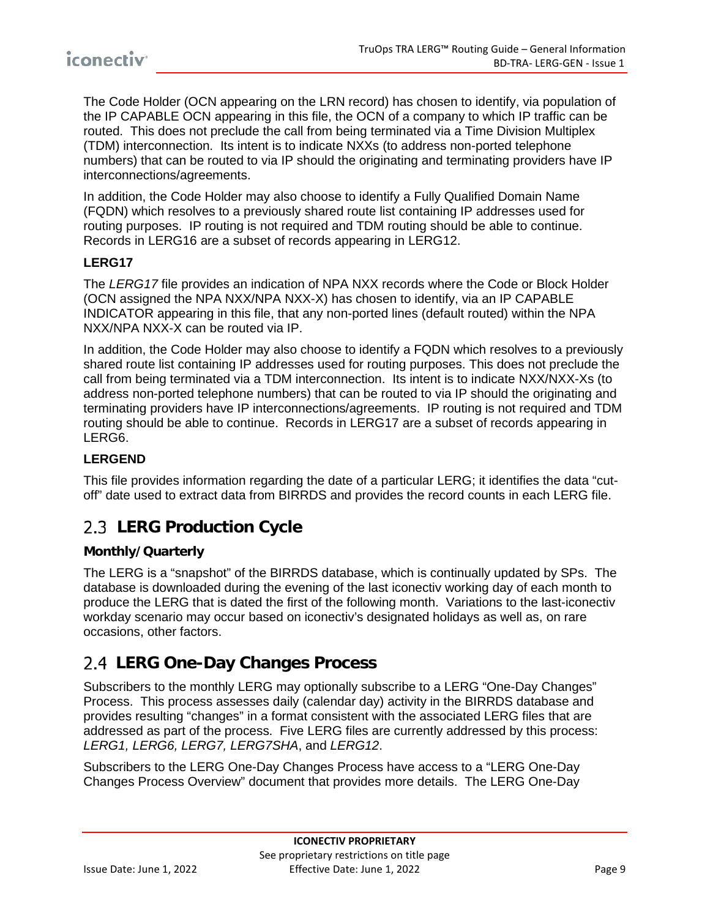The Code Holder (OCN appearing on the LRN record) has chosen to identify, via population of the IP CAPABLE OCN appearing in this file, the OCN of a company to which IP traffic can be routed. This does not preclude the call from being terminated via a Time Division Multiplex (TDM) interconnection. Its intent is to indicate NXXs (to address non-ported telephone numbers) that can be routed to via IP should the originating and terminating providers have IP interconnections/agreements.

In addition, the Code Holder may also choose to identify a Fully Qualified Domain Name (FQDN) which resolves to a previously shared route list containing IP addresses used for routing purposes. IP routing is not required and TDM routing should be able to continue. Records in LERG16 are a subset of records appearing in LERG12.

#### **LERG17**

The *LERG17* file provides an indication of NPA NXX records where the Code or Block Holder (OCN assigned the NPA NXX/NPA NXX-X) has chosen to identify, via an IP CAPABLE INDICATOR appearing in this file, that any non-ported lines (default routed) within the NPA NXX/NPA NXX-X can be routed via IP.

In addition, the Code Holder may also choose to identify a FQDN which resolves to a previously shared route list containing IP addresses used for routing purposes. This does not preclude the call from being terminated via a TDM interconnection. Its intent is to indicate NXX/NXX-Xs (to address non-ported telephone numbers) that can be routed to via IP should the originating and terminating providers have IP interconnections/agreements. IP routing is not required and TDM routing should be able to continue. Records in LERG17 are a subset of records appearing in LERG6.

#### **LERGEND**

This file provides information regarding the date of a particular LERG; it identifies the data "cutoff" date used to extract data from BIRRDS and provides the record counts in each LERG file.

## <span id="page-12-0"></span>**LERG Production Cycle**

#### **Monthly/Quarterly**

The LERG is a "snapshot" of the BIRRDS database, which is continually updated by SPs. The database is downloaded during the evening of the last iconectiv working day of each month to produce the LERG that is dated the first of the following month. Variations to the last-iconectiv workday scenario may occur based on iconectiv's designated holidays as well as, on rare occasions, other factors.

### <span id="page-12-1"></span>**LERG One-Day Changes Process**

Subscribers to the monthly LERG may optionally subscribe to a LERG "One-Day Changes" Process. This process assesses daily (calendar day) activity in the BIRRDS database and provides resulting "changes" in a format consistent with the associated LERG files that are addressed as part of the process. Five LERG files are currently addressed by this process: *LERG1, LERG6, LERG7, LERG7SHA*, and *LERG12*.

Subscribers to the LERG One-Day Changes Process have access to a "LERG One-Day Changes Process Overview" document that provides more details. The LERG One-Day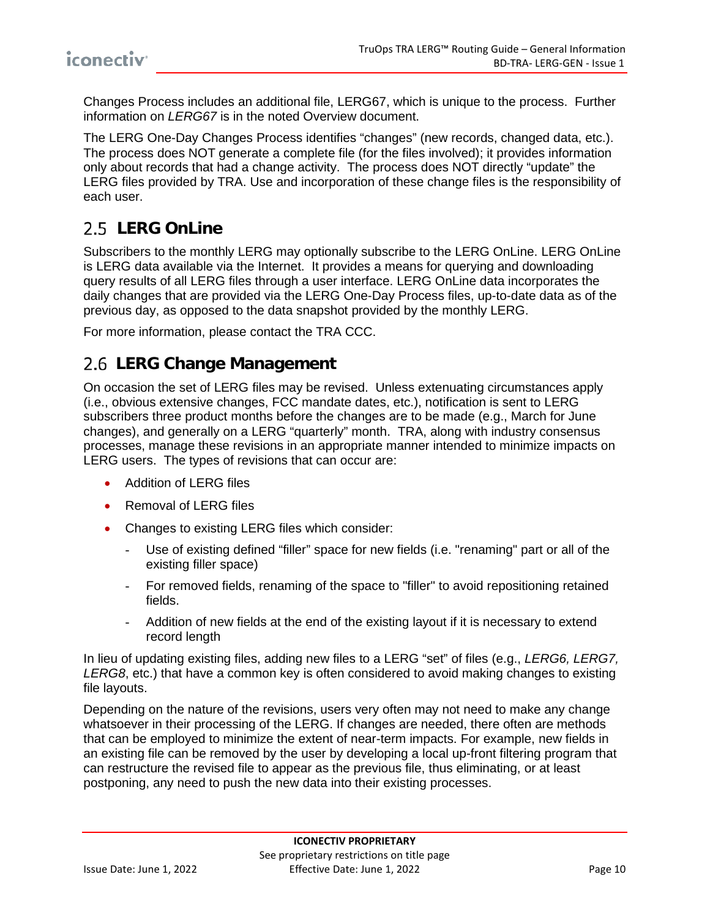Changes Process includes an additional file, LERG67, which is unique to the process. Further information on *LERG67* is in the noted Overview document.

The LERG One-Day Changes Process identifies "changes" (new records, changed data, etc.). The process does NOT generate a complete file (for the files involved); it provides information only about records that had a change activity. The process does NOT directly "update" the LERG files provided by TRA. Use and incorporation of these change files is the responsibility of each user.

## <span id="page-13-0"></span>2.5 LERG OnLine

Subscribers to the monthly LERG may optionally subscribe to the LERG OnLine. LERG OnLine is LERG data available via the Internet. It provides a means for querying and downloading query results of all LERG files through a user interface. LERG OnLine data incorporates the daily changes that are provided via the LERG One-Day Process files, up-to-date data as of the previous day, as opposed to the data snapshot provided by the monthly LERG.

For more information, please contact the TRA CCC.

### <span id="page-13-1"></span>**LERG Change Management**

On occasion the set of LERG files may be revised. Unless extenuating circumstances apply (i.e., obvious extensive changes, FCC mandate dates, etc.), notification is sent to LERG subscribers three product months before the changes are to be made (e.g., March for June changes), and generally on a LERG "quarterly" month. TRA, along with industry consensus processes, manage these revisions in an appropriate manner intended to minimize impacts on LERG users. The types of revisions that can occur are:

- Addition of LERG files
- Removal of LERG files
- Changes to existing LERG files which consider:
	- Use of existing defined "filler" space for new fields (i.e. "renaming" part or all of the existing filler space)
	- For removed fields, renaming of the space to "filler" to avoid repositioning retained fields.
	- Addition of new fields at the end of the existing layout if it is necessary to extend record length

In lieu of updating existing files, adding new files to a LERG "set" of files (e.g., *LERG6, LERG7, LERG8*, etc.) that have a common key is often considered to avoid making changes to existing file layouts.

Depending on the nature of the revisions, users very often may not need to make any change whatsoever in their processing of the LERG. If changes are needed, there often are methods that can be employed to minimize the extent of near-term impacts. For example, new fields in an existing file can be removed by the user by developing a local up-front filtering program that can restructure the revised file to appear as the previous file, thus eliminating, or at least postponing, any need to push the new data into their existing processes.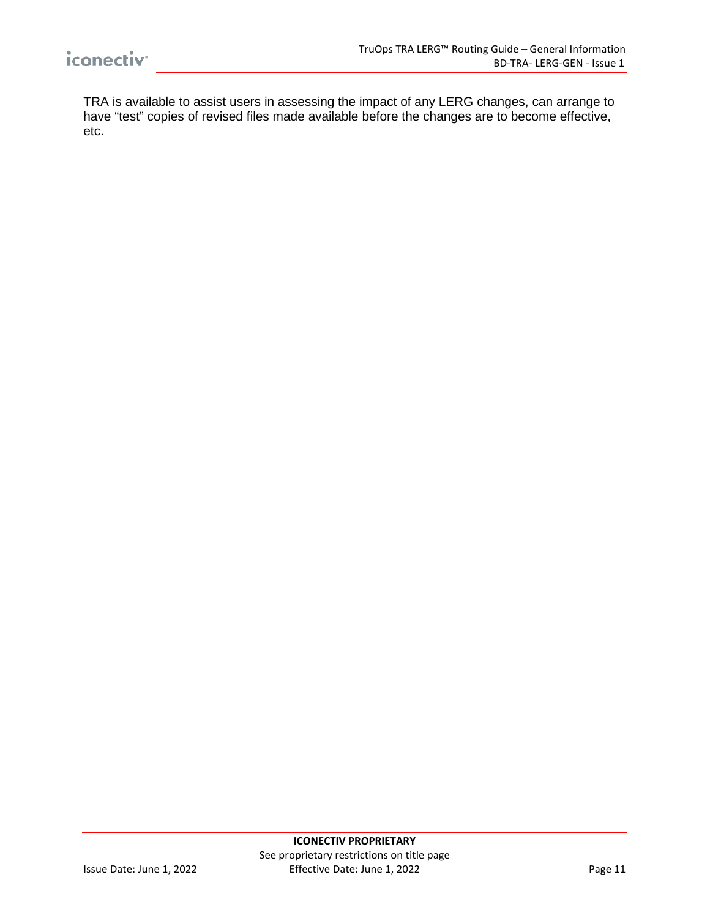TRA is available to assist users in assessing the impact of any LERG changes, can arrange to have "test" copies of revised files made available before the changes are to become effective, etc.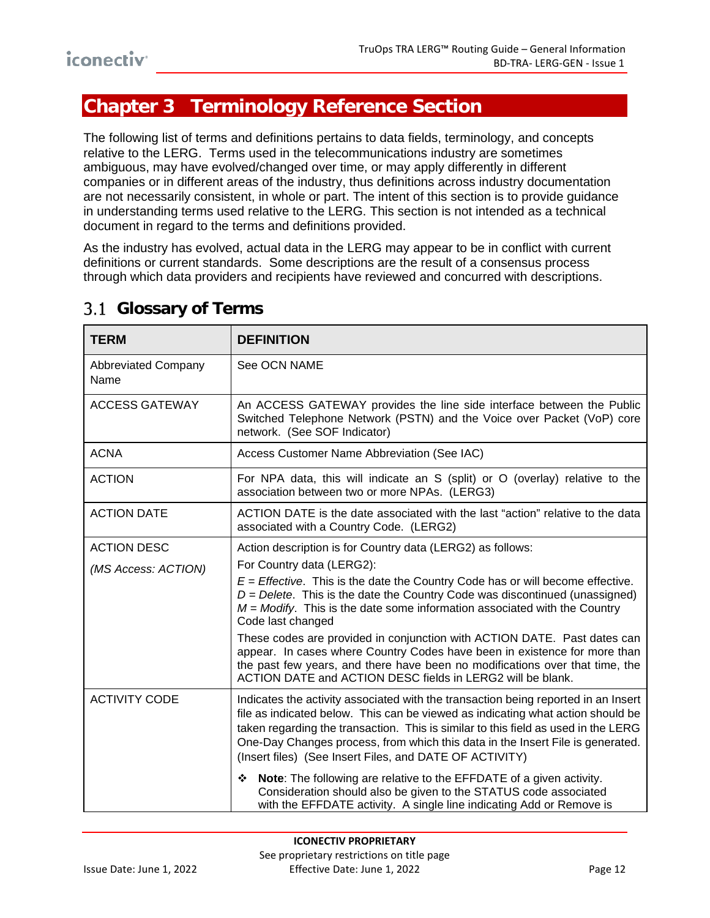## <span id="page-15-0"></span>**Chapter 3 Terminology Reference Section**

The following list of terms and definitions pertains to data fields, terminology, and concepts relative to the LERG. Terms used in the telecommunications industry are sometimes ambiguous, may have evolved/changed over time, or may apply differently in different companies or in different areas of the industry, thus definitions across industry documentation are not necessarily consistent, in whole or part. The intent of this section is to provide guidance in understanding terms used relative to the LERG. This section is not intended as a technical document in regard to the terms and definitions provided.

As the industry has evolved, actual data in the LERG may appear to be in conflict with current definitions or current standards. Some descriptions are the result of a consensus process through which data providers and recipients have reviewed and concurred with descriptions.

| <b>TERM</b>                        | <b>DEFINITION</b>                                                                                                                                                                                                                                                                                                                                                                                        |  |  |
|------------------------------------|----------------------------------------------------------------------------------------------------------------------------------------------------------------------------------------------------------------------------------------------------------------------------------------------------------------------------------------------------------------------------------------------------------|--|--|
| <b>Abbreviated Company</b><br>Name | See OCN NAME                                                                                                                                                                                                                                                                                                                                                                                             |  |  |
| <b>ACCESS GATEWAY</b>              | An ACCESS GATEWAY provides the line side interface between the Public<br>Switched Telephone Network (PSTN) and the Voice over Packet (VoP) core<br>network. (See SOF Indicator)                                                                                                                                                                                                                          |  |  |
| <b>ACNA</b>                        | Access Customer Name Abbreviation (See IAC)                                                                                                                                                                                                                                                                                                                                                              |  |  |
| <b>ACTION</b>                      | For NPA data, this will indicate an S (split) or O (overlay) relative to the<br>association between two or more NPAs. (LERG3)                                                                                                                                                                                                                                                                            |  |  |
| <b>ACTION DATE</b>                 | ACTION DATE is the date associated with the last "action" relative to the data<br>associated with a Country Code. (LERG2)                                                                                                                                                                                                                                                                                |  |  |
| <b>ACTION DESC</b>                 | Action description is for Country data (LERG2) as follows:                                                                                                                                                                                                                                                                                                                                               |  |  |
| (MS Access: ACTION)                | For Country data (LERG2):                                                                                                                                                                                                                                                                                                                                                                                |  |  |
|                                    | $E =$ <i>Effective</i> . This is the date the Country Code has or will become effective.<br>$D =$ Delete. This is the date the Country Code was discontinued (unassigned)<br>$M = Modify$ . This is the date some information associated with the Country<br>Code last changed                                                                                                                           |  |  |
|                                    | These codes are provided in conjunction with ACTION DATE. Past dates can<br>appear. In cases where Country Codes have been in existence for more than<br>the past few years, and there have been no modifications over that time, the<br>ACTION DATE and ACTION DESC fields in LERG2 will be blank.                                                                                                      |  |  |
| <b>ACTIVITY CODE</b>               | Indicates the activity associated with the transaction being reported in an Insert<br>file as indicated below. This can be viewed as indicating what action should be<br>taken regarding the transaction. This is similar to this field as used in the LERG<br>One-Day Changes process, from which this data in the Insert File is generated.<br>(Insert files) (See Insert Files, and DATE OF ACTIVITY) |  |  |
|                                    | Note: The following are relative to the EFFDATE of a given activity.<br>❖<br>Consideration should also be given to the STATUS code associated<br>with the EFFDATE activity. A single line indicating Add or Remove is                                                                                                                                                                                    |  |  |

## <span id="page-15-1"></span>**Glossary of Terms**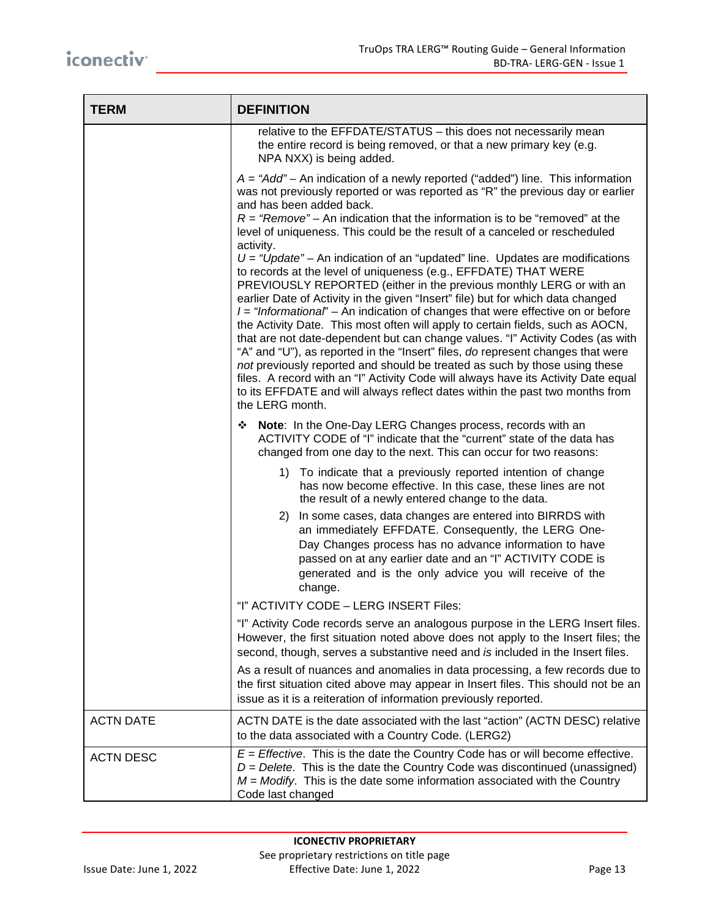| <b>TERM</b>      | <b>DEFINITION</b>                                                                                                                                                                                                                                                                                                                                                                                                                                                                                                                                                                                                                                                                                                                                                                                                                                                                                                                                                                                                                                                                                                                                                                                                                                                                                            |  |  |
|------------------|--------------------------------------------------------------------------------------------------------------------------------------------------------------------------------------------------------------------------------------------------------------------------------------------------------------------------------------------------------------------------------------------------------------------------------------------------------------------------------------------------------------------------------------------------------------------------------------------------------------------------------------------------------------------------------------------------------------------------------------------------------------------------------------------------------------------------------------------------------------------------------------------------------------------------------------------------------------------------------------------------------------------------------------------------------------------------------------------------------------------------------------------------------------------------------------------------------------------------------------------------------------------------------------------------------------|--|--|
|                  | relative to the EFFDATE/STATUS - this does not necessarily mean<br>the entire record is being removed, or that a new primary key (e.g.<br>NPA NXX) is being added.                                                                                                                                                                                                                                                                                                                                                                                                                                                                                                                                                                                                                                                                                                                                                                                                                                                                                                                                                                                                                                                                                                                                           |  |  |
|                  | $A = "Add" - An indication of a newly reported ("added") line. This information$<br>was not previously reported or was reported as "R" the previous day or earlier<br>and has been added back.<br>$R = "Remove"$ – An indication that the information is to be "removed" at the<br>level of uniqueness. This could be the result of a canceled or rescheduled<br>activity.<br>$U =$ "Update" – An indication of an "updated" line. Updates are modifications<br>to records at the level of uniqueness (e.g., EFFDATE) THAT WERE<br>PREVIOUSLY REPORTED (either in the previous monthly LERG or with an<br>earlier Date of Activity in the given "Insert" file) but for which data changed<br>$I = "Informational" - An indication of changes that were effective on or before$<br>the Activity Date. This most often will apply to certain fields, such as AOCN,<br>that are not date-dependent but can change values. "I" Activity Codes (as with<br>"A" and "U"), as reported in the "Insert" files, do represent changes that were<br>not previously reported and should be treated as such by those using these<br>files. A record with an "I" Activity Code will always have its Activity Date equal<br>to its EFFDATE and will always reflect dates within the past two months from<br>the LERG month. |  |  |
|                  | Note: In the One-Day LERG Changes process, records with an<br>ACTIVITY CODE of "I" indicate that the "current" state of the data has<br>changed from one day to the next. This can occur for two reasons:                                                                                                                                                                                                                                                                                                                                                                                                                                                                                                                                                                                                                                                                                                                                                                                                                                                                                                                                                                                                                                                                                                    |  |  |
|                  | 1) To indicate that a previously reported intention of change<br>has now become effective. In this case, these lines are not<br>the result of a newly entered change to the data.<br>In some cases, data changes are entered into BIRRDS with<br>2)<br>an immediately EFFDATE. Consequently, the LERG One-<br>Day Changes process has no advance information to have<br>passed on at any earlier date and an "I" ACTIVITY CODE is                                                                                                                                                                                                                                                                                                                                                                                                                                                                                                                                                                                                                                                                                                                                                                                                                                                                            |  |  |
|                  | generated and is the only advice you will receive of the<br>change.                                                                                                                                                                                                                                                                                                                                                                                                                                                                                                                                                                                                                                                                                                                                                                                                                                                                                                                                                                                                                                                                                                                                                                                                                                          |  |  |
|                  | "I" ACTIVITY CODE - LERG INSERT Files:                                                                                                                                                                                                                                                                                                                                                                                                                                                                                                                                                                                                                                                                                                                                                                                                                                                                                                                                                                                                                                                                                                                                                                                                                                                                       |  |  |
|                  | "I" Activity Code records serve an analogous purpose in the LERG Insert files.<br>However, the first situation noted above does not apply to the Insert files; the<br>second, though, serves a substantive need and is included in the Insert files.                                                                                                                                                                                                                                                                                                                                                                                                                                                                                                                                                                                                                                                                                                                                                                                                                                                                                                                                                                                                                                                         |  |  |
|                  | As a result of nuances and anomalies in data processing, a few records due to<br>the first situation cited above may appear in Insert files. This should not be an<br>issue as it is a reiteration of information previously reported.                                                                                                                                                                                                                                                                                                                                                                                                                                                                                                                                                                                                                                                                                                                                                                                                                                                                                                                                                                                                                                                                       |  |  |
| <b>ACTN DATE</b> | ACTN DATE is the date associated with the last "action" (ACTN DESC) relative<br>to the data associated with a Country Code. (LERG2)                                                                                                                                                                                                                                                                                                                                                                                                                                                                                                                                                                                                                                                                                                                                                                                                                                                                                                                                                                                                                                                                                                                                                                          |  |  |
| <b>ACTN DESC</b> | $E =$ Effective. This is the date the Country Code has or will become effective.<br>$D =$ Delete. This is the date the Country Code was discontinued (unassigned)<br>$M = Modify$ . This is the date some information associated with the Country<br>Code last changed                                                                                                                                                                                                                                                                                                                                                                                                                                                                                                                                                                                                                                                                                                                                                                                                                                                                                                                                                                                                                                       |  |  |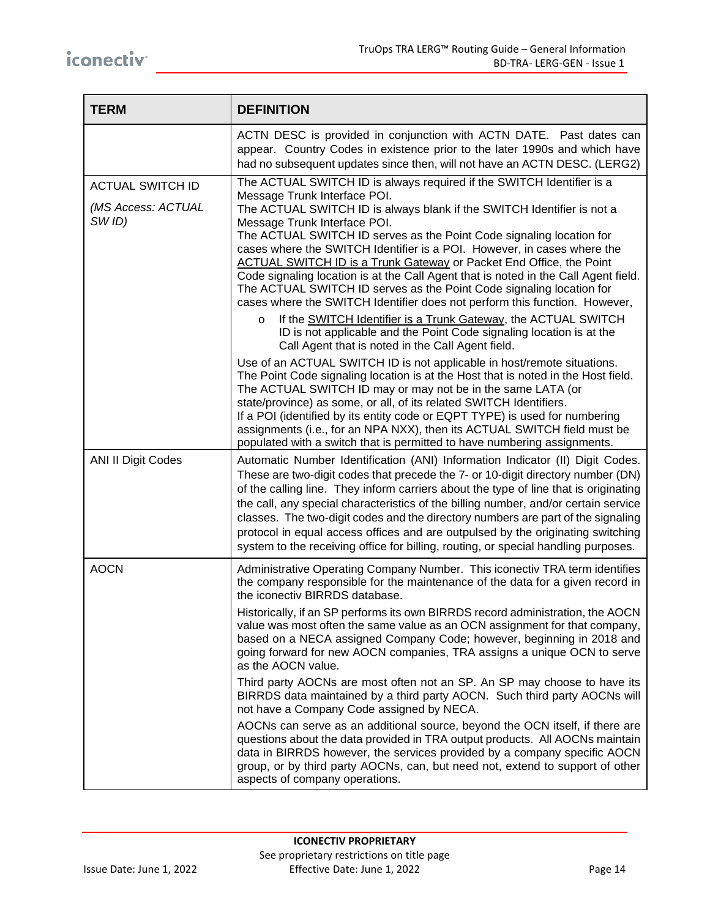| <b>TERM</b>                                             | <b>DEFINITION</b>                                                                                                                                                                                                                                                                                                                                                                                                                                                                                                                                                                                                                                                                                                                                                                                                                                                                                                                                                                                                                                                                                                                                                                                                                                                                                                                                                                                                                             |
|---------------------------------------------------------|-----------------------------------------------------------------------------------------------------------------------------------------------------------------------------------------------------------------------------------------------------------------------------------------------------------------------------------------------------------------------------------------------------------------------------------------------------------------------------------------------------------------------------------------------------------------------------------------------------------------------------------------------------------------------------------------------------------------------------------------------------------------------------------------------------------------------------------------------------------------------------------------------------------------------------------------------------------------------------------------------------------------------------------------------------------------------------------------------------------------------------------------------------------------------------------------------------------------------------------------------------------------------------------------------------------------------------------------------------------------------------------------------------------------------------------------------|
|                                                         | ACTN DESC is provided in conjunction with ACTN DATE. Past dates can<br>appear. Country Codes in existence prior to the later 1990s and which have<br>had no subsequent updates since then, will not have an ACTN DESC. (LERG2)                                                                                                                                                                                                                                                                                                                                                                                                                                                                                                                                                                                                                                                                                                                                                                                                                                                                                                                                                                                                                                                                                                                                                                                                                |
| <b>ACTUAL SWITCH ID</b><br>(MS Access: ACTUAL<br>SW ID) | The ACTUAL SWITCH ID is always required if the SWITCH Identifier is a<br>Message Trunk Interface POI.<br>The ACTUAL SWITCH ID is always blank if the SWITCH Identifier is not a<br>Message Trunk Interface POI.<br>The ACTUAL SWITCH ID serves as the Point Code signaling location for<br>cases where the SWITCH Identifier is a POI. However, in cases where the<br>ACTUAL SWITCH ID is a Trunk Gateway or Packet End Office, the Point<br>Code signaling location is at the Call Agent that is noted in the Call Agent field.<br>The ACTUAL SWITCH ID serves as the Point Code signaling location for<br>cases where the SWITCH Identifier does not perform this function. However,<br>If the SWITCH Identifier is a Trunk Gateway, the ACTUAL SWITCH<br>$\circ$<br>ID is not applicable and the Point Code signaling location is at the<br>Call Agent that is noted in the Call Agent field.<br>Use of an ACTUAL SWITCH ID is not applicable in host/remote situations.<br>The Point Code signaling location is at the Host that is noted in the Host field.<br>The ACTUAL SWITCH ID may or may not be in the same LATA (or<br>state/province) as some, or all, of its related SWITCH Identifiers.<br>If a POI (identified by its entity code or EQPT TYPE) is used for numbering<br>assignments (i.e., for an NPA NXX), then its ACTUAL SWITCH field must be<br>populated with a switch that is permitted to have numbering assignments. |
| <b>ANI II Digit Codes</b>                               | Automatic Number Identification (ANI) Information Indicator (II) Digit Codes.<br>These are two-digit codes that precede the 7- or 10-digit directory number (DN)<br>of the calling line. They inform carriers about the type of line that is originating<br>the call, any special characteristics of the billing number, and/or certain service<br>classes. The two-digit codes and the directory numbers are part of the signaling<br>protocol in equal access offices and are outpulsed by the originating switching<br>system to the receiving office for billing, routing, or special handling purposes.                                                                                                                                                                                                                                                                                                                                                                                                                                                                                                                                                                                                                                                                                                                                                                                                                                  |
| <b>AOCN</b>                                             | Administrative Operating Company Number. This iconectiv TRA term identifies<br>the company responsible for the maintenance of the data for a given record in<br>the iconectiv BIRRDS database.<br>Historically, if an SP performs its own BIRRDS record administration, the AOCN<br>value was most often the same value as an OCN assignment for that company,<br>based on a NECA assigned Company Code; however, beginning in 2018 and<br>going forward for new AOCN companies, TRA assigns a unique OCN to serve<br>as the AOCN value.<br>Third party AOCNs are most often not an SP. An SP may choose to have its<br>BIRRDS data maintained by a third party AOCN. Such third party AOCNs will<br>not have a Company Code assigned by NECA.<br>AOCNs can serve as an additional source, beyond the OCN itself, if there are<br>questions about the data provided in TRA output products. All AOCNs maintain<br>data in BIRRDS however, the services provided by a company specific AOCN<br>group, or by third party AOCNs, can, but need not, extend to support of other<br>aspects of company operations.                                                                                                                                                                                                                                                                                                                                 |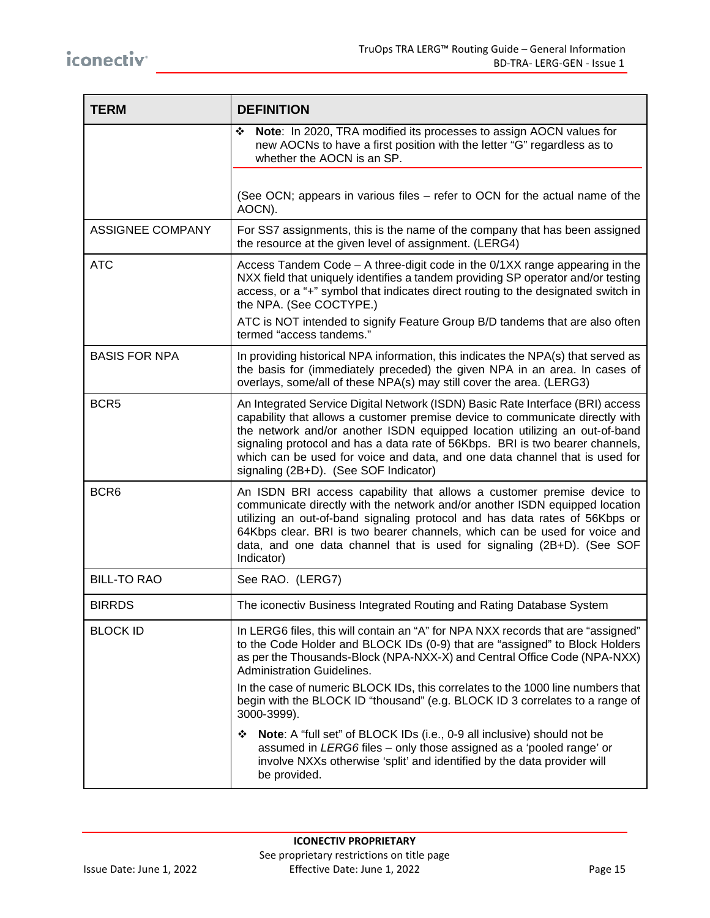| <b>TERM</b>             | <b>DEFINITION</b>                                                                                                                                                                                                                                                                                                                                                                                                                                      |  |  |
|-------------------------|--------------------------------------------------------------------------------------------------------------------------------------------------------------------------------------------------------------------------------------------------------------------------------------------------------------------------------------------------------------------------------------------------------------------------------------------------------|--|--|
|                         | Note: In 2020, TRA modified its processes to assign AOCN values for<br>❖<br>new AOCNs to have a first position with the letter "G" regardless as to<br>whether the AOCN is an SP.                                                                                                                                                                                                                                                                      |  |  |
|                         | (See OCN; appears in various files - refer to OCN for the actual name of the<br>AOCN).                                                                                                                                                                                                                                                                                                                                                                 |  |  |
| <b>ASSIGNEE COMPANY</b> | For SS7 assignments, this is the name of the company that has been assigned<br>the resource at the given level of assignment. (LERG4)                                                                                                                                                                                                                                                                                                                  |  |  |
| <b>ATC</b>              | Access Tandem Code - A three-digit code in the 0/1XX range appearing in the<br>NXX field that uniquely identifies a tandem providing SP operator and/or testing<br>access, or a "+" symbol that indicates direct routing to the designated switch in<br>the NPA. (See COCTYPE.)                                                                                                                                                                        |  |  |
|                         | ATC is NOT intended to signify Feature Group B/D tandems that are also often<br>termed "access tandems."                                                                                                                                                                                                                                                                                                                                               |  |  |
| <b>BASIS FOR NPA</b>    | In providing historical NPA information, this indicates the NPA(s) that served as<br>the basis for (immediately preceded) the given NPA in an area. In cases of<br>overlays, some/all of these NPA(s) may still cover the area. (LERG3)                                                                                                                                                                                                                |  |  |
| BCR <sub>5</sub>        | An Integrated Service Digital Network (ISDN) Basic Rate Interface (BRI) access<br>capability that allows a customer premise device to communicate directly with<br>the network and/or another ISDN equipped location utilizing an out-of-band<br>signaling protocol and has a data rate of 56Kbps. BRI is two bearer channels,<br>which can be used for voice and data, and one data channel that is used for<br>signaling (2B+D). (See SOF Indicator) |  |  |
| BCR <sub>6</sub>        | An ISDN BRI access capability that allows a customer premise device to<br>communicate directly with the network and/or another ISDN equipped location<br>utilizing an out-of-band signaling protocol and has data rates of 56Kbps or<br>64Kbps clear. BRI is two bearer channels, which can be used for voice and<br>data, and one data channel that is used for signaling (2B+D). (See SOF<br>Indicator)                                              |  |  |
| <b>BILL-TO RAO</b>      | See RAO. (LERG7)                                                                                                                                                                                                                                                                                                                                                                                                                                       |  |  |
| <b>BIRRDS</b>           | The iconectiv Business Integrated Routing and Rating Database System                                                                                                                                                                                                                                                                                                                                                                                   |  |  |
| <b>BLOCK ID</b>         | In LERG6 files, this will contain an "A" for NPA NXX records that are "assigned"<br>to the Code Holder and BLOCK IDs (0-9) that are "assigned" to Block Holders<br>as per the Thousands-Block (NPA-NXX-X) and Central Office Code (NPA-NXX)<br>Administration Guidelines.                                                                                                                                                                              |  |  |
|                         | In the case of numeric BLOCK IDs, this correlates to the 1000 line numbers that<br>begin with the BLOCK ID "thousand" (e.g. BLOCK ID 3 correlates to a range of<br>3000-3999).                                                                                                                                                                                                                                                                         |  |  |
|                         | <b>Note:</b> A "full set" of BLOCK IDs (i.e., 0-9 all inclusive) should not be<br>❖<br>assumed in LERG6 files - only those assigned as a 'pooled range' or<br>involve NXXs otherwise 'split' and identified by the data provider will<br>be provided.                                                                                                                                                                                                  |  |  |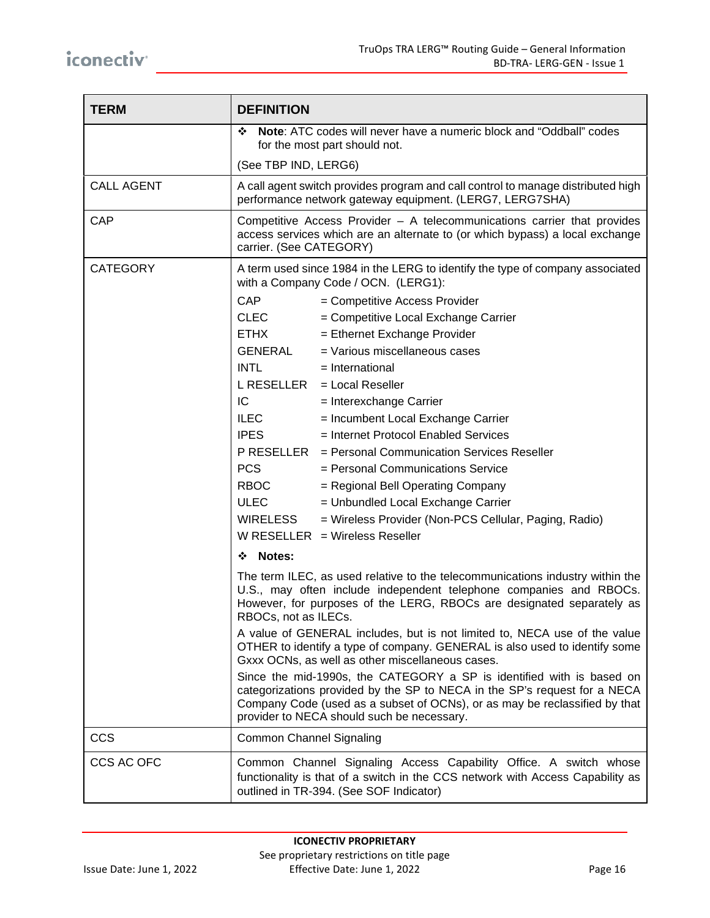| <b>TERM</b>       | <b>DEFINITION</b>                                                                                                                                                                                                                                                              |  |  |  |
|-------------------|--------------------------------------------------------------------------------------------------------------------------------------------------------------------------------------------------------------------------------------------------------------------------------|--|--|--|
|                   | <b>Note:</b> ATC codes will never have a numeric block and "Oddball" codes<br>❖<br>for the most part should not.                                                                                                                                                               |  |  |  |
|                   | (See TBP IND, LERG6)                                                                                                                                                                                                                                                           |  |  |  |
| <b>CALL AGENT</b> | A call agent switch provides program and call control to manage distributed high<br>performance network gateway equipment. (LERG7, LERG7SHA)                                                                                                                                   |  |  |  |
| CAP               | Competitive Access Provider - A telecommunications carrier that provides<br>access services which are an alternate to (or which bypass) a local exchange<br>carrier. (See CATEGORY)                                                                                            |  |  |  |
| <b>CATEGORY</b>   | A term used since 1984 in the LERG to identify the type of company associated<br>with a Company Code / OCN. (LERG1):                                                                                                                                                           |  |  |  |
|                   | <b>CAP</b><br>= Competitive Access Provider                                                                                                                                                                                                                                    |  |  |  |
|                   | <b>CLEC</b><br>= Competitive Local Exchange Carrier                                                                                                                                                                                                                            |  |  |  |
|                   | <b>ETHX</b><br>= Ethernet Exchange Provider                                                                                                                                                                                                                                    |  |  |  |
|                   | GENERAL<br>= Various miscellaneous cases                                                                                                                                                                                                                                       |  |  |  |
|                   | <b>INTL</b><br>$=$ International                                                                                                                                                                                                                                               |  |  |  |
|                   | $L$ RESELLER $=$ Local Reseller                                                                                                                                                                                                                                                |  |  |  |
|                   | IC<br>= Interexchange Carrier                                                                                                                                                                                                                                                  |  |  |  |
|                   | = Incumbent Local Exchange Carrier<br><b>ILEC</b>                                                                                                                                                                                                                              |  |  |  |
|                   | <b>IPES</b><br>= Internet Protocol Enabled Services                                                                                                                                                                                                                            |  |  |  |
|                   | P RESELLER = Personal Communication Services Reseller                                                                                                                                                                                                                          |  |  |  |
|                   | <b>PCS</b><br>= Personal Communications Service                                                                                                                                                                                                                                |  |  |  |
|                   | <b>RBOC</b><br>= Regional Bell Operating Company                                                                                                                                                                                                                               |  |  |  |
|                   | <b>ULEC</b><br>= Unbundled Local Exchange Carrier                                                                                                                                                                                                                              |  |  |  |
|                   | <b>WIRELESS</b><br>= Wireless Provider (Non-PCS Cellular, Paging, Radio)                                                                                                                                                                                                       |  |  |  |
|                   | W RESELLER $=$ Wireless Reseller                                                                                                                                                                                                                                               |  |  |  |
|                   | <b>Notes:</b><br>❖                                                                                                                                                                                                                                                             |  |  |  |
|                   | The term ILEC, as used relative to the telecommunications industry within the<br>U.S., may often include independent telephone companies and RBOCs.<br>However, for purposes of the LERG, RBOCs are designated separately as<br>RBOCs, not as ILECs.                           |  |  |  |
|                   | A value of GENERAL includes, but is not limited to, NECA use of the value<br>OTHER to identify a type of company. GENERAL is also used to identify some<br>Gxxx OCNs, as well as other miscellaneous cases.                                                                    |  |  |  |
|                   | Since the mid-1990s, the CATEGORY a SP is identified with is based on<br>categorizations provided by the SP to NECA in the SP's request for a NECA<br>Company Code (used as a subset of OCNs), or as may be reclassified by that<br>provider to NECA should such be necessary. |  |  |  |
| <b>CCS</b>        | <b>Common Channel Signaling</b>                                                                                                                                                                                                                                                |  |  |  |
| CCS AC OFC        | Common Channel Signaling Access Capability Office. A switch whose<br>functionality is that of a switch in the CCS network with Access Capability as<br>outlined in TR-394. (See SOF Indicator)                                                                                 |  |  |  |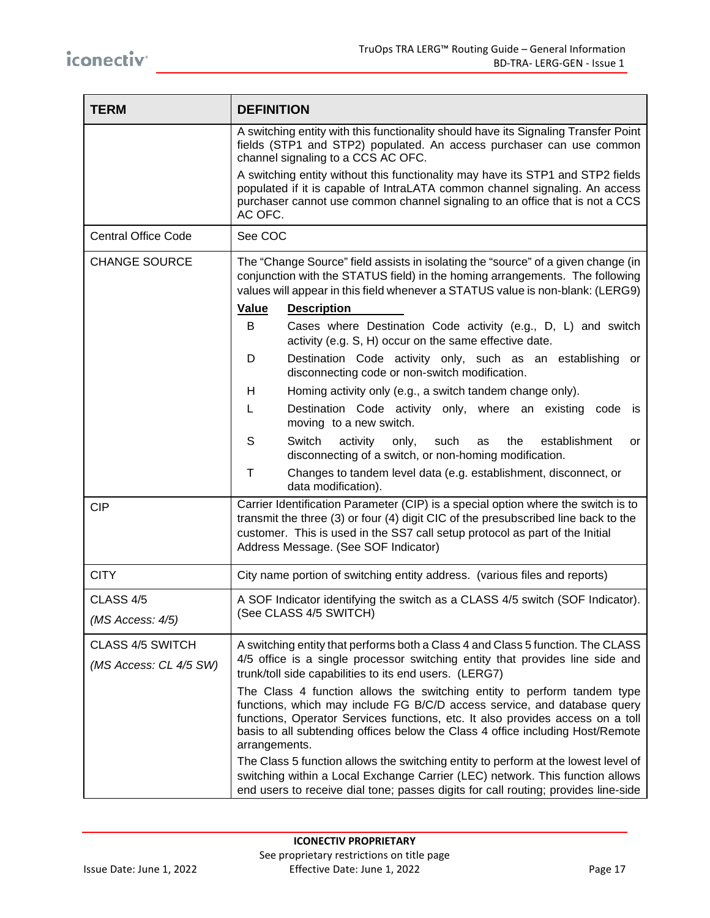| <b>TERM</b>                                       | <b>DEFINITION</b>                                                                                                                                                                                                                                                                                                                        |  |  |
|---------------------------------------------------|------------------------------------------------------------------------------------------------------------------------------------------------------------------------------------------------------------------------------------------------------------------------------------------------------------------------------------------|--|--|
|                                                   | A switching entity with this functionality should have its Signaling Transfer Point<br>fields (STP1 and STP2) populated. An access purchaser can use common<br>channel signaling to a CCS AC OFC.                                                                                                                                        |  |  |
|                                                   | A switching entity without this functionality may have its STP1 and STP2 fields<br>populated if it is capable of IntraLATA common channel signaling. An access<br>purchaser cannot use common channel signaling to an office that is not a CCS<br>AC OFC.                                                                                |  |  |
| <b>Central Office Code</b>                        | See COC                                                                                                                                                                                                                                                                                                                                  |  |  |
| <b>CHANGE SOURCE</b>                              | The "Change Source" field assists in isolating the "source" of a given change (in<br>conjunction with the STATUS field) in the homing arrangements. The following<br>values will appear in this field whenever a STATUS value is non-blank: (LERG9)                                                                                      |  |  |
|                                                   | Value<br><b>Description</b>                                                                                                                                                                                                                                                                                                              |  |  |
|                                                   | B<br>Cases where Destination Code activity (e.g., D, L) and switch<br>activity (e.g. S, H) occur on the same effective date.                                                                                                                                                                                                             |  |  |
|                                                   | Destination Code activity only, such as an establishing or<br>D<br>disconnecting code or non-switch modification.                                                                                                                                                                                                                        |  |  |
|                                                   | Homing activity only (e.g., a switch tandem change only).<br>H                                                                                                                                                                                                                                                                           |  |  |
|                                                   | Destination Code activity only, where an existing<br>L<br>code<br>is<br>moving to a new switch.                                                                                                                                                                                                                                          |  |  |
|                                                   | S<br>Switch<br>activity<br>only,<br>such<br>the<br>establishment<br>as<br>or<br>disconnecting of a switch, or non-homing modification.                                                                                                                                                                                                   |  |  |
|                                                   | Τ<br>Changes to tandem level data (e.g. establishment, disconnect, or<br>data modification).                                                                                                                                                                                                                                             |  |  |
| <b>CIP</b>                                        | Carrier Identification Parameter (CIP) is a special option where the switch is to<br>transmit the three (3) or four (4) digit CIC of the presubscribed line back to the<br>customer. This is used in the SS7 call setup protocol as part of the Initial<br>Address Message. (See SOF Indicator)                                          |  |  |
| <b>CITY</b>                                       | City name portion of switching entity address. (various files and reports)                                                                                                                                                                                                                                                               |  |  |
| CLASS 4/5                                         | A SOF Indicator identifying the switch as a CLASS 4/5 switch (SOF Indicator).                                                                                                                                                                                                                                                            |  |  |
| (MS Access: 4/5)                                  | (See CLASS 4/5 SWITCH)                                                                                                                                                                                                                                                                                                                   |  |  |
| <b>CLASS 4/5 SWITCH</b><br>(MS Access: CL 4/5 SW) | A switching entity that performs both a Class 4 and Class 5 function. The CLASS<br>4/5 office is a single processor switching entity that provides line side and<br>trunk/toll side capabilities to its end users. (LERG7)                                                                                                               |  |  |
|                                                   | The Class 4 function allows the switching entity to perform tandem type<br>functions, which may include FG B/C/D access service, and database query<br>functions, Operator Services functions, etc. It also provides access on a toll<br>basis to all subtending offices below the Class 4 office including Host/Remote<br>arrangements. |  |  |
|                                                   | The Class 5 function allows the switching entity to perform at the lowest level of<br>switching within a Local Exchange Carrier (LEC) network. This function allows<br>end users to receive dial tone; passes digits for call routing; provides line-side                                                                                |  |  |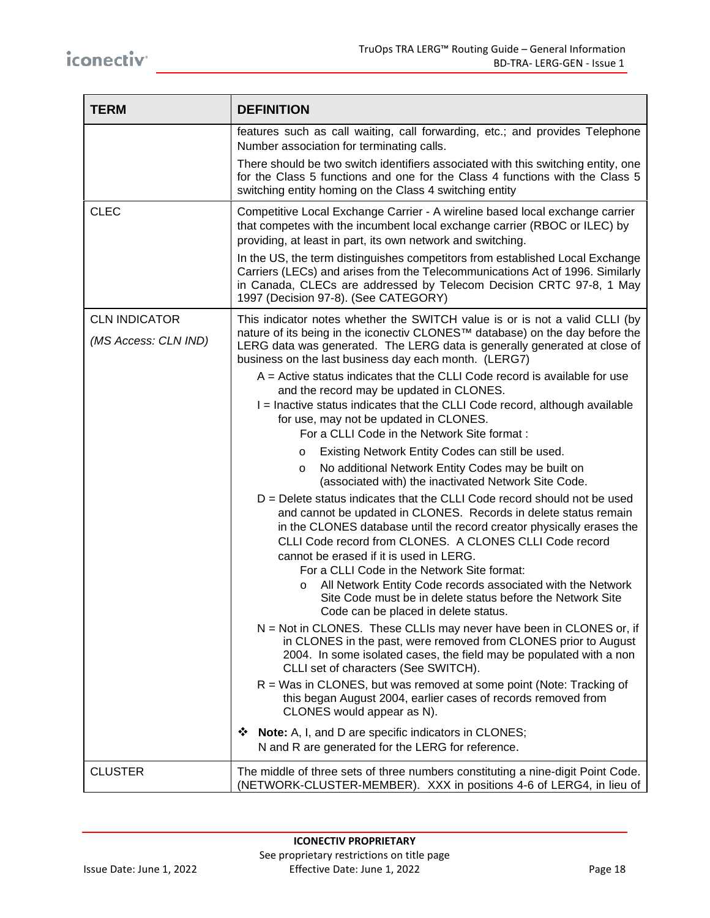| <b>TERM</b>                                  | <b>DEFINITION</b>                                                                                                                                                                                                                                                                                                                                                                                                                                                                                              |
|----------------------------------------------|----------------------------------------------------------------------------------------------------------------------------------------------------------------------------------------------------------------------------------------------------------------------------------------------------------------------------------------------------------------------------------------------------------------------------------------------------------------------------------------------------------------|
|                                              | features such as call waiting, call forwarding, etc.; and provides Telephone<br>Number association for terminating calls.                                                                                                                                                                                                                                                                                                                                                                                      |
|                                              | There should be two switch identifiers associated with this switching entity, one<br>for the Class 5 functions and one for the Class 4 functions with the Class 5<br>switching entity homing on the Class 4 switching entity                                                                                                                                                                                                                                                                                   |
| <b>CLEC</b>                                  | Competitive Local Exchange Carrier - A wireline based local exchange carrier<br>that competes with the incumbent local exchange carrier (RBOC or ILEC) by<br>providing, at least in part, its own network and switching.                                                                                                                                                                                                                                                                                       |
|                                              | In the US, the term distinguishes competitors from established Local Exchange<br>Carriers (LECs) and arises from the Telecommunications Act of 1996. Similarly<br>in Canada, CLECs are addressed by Telecom Decision CRTC 97-8, 1 May<br>1997 (Decision 97-8). (See CATEGORY)                                                                                                                                                                                                                                  |
| <b>CLN INDICATOR</b><br>(MS Access: CLN IND) | This indicator notes whether the SWITCH value is or is not a valid CLLI (by<br>nature of its being in the iconectiv CLONES™ database) on the day before the<br>LERG data was generated. The LERG data is generally generated at close of<br>business on the last business day each month. (LERG7)                                                                                                                                                                                                              |
|                                              | $A =$ Active status indicates that the CLLI Code record is available for use<br>and the record may be updated in CLONES.<br>I = Inactive status indicates that the CLLI Code record, although available<br>for use, may not be updated in CLONES.<br>For a CLLI Code in the Network Site format :                                                                                                                                                                                                              |
|                                              | Existing Network Entity Codes can still be used.<br>$\circ$                                                                                                                                                                                                                                                                                                                                                                                                                                                    |
|                                              | No additional Network Entity Codes may be built on<br>$\circ$<br>(associated with) the inactivated Network Site Code.                                                                                                                                                                                                                                                                                                                                                                                          |
|                                              | $D =$ Delete status indicates that the CLLI Code record should not be used<br>and cannot be updated in CLONES. Records in delete status remain<br>in the CLONES database until the record creator physically erases the<br>CLLI Code record from CLONES. A CLONES CLLI Code record<br>cannot be erased if it is used in LERG.<br>For a CLLI Code in the Network Site format:<br>All Network Entity Code records associated with the Network<br>O<br>Site Code must be in delete status before the Network Site |
|                                              | Code can be placed in delete status.<br>N = Not in CLONES. These CLLIs may never have been in CLONES or, if<br>in CLONES in the past, were removed from CLONES prior to August<br>2004. In some isolated cases, the field may be populated with a non<br>CLLI set of characters (See SWITCH).                                                                                                                                                                                                                  |
|                                              | R = Was in CLONES, but was removed at some point (Note: Tracking of<br>this began August 2004, earlier cases of records removed from<br>CLONES would appear as N).                                                                                                                                                                                                                                                                                                                                             |
|                                              | ❖ Note: A, I, and D are specific indicators in CLONES;<br>N and R are generated for the LERG for reference.                                                                                                                                                                                                                                                                                                                                                                                                    |
| <b>CLUSTER</b>                               | The middle of three sets of three numbers constituting a nine-digit Point Code.<br>(NETWORK-CLUSTER-MEMBER). XXX in positions 4-6 of LERG4, in lieu of                                                                                                                                                                                                                                                                                                                                                         |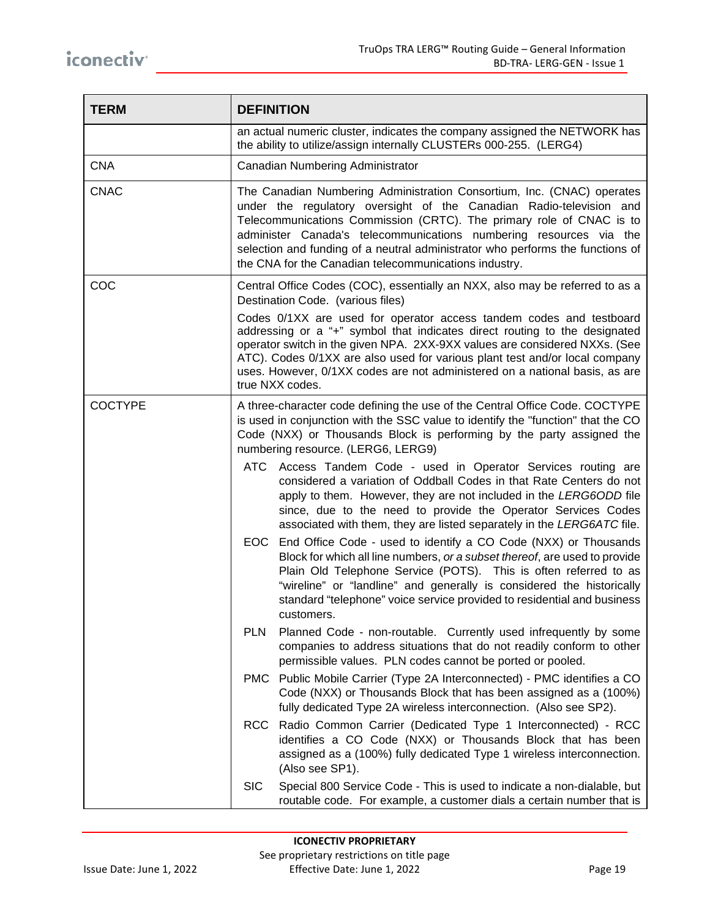| <b>TERM</b>    | <b>DEFINITION</b>                                                                                                                                                                                                                                                                                                                                                                                                                      |  |  |
|----------------|----------------------------------------------------------------------------------------------------------------------------------------------------------------------------------------------------------------------------------------------------------------------------------------------------------------------------------------------------------------------------------------------------------------------------------------|--|--|
|                | an actual numeric cluster, indicates the company assigned the NETWORK has<br>the ability to utilize/assign internally CLUSTERs 000-255. (LERG4)                                                                                                                                                                                                                                                                                        |  |  |
| <b>CNA</b>     | Canadian Numbering Administrator                                                                                                                                                                                                                                                                                                                                                                                                       |  |  |
| <b>CNAC</b>    | The Canadian Numbering Administration Consortium, Inc. (CNAC) operates<br>under the regulatory oversight of the Canadian Radio-television and<br>Telecommunications Commission (CRTC). The primary role of CNAC is to<br>administer Canada's telecommunications numbering resources via the<br>selection and funding of a neutral administrator who performs the functions of<br>the CNA for the Canadian telecommunications industry. |  |  |
| COC            | Central Office Codes (COC), essentially an NXX, also may be referred to as a<br>Destination Code. (various files)                                                                                                                                                                                                                                                                                                                      |  |  |
|                | Codes 0/1XX are used for operator access tandem codes and testboard<br>addressing or a "+" symbol that indicates direct routing to the designated<br>operator switch in the given NPA. 2XX-9XX values are considered NXXs. (See<br>ATC). Codes 0/1XX are also used for various plant test and/or local company<br>uses. However, 0/1XX codes are not administered on a national basis, as are<br>true NXX codes.                       |  |  |
| <b>COCTYPE</b> | A three-character code defining the use of the Central Office Code. COCTYPE<br>is used in conjunction with the SSC value to identify the "function" that the CO<br>Code (NXX) or Thousands Block is performing by the party assigned the<br>numbering resource. (LERG6, LERG9)                                                                                                                                                         |  |  |
|                | Access Tandem Code - used in Operator Services routing are<br>ATC<br>considered a variation of Oddball Codes in that Rate Centers do not<br>apply to them. However, they are not included in the LERG6ODD file<br>since, due to the need to provide the Operator Services Codes<br>associated with them, they are listed separately in the LERG6ATC file.                                                                              |  |  |
|                | EOC End Office Code - used to identify a CO Code (NXX) or Thousands<br>Block for which all line numbers, or a subset thereof, are used to provide<br>Plain Old Telephone Service (POTS). This is often referred to as<br>"wireline" or "landline" and generally is considered the historically<br>standard "telephone" voice service provided to residential and business<br>customers.                                                |  |  |
|                | <b>PLN</b><br>Planned Code - non-routable. Currently used infrequently by some<br>companies to address situations that do not readily conform to other<br>permissible values. PLN codes cannot be ported or pooled.                                                                                                                                                                                                                    |  |  |
|                | PMC Public Mobile Carrier (Type 2A Interconnected) - PMC identifies a CO<br>Code (NXX) or Thousands Block that has been assigned as a (100%)<br>fully dedicated Type 2A wireless interconnection. (Also see SP2).                                                                                                                                                                                                                      |  |  |
|                | Radio Common Carrier (Dedicated Type 1 Interconnected) - RCC<br><b>RCC</b><br>identifies a CO Code (NXX) or Thousands Block that has been<br>assigned as a (100%) fully dedicated Type 1 wireless interconnection.<br>(Also see SP1).                                                                                                                                                                                                  |  |  |
|                | <b>SIC</b><br>Special 800 Service Code - This is used to indicate a non-dialable, but<br>routable code. For example, a customer dials a certain number that is                                                                                                                                                                                                                                                                         |  |  |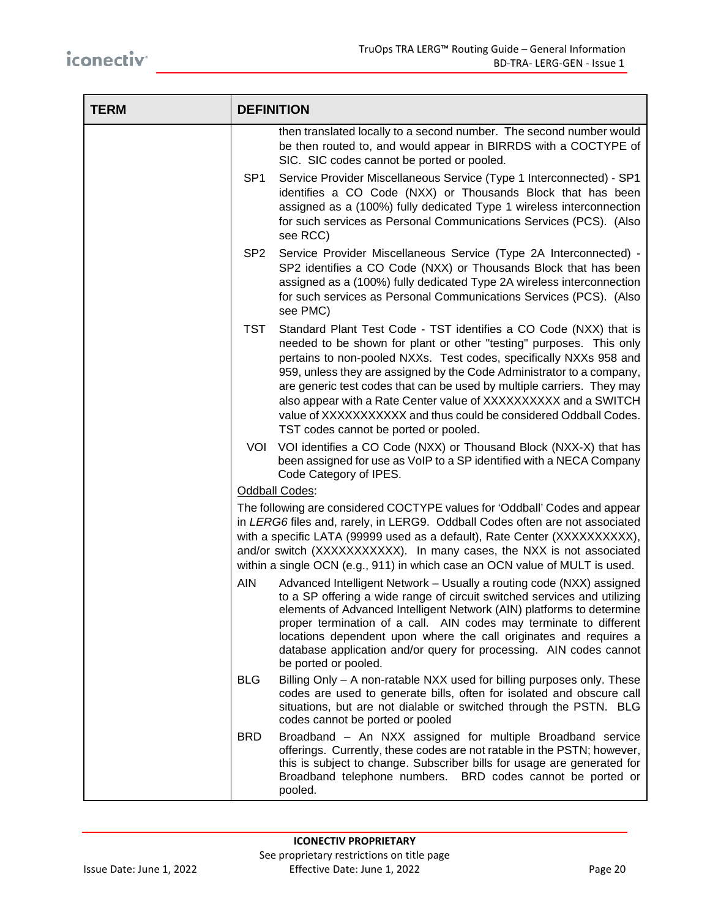| <b>TERM</b> | <b>DEFINITION</b>                                                                                                                                                                                                                                                                                                                                                                              |                                                                                                                                                                                                                                                                                                                                                                                                                                                                                                                                                  |
|-------------|------------------------------------------------------------------------------------------------------------------------------------------------------------------------------------------------------------------------------------------------------------------------------------------------------------------------------------------------------------------------------------------------|--------------------------------------------------------------------------------------------------------------------------------------------------------------------------------------------------------------------------------------------------------------------------------------------------------------------------------------------------------------------------------------------------------------------------------------------------------------------------------------------------------------------------------------------------|
|             |                                                                                                                                                                                                                                                                                                                                                                                                | then translated locally to a second number. The second number would<br>be then routed to, and would appear in BIRRDS with a COCTYPE of<br>SIC. SIC codes cannot be ported or pooled.                                                                                                                                                                                                                                                                                                                                                             |
|             | SP <sub>1</sub>                                                                                                                                                                                                                                                                                                                                                                                | Service Provider Miscellaneous Service (Type 1 Interconnected) - SP1<br>identifies a CO Code (NXX) or Thousands Block that has been<br>assigned as a (100%) fully dedicated Type 1 wireless interconnection<br>for such services as Personal Communications Services (PCS). (Also<br>see RCC)                                                                                                                                                                                                                                                    |
|             | SP <sub>2</sub>                                                                                                                                                                                                                                                                                                                                                                                | Service Provider Miscellaneous Service (Type 2A Interconnected) -<br>SP2 identifies a CO Code (NXX) or Thousands Block that has been<br>assigned as a (100%) fully dedicated Type 2A wireless interconnection<br>for such services as Personal Communications Services (PCS). (Also<br>see PMC)                                                                                                                                                                                                                                                  |
|             | <b>TST</b>                                                                                                                                                                                                                                                                                                                                                                                     | Standard Plant Test Code - TST identifies a CO Code (NXX) that is<br>needed to be shown for plant or other "testing" purposes. This only<br>pertains to non-pooled NXXs. Test codes, specifically NXXs 958 and<br>959, unless they are assigned by the Code Administrator to a company,<br>are generic test codes that can be used by multiple carriers. They may<br>also appear with a Rate Center value of XXXXXXXXXX and a SWITCH<br>value of XXXXXXXXXX and thus could be considered Oddball Codes.<br>TST codes cannot be ported or pooled. |
|             | VOL                                                                                                                                                                                                                                                                                                                                                                                            | VOI identifies a CO Code (NXX) or Thousand Block (NXX-X) that has<br>been assigned for use as VoIP to a SP identified with a NECA Company<br>Code Category of IPES.                                                                                                                                                                                                                                                                                                                                                                              |
|             |                                                                                                                                                                                                                                                                                                                                                                                                | Oddball Codes:                                                                                                                                                                                                                                                                                                                                                                                                                                                                                                                                   |
|             | The following are considered COCTYPE values for 'Oddball' Codes and appear<br>in LERG6 files and, rarely, in LERG9. Oddball Codes often are not associated<br>with a specific LATA (99999 used as a default), Rate Center (XXXXXXXXXX),<br>and/or switch (XXXXXXXXXX). In many cases, the NXX is not associated<br>within a single OCN (e.g., 911) in which case an OCN value of MULT is used. |                                                                                                                                                                                                                                                                                                                                                                                                                                                                                                                                                  |
|             | <b>AIN</b>                                                                                                                                                                                                                                                                                                                                                                                     | Advanced Intelligent Network - Usually a routing code (NXX) assigned<br>to a SP offering a wide range of circuit switched services and utilizing<br>elements of Advanced Intelligent Network (AIN) platforms to determine<br>proper termination of a call. AIN codes may terminate to different<br>locations dependent upon where the call originates and requires a<br>database application and/or query for processing. AIN codes cannot<br>be ported or pooled.                                                                               |
|             | <b>BLG</b>                                                                                                                                                                                                                                                                                                                                                                                     | Billing Only - A non-ratable NXX used for billing purposes only. These<br>codes are used to generate bills, often for isolated and obscure call<br>situations, but are not dialable or switched through the PSTN. BLG<br>codes cannot be ported or pooled                                                                                                                                                                                                                                                                                        |
|             | <b>BRD</b>                                                                                                                                                                                                                                                                                                                                                                                     | Broadband - An NXX assigned for multiple Broadband service<br>offerings. Currently, these codes are not ratable in the PSTN; however,<br>this is subject to change. Subscriber bills for usage are generated for<br>Broadband telephone numbers. BRD codes cannot be ported or<br>pooled.                                                                                                                                                                                                                                                        |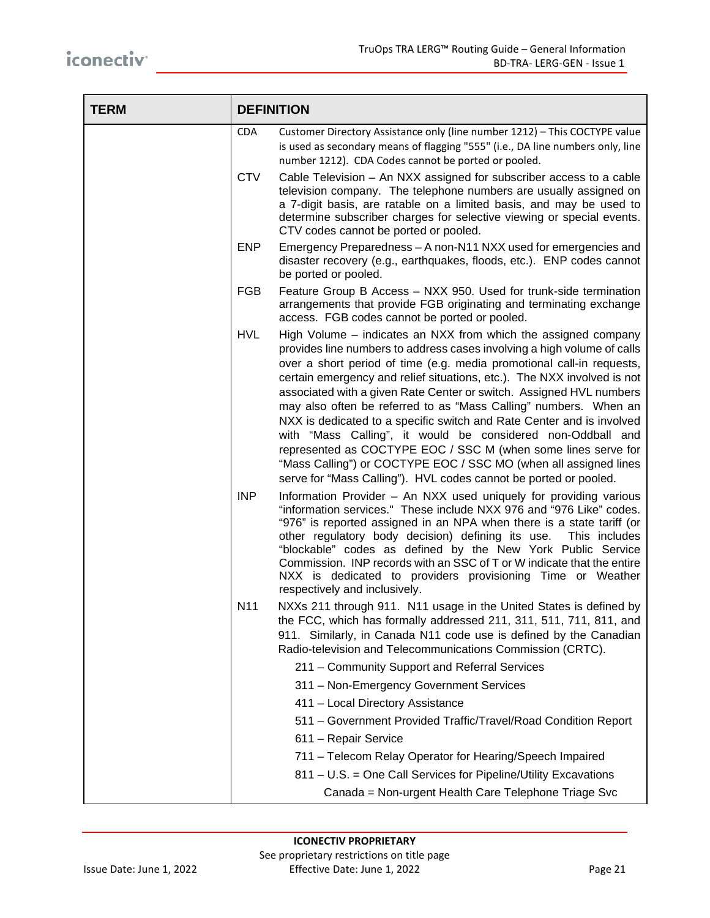| <b>TERM</b> | <b>DEFINITION</b> |                                                                                                                                                                                                                                                                                                                                                                                                                                                                                                                                                                                                                                                                                                                                                                                           |
|-------------|-------------------|-------------------------------------------------------------------------------------------------------------------------------------------------------------------------------------------------------------------------------------------------------------------------------------------------------------------------------------------------------------------------------------------------------------------------------------------------------------------------------------------------------------------------------------------------------------------------------------------------------------------------------------------------------------------------------------------------------------------------------------------------------------------------------------------|
|             | <b>CDA</b>        | Customer Directory Assistance only (line number 1212) - This COCTYPE value<br>is used as secondary means of flagging "555" (i.e., DA line numbers only, line<br>number 1212). CDA Codes cannot be ported or pooled.                                                                                                                                                                                                                                                                                                                                                                                                                                                                                                                                                                       |
|             | <b>CTV</b>        | Cable Television - An NXX assigned for subscriber access to a cable<br>television company. The telephone numbers are usually assigned on<br>a 7-digit basis, are ratable on a limited basis, and may be used to<br>determine subscriber charges for selective viewing or special events.<br>CTV codes cannot be ported or pooled.                                                                                                                                                                                                                                                                                                                                                                                                                                                         |
|             | <b>ENP</b>        | Emergency Preparedness - A non-N11 NXX used for emergencies and<br>disaster recovery (e.g., earthquakes, floods, etc.). ENP codes cannot<br>be ported or pooled.                                                                                                                                                                                                                                                                                                                                                                                                                                                                                                                                                                                                                          |
|             | <b>FGB</b>        | Feature Group B Access - NXX 950. Used for trunk-side termination<br>arrangements that provide FGB originating and terminating exchange<br>access. FGB codes cannot be ported or pooled.                                                                                                                                                                                                                                                                                                                                                                                                                                                                                                                                                                                                  |
|             | <b>HVL</b>        | High Volume – indicates an NXX from which the assigned company<br>provides line numbers to address cases involving a high volume of calls<br>over a short period of time (e.g. media promotional call-in requests,<br>certain emergency and relief situations, etc.). The NXX involved is not<br>associated with a given Rate Center or switch. Assigned HVL numbers<br>may also often be referred to as "Mass Calling" numbers. When an<br>NXX is dedicated to a specific switch and Rate Center and is involved<br>with "Mass Calling", it would be considered non-Oddball and<br>represented as COCTYPE EOC / SSC M (when some lines serve for<br>"Mass Calling") or COCTYPE EOC / SSC MO (when all assigned lines<br>serve for "Mass Calling"). HVL codes cannot be ported or pooled. |
|             | <b>INP</b>        | Information Provider - An NXX used uniquely for providing various<br>"information services." These include NXX 976 and "976 Like" codes.<br>"976" is reported assigned in an NPA when there is a state tariff (or<br>other regulatory body decision) defining its use.<br>This includes<br>"blockable" codes as defined by the New York Public Service<br>Commission. INP records with an SSC of T or W indicate that the entire<br>NXX is dedicated to providers provisioning Time or Weather<br>respectively and inclusively.                                                                                                                                                                                                                                                           |
|             | N <sub>11</sub>   | NXXs 211 through 911. N11 usage in the United States is defined by<br>the FCC, which has formally addressed 211, 311, 511, 711, 811, and<br>911. Similarly, in Canada N11 code use is defined by the Canadian<br>Radio-television and Telecommunications Commission (CRTC).                                                                                                                                                                                                                                                                                                                                                                                                                                                                                                               |
|             |                   | 211 - Community Support and Referral Services                                                                                                                                                                                                                                                                                                                                                                                                                                                                                                                                                                                                                                                                                                                                             |
|             |                   | 311 - Non-Emergency Government Services                                                                                                                                                                                                                                                                                                                                                                                                                                                                                                                                                                                                                                                                                                                                                   |
|             |                   | 411 - Local Directory Assistance                                                                                                                                                                                                                                                                                                                                                                                                                                                                                                                                                                                                                                                                                                                                                          |
|             |                   | 511 - Government Provided Traffic/Travel/Road Condition Report                                                                                                                                                                                                                                                                                                                                                                                                                                                                                                                                                                                                                                                                                                                            |
|             |                   | 611 - Repair Service                                                                                                                                                                                                                                                                                                                                                                                                                                                                                                                                                                                                                                                                                                                                                                      |
|             |                   | 711 - Telecom Relay Operator for Hearing/Speech Impaired                                                                                                                                                                                                                                                                                                                                                                                                                                                                                                                                                                                                                                                                                                                                  |
|             |                   | 811 - U.S. = One Call Services for Pipeline/Utility Excavations                                                                                                                                                                                                                                                                                                                                                                                                                                                                                                                                                                                                                                                                                                                           |
|             |                   | Canada = Non-urgent Health Care Telephone Triage Svc                                                                                                                                                                                                                                                                                                                                                                                                                                                                                                                                                                                                                                                                                                                                      |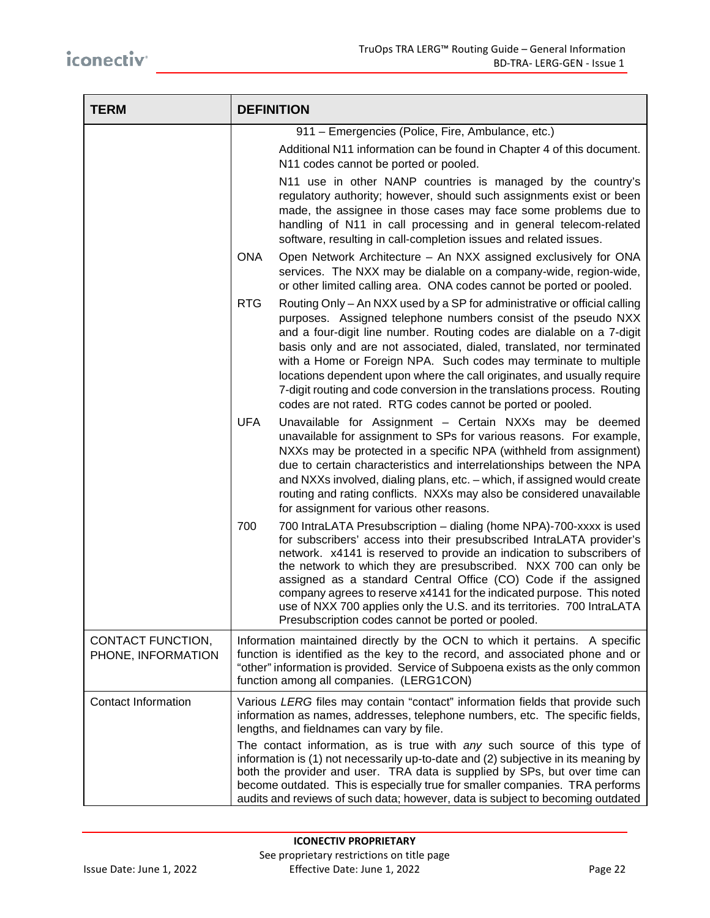| <b>TERM</b>                             | <b>DEFINITION</b>                                                                                                                                                                                                                                                                                                                                                                                                                                                                                                                                                                                    |
|-----------------------------------------|------------------------------------------------------------------------------------------------------------------------------------------------------------------------------------------------------------------------------------------------------------------------------------------------------------------------------------------------------------------------------------------------------------------------------------------------------------------------------------------------------------------------------------------------------------------------------------------------------|
|                                         | 911 - Emergencies (Police, Fire, Ambulance, etc.)<br>Additional N11 information can be found in Chapter 4 of this document.<br>N11 codes cannot be ported or pooled.                                                                                                                                                                                                                                                                                                                                                                                                                                 |
|                                         | N11 use in other NANP countries is managed by the country's<br>regulatory authority; however, should such assignments exist or been<br>made, the assignee in those cases may face some problems due to<br>handling of N11 in call processing and in general telecom-related<br>software, resulting in call-completion issues and related issues.                                                                                                                                                                                                                                                     |
|                                         | <b>ONA</b><br>Open Network Architecture - An NXX assigned exclusively for ONA<br>services. The NXX may be dialable on a company-wide, region-wide,<br>or other limited calling area. ONA codes cannot be ported or pooled.                                                                                                                                                                                                                                                                                                                                                                           |
|                                         | <b>RTG</b><br>Routing Only - An NXX used by a SP for administrative or official calling<br>purposes. Assigned telephone numbers consist of the pseudo NXX<br>and a four-digit line number. Routing codes are dialable on a 7-digit<br>basis only and are not associated, dialed, translated, nor terminated<br>with a Home or Foreign NPA. Such codes may terminate to multiple<br>locations dependent upon where the call originates, and usually require<br>7-digit routing and code conversion in the translations process. Routing<br>codes are not rated. RTG codes cannot be ported or pooled. |
|                                         | <b>UFA</b><br>Unavailable for Assignment - Certain NXXs may be deemed<br>unavailable for assignment to SPs for various reasons. For example,<br>NXXs may be protected in a specific NPA (withheld from assignment)<br>due to certain characteristics and interrelationships between the NPA<br>and NXXs involved, dialing plans, etc. - which, if assigned would create<br>routing and rating conflicts. NXXs may also be considered unavailable<br>for assignment for various other reasons.                                                                                                        |
|                                         | 700<br>700 IntraLATA Presubscription - dialing (home NPA)-700-xxxx is used<br>for subscribers' access into their presubscribed IntraLATA provider's<br>network. x4141 is reserved to provide an indication to subscribers of<br>the network to which they are presubscribed. NXX 700 can only be<br>assigned as a standard Central Office (CO) Code if the assigned<br>company agrees to reserve x4141 for the indicated purpose. This noted<br>use of NXX 700 applies only the U.S. and its territories. 700 IntraLATA<br>Presubscription codes cannot be ported or pooled.                         |
| CONTACT FUNCTION,<br>PHONE, INFORMATION | Information maintained directly by the OCN to which it pertains. A specific<br>function is identified as the key to the record, and associated phone and or<br>"other" information is provided. Service of Subpoena exists as the only common<br>function among all companies. (LERG1CON)                                                                                                                                                                                                                                                                                                            |
| Contact Information                     | Various LERG files may contain "contact" information fields that provide such<br>information as names, addresses, telephone numbers, etc. The specific fields,<br>lengths, and fieldnames can vary by file.                                                                                                                                                                                                                                                                                                                                                                                          |
|                                         | The contact information, as is true with any such source of this type of<br>information is (1) not necessarily up-to-date and (2) subjective in its meaning by<br>both the provider and user. TRA data is supplied by SPs, but over time can<br>become outdated. This is especially true for smaller companies. TRA performs<br>audits and reviews of such data; however, data is subject to becoming outdated                                                                                                                                                                                       |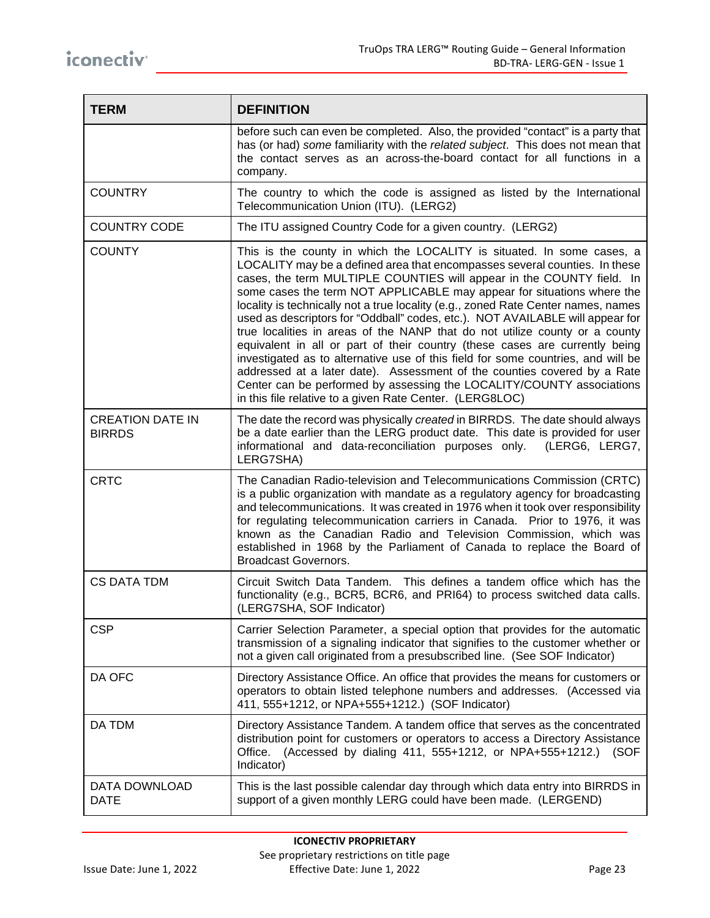| <b>TERM</b>                              | <b>DEFINITION</b>                                                                                                                                                                                                                                                                                                                                                                                                                                                                                                                                                                                                                                                                                                                                                                                                                                                                                                                                |
|------------------------------------------|--------------------------------------------------------------------------------------------------------------------------------------------------------------------------------------------------------------------------------------------------------------------------------------------------------------------------------------------------------------------------------------------------------------------------------------------------------------------------------------------------------------------------------------------------------------------------------------------------------------------------------------------------------------------------------------------------------------------------------------------------------------------------------------------------------------------------------------------------------------------------------------------------------------------------------------------------|
|                                          | before such can even be completed. Also, the provided "contact" is a party that<br>has (or had) some familiarity with the related subject. This does not mean that<br>the contact serves as an across-the-board contact for all functions in a<br>company.                                                                                                                                                                                                                                                                                                                                                                                                                                                                                                                                                                                                                                                                                       |
| <b>COUNTRY</b>                           | The country to which the code is assigned as listed by the International<br>Telecommunication Union (ITU). (LERG2)                                                                                                                                                                                                                                                                                                                                                                                                                                                                                                                                                                                                                                                                                                                                                                                                                               |
| <b>COUNTRY CODE</b>                      | The ITU assigned Country Code for a given country. (LERG2)                                                                                                                                                                                                                                                                                                                                                                                                                                                                                                                                                                                                                                                                                                                                                                                                                                                                                       |
| <b>COUNTY</b>                            | This is the county in which the LOCALITY is situated. In some cases, a<br>LOCALITY may be a defined area that encompasses several counties. In these<br>cases, the term MULTIPLE COUNTIES will appear in the COUNTY field. In<br>some cases the term NOT APPLICABLE may appear for situations where the<br>locality is technically not a true locality (e.g., zoned Rate Center names, names<br>used as descriptors for "Oddball" codes, etc.). NOT AVAILABLE will appear for<br>true localities in areas of the NANP that do not utilize county or a county<br>equivalent in all or part of their country (these cases are currently being<br>investigated as to alternative use of this field for some countries, and will be<br>addressed at a later date). Assessment of the counties covered by a Rate<br>Center can be performed by assessing the LOCALITY/COUNTY associations<br>in this file relative to a given Rate Center. (LERG8LOC) |
| <b>CREATION DATE IN</b><br><b>BIRRDS</b> | The date the record was physically created in BIRRDS. The date should always<br>be a date earlier than the LERG product date. This date is provided for user<br>informational and data-reconciliation purposes only. (LERG6, LERG7,<br>LERG7SHA)                                                                                                                                                                                                                                                                                                                                                                                                                                                                                                                                                                                                                                                                                                 |
| <b>CRTC</b>                              | The Canadian Radio-television and Telecommunications Commission (CRTC)<br>is a public organization with mandate as a regulatory agency for broadcasting<br>and telecommunications. It was created in 1976 when it took over responsibility<br>for regulating telecommunication carriers in Canada. Prior to 1976, it was<br>known as the Canadian Radio and Television Commission, which was<br>established in 1968 by the Parliament of Canada to replace the Board of<br><b>Broadcast Governors.</b>                                                                                                                                                                                                                                                                                                                                                                                                                                           |
| <b>CS DATA TDM</b>                       | Circuit Switch Data Tandem. This defines a tandem office which has the<br>functionality (e.g., BCR5, BCR6, and PRI64) to process switched data calls.<br>(LERG7SHA, SOF Indicator)                                                                                                                                                                                                                                                                                                                                                                                                                                                                                                                                                                                                                                                                                                                                                               |
| <b>CSP</b>                               | Carrier Selection Parameter, a special option that provides for the automatic<br>transmission of a signaling indicator that signifies to the customer whether or<br>not a given call originated from a presubscribed line. (See SOF Indicator)                                                                                                                                                                                                                                                                                                                                                                                                                                                                                                                                                                                                                                                                                                   |
| DA OFC                                   | Directory Assistance Office. An office that provides the means for customers or<br>operators to obtain listed telephone numbers and addresses. (Accessed via<br>411, 555+1212, or NPA+555+1212.) (SOF Indicator)                                                                                                                                                                                                                                                                                                                                                                                                                                                                                                                                                                                                                                                                                                                                 |
| DA TDM                                   | Directory Assistance Tandem. A tandem office that serves as the concentrated<br>distribution point for customers or operators to access a Directory Assistance<br>(Accessed by dialing 411, 555+1212, or NPA+555+1212.) (SOF<br>Office.<br>Indicator)                                                                                                                                                                                                                                                                                                                                                                                                                                                                                                                                                                                                                                                                                            |
| DATA DOWNLOAD<br><b>DATE</b>             | This is the last possible calendar day through which data entry into BIRRDS in<br>support of a given monthly LERG could have been made. (LERGEND)                                                                                                                                                                                                                                                                                                                                                                                                                                                                                                                                                                                                                                                                                                                                                                                                |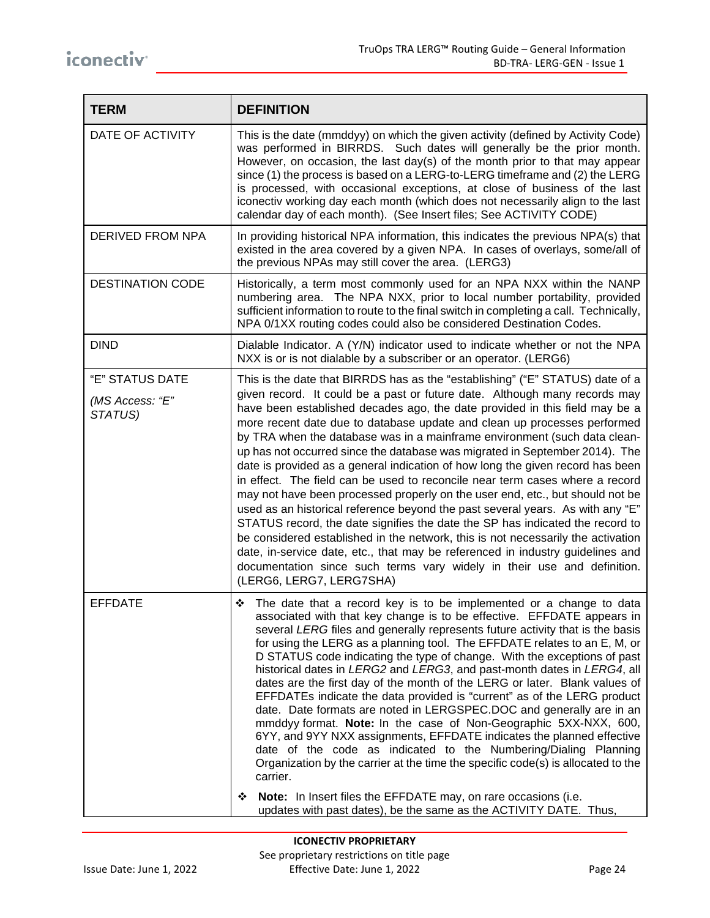| <b>TERM</b>                                   | <b>DEFINITION</b>                                                                                                                                                                                                                                                                                                                                                                                                                                                                                                                                                                                                                                                                                                                                                                                                                                                                                                                                                                                                                                                                                                                                                                     |
|-----------------------------------------------|---------------------------------------------------------------------------------------------------------------------------------------------------------------------------------------------------------------------------------------------------------------------------------------------------------------------------------------------------------------------------------------------------------------------------------------------------------------------------------------------------------------------------------------------------------------------------------------------------------------------------------------------------------------------------------------------------------------------------------------------------------------------------------------------------------------------------------------------------------------------------------------------------------------------------------------------------------------------------------------------------------------------------------------------------------------------------------------------------------------------------------------------------------------------------------------|
| DATE OF ACTIVITY                              | This is the date (mmddyy) on which the given activity (defined by Activity Code)<br>was performed in BIRRDS. Such dates will generally be the prior month.<br>However, on occasion, the last day(s) of the month prior to that may appear<br>since (1) the process is based on a LERG-to-LERG timeframe and (2) the LERG<br>is processed, with occasional exceptions, at close of business of the last<br>iconectiv working day each month (which does not necessarily align to the last<br>calendar day of each month). (See Insert files; See ACTIVITY CODE)                                                                                                                                                                                                                                                                                                                                                                                                                                                                                                                                                                                                                        |
| DERIVED FROM NPA                              | In providing historical NPA information, this indicates the previous NPA(s) that<br>existed in the area covered by a given NPA. In cases of overlays, some/all of<br>the previous NPAs may still cover the area. (LERG3)                                                                                                                                                                                                                                                                                                                                                                                                                                                                                                                                                                                                                                                                                                                                                                                                                                                                                                                                                              |
| <b>DESTINATION CODE</b>                       | Historically, a term most commonly used for an NPA NXX within the NANP<br>numbering area. The NPA NXX, prior to local number portability, provided<br>sufficient information to route to the final switch in completing a call. Technically,<br>NPA 0/1XX routing codes could also be considered Destination Codes.                                                                                                                                                                                                                                                                                                                                                                                                                                                                                                                                                                                                                                                                                                                                                                                                                                                                   |
| <b>DIND</b>                                   | Dialable Indicator. A (Y/N) indicator used to indicate whether or not the NPA<br>NXX is or is not dialable by a subscriber or an operator. (LERG6)                                                                                                                                                                                                                                                                                                                                                                                                                                                                                                                                                                                                                                                                                                                                                                                                                                                                                                                                                                                                                                    |
| "E" STATUS DATE<br>(MS Access: "E"<br>STATUS) | This is the date that BIRRDS has as the "establishing" ("E" STATUS) date of a<br>given record. It could be a past or future date. Although many records may<br>have been established decades ago, the date provided in this field may be a<br>more recent date due to database update and clean up processes performed<br>by TRA when the database was in a mainframe environment (such data clean-<br>up has not occurred since the database was migrated in September 2014). The<br>date is provided as a general indication of how long the given record has been<br>in effect. The field can be used to reconcile near term cases where a record<br>may not have been processed properly on the user end, etc., but should not be<br>used as an historical reference beyond the past several years. As with any "E"<br>STATUS record, the date signifies the date the SP has indicated the record to<br>be considered established in the network, this is not necessarily the activation<br>date, in-service date, etc., that may be referenced in industry guidelines and<br>documentation since such terms vary widely in their use and definition.<br>(LERG6, LERG7, LERG7SHA) |
| <b>EFFDATE</b>                                | ❖ The date that a record key is to be implemented or a change to data<br>associated with that key change is to be effective. EFFDATE appears in<br>several LERG files and generally represents future activity that is the basis<br>for using the LERG as a planning tool. The EFFDATE relates to an E, M, or<br>D STATUS code indicating the type of change. With the exceptions of past<br>historical dates in LERG2 and LERG3, and past-month dates in LERG4, all<br>dates are the first day of the month of the LERG or later. Blank values of<br>EFFDATEs indicate the data provided is "current" as of the LERG product<br>date. Date formats are noted in LERGSPEC.DOC and generally are in an<br>mmddyy format. Note: In the case of Non-Geographic 5XX-NXX, 600,<br>6YY, and 9YY NXX assignments, EFFDATE indicates the planned effective<br>date of the code as indicated to the Numbering/Dialing Planning<br>Organization by the carrier at the time the specific code(s) is allocated to the<br>carrier.<br>Note: In Insert files the EFFDATE may, on rare occasions (i.e.<br>❖<br>updates with past dates), be the same as the ACTIVITY DATE. Thus,                     |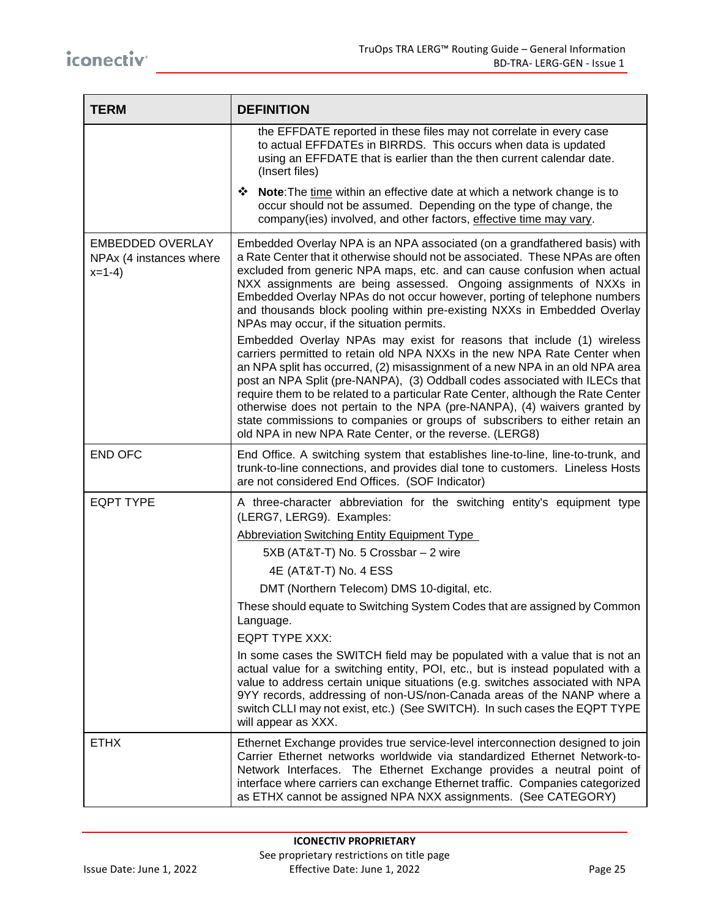| <b>TERM</b>                                                   | <b>DEFINITION</b>                                                                                                                                                                                                                                                                                                                                                                                                                                                                                                                                                                                                            |
|---------------------------------------------------------------|------------------------------------------------------------------------------------------------------------------------------------------------------------------------------------------------------------------------------------------------------------------------------------------------------------------------------------------------------------------------------------------------------------------------------------------------------------------------------------------------------------------------------------------------------------------------------------------------------------------------------|
|                                                               | the EFFDATE reported in these files may not correlate in every case<br>to actual EFFDATEs in BIRRDS. This occurs when data is updated<br>using an EFFDATE that is earlier than the then current calendar date.<br>(Insert files)                                                                                                                                                                                                                                                                                                                                                                                             |
|                                                               | ❖ Note: The time within an effective date at which a network change is to<br>occur should not be assumed. Depending on the type of change, the<br>company(ies) involved, and other factors, effective time may vary.                                                                                                                                                                                                                                                                                                                                                                                                         |
| <b>EMBEDDED OVERLAY</b><br>NPAx (4 instances where<br>$x=1-4$ | Embedded Overlay NPA is an NPA associated (on a grandfathered basis) with<br>a Rate Center that it otherwise should not be associated. These NPAs are often<br>excluded from generic NPA maps, etc. and can cause confusion when actual<br>NXX assignments are being assessed. Ongoing assignments of NXXs in<br>Embedded Overlay NPAs do not occur however, porting of telephone numbers<br>and thousands block pooling within pre-existing NXXs in Embedded Overlay<br>NPAs may occur, if the situation permits.                                                                                                           |
|                                                               | Embedded Overlay NPAs may exist for reasons that include (1) wireless<br>carriers permitted to retain old NPA NXXs in the new NPA Rate Center when<br>an NPA split has occurred, (2) misassignment of a new NPA in an old NPA area<br>post an NPA Split (pre-NANPA), (3) Oddball codes associated with ILECs that<br>require them to be related to a particular Rate Center, although the Rate Center<br>otherwise does not pertain to the NPA (pre-NANPA), (4) waivers granted by<br>state commissions to companies or groups of subscribers to either retain an<br>old NPA in new NPA Rate Center, or the reverse. (LERG8) |
| <b>END OFC</b>                                                | End Office. A switching system that establishes line-to-line, line-to-trunk, and<br>trunk-to-line connections, and provides dial tone to customers. Lineless Hosts<br>are not considered End Offices. (SOF Indicator)                                                                                                                                                                                                                                                                                                                                                                                                        |
| <b>EQPT TYPE</b>                                              | A three-character abbreviation for the switching entity's equipment type<br>(LERG7, LERG9). Examples:                                                                                                                                                                                                                                                                                                                                                                                                                                                                                                                        |
|                                                               | <b>Abbreviation Switching Entity Equipment Type</b>                                                                                                                                                                                                                                                                                                                                                                                                                                                                                                                                                                          |
|                                                               | 5XB (AT&T-T) No. 5 Crossbar - 2 wire                                                                                                                                                                                                                                                                                                                                                                                                                                                                                                                                                                                         |
|                                                               | 4E (AT&T-T) No. 4 ESS                                                                                                                                                                                                                                                                                                                                                                                                                                                                                                                                                                                                        |
|                                                               | DMT (Northern Telecom) DMS 10-digital, etc.                                                                                                                                                                                                                                                                                                                                                                                                                                                                                                                                                                                  |
|                                                               | These should equate to Switching System Codes that are assigned by Common<br>Language.<br><b>EQPT TYPE XXX:</b>                                                                                                                                                                                                                                                                                                                                                                                                                                                                                                              |
|                                                               | In some cases the SWITCH field may be populated with a value that is not an<br>actual value for a switching entity, POI, etc., but is instead populated with a<br>value to address certain unique situations (e.g. switches associated with NPA<br>9YY records, addressing of non-US/non-Canada areas of the NANP where a<br>switch CLLI may not exist, etc.) (See SWITCH). In such cases the EQPT TYPE<br>will appear as XXX.                                                                                                                                                                                               |
| <b>ETHX</b>                                                   | Ethernet Exchange provides true service-level interconnection designed to join<br>Carrier Ethernet networks worldwide via standardized Ethernet Network-to-<br>Network Interfaces. The Ethernet Exchange provides a neutral point of<br>interface where carriers can exchange Ethernet traffic. Companies categorized<br>as ETHX cannot be assigned NPA NXX assignments. (See CATEGORY)                                                                                                                                                                                                                                      |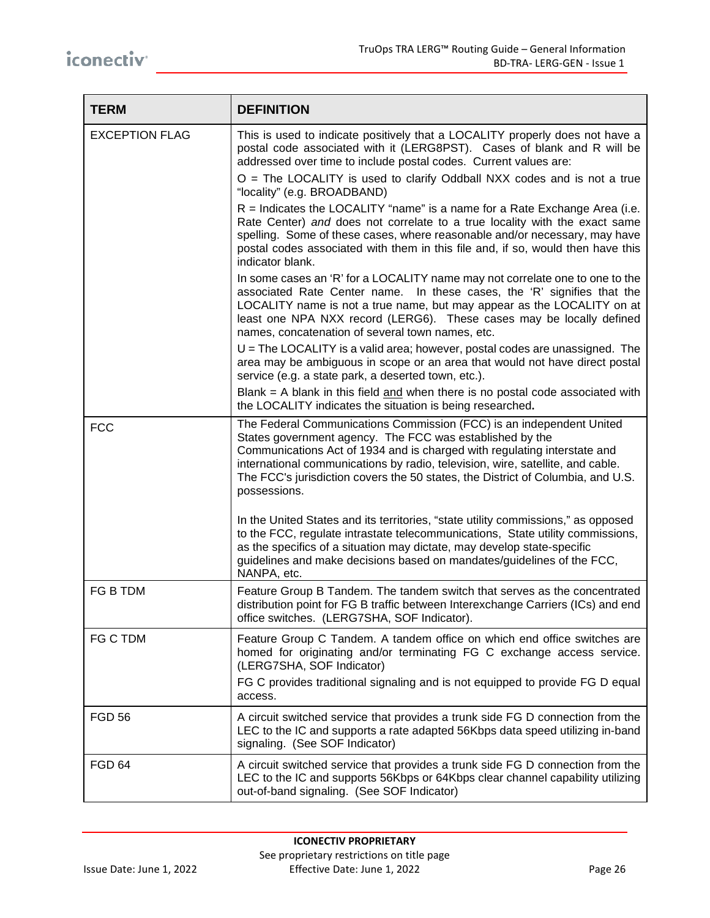| <b>TERM</b>           | <b>DEFINITION</b>                                                                                                                                                                                                                                                                                                                                                                                 |
|-----------------------|---------------------------------------------------------------------------------------------------------------------------------------------------------------------------------------------------------------------------------------------------------------------------------------------------------------------------------------------------------------------------------------------------|
| <b>EXCEPTION FLAG</b> | This is used to indicate positively that a LOCALITY properly does not have a<br>postal code associated with it (LERG8PST). Cases of blank and R will be<br>addressed over time to include postal codes. Current values are:                                                                                                                                                                       |
|                       | $O =$ The LOCALITY is used to clarify Oddball NXX codes and is not a true<br>"locality" (e.g. BROADBAND)                                                                                                                                                                                                                                                                                          |
|                       | $R =$ Indicates the LOCALITY "name" is a name for a Rate Exchange Area (i.e.<br>Rate Center) and does not correlate to a true locality with the exact same<br>spelling. Some of these cases, where reasonable and/or necessary, may have<br>postal codes associated with them in this file and, if so, would then have this<br>indicator blank.                                                   |
|                       | In some cases an 'R' for a LOCALITY name may not correlate one to one to the<br>associated Rate Center name. In these cases, the 'R' signifies that the<br>LOCALITY name is not a true name, but may appear as the LOCALITY on at<br>least one NPA NXX record (LERG6). These cases may be locally defined<br>names, concatenation of several town names, etc.                                     |
|                       | $U$ = The LOCALITY is a valid area; however, postal codes are unassigned. The<br>area may be ambiguous in scope or an area that would not have direct postal<br>service (e.g. a state park, a deserted town, etc.).                                                                                                                                                                               |
|                       | Blank $=$ A blank in this field $\frac{and}{}$ when there is no postal code associated with<br>the LOCALITY indicates the situation is being researched.                                                                                                                                                                                                                                          |
| <b>FCC</b>            | The Federal Communications Commission (FCC) is an independent United<br>States government agency. The FCC was established by the<br>Communications Act of 1934 and is charged with regulating interstate and<br>international communications by radio, television, wire, satellite, and cable.<br>The FCC's jurisdiction covers the 50 states, the District of Columbia, and U.S.<br>possessions. |
|                       | In the United States and its territories, "state utility commissions," as opposed<br>to the FCC, regulate intrastate telecommunications, State utility commissions,<br>as the specifics of a situation may dictate, may develop state-specific<br>guidelines and make decisions based on mandates/guidelines of the FCC,<br>NANPA, etc.                                                           |
| FG B TDM              | Feature Group B Tandem. The tandem switch that serves as the concentrated<br>distribution point for FG B traffic between Interexchange Carriers (ICs) and end<br>office switches. (LERG7SHA, SOF Indicator).                                                                                                                                                                                      |
| FG C TDM              | Feature Group C Tandem. A tandem office on which end office switches are<br>homed for originating and/or terminating FG C exchange access service.<br>(LERG7SHA, SOF Indicator)                                                                                                                                                                                                                   |
|                       | FG C provides traditional signaling and is not equipped to provide FG D equal<br>access.                                                                                                                                                                                                                                                                                                          |
| <b>FGD 56</b>         | A circuit switched service that provides a trunk side FG D connection from the<br>LEC to the IC and supports a rate adapted 56Kbps data speed utilizing in-band<br>signaling. (See SOF Indicator)                                                                                                                                                                                                 |
| FGD 64                | A circuit switched service that provides a trunk side FG D connection from the<br>LEC to the IC and supports 56Kbps or 64Kbps clear channel capability utilizing<br>out-of-band signaling. (See SOF Indicator)                                                                                                                                                                                    |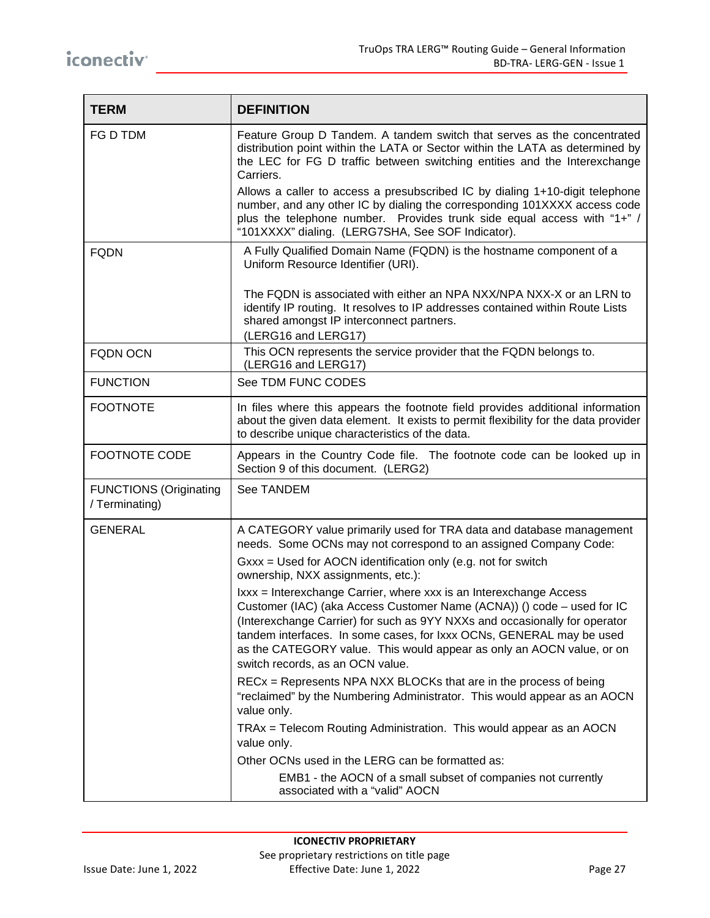| <b>TERM</b>                                     | <b>DEFINITION</b>                                                                                                                                                                                                                                                                                                                                                                                               |
|-------------------------------------------------|-----------------------------------------------------------------------------------------------------------------------------------------------------------------------------------------------------------------------------------------------------------------------------------------------------------------------------------------------------------------------------------------------------------------|
| FG D TDM                                        | Feature Group D Tandem. A tandem switch that serves as the concentrated<br>distribution point within the LATA or Sector within the LATA as determined by<br>the LEC for FG D traffic between switching entities and the Interexchange<br>Carriers.                                                                                                                                                              |
|                                                 | Allows a caller to access a presubscribed IC by dialing 1+10-digit telephone<br>number, and any other IC by dialing the corresponding 101XXXX access code<br>plus the telephone number. Provides trunk side equal access with "1+" /<br>"101XXXX" dialing. (LERG7SHA, See SOF Indicator).                                                                                                                       |
| <b>FQDN</b>                                     | A Fully Qualified Domain Name (FQDN) is the hostname component of a<br>Uniform Resource Identifier (URI).                                                                                                                                                                                                                                                                                                       |
|                                                 | The FQDN is associated with either an NPA NXX/NPA NXX-X or an LRN to<br>identify IP routing. It resolves to IP addresses contained within Route Lists<br>shared amongst IP interconnect partners.<br>(LERG16 and LERG17)                                                                                                                                                                                        |
| <b>FQDN OCN</b>                                 | This OCN represents the service provider that the FQDN belongs to.<br>(LERG16 and LERG17)                                                                                                                                                                                                                                                                                                                       |
| <b>FUNCTION</b>                                 | See TDM FUNC CODES                                                                                                                                                                                                                                                                                                                                                                                              |
| <b>FOOTNOTE</b>                                 | In files where this appears the footnote field provides additional information<br>about the given data element. It exists to permit flexibility for the data provider<br>to describe unique characteristics of the data.                                                                                                                                                                                        |
| <b>FOOTNOTE CODE</b>                            | Appears in the Country Code file. The footnote code can be looked up in<br>Section 9 of this document. (LERG2)                                                                                                                                                                                                                                                                                                  |
| <b>FUNCTIONS (Originating</b><br>/ Terminating) | See TANDEM                                                                                                                                                                                                                                                                                                                                                                                                      |
| <b>GENERAL</b>                                  | A CATEGORY value primarily used for TRA data and database management<br>needs. Some OCNs may not correspond to an assigned Company Code:<br>Gxxx = Used for AOCN identification only (e.g. not for switch<br>ownership, NXX assignments, etc.):                                                                                                                                                                 |
|                                                 | Ixxx = Interexchange Carrier, where xxx is an Interexchange Access<br>Customer (IAC) (aka Access Customer Name (ACNA)) () code - used for IC<br>(Interexchange Carrier) for such as 9YY NXXs and occasionally for operator<br>tandem interfaces. In some cases, for Ixxx OCNs, GENERAL may be used<br>as the CATEGORY value. This would appear as only an AOCN value, or on<br>switch records, as an OCN value. |
|                                                 | RECx = Represents NPA NXX BLOCKs that are in the process of being<br>"reclaimed" by the Numbering Administrator. This would appear as an AOCN<br>value only.                                                                                                                                                                                                                                                    |
|                                                 | TRAx = Telecom Routing Administration. This would appear as an AOCN<br>value only.                                                                                                                                                                                                                                                                                                                              |
|                                                 | Other OCNs used in the LERG can be formatted as:                                                                                                                                                                                                                                                                                                                                                                |
|                                                 | EMB1 - the AOCN of a small subset of companies not currently<br>associated with a "valid" AOCN                                                                                                                                                                                                                                                                                                                  |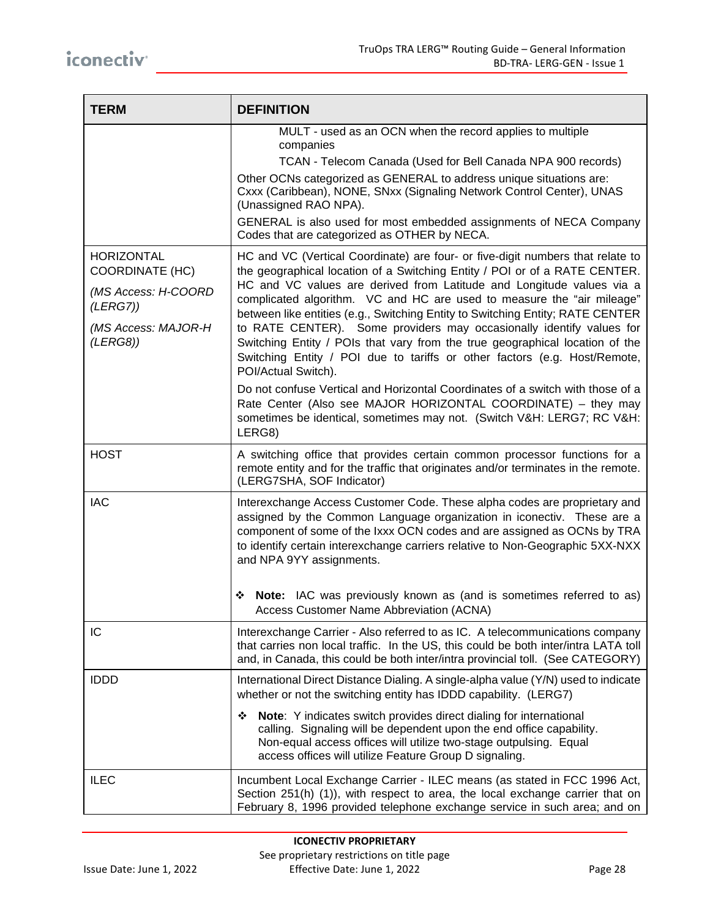| <b>TERM</b>                                                                                                       | <b>DEFINITION</b>                                                                                                                                                                                                                                                                                                                                                                                                                                                                                                                                                                                                                                                                                                                                                                                                                                                                          |
|-------------------------------------------------------------------------------------------------------------------|--------------------------------------------------------------------------------------------------------------------------------------------------------------------------------------------------------------------------------------------------------------------------------------------------------------------------------------------------------------------------------------------------------------------------------------------------------------------------------------------------------------------------------------------------------------------------------------------------------------------------------------------------------------------------------------------------------------------------------------------------------------------------------------------------------------------------------------------------------------------------------------------|
|                                                                                                                   | MULT - used as an OCN when the record applies to multiple<br>companies<br>TCAN - Telecom Canada (Used for Bell Canada NPA 900 records)<br>Other OCNs categorized as GENERAL to address unique situations are:<br>Cxxx (Caribbean), NONE, SNxx (Signaling Network Control Center), UNAS<br>(Unassigned RAO NPA).<br>GENERAL is also used for most embedded assignments of NECA Company<br>Codes that are categorized as OTHER by NECA.                                                                                                                                                                                                                                                                                                                                                                                                                                                      |
| <b>HORIZONTAL</b><br><b>COORDINATE (HC)</b><br>(MS Access: H-COORD<br>(LERG7))<br>(MS Access: MAJOR-H<br>(LERG8)) | HC and VC (Vertical Coordinate) are four- or five-digit numbers that relate to<br>the geographical location of a Switching Entity / POI or of a RATE CENTER.<br>HC and VC values are derived from Latitude and Longitude values via a<br>complicated algorithm. VC and HC are used to measure the "air mileage"<br>between like entities (e.g., Switching Entity to Switching Entity; RATE CENTER<br>to RATE CENTER). Some providers may occasionally identify values for<br>Switching Entity / POIs that vary from the true geographical location of the<br>Switching Entity / POI due to tariffs or other factors (e.g. Host/Remote,<br>POI/Actual Switch).<br>Do not confuse Vertical and Horizontal Coordinates of a switch with those of a<br>Rate Center (Also see MAJOR HORIZONTAL COORDINATE) - they may<br>sometimes be identical, sometimes may not. (Switch V&H: LERG7; RC V&H: |
| <b>HOST</b>                                                                                                       | LERG8)<br>A switching office that provides certain common processor functions for a<br>remote entity and for the traffic that originates and/or terminates in the remote.<br>(LERG7SHA, SOF Indicator)                                                                                                                                                                                                                                                                                                                                                                                                                                                                                                                                                                                                                                                                                     |
| <b>IAC</b>                                                                                                        | Interexchange Access Customer Code. These alpha codes are proprietary and<br>assigned by the Common Language organization in iconectiv. These are a<br>component of some of the Ixxx OCN codes and are assigned as OCNs by TRA<br>to identify certain interexchange carriers relative to Non-Geographic 5XX-NXX<br>and NPA 9YY assignments.<br>Note: IAC was previously known as (and is sometimes referred to as)<br>❖<br>Access Customer Name Abbreviation (ACNA)                                                                                                                                                                                                                                                                                                                                                                                                                        |
| IC                                                                                                                | Interexchange Carrier - Also referred to as IC. A telecommunications company<br>that carries non local traffic. In the US, this could be both inter/intra LATA toll<br>and, in Canada, this could be both inter/intra provincial toll. (See CATEGORY)                                                                                                                                                                                                                                                                                                                                                                                                                                                                                                                                                                                                                                      |
| <b>IDDD</b>                                                                                                       | International Direct Distance Dialing. A single-alpha value (Y/N) used to indicate<br>whether or not the switching entity has IDDD capability. (LERG7)<br>Note: Y indicates switch provides direct dialing for international<br>❖<br>calling. Signaling will be dependent upon the end office capability.<br>Non-equal access offices will utilize two-stage outpulsing. Equal<br>access offices will utilize Feature Group D signaling.                                                                                                                                                                                                                                                                                                                                                                                                                                                   |
| <b>ILEC</b>                                                                                                       | Incumbent Local Exchange Carrier - ILEC means (as stated in FCC 1996 Act,<br>Section 251(h) (1)), with respect to area, the local exchange carrier that on<br>February 8, 1996 provided telephone exchange service in such area; and on                                                                                                                                                                                                                                                                                                                                                                                                                                                                                                                                                                                                                                                    |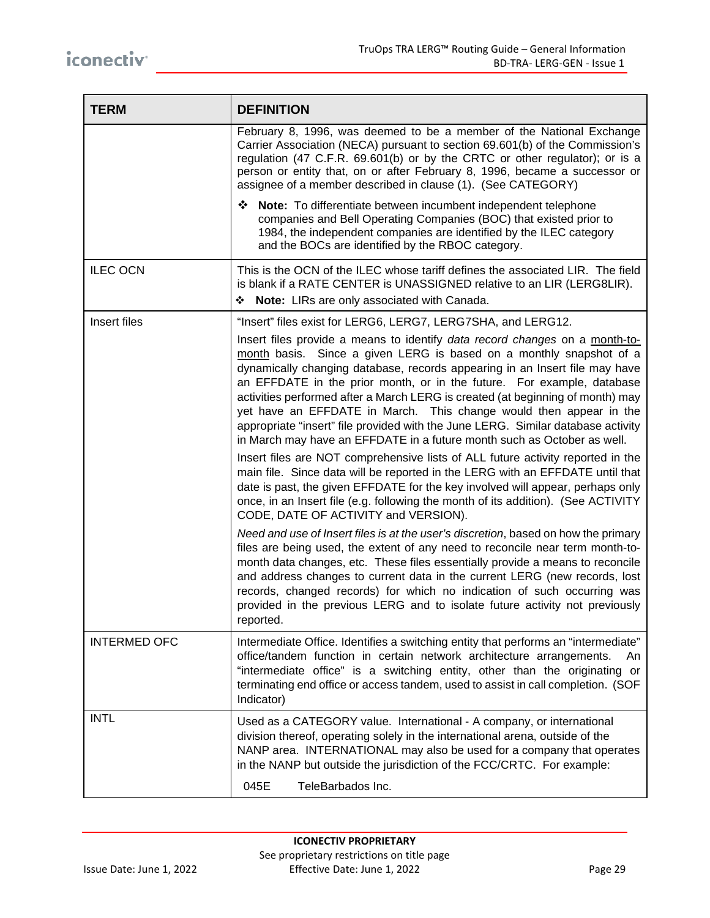| <b>TERM</b>         | <b>DEFINITION</b>                                                                                                                                                                                                                                                                                                                                                                                                                                                                                                                                                                                                                                                                                                                                                                                                                                                                                                                                        |
|---------------------|----------------------------------------------------------------------------------------------------------------------------------------------------------------------------------------------------------------------------------------------------------------------------------------------------------------------------------------------------------------------------------------------------------------------------------------------------------------------------------------------------------------------------------------------------------------------------------------------------------------------------------------------------------------------------------------------------------------------------------------------------------------------------------------------------------------------------------------------------------------------------------------------------------------------------------------------------------|
|                     | February 8, 1996, was deemed to be a member of the National Exchange<br>Carrier Association (NECA) pursuant to section 69.601(b) of the Commission's<br>regulation (47 C.F.R. 69.601(b) or by the CRTC or other regulator); or is a<br>person or entity that, on or after February 8, 1996, became a successor or<br>assignee of a member described in clause (1). (See CATEGORY)                                                                                                                                                                                                                                                                                                                                                                                                                                                                                                                                                                        |
|                     | ❖ Note: To differentiate between incumbent independent telephone<br>companies and Bell Operating Companies (BOC) that existed prior to<br>1984, the independent companies are identified by the ILEC category<br>and the BOCs are identified by the RBOC category.                                                                                                                                                                                                                                                                                                                                                                                                                                                                                                                                                                                                                                                                                       |
| <b>ILEC OCN</b>     | This is the OCN of the ILEC whose tariff defines the associated LIR. The field<br>is blank if a RATE CENTER is UNASSIGNED relative to an LIR (LERG8LIR).                                                                                                                                                                                                                                                                                                                                                                                                                                                                                                                                                                                                                                                                                                                                                                                                 |
|                     | • Note: LIRs are only associated with Canada.                                                                                                                                                                                                                                                                                                                                                                                                                                                                                                                                                                                                                                                                                                                                                                                                                                                                                                            |
| Insert files        | "Insert" files exist for LERG6, LERG7, LERG7SHA, and LERG12.<br>Insert files provide a means to identify data record changes on a month-to-<br>month basis. Since a given LERG is based on a monthly snapshot of a<br>dynamically changing database, records appearing in an Insert file may have<br>an EFFDATE in the prior month, or in the future. For example, database<br>activities performed after a March LERG is created (at beginning of month) may<br>yet have an EFFDATE in March. This change would then appear in the<br>appropriate "insert" file provided with the June LERG. Similar database activity<br>in March may have an EFFDATE in a future month such as October as well.<br>Insert files are NOT comprehensive lists of ALL future activity reported in the<br>main file. Since data will be reported in the LERG with an EFFDATE until that<br>date is past, the given EFFDATE for the key involved will appear, perhaps only |
|                     | once, in an Insert file (e.g. following the month of its addition). (See ACTIVITY<br>CODE, DATE OF ACTIVITY and VERSION).<br>Need and use of Insert files is at the user's discretion, based on how the primary<br>files are being used, the extent of any need to reconcile near term month-to-<br>month data changes, etc. These files essentially provide a means to reconcile                                                                                                                                                                                                                                                                                                                                                                                                                                                                                                                                                                        |
|                     | and address changes to current data in the current LERG (new records, lost<br>records, changed records) for which no indication of such occurring was<br>provided in the previous LERG and to isolate future activity not previously<br>reported.                                                                                                                                                                                                                                                                                                                                                                                                                                                                                                                                                                                                                                                                                                        |
| <b>INTERMED OFC</b> | Intermediate Office. Identifies a switching entity that performs an "intermediate"<br>office/tandem function in certain network architecture arrangements.<br>An<br>"intermediate office" is a switching entity, other than the originating or<br>terminating end office or access tandem, used to assist in call completion. (SOF<br>Indicator)                                                                                                                                                                                                                                                                                                                                                                                                                                                                                                                                                                                                         |
| <b>INTL</b>         | Used as a CATEGORY value. International - A company, or international<br>division thereof, operating solely in the international arena, outside of the<br>NANP area. INTERNATIONAL may also be used for a company that operates<br>in the NANP but outside the jurisdiction of the FCC/CRTC. For example:                                                                                                                                                                                                                                                                                                                                                                                                                                                                                                                                                                                                                                                |
|                     | TeleBarbados Inc.<br>045E                                                                                                                                                                                                                                                                                                                                                                                                                                                                                                                                                                                                                                                                                                                                                                                                                                                                                                                                |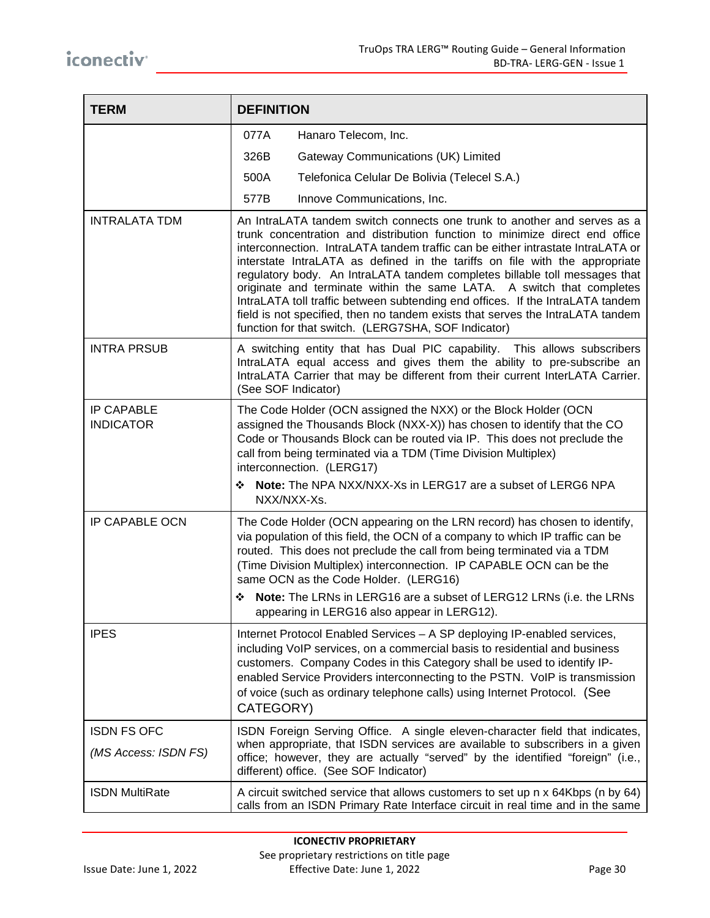| <b>TERM</b>                                | <b>DEFINITION</b>                                                                                                                                                                                                                                                                                                                                                                                                                                                                                                                                                                                                                                                                                           |
|--------------------------------------------|-------------------------------------------------------------------------------------------------------------------------------------------------------------------------------------------------------------------------------------------------------------------------------------------------------------------------------------------------------------------------------------------------------------------------------------------------------------------------------------------------------------------------------------------------------------------------------------------------------------------------------------------------------------------------------------------------------------|
|                                            | 077A<br>Hanaro Telecom, Inc.                                                                                                                                                                                                                                                                                                                                                                                                                                                                                                                                                                                                                                                                                |
|                                            | 326B<br>Gateway Communications (UK) Limited                                                                                                                                                                                                                                                                                                                                                                                                                                                                                                                                                                                                                                                                 |
|                                            | 500A<br>Telefonica Celular De Bolivia (Telecel S.A.)                                                                                                                                                                                                                                                                                                                                                                                                                                                                                                                                                                                                                                                        |
|                                            | 577B<br>Innove Communications, Inc.                                                                                                                                                                                                                                                                                                                                                                                                                                                                                                                                                                                                                                                                         |
| <b>INTRALATA TDM</b>                       | An IntraLATA tandem switch connects one trunk to another and serves as a<br>trunk concentration and distribution function to minimize direct end office<br>interconnection. IntraLATA tandem traffic can be either intrastate IntraLATA or<br>interstate IntraLATA as defined in the tariffs on file with the appropriate<br>regulatory body. An IntraLATA tandem completes billable toll messages that<br>originate and terminate within the same LATA. A switch that completes<br>IntraLATA toll traffic between subtending end offices. If the IntraLATA tandem<br>field is not specified, then no tandem exists that serves the IntraLATA tandem<br>function for that switch. (LERG7SHA, SOF Indicator) |
| <b>INTRA PRSUB</b>                         | A switching entity that has Dual PIC capability. This allows subscribers<br>IntraLATA equal access and gives them the ability to pre-subscribe an<br>IntraLATA Carrier that may be different from their current InterLATA Carrier.<br>(See SOF Indicator)                                                                                                                                                                                                                                                                                                                                                                                                                                                   |
| <b>IP CAPABLE</b><br><b>INDICATOR</b>      | The Code Holder (OCN assigned the NXX) or the Block Holder (OCN<br>assigned the Thousands Block (NXX-X)) has chosen to identify that the CO<br>Code or Thousands Block can be routed via IP. This does not preclude the<br>call from being terminated via a TDM (Time Division Multiplex)<br>interconnection. (LERG17)<br>Note: The NPA NXX/NXX-Xs in LERG17 are a subset of LERG6 NPA<br>❖                                                                                                                                                                                                                                                                                                                 |
| <b>IP CAPABLE OCN</b>                      | NXX/NXX-Xs.<br>The Code Holder (OCN appearing on the LRN record) has chosen to identify,<br>via population of this field, the OCN of a company to which IP traffic can be<br>routed. This does not preclude the call from being terminated via a TDM<br>(Time Division Multiplex) interconnection. IP CAPABLE OCN can be the<br>same OCN as the Code Holder. (LERG16)<br>Note: The LRNs in LERG16 are a subset of LERG12 LRNs (i.e. the LRNs<br>❖<br>appearing in LERG16 also appear in LERG12).                                                                                                                                                                                                            |
| <b>IPES</b>                                | Internet Protocol Enabled Services - A SP deploying IP-enabled services,<br>including VoIP services, on a commercial basis to residential and business<br>customers. Company Codes in this Category shall be used to identify IP-<br>enabled Service Providers interconnecting to the PSTN. VoIP is transmission<br>of voice (such as ordinary telephone calls) using Internet Protocol. (See<br>CATEGORY)                                                                                                                                                                                                                                                                                                  |
| <b>ISDN FS OFC</b><br>(MS Access: ISDN FS) | ISDN Foreign Serving Office. A single eleven-character field that indicates,<br>when appropriate, that ISDN services are available to subscribers in a given<br>office; however, they are actually "served" by the identified "foreign" (i.e.,<br>different) office. (See SOF Indicator)                                                                                                                                                                                                                                                                                                                                                                                                                    |
| <b>ISDN MultiRate</b>                      | A circuit switched service that allows customers to set up n x 64Kbps (n by 64)<br>calls from an ISDN Primary Rate Interface circuit in real time and in the same                                                                                                                                                                                                                                                                                                                                                                                                                                                                                                                                           |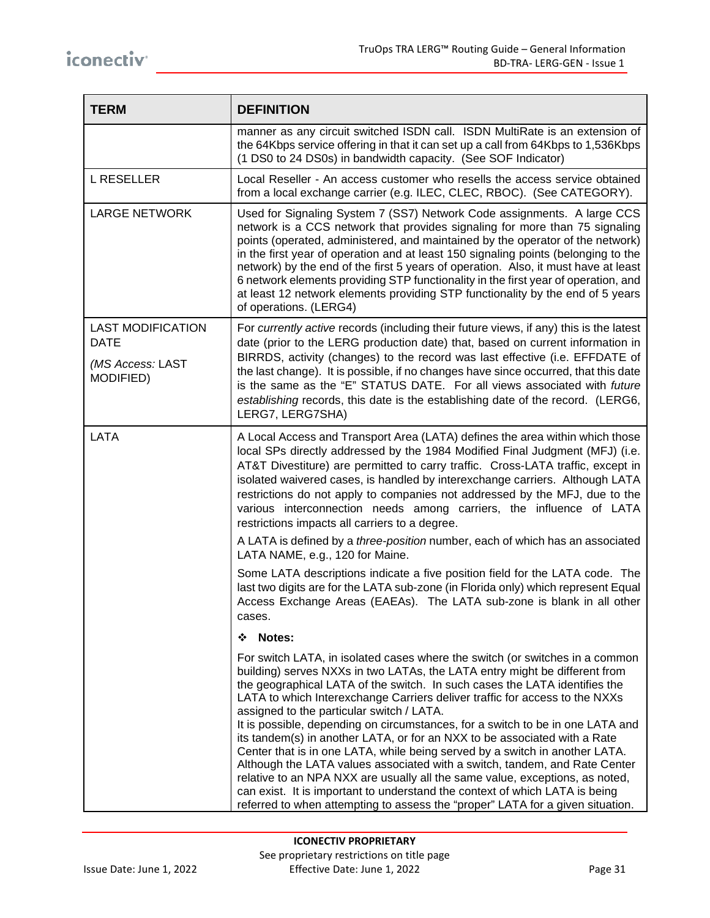| <b>TERM</b>                                                              | <b>DEFINITION</b>                                                                                                                                                                                                                                                                                                                                                                                                                                                                                                                                                                                                                                                                                                                                                                                                                                                                                                                                 |
|--------------------------------------------------------------------------|---------------------------------------------------------------------------------------------------------------------------------------------------------------------------------------------------------------------------------------------------------------------------------------------------------------------------------------------------------------------------------------------------------------------------------------------------------------------------------------------------------------------------------------------------------------------------------------------------------------------------------------------------------------------------------------------------------------------------------------------------------------------------------------------------------------------------------------------------------------------------------------------------------------------------------------------------|
|                                                                          | manner as any circuit switched ISDN call. ISDN MultiRate is an extension of<br>the 64Kbps service offering in that it can set up a call from 64Kbps to 1,536Kbps<br>(1 DS0 to 24 DS0s) in bandwidth capacity. (See SOF Indicator)                                                                                                                                                                                                                                                                                                                                                                                                                                                                                                                                                                                                                                                                                                                 |
| <b>L RESELLER</b>                                                        | Local Reseller - An access customer who resells the access service obtained<br>from a local exchange carrier (e.g. ILEC, CLEC, RBOC). (See CATEGORY).                                                                                                                                                                                                                                                                                                                                                                                                                                                                                                                                                                                                                                                                                                                                                                                             |
| <b>LARGE NETWORK</b>                                                     | Used for Signaling System 7 (SS7) Network Code assignments. A large CCS<br>network is a CCS network that provides signaling for more than 75 signaling<br>points (operated, administered, and maintained by the operator of the network)<br>in the first year of operation and at least 150 signaling points (belonging to the<br>network) by the end of the first 5 years of operation. Also, it must have at least<br>6 network elements providing STP functionality in the first year of operation, and<br>at least 12 network elements providing STP functionality by the end of 5 years<br>of operations. (LERG4)                                                                                                                                                                                                                                                                                                                            |
| <b>LAST MODIFICATION</b><br><b>DATE</b><br>(MS Access: LAST<br>MODIFIED) | For currently active records (including their future views, if any) this is the latest<br>date (prior to the LERG production date) that, based on current information in<br>BIRRDS, activity (changes) to the record was last effective (i.e. EFFDATE of<br>the last change). It is possible, if no changes have since occurred, that this date<br>is the same as the "E" STATUS DATE. For all views associated with future<br>establishing records, this date is the establishing date of the record. (LERG6,<br>LERG7, LERG7SHA)                                                                                                                                                                                                                                                                                                                                                                                                                |
| LATA                                                                     | A Local Access and Transport Area (LATA) defines the area within which those<br>local SPs directly addressed by the 1984 Modified Final Judgment (MFJ) (i.e.<br>AT&T Divestiture) are permitted to carry traffic. Cross-LATA traffic, except in<br>isolated waivered cases, is handled by interexchange carriers. Although LATA<br>restrictions do not apply to companies not addressed by the MFJ, due to the<br>various interconnection needs among carriers, the influence of LATA<br>restrictions impacts all carriers to a degree.                                                                                                                                                                                                                                                                                                                                                                                                           |
|                                                                          | A LATA is defined by a <i>three-position</i> number, each of which has an associated<br>LATA NAME, e.g., 120 for Maine.                                                                                                                                                                                                                                                                                                                                                                                                                                                                                                                                                                                                                                                                                                                                                                                                                           |
|                                                                          | Some LATA descriptions indicate a five position field for the LATA code. The<br>last two digits are for the LATA sub-zone (in Florida only) which represent Equal<br>Access Exchange Areas (EAEAs). The LATA sub-zone is blank in all other<br>cases.                                                                                                                                                                                                                                                                                                                                                                                                                                                                                                                                                                                                                                                                                             |
|                                                                          | Notes:<br>❖                                                                                                                                                                                                                                                                                                                                                                                                                                                                                                                                                                                                                                                                                                                                                                                                                                                                                                                                       |
|                                                                          | For switch LATA, in isolated cases where the switch (or switches in a common<br>building) serves NXXs in two LATAs, the LATA entry might be different from<br>the geographical LATA of the switch. In such cases the LATA identifies the<br>LATA to which Interexchange Carriers deliver traffic for access to the NXXs<br>assigned to the particular switch / LATA.<br>It is possible, depending on circumstances, for a switch to be in one LATA and<br>its tandem(s) in another LATA, or for an NXX to be associated with a Rate<br>Center that is in one LATA, while being served by a switch in another LATA.<br>Although the LATA values associated with a switch, tandem, and Rate Center<br>relative to an NPA NXX are usually all the same value, exceptions, as noted,<br>can exist. It is important to understand the context of which LATA is being<br>referred to when attempting to assess the "proper" LATA for a given situation. |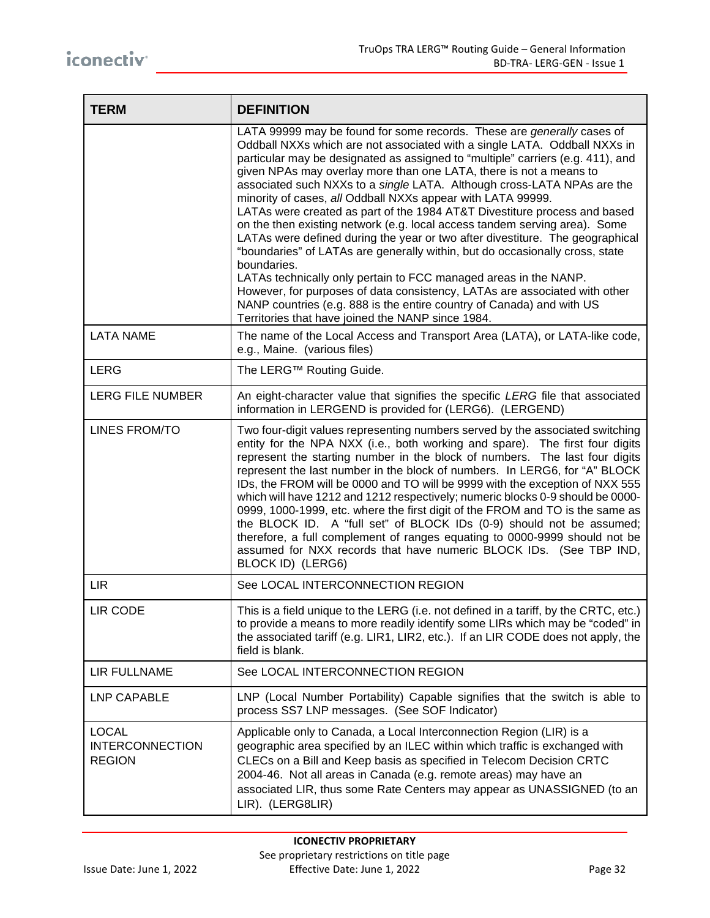| <b>TERM</b>                                             | <b>DEFINITION</b>                                                                                                                                                                                                                                                                                                                                                                                                                                                                                                                                                                                                                                                                                                                                                                                                                                                                                                                                                                                                                                                                 |
|---------------------------------------------------------|-----------------------------------------------------------------------------------------------------------------------------------------------------------------------------------------------------------------------------------------------------------------------------------------------------------------------------------------------------------------------------------------------------------------------------------------------------------------------------------------------------------------------------------------------------------------------------------------------------------------------------------------------------------------------------------------------------------------------------------------------------------------------------------------------------------------------------------------------------------------------------------------------------------------------------------------------------------------------------------------------------------------------------------------------------------------------------------|
|                                                         | LATA 99999 may be found for some records. These are generally cases of<br>Oddball NXXs which are not associated with a single LATA. Oddball NXXs in<br>particular may be designated as assigned to "multiple" carriers (e.g. 411), and<br>given NPAs may overlay more than one LATA, there is not a means to<br>associated such NXXs to a single LATA. Although cross-LATA NPAs are the<br>minority of cases, all Oddball NXXs appear with LATA 99999.<br>LATAs were created as part of the 1984 AT&T Divestiture process and based<br>on the then existing network (e.g. local access tandem serving area). Some<br>LATAs were defined during the year or two after divestiture. The geographical<br>"boundaries" of LATAs are generally within, but do occasionally cross, state<br>boundaries.<br>LATAs technically only pertain to FCC managed areas in the NANP.<br>However, for purposes of data consistency, LATAs are associated with other<br>NANP countries (e.g. 888 is the entire country of Canada) and with US<br>Territories that have joined the NANP since 1984. |
| <b>LATA NAME</b>                                        | The name of the Local Access and Transport Area (LATA), or LATA-like code,<br>e.g., Maine. (various files)                                                                                                                                                                                                                                                                                                                                                                                                                                                                                                                                                                                                                                                                                                                                                                                                                                                                                                                                                                        |
| <b>LERG</b>                                             | The LERG™ Routing Guide.                                                                                                                                                                                                                                                                                                                                                                                                                                                                                                                                                                                                                                                                                                                                                                                                                                                                                                                                                                                                                                                          |
| LERG FILE NUMBER                                        | An eight-character value that signifies the specific LERG file that associated<br>information in LERGEND is provided for (LERG6). (LERGEND)                                                                                                                                                                                                                                                                                                                                                                                                                                                                                                                                                                                                                                                                                                                                                                                                                                                                                                                                       |
| LINES FROM/TO                                           | Two four-digit values representing numbers served by the associated switching<br>entity for the NPA NXX (i.e., both working and spare). The first four digits<br>represent the starting number in the block of numbers. The last four digits<br>represent the last number in the block of numbers. In LERG6, for "A" BLOCK<br>IDs, the FROM will be 0000 and TO will be 9999 with the exception of NXX 555<br>which will have 1212 and 1212 respectively; numeric blocks 0-9 should be 0000-<br>0999, 1000-1999, etc. where the first digit of the FROM and TO is the same as<br>the BLOCK ID. A "full set" of BLOCK IDs (0-9) should not be assumed;<br>therefore, a full complement of ranges equating to 0000-9999 should not be<br>assumed for NXX records that have numeric BLOCK IDs. (See TBP IND,<br>BLOCK ID) (LERG6)                                                                                                                                                                                                                                                    |
| <b>LIR</b>                                              | See LOCAL INTERCONNECTION REGION                                                                                                                                                                                                                                                                                                                                                                                                                                                                                                                                                                                                                                                                                                                                                                                                                                                                                                                                                                                                                                                  |
| LIR CODE                                                | This is a field unique to the LERG (i.e. not defined in a tariff, by the CRTC, etc.)<br>to provide a means to more readily identify some LIRs which may be "coded" in<br>the associated tariff (e.g. LIR1, LIR2, etc.). If an LIR CODE does not apply, the<br>field is blank.                                                                                                                                                                                                                                                                                                                                                                                                                                                                                                                                                                                                                                                                                                                                                                                                     |
| <b>LIR FULLNAME</b>                                     | See LOCAL INTERCONNECTION REGION                                                                                                                                                                                                                                                                                                                                                                                                                                                                                                                                                                                                                                                                                                                                                                                                                                                                                                                                                                                                                                                  |
| LNP CAPABLE                                             | LNP (Local Number Portability) Capable signifies that the switch is able to<br>process SS7 LNP messages. (See SOF Indicator)                                                                                                                                                                                                                                                                                                                                                                                                                                                                                                                                                                                                                                                                                                                                                                                                                                                                                                                                                      |
| <b>LOCAL</b><br><b>INTERCONNECTION</b><br><b>REGION</b> | Applicable only to Canada, a Local Interconnection Region (LIR) is a<br>geographic area specified by an ILEC within which traffic is exchanged with<br>CLECs on a Bill and Keep basis as specified in Telecom Decision CRTC<br>2004-46. Not all areas in Canada (e.g. remote areas) may have an<br>associated LIR, thus some Rate Centers may appear as UNASSIGNED (to an<br>LIR). (LERG8LIR)                                                                                                                                                                                                                                                                                                                                                                                                                                                                                                                                                                                                                                                                                     |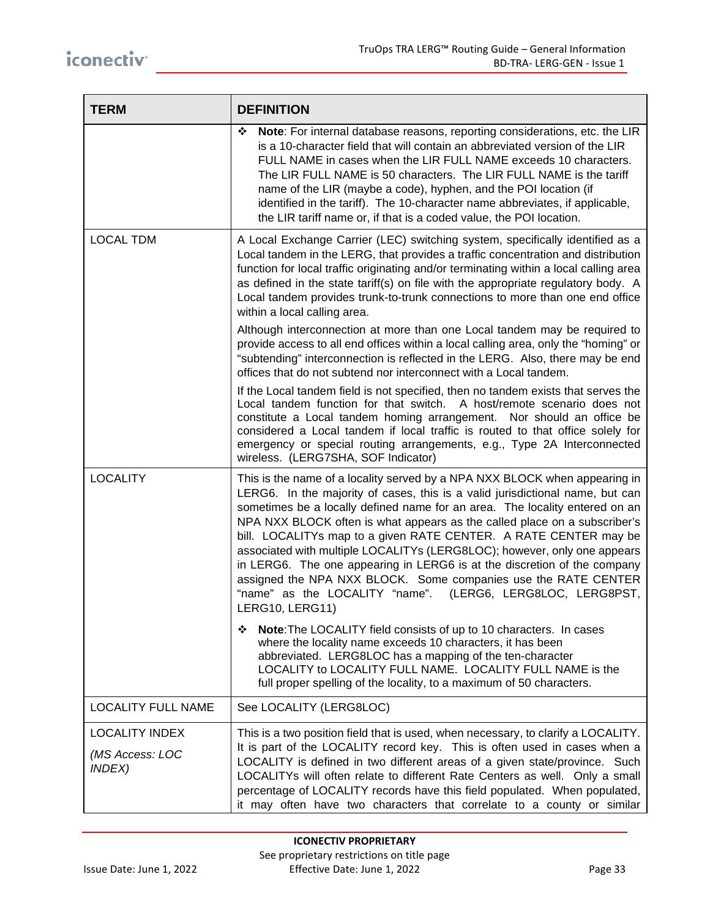| <b>TERM</b>                                                      | <b>DEFINITION</b>                                                                                                                                                                                                                                                                                                                                                                                                                                                                                                                                                                                                                                                                                      |  |  |  |  |
|------------------------------------------------------------------|--------------------------------------------------------------------------------------------------------------------------------------------------------------------------------------------------------------------------------------------------------------------------------------------------------------------------------------------------------------------------------------------------------------------------------------------------------------------------------------------------------------------------------------------------------------------------------------------------------------------------------------------------------------------------------------------------------|--|--|--|--|
|                                                                  | Note: For internal database reasons, reporting considerations, etc. the LIR<br>❖<br>is a 10-character field that will contain an abbreviated version of the LIR<br>FULL NAME in cases when the LIR FULL NAME exceeds 10 characters.<br>The LIR FULL NAME is 50 characters. The LIR FULL NAME is the tariff<br>name of the LIR (maybe a code), hyphen, and the POI location (if<br>identified in the tariff). The 10-character name abbreviates, if applicable,<br>the LIR tariff name or, if that is a coded value, the POI location.                                                                                                                                                                  |  |  |  |  |
| <b>LOCAL TDM</b>                                                 | A Local Exchange Carrier (LEC) switching system, specifically identified as a<br>Local tandem in the LERG, that provides a traffic concentration and distribution<br>function for local traffic originating and/or terminating within a local calling area<br>as defined in the state tariff(s) on file with the appropriate regulatory body. A<br>Local tandem provides trunk-to-trunk connections to more than one end office<br>within a local calling area.                                                                                                                                                                                                                                        |  |  |  |  |
|                                                                  | Although interconnection at more than one Local tandem may be required to<br>provide access to all end offices within a local calling area, only the "homing" or<br>"subtending" interconnection is reflected in the LERG. Also, there may be end<br>offices that do not subtend nor interconnect with a Local tandem.                                                                                                                                                                                                                                                                                                                                                                                 |  |  |  |  |
|                                                                  | If the Local tandem field is not specified, then no tandem exists that serves the<br>Local tandem function for that switch. A host/remote scenario does not<br>constitute a Local tandem homing arrangement. Nor should an office be<br>considered a Local tandem if local traffic is routed to that office solely for<br>emergency or special routing arrangements, e.g., Type 2A Interconnected<br>wireless. (LERG7SHA, SOF Indicator)                                                                                                                                                                                                                                                               |  |  |  |  |
| <b>LOCALITY</b>                                                  | This is the name of a locality served by a NPA NXX BLOCK when appearing in<br>LERG6. In the majority of cases, this is a valid jurisdictional name, but can<br>sometimes be a locally defined name for an area. The locality entered on an<br>NPA NXX BLOCK often is what appears as the called place on a subscriber's<br>bill. LOCALITYs map to a given RATE CENTER. A RATE CENTER may be<br>associated with multiple LOCALITYs (LERG8LOC); however, only one appears<br>in LERG6. The one appearing in LERG6 is at the discretion of the company<br>assigned the NPA NXX BLOCK. Some companies use the RATE CENTER<br>"name" as the LOCALITY "name". (LERG6, LERG8LOC, LERG8PST,<br>LERG10, LERG11) |  |  |  |  |
|                                                                  | <b>Note:</b> The LOCALITY field consists of up to 10 characters. In cases<br>❖<br>where the locality name exceeds 10 characters, it has been<br>abbreviated. LERG8LOC has a mapping of the ten-character<br>LOCALITY to LOCALITY FULL NAME. LOCALITY FULL NAME is the<br>full proper spelling of the locality, to a maximum of 50 characters.                                                                                                                                                                                                                                                                                                                                                          |  |  |  |  |
| <b>LOCALITY FULL NAME</b>                                        | See LOCALITY (LERG8LOC)                                                                                                                                                                                                                                                                                                                                                                                                                                                                                                                                                                                                                                                                                |  |  |  |  |
| <b>LOCALITY INDEX</b><br>(MS Access: LOC<br><i><b>INDEX)</b></i> | This is a two position field that is used, when necessary, to clarify a LOCALITY.<br>It is part of the LOCALITY record key. This is often used in cases when a<br>LOCALITY is defined in two different areas of a given state/province. Such<br>LOCALITYs will often relate to different Rate Centers as well. Only a small<br>percentage of LOCALITY records have this field populated. When populated,<br>it may often have two characters that correlate to a county or similar                                                                                                                                                                                                                     |  |  |  |  |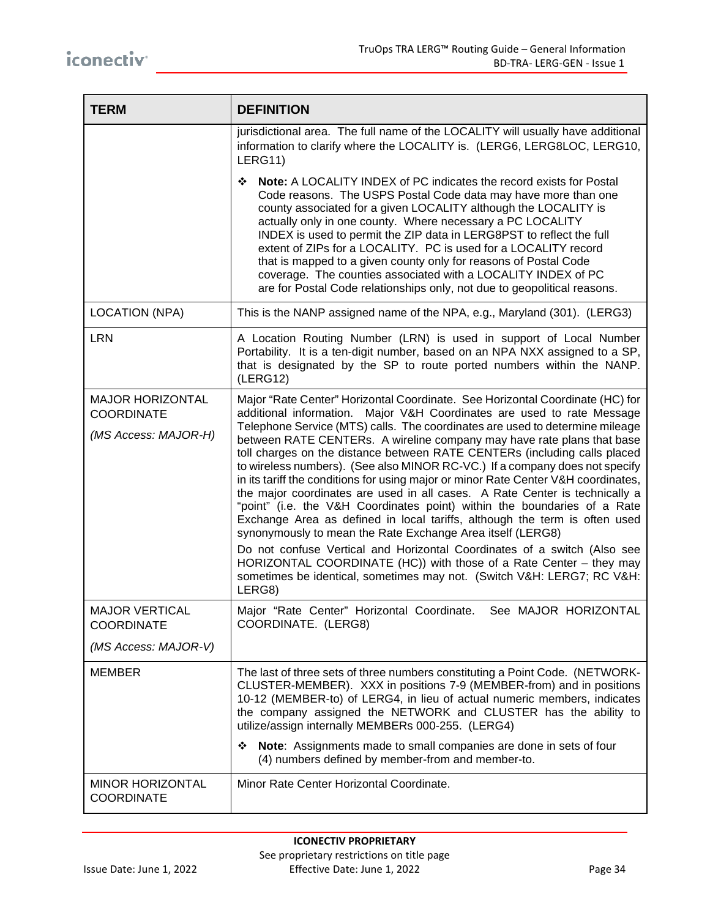| <b>TERM</b>                                                          | <b>DEFINITION</b>                                                                                                                                                                                                                                                                                                                                                                                                                                                                                                                                                                                                                                                                                                                                                                                                                                                                                                                                                                                                                                                                                                |  |  |  |  |
|----------------------------------------------------------------------|------------------------------------------------------------------------------------------------------------------------------------------------------------------------------------------------------------------------------------------------------------------------------------------------------------------------------------------------------------------------------------------------------------------------------------------------------------------------------------------------------------------------------------------------------------------------------------------------------------------------------------------------------------------------------------------------------------------------------------------------------------------------------------------------------------------------------------------------------------------------------------------------------------------------------------------------------------------------------------------------------------------------------------------------------------------------------------------------------------------|--|--|--|--|
|                                                                      | jurisdictional area. The full name of the LOCALITY will usually have additional<br>information to clarify where the LOCALITY is. (LERG6, LERG8LOC, LERG10,<br>LERG11)                                                                                                                                                                                                                                                                                                                                                                                                                                                                                                                                                                                                                                                                                                                                                                                                                                                                                                                                            |  |  |  |  |
|                                                                      | Note: A LOCALITY INDEX of PC indicates the record exists for Postal<br>❖<br>Code reasons. The USPS Postal Code data may have more than one<br>county associated for a given LOCALITY although the LOCALITY is<br>actually only in one county. Where necessary a PC LOCALITY<br>INDEX is used to permit the ZIP data in LERG8PST to reflect the full<br>extent of ZIPs for a LOCALITY. PC is used for a LOCALITY record<br>that is mapped to a given county only for reasons of Postal Code<br>coverage. The counties associated with a LOCALITY INDEX of PC<br>are for Postal Code relationships only, not due to geopolitical reasons.                                                                                                                                                                                                                                                                                                                                                                                                                                                                          |  |  |  |  |
| <b>LOCATION (NPA)</b>                                                | This is the NANP assigned name of the NPA, e.g., Maryland (301). (LERG3)                                                                                                                                                                                                                                                                                                                                                                                                                                                                                                                                                                                                                                                                                                                                                                                                                                                                                                                                                                                                                                         |  |  |  |  |
| <b>LRN</b>                                                           | A Location Routing Number (LRN) is used in support of Local Number<br>Portability. It is a ten-digit number, based on an NPA NXX assigned to a SP,<br>that is designated by the SP to route ported numbers within the NANP.<br>(LERG12)                                                                                                                                                                                                                                                                                                                                                                                                                                                                                                                                                                                                                                                                                                                                                                                                                                                                          |  |  |  |  |
| <b>MAJOR HORIZONTAL</b><br><b>COORDINATE</b><br>(MS Access: MAJOR-H) | Major "Rate Center" Horizontal Coordinate. See Horizontal Coordinate (HC) for<br>additional information. Major V&H Coordinates are used to rate Message<br>Telephone Service (MTS) calls. The coordinates are used to determine mileage<br>between RATE CENTERs. A wireline company may have rate plans that base<br>toll charges on the distance between RATE CENTERs (including calls placed<br>to wireless numbers). (See also MINOR RC-VC.) If a company does not specify<br>in its tariff the conditions for using major or minor Rate Center V&H coordinates,<br>the major coordinates are used in all cases. A Rate Center is technically a<br>"point" (i.e. the V&H Coordinates point) within the boundaries of a Rate<br>Exchange Area as defined in local tariffs, although the term is often used<br>synonymously to mean the Rate Exchange Area itself (LERG8)<br>Do not confuse Vertical and Horizontal Coordinates of a switch (Also see<br>HORIZONTAL COORDINATE (HC)) with those of a Rate Center - they may<br>sometimes be identical, sometimes may not. (Switch V&H: LERG7; RC V&H:<br>LERG8) |  |  |  |  |
| <b>MAJOR VERTICAL</b><br><b>COORDINATE</b><br>(MS Access: MAJOR-V)   | Major "Rate Center" Horizontal Coordinate.<br>See MAJOR HORIZONTAL<br>COORDINATE. (LERG8)                                                                                                                                                                                                                                                                                                                                                                                                                                                                                                                                                                                                                                                                                                                                                                                                                                                                                                                                                                                                                        |  |  |  |  |
|                                                                      |                                                                                                                                                                                                                                                                                                                                                                                                                                                                                                                                                                                                                                                                                                                                                                                                                                                                                                                                                                                                                                                                                                                  |  |  |  |  |
| <b>MEMBER</b>                                                        | The last of three sets of three numbers constituting a Point Code. (NETWORK-<br>CLUSTER-MEMBER). XXX in positions 7-9 (MEMBER-from) and in positions<br>10-12 (MEMBER-to) of LERG4, in lieu of actual numeric members, indicates<br>the company assigned the NETWORK and CLUSTER has the ability to<br>utilize/assign internally MEMBERs 000-255. (LERG4)<br>Note: Assignments made to small companies are done in sets of four<br>❖                                                                                                                                                                                                                                                                                                                                                                                                                                                                                                                                                                                                                                                                             |  |  |  |  |
|                                                                      | (4) numbers defined by member-from and member-to.                                                                                                                                                                                                                                                                                                                                                                                                                                                                                                                                                                                                                                                                                                                                                                                                                                                                                                                                                                                                                                                                |  |  |  |  |
| <b>MINOR HORIZONTAL</b><br><b>COORDINATE</b>                         | Minor Rate Center Horizontal Coordinate.                                                                                                                                                                                                                                                                                                                                                                                                                                                                                                                                                                                                                                                                                                                                                                                                                                                                                                                                                                                                                                                                         |  |  |  |  |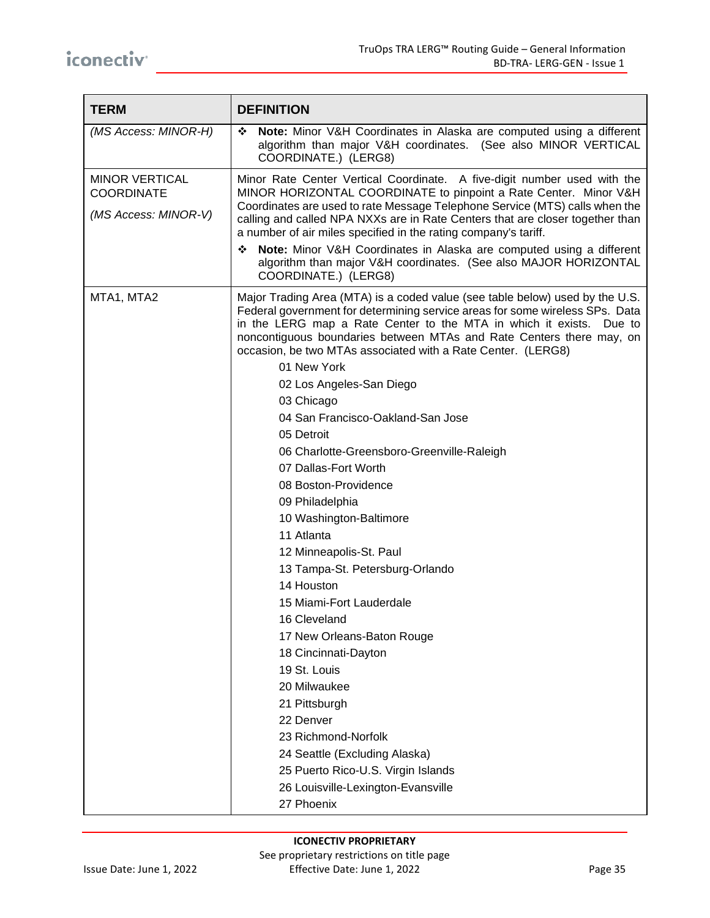| <b>TERM</b>                                                        | <b>DEFINITION</b>                                                                                                                                                                                                                                                                                                                                                                                                                                                                                                                                                                                                                                                                                                                                                                                                                                                                                                                                                                                                                               |  |  |  |  |
|--------------------------------------------------------------------|-------------------------------------------------------------------------------------------------------------------------------------------------------------------------------------------------------------------------------------------------------------------------------------------------------------------------------------------------------------------------------------------------------------------------------------------------------------------------------------------------------------------------------------------------------------------------------------------------------------------------------------------------------------------------------------------------------------------------------------------------------------------------------------------------------------------------------------------------------------------------------------------------------------------------------------------------------------------------------------------------------------------------------------------------|--|--|--|--|
| (MS Access: MINOR-H)                                               | Note: Minor V&H Coordinates in Alaska are computed using a different<br>❖<br>algorithm than major V&H coordinates. (See also MINOR VERTICAL<br>COORDINATE.) (LERG8)                                                                                                                                                                                                                                                                                                                                                                                                                                                                                                                                                                                                                                                                                                                                                                                                                                                                             |  |  |  |  |
| <b>MINOR VERTICAL</b><br><b>COORDINATE</b><br>(MS Access: MINOR-V) | Minor Rate Center Vertical Coordinate. A five-digit number used with the<br>MINOR HORIZONTAL COORDINATE to pinpoint a Rate Center. Minor V&H<br>Coordinates are used to rate Message Telephone Service (MTS) calls when the<br>calling and called NPA NXXs are in Rate Centers that are closer together than<br>a number of air miles specified in the rating company's tariff.<br>Note: Minor V&H Coordinates in Alaska are computed using a different<br>❖<br>algorithm than major V&H coordinates. (See also MAJOR HORIZONTAL<br>COORDINATE.) (LERG8)                                                                                                                                                                                                                                                                                                                                                                                                                                                                                        |  |  |  |  |
| MTA1, MTA2                                                         | Major Trading Area (MTA) is a coded value (see table below) used by the U.S.<br>Federal government for determining service areas for some wireless SPs. Data<br>in the LERG map a Rate Center to the MTA in which it exists. Due to<br>noncontiguous boundaries between MTAs and Rate Centers there may, on<br>occasion, be two MTAs associated with a Rate Center. (LERG8)<br>01 New York<br>02 Los Angeles-San Diego<br>03 Chicago<br>04 San Francisco-Oakland-San Jose<br>05 Detroit<br>06 Charlotte-Greensboro-Greenville-Raleigh<br>07 Dallas-Fort Worth<br>08 Boston-Providence<br>09 Philadelphia<br>10 Washington-Baltimore<br>11 Atlanta<br>12 Minneapolis-St. Paul<br>13 Tampa-St. Petersburg-Orlando<br>14 Houston<br>15 Miami-Fort Lauderdale<br>16 Cleveland<br>17 New Orleans-Baton Rouge<br>18 Cincinnati-Dayton<br>19 St. Louis<br>20 Milwaukee<br>21 Pittsburgh<br>22 Denver<br>23 Richmond-Norfolk<br>24 Seattle (Excluding Alaska)<br>25 Puerto Rico-U.S. Virgin Islands<br>26 Louisville-Lexington-Evansville<br>27 Phoenix |  |  |  |  |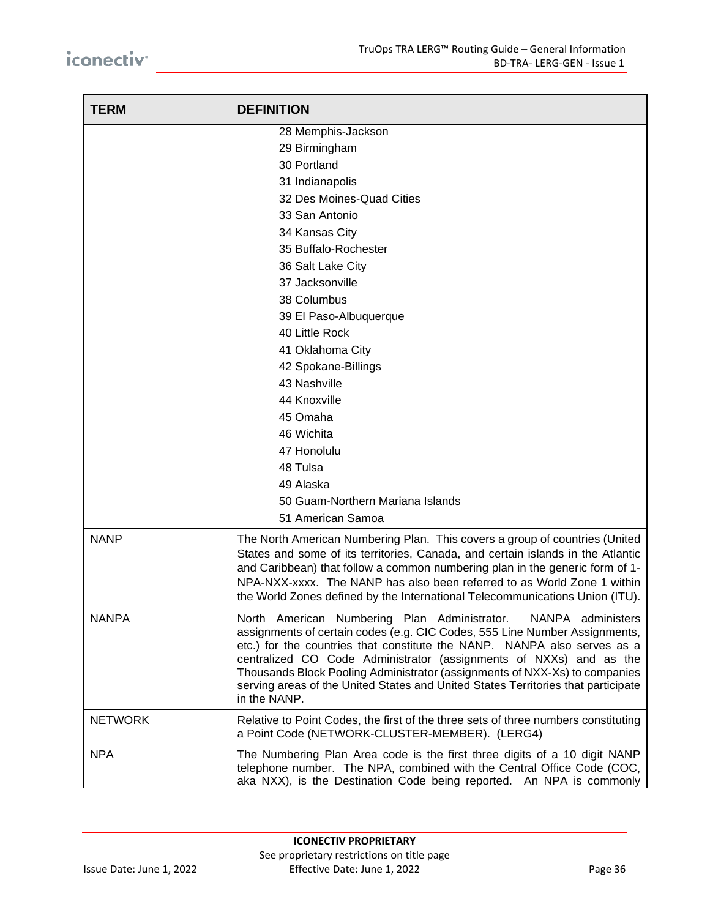| <b>TERM</b>    | <b>DEFINITION</b>                                                                                                                                                                                                                                                                                                                                                                                                                                                                    |  |  |  |  |
|----------------|--------------------------------------------------------------------------------------------------------------------------------------------------------------------------------------------------------------------------------------------------------------------------------------------------------------------------------------------------------------------------------------------------------------------------------------------------------------------------------------|--|--|--|--|
|                | 28 Memphis-Jackson<br>29 Birmingham<br>30 Portland<br>31 Indianapolis<br>32 Des Moines-Quad Cities<br>33 San Antonio<br>34 Kansas City<br>35 Buffalo-Rochester<br>36 Salt Lake City<br>37 Jacksonville<br>38 Columbus<br>39 El Paso-Albuquerque<br>40 Little Rock<br>41 Oklahoma City<br>42 Spokane-Billings                                                                                                                                                                         |  |  |  |  |
|                | 43 Nashville<br>44 Knoxville<br>45 Omaha<br>46 Wichita<br>47 Honolulu<br>48 Tulsa<br>49 Alaska<br>50 Guam-Northern Mariana Islands<br>51 American Samoa                                                                                                                                                                                                                                                                                                                              |  |  |  |  |
| <b>NANP</b>    | The North American Numbering Plan. This covers a group of countries (United<br>States and some of its territories, Canada, and certain islands in the Atlantic<br>and Caribbean) that follow a common numbering plan in the generic form of 1-<br>NPA-NXX-xxxx. The NANP has also been referred to as World Zone 1 within<br>the World Zones defined by the International Telecommunications Union (ITU).                                                                            |  |  |  |  |
| <b>NANPA</b>   | North American Numbering Plan Administrator.<br>NANPA administers<br>assignments of certain codes (e.g. CIC Codes, 555 Line Number Assignments,<br>etc.) for the countries that constitute the NANP. NANPA also serves as a<br>centralized CO Code Administrator (assignments of NXXs) and as the<br>Thousands Block Pooling Administrator (assignments of NXX-Xs) to companies<br>serving areas of the United States and United States Territories that participate<br>in the NANP. |  |  |  |  |
| <b>NETWORK</b> | Relative to Point Codes, the first of the three sets of three numbers constituting<br>a Point Code (NETWORK-CLUSTER-MEMBER). (LERG4)                                                                                                                                                                                                                                                                                                                                                 |  |  |  |  |
| <b>NPA</b>     | The Numbering Plan Area code is the first three digits of a 10 digit NANP<br>telephone number. The NPA, combined with the Central Office Code (COC,<br>aka NXX), is the Destination Code being reported. An NPA is commonly                                                                                                                                                                                                                                                          |  |  |  |  |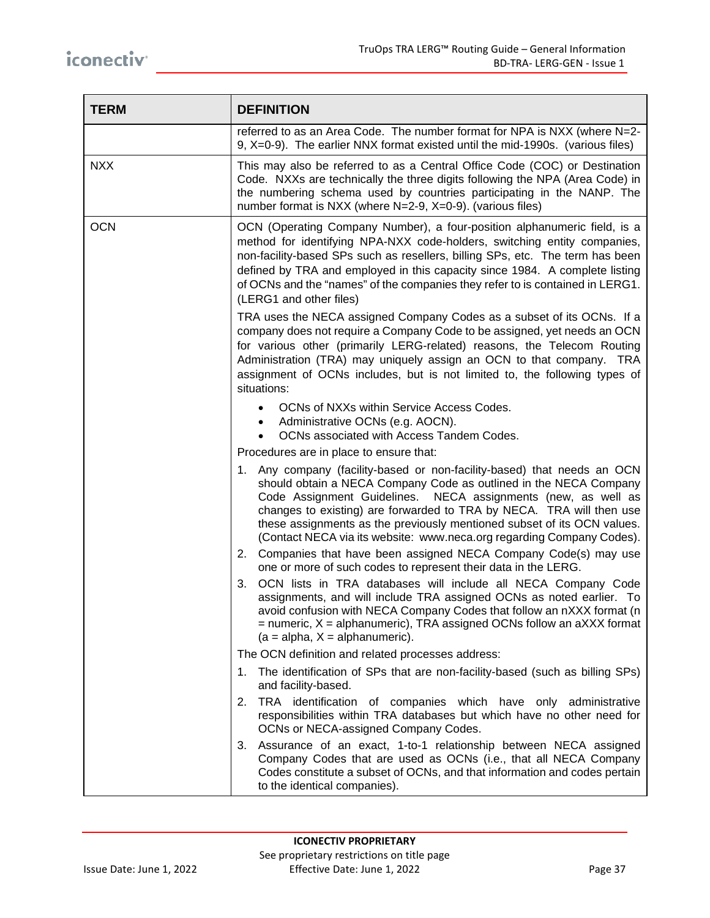| <b>TERM</b> | <b>DEFINITION</b>                                                                                                                                                                                                                                                                                                                                                                                                                                                                                              |  |  |  |  |
|-------------|----------------------------------------------------------------------------------------------------------------------------------------------------------------------------------------------------------------------------------------------------------------------------------------------------------------------------------------------------------------------------------------------------------------------------------------------------------------------------------------------------------------|--|--|--|--|
|             | referred to as an Area Code. The number format for NPA is NXX (where N=2-<br>9, X=0-9). The earlier NNX format existed until the mid-1990s. (various files)                                                                                                                                                                                                                                                                                                                                                    |  |  |  |  |
| <b>NXX</b>  | This may also be referred to as a Central Office Code (COC) or Destination<br>Code. NXXs are technically the three digits following the NPA (Area Code) in<br>the numbering schema used by countries participating in the NANP. The<br>number format is NXX (where N=2-9, X=0-9). (various files)                                                                                                                                                                                                              |  |  |  |  |
| <b>OCN</b>  | OCN (Operating Company Number), a four-position alphanumeric field, is a<br>method for identifying NPA-NXX code-holders, switching entity companies,<br>non-facility-based SPs such as resellers, billing SPs, etc. The term has been<br>defined by TRA and employed in this capacity since 1984. A complete listing<br>of OCNs and the "names" of the companies they refer to is contained in LERG1.<br>(LERG1 and other files)                                                                               |  |  |  |  |
|             | TRA uses the NECA assigned Company Codes as a subset of its OCNs. If a<br>company does not require a Company Code to be assigned, yet needs an OCN<br>for various other (primarily LERG-related) reasons, the Telecom Routing<br>Administration (TRA) may uniquely assign an OCN to that company. TRA<br>assignment of OCNs includes, but is not limited to, the following types of<br>situations:                                                                                                             |  |  |  |  |
|             | OCNs of NXXs within Service Access Codes.<br>Administrative OCNs (e.g. AOCN).<br>OCNs associated with Access Tandem Codes.<br>Procedures are in place to ensure that:                                                                                                                                                                                                                                                                                                                                          |  |  |  |  |
|             | 1. Any company (facility-based or non-facility-based) that needs an OCN<br>should obtain a NECA Company Code as outlined in the NECA Company<br>Code Assignment Guidelines. NECA assignments (new, as well as<br>changes to existing) are forwarded to TRA by NECA. TRA will then use<br>these assignments as the previously mentioned subset of its OCN values.<br>(Contact NECA via its website: www.neca.org regarding Company Codes).<br>2. Companies that have been assigned NECA Company Code(s) may use |  |  |  |  |
|             | one or more of such codes to represent their data in the LERG.<br>OCN lists in TRA databases will include all NECA Company Code<br>3.<br>assignments, and will include TRA assigned OCNs as noted earlier. To<br>avoid confusion with NECA Company Codes that follow an nXXX format (n<br>$=$ numeric, $X =$ alphanumeric), TRA assigned OCNs follow an aXXX format<br>$(a = alpha, X = alpha numberic).$                                                                                                      |  |  |  |  |
|             | The OCN definition and related processes address:                                                                                                                                                                                                                                                                                                                                                                                                                                                              |  |  |  |  |
|             | 1. The identification of SPs that are non-facility-based (such as billing SPs)<br>and facility-based.                                                                                                                                                                                                                                                                                                                                                                                                          |  |  |  |  |
|             | 2. TRA identification of companies which have only administrative<br>responsibilities within TRA databases but which have no other need for<br>OCNs or NECA-assigned Company Codes.                                                                                                                                                                                                                                                                                                                            |  |  |  |  |
|             | 3. Assurance of an exact, 1-to-1 relationship between NECA assigned<br>Company Codes that are used as OCNs (i.e., that all NECA Company<br>Codes constitute a subset of OCNs, and that information and codes pertain<br>to the identical companies).                                                                                                                                                                                                                                                           |  |  |  |  |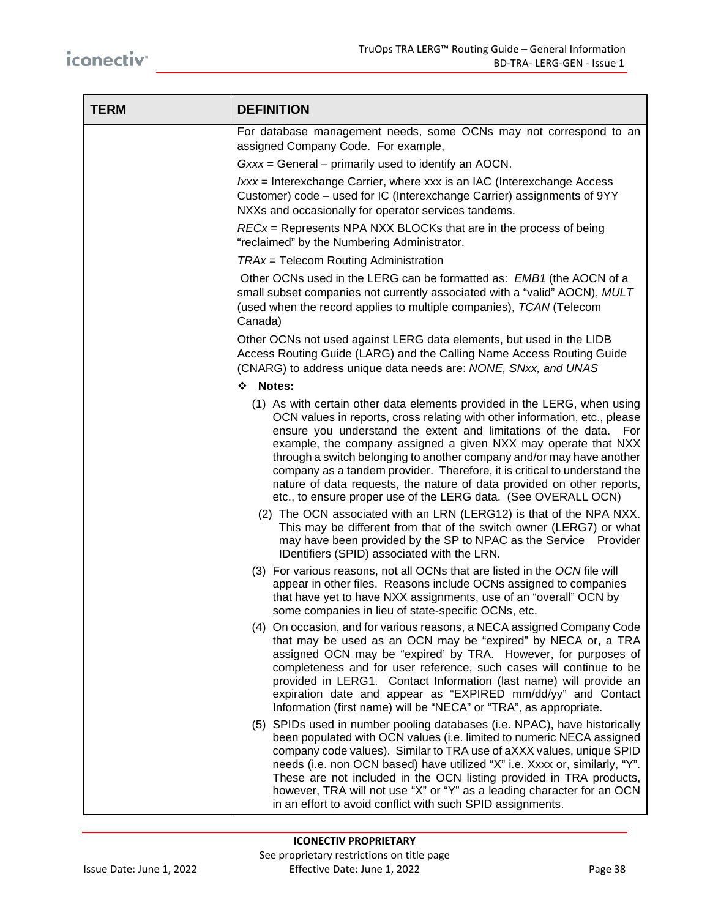| <b>TERM</b> | <b>DEFINITION</b>                                                                                                                                                                                                                                                                                                                                                                                                                                                                                                                                                                               |  |  |  |  |
|-------------|-------------------------------------------------------------------------------------------------------------------------------------------------------------------------------------------------------------------------------------------------------------------------------------------------------------------------------------------------------------------------------------------------------------------------------------------------------------------------------------------------------------------------------------------------------------------------------------------------|--|--|--|--|
|             | For database management needs, some OCNs may not correspond to an<br>assigned Company Code. For example,                                                                                                                                                                                                                                                                                                                                                                                                                                                                                        |  |  |  |  |
|             | Gxxx = General – primarily used to identify an AOCN.                                                                                                                                                                                                                                                                                                                                                                                                                                                                                                                                            |  |  |  |  |
|             | $lxxx$ = Interexchange Carrier, where xxx is an IAC (Interexchange Access<br>Customer) code – used for IC (Interexchange Carrier) assignments of 9YY<br>NXXs and occasionally for operator services tandems.                                                                                                                                                                                                                                                                                                                                                                                    |  |  |  |  |
|             | $RECx =$ Represents NPA NXX BLOCKs that are in the process of being<br>"reclaimed" by the Numbering Administrator.                                                                                                                                                                                                                                                                                                                                                                                                                                                                              |  |  |  |  |
|             | TRAx = Telecom Routing Administration                                                                                                                                                                                                                                                                                                                                                                                                                                                                                                                                                           |  |  |  |  |
|             | Other OCNs used in the LERG can be formatted as: <i>EMB1</i> (the AOCN of a<br>small subset companies not currently associated with a "valid" AOCN), MULT<br>(used when the record applies to multiple companies), TCAN (Telecom<br>Canada)                                                                                                                                                                                                                                                                                                                                                     |  |  |  |  |
|             | Other OCNs not used against LERG data elements, but used in the LIDB<br>Access Routing Guide (LARG) and the Calling Name Access Routing Guide<br>(CNARG) to address unique data needs are: NONE, SNxx, and UNAS                                                                                                                                                                                                                                                                                                                                                                                 |  |  |  |  |
|             | ❖ Notes:                                                                                                                                                                                                                                                                                                                                                                                                                                                                                                                                                                                        |  |  |  |  |
|             | (1) As with certain other data elements provided in the LERG, when using<br>OCN values in reports, cross relating with other information, etc., please<br>ensure you understand the extent and limitations of the data. For<br>example, the company assigned a given NXX may operate that NXX<br>through a switch belonging to another company and/or may have another<br>company as a tandem provider. Therefore, it is critical to understand the<br>nature of data requests, the nature of data provided on other reports,<br>etc., to ensure proper use of the LERG data. (See OVERALL OCN) |  |  |  |  |
|             | (2) The OCN associated with an LRN (LERG12) is that of the NPA NXX.<br>This may be different from that of the switch owner (LERG7) or what<br>may have been provided by the SP to NPAC as the Service Provider<br>IDentifiers (SPID) associated with the LRN.                                                                                                                                                                                                                                                                                                                                   |  |  |  |  |
|             | (3) For various reasons, not all OCNs that are listed in the OCN file will<br>appear in other files. Reasons include OCNs assigned to companies<br>that have yet to have NXX assignments, use of an "overall" OCN by<br>some companies in lieu of state-specific OCNs, etc.                                                                                                                                                                                                                                                                                                                     |  |  |  |  |
|             | (4) On occasion, and for various reasons, a NECA assigned Company Code<br>that may be used as an OCN may be "expired" by NECA or, a TRA<br>assigned OCN may be "expired' by TRA. However, for purposes of<br>completeness and for user reference, such cases will continue to be<br>provided in LERG1. Contact Information (last name) will provide an<br>expiration date and appear as "EXPIRED mm/dd/yy" and Contact<br>Information (first name) will be "NECA" or "TRA", as appropriate.                                                                                                     |  |  |  |  |
|             | (5) SPIDs used in number pooling databases (i.e. NPAC), have historically<br>been populated with OCN values (i.e. limited to numeric NECA assigned<br>company code values). Similar to TRA use of aXXX values, unique SPID<br>needs (i.e. non OCN based) have utilized "X" i.e. Xxxx or, similarly, "Y".<br>These are not included in the OCN listing provided in TRA products,<br>however, TRA will not use "X" or "Y" as a leading character for an OCN<br>in an effort to avoid conflict with such SPID assignments.                                                                         |  |  |  |  |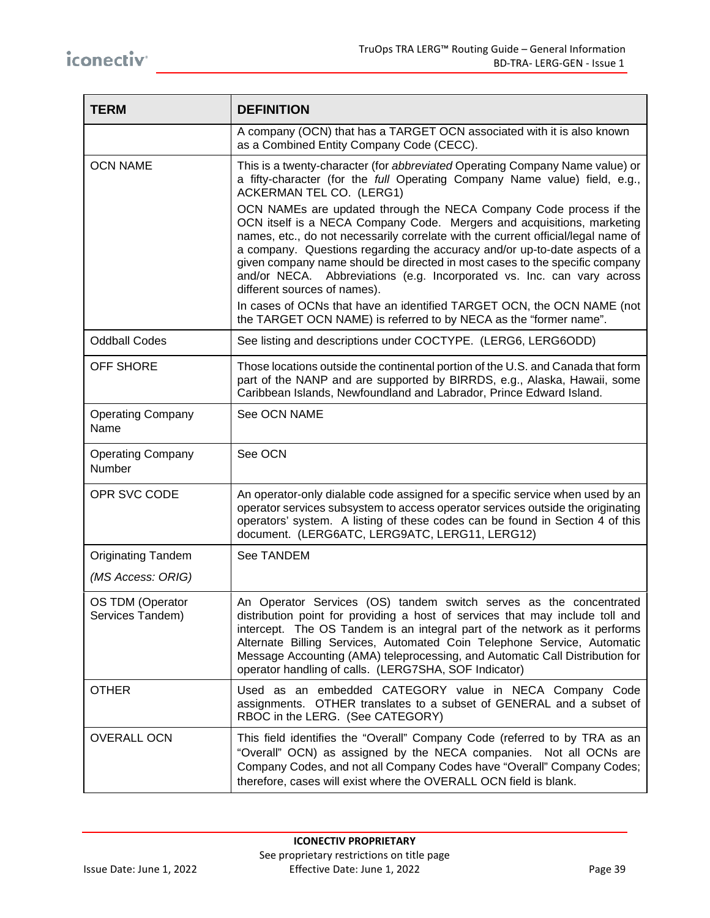| <b>TERM</b>                          | <b>DEFINITION</b>                                                                                                                                                                                                                                                                                                                                                                                                                                                                                        |  |  |  |  |
|--------------------------------------|----------------------------------------------------------------------------------------------------------------------------------------------------------------------------------------------------------------------------------------------------------------------------------------------------------------------------------------------------------------------------------------------------------------------------------------------------------------------------------------------------------|--|--|--|--|
|                                      | A company (OCN) that has a TARGET OCN associated with it is also known<br>as a Combined Entity Company Code (CECC).                                                                                                                                                                                                                                                                                                                                                                                      |  |  |  |  |
| <b>OCN NAME</b>                      | This is a twenty-character (for abbreviated Operating Company Name value) or<br>a fifty-character (for the full Operating Company Name value) field, e.g.,<br>ACKERMAN TEL CO. (LERG1)                                                                                                                                                                                                                                                                                                                   |  |  |  |  |
|                                      | OCN NAMEs are updated through the NECA Company Code process if the<br>OCN itself is a NECA Company Code. Mergers and acquisitions, marketing<br>names, etc., do not necessarily correlate with the current official/legal name of<br>a company. Questions regarding the accuracy and/or up-to-date aspects of a<br>given company name should be directed in most cases to the specific company<br>and/or NECA. Abbreviations (e.g. Incorporated vs. Inc. can vary across<br>different sources of names). |  |  |  |  |
|                                      | In cases of OCNs that have an identified TARGET OCN, the OCN NAME (not<br>the TARGET OCN NAME) is referred to by NECA as the "former name".                                                                                                                                                                                                                                                                                                                                                              |  |  |  |  |
| <b>Oddball Codes</b>                 | See listing and descriptions under COCTYPE. (LERG6, LERG6ODD)                                                                                                                                                                                                                                                                                                                                                                                                                                            |  |  |  |  |
| <b>OFF SHORE</b>                     | Those locations outside the continental portion of the U.S. and Canada that form<br>part of the NANP and are supported by BIRRDS, e.g., Alaska, Hawaii, some<br>Caribbean Islands, Newfoundland and Labrador, Prince Edward Island.                                                                                                                                                                                                                                                                      |  |  |  |  |
| <b>Operating Company</b><br>Name     | See OCN NAME                                                                                                                                                                                                                                                                                                                                                                                                                                                                                             |  |  |  |  |
| <b>Operating Company</b><br>Number   | See OCN                                                                                                                                                                                                                                                                                                                                                                                                                                                                                                  |  |  |  |  |
| OPR SVC CODE                         | An operator-only dialable code assigned for a specific service when used by an<br>operator services subsystem to access operator services outside the originating<br>operators' system. A listing of these codes can be found in Section 4 of this<br>document. (LERG6ATC, LERG9ATC, LERG11, LERG12)                                                                                                                                                                                                     |  |  |  |  |
| <b>Originating Tandem</b>            | See TANDEM                                                                                                                                                                                                                                                                                                                                                                                                                                                                                               |  |  |  |  |
| (MS Access: ORIG)                    |                                                                                                                                                                                                                                                                                                                                                                                                                                                                                                          |  |  |  |  |
| OS TDM (Operator<br>Services Tandem) | An Operator Services (OS) tandem switch serves as the concentrated<br>distribution point for providing a host of services that may include toll and<br>intercept. The OS Tandem is an integral part of the network as it performs<br>Alternate Billing Services, Automated Coin Telephone Service, Automatic<br>Message Accounting (AMA) teleprocessing, and Automatic Call Distribution for<br>operator handling of calls. (LERG7SHA, SOF Indicator)                                                    |  |  |  |  |
| <b>OTHER</b>                         | Used as an embedded CATEGORY value in NECA Company Code<br>assignments. OTHER translates to a subset of GENERAL and a subset of<br>RBOC in the LERG. (See CATEGORY)                                                                                                                                                                                                                                                                                                                                      |  |  |  |  |
| <b>OVERALL OCN</b>                   | This field identifies the "Overall" Company Code (referred to by TRA as an<br>"Overall" OCN) as assigned by the NECA companies. Not all OCNs are<br>Company Codes, and not all Company Codes have "Overall" Company Codes;<br>therefore, cases will exist where the OVERALL OCN field is blank.                                                                                                                                                                                                          |  |  |  |  |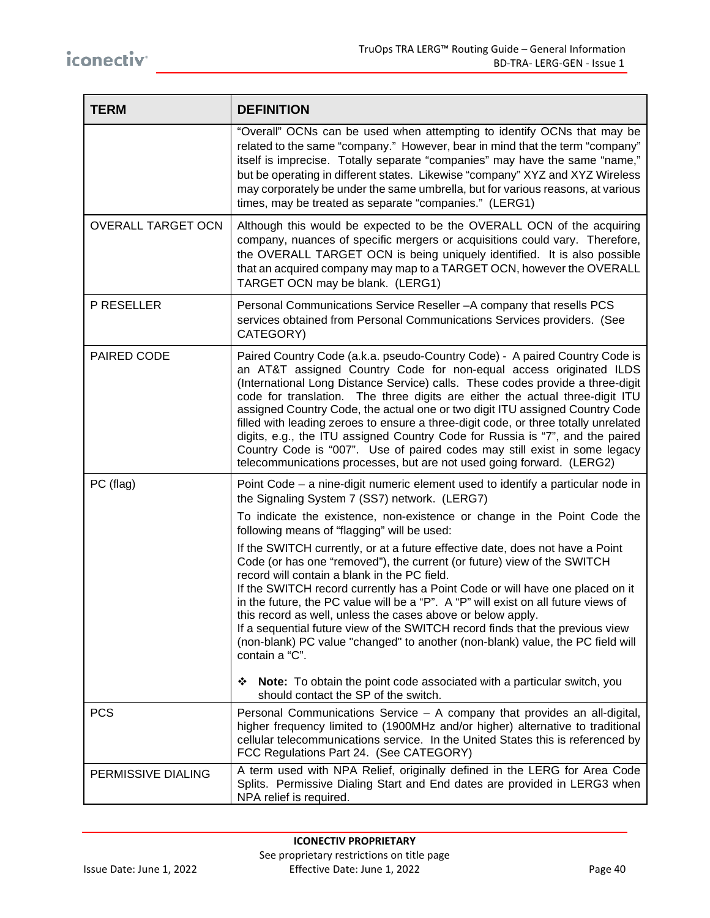| <b>TERM</b>               | <b>DEFINITION</b>                                                                                                                                                                                                                                                                                                                                                                                                                                                                                                                                                                                                                                                                                                                 |  |  |  |  |
|---------------------------|-----------------------------------------------------------------------------------------------------------------------------------------------------------------------------------------------------------------------------------------------------------------------------------------------------------------------------------------------------------------------------------------------------------------------------------------------------------------------------------------------------------------------------------------------------------------------------------------------------------------------------------------------------------------------------------------------------------------------------------|--|--|--|--|
|                           | "Overall" OCNs can be used when attempting to identify OCNs that may be<br>related to the same "company." However, bear in mind that the term "company"<br>itself is imprecise. Totally separate "companies" may have the same "name,"<br>but be operating in different states. Likewise "company" XYZ and XYZ Wireless<br>may corporately be under the same umbrella, but for various reasons, at various<br>times, may be treated as separate "companies." (LERG1)                                                                                                                                                                                                                                                              |  |  |  |  |
| <b>OVERALL TARGET OCN</b> | Although this would be expected to be the OVERALL OCN of the acquiring<br>company, nuances of specific mergers or acquisitions could vary. Therefore,<br>the OVERALL TARGET OCN is being uniquely identified. It is also possible<br>that an acquired company may map to a TARGET OCN, however the OVERALL<br>TARGET OCN may be blank. (LERG1)                                                                                                                                                                                                                                                                                                                                                                                    |  |  |  |  |
| P RESELLER                | Personal Communications Service Reseller - A company that resells PCS<br>services obtained from Personal Communications Services providers. (See<br>CATEGORY)                                                                                                                                                                                                                                                                                                                                                                                                                                                                                                                                                                     |  |  |  |  |
| PAIRED CODE               | Paired Country Code (a.k.a. pseudo-Country Code) - A paired Country Code is<br>an AT&T assigned Country Code for non-equal access originated ILDS<br>(International Long Distance Service) calls. These codes provide a three-digit<br>code for translation. The three digits are either the actual three-digit ITU<br>assigned Country Code, the actual one or two digit ITU assigned Country Code<br>filled with leading zeroes to ensure a three-digit code, or three totally unrelated<br>digits, e.g., the ITU assigned Country Code for Russia is "7", and the paired<br>Country Code is "007". Use of paired codes may still exist in some legacy<br>telecommunications processes, but are not used going forward. (LERG2) |  |  |  |  |
| PC (flag)                 | Point Code – a nine-digit numeric element used to identify a particular node in<br>the Signaling System 7 (SS7) network. (LERG7)                                                                                                                                                                                                                                                                                                                                                                                                                                                                                                                                                                                                  |  |  |  |  |
|                           | To indicate the existence, non-existence or change in the Point Code the<br>following means of "flagging" will be used:                                                                                                                                                                                                                                                                                                                                                                                                                                                                                                                                                                                                           |  |  |  |  |
|                           | If the SWITCH currently, or at a future effective date, does not have a Point<br>Code (or has one "removed"), the current (or future) view of the SWITCH<br>record will contain a blank in the PC field.<br>If the SWITCH record currently has a Point Code or will have one placed on it<br>in the future, the PC value will be a "P". A "P" will exist on all future views of<br>this record as well, unless the cases above or below apply.<br>If a sequential future view of the SWITCH record finds that the previous view<br>(non-blank) PC value "changed" to another (non-blank) value, the PC field will<br>contain a "C".                                                                                               |  |  |  |  |
|                           | Note: To obtain the point code associated with a particular switch, you<br>❖<br>should contact the SP of the switch.                                                                                                                                                                                                                                                                                                                                                                                                                                                                                                                                                                                                              |  |  |  |  |
| <b>PCS</b>                | Personal Communications Service - A company that provides an all-digital,<br>higher frequency limited to (1900MHz and/or higher) alternative to traditional<br>cellular telecommunications service. In the United States this is referenced by<br>FCC Regulations Part 24. (See CATEGORY)                                                                                                                                                                                                                                                                                                                                                                                                                                         |  |  |  |  |
| PERMISSIVE DIALING        | A term used with NPA Relief, originally defined in the LERG for Area Code<br>Splits. Permissive Dialing Start and End dates are provided in LERG3 when<br>NPA relief is required.                                                                                                                                                                                                                                                                                                                                                                                                                                                                                                                                                 |  |  |  |  |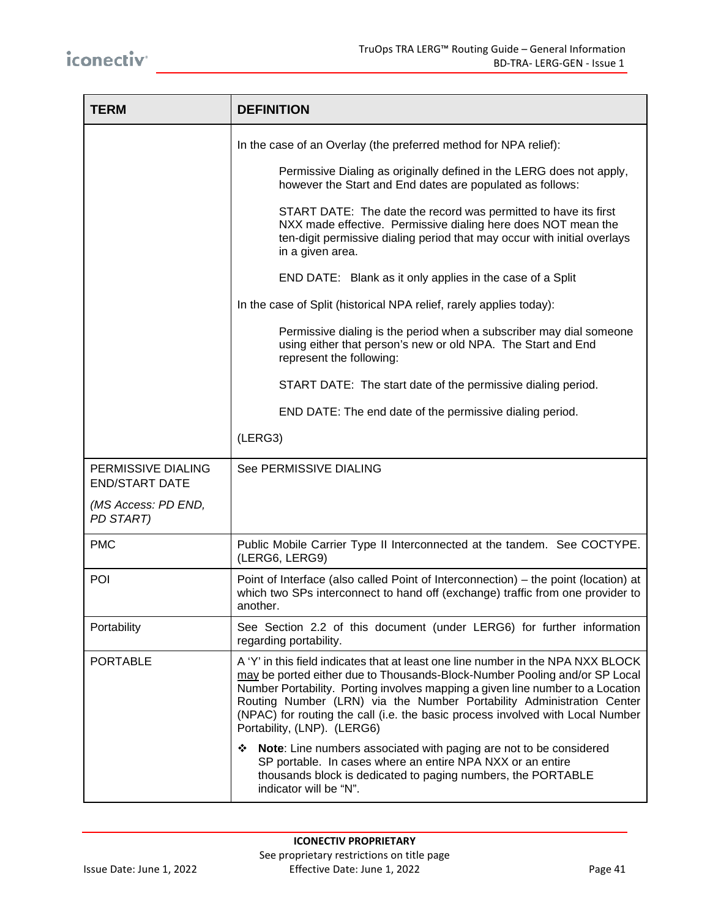| <b>TERM</b>                                 | <b>DEFINITION</b>                                                                                                                                                                                                                                                                                                                                                                                                                          |  |  |  |  |
|---------------------------------------------|--------------------------------------------------------------------------------------------------------------------------------------------------------------------------------------------------------------------------------------------------------------------------------------------------------------------------------------------------------------------------------------------------------------------------------------------|--|--|--|--|
|                                             | In the case of an Overlay (the preferred method for NPA relief):                                                                                                                                                                                                                                                                                                                                                                           |  |  |  |  |
|                                             | Permissive Dialing as originally defined in the LERG does not apply,<br>however the Start and End dates are populated as follows:                                                                                                                                                                                                                                                                                                          |  |  |  |  |
|                                             | START DATE: The date the record was permitted to have its first<br>NXX made effective. Permissive dialing here does NOT mean the<br>ten-digit permissive dialing period that may occur with initial overlays<br>in a given area.                                                                                                                                                                                                           |  |  |  |  |
|                                             | END DATE: Blank as it only applies in the case of a Split                                                                                                                                                                                                                                                                                                                                                                                  |  |  |  |  |
|                                             | In the case of Split (historical NPA relief, rarely applies today):                                                                                                                                                                                                                                                                                                                                                                        |  |  |  |  |
|                                             | Permissive dialing is the period when a subscriber may dial someone<br>using either that person's new or old NPA. The Start and End<br>represent the following:                                                                                                                                                                                                                                                                            |  |  |  |  |
|                                             | START DATE: The start date of the permissive dialing period.                                                                                                                                                                                                                                                                                                                                                                               |  |  |  |  |
|                                             | END DATE: The end date of the permissive dialing period.                                                                                                                                                                                                                                                                                                                                                                                   |  |  |  |  |
|                                             | (LERG3)                                                                                                                                                                                                                                                                                                                                                                                                                                    |  |  |  |  |
| PERMISSIVE DIALING<br><b>END/START DATE</b> | See PERMISSIVE DIALING                                                                                                                                                                                                                                                                                                                                                                                                                     |  |  |  |  |
| (MS Access: PD END,<br>PD START)            |                                                                                                                                                                                                                                                                                                                                                                                                                                            |  |  |  |  |
| <b>PMC</b>                                  | Public Mobile Carrier Type II Interconnected at the tandem. See COCTYPE.<br>(LERG6, LERG9)                                                                                                                                                                                                                                                                                                                                                 |  |  |  |  |
| <b>POI</b>                                  | Point of Interface (also called Point of Interconnection) – the point (location) at<br>which two SPs interconnect to hand off (exchange) traffic from one provider to<br>another.                                                                                                                                                                                                                                                          |  |  |  |  |
| Portability                                 | See Section 2.2 of this document (under LERG6) for further information<br>regarding portability.                                                                                                                                                                                                                                                                                                                                           |  |  |  |  |
| <b>PORTABLE</b>                             | A 'Y' in this field indicates that at least one line number in the NPA NXX BLOCK<br>may be ported either due to Thousands-Block-Number Pooling and/or SP Local<br>Number Portability. Porting involves mapping a given line number to a Location<br>Routing Number (LRN) via the Number Portability Administration Center<br>(NPAC) for routing the call (i.e. the basic process involved with Local Number<br>Portability, (LNP). (LERG6) |  |  |  |  |
|                                             | Note: Line numbers associated with paging are not to be considered<br>❖<br>SP portable. In cases where an entire NPA NXX or an entire<br>thousands block is dedicated to paging numbers, the PORTABLE<br>indicator will be "N".                                                                                                                                                                                                            |  |  |  |  |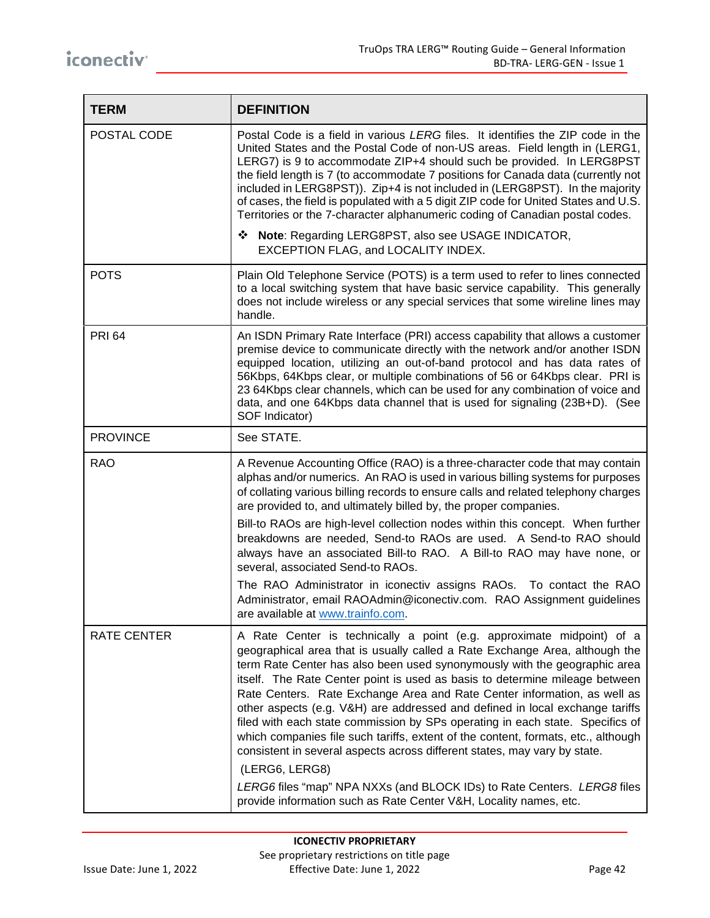| <b>TERM</b>     | <b>DEFINITION</b>                                                                                                                                                                                                                                                                                                                                                                                                                                                                                                                                                                                                                                                                                                                                                                                                                                                                                 |  |  |  |  |  |
|-----------------|---------------------------------------------------------------------------------------------------------------------------------------------------------------------------------------------------------------------------------------------------------------------------------------------------------------------------------------------------------------------------------------------------------------------------------------------------------------------------------------------------------------------------------------------------------------------------------------------------------------------------------------------------------------------------------------------------------------------------------------------------------------------------------------------------------------------------------------------------------------------------------------------------|--|--|--|--|--|
| POSTAL CODE     | Postal Code is a field in various LERG files. It identifies the ZIP code in the<br>United States and the Postal Code of non-US areas. Field length in (LERG1,<br>LERG7) is 9 to accommodate ZIP+4 should such be provided. In LERG8PST<br>the field length is 7 (to accommodate 7 positions for Canada data (currently not<br>included in LERG8PST)). Zip+4 is not included in (LERG8PST). In the majority<br>of cases, the field is populated with a 5 digit ZIP code for United States and U.S.<br>Territories or the 7-character alphanumeric coding of Canadian postal codes.                                                                                                                                                                                                                                                                                                                 |  |  |  |  |  |
|                 | ❖ Note: Regarding LERG8PST, also see USAGE INDICATOR,<br>EXCEPTION FLAG, and LOCALITY INDEX.                                                                                                                                                                                                                                                                                                                                                                                                                                                                                                                                                                                                                                                                                                                                                                                                      |  |  |  |  |  |
| <b>POTS</b>     | Plain Old Telephone Service (POTS) is a term used to refer to lines connected<br>to a local switching system that have basic service capability. This generally<br>does not include wireless or any special services that some wireline lines may<br>handle.                                                                                                                                                                                                                                                                                                                                                                                                                                                                                                                                                                                                                                      |  |  |  |  |  |
| <b>PRI 64</b>   | An ISDN Primary Rate Interface (PRI) access capability that allows a customer<br>premise device to communicate directly with the network and/or another ISDN<br>equipped location, utilizing an out-of-band protocol and has data rates of<br>56Kbps, 64Kbps clear, or multiple combinations of 56 or 64Kbps clear. PRI is<br>23 64Kbps clear channels, which can be used for any combination of voice and<br>data, and one 64Kbps data channel that is used for signaling (23B+D). (See<br>SOF Indicator)                                                                                                                                                                                                                                                                                                                                                                                        |  |  |  |  |  |
| <b>PROVINCE</b> | See STATE.                                                                                                                                                                                                                                                                                                                                                                                                                                                                                                                                                                                                                                                                                                                                                                                                                                                                                        |  |  |  |  |  |
| <b>RAO</b>      | A Revenue Accounting Office (RAO) is a three-character code that may contain<br>alphas and/or numerics. An RAO is used in various billing systems for purposes<br>of collating various billing records to ensure calls and related telephony charges<br>are provided to, and ultimately billed by, the proper companies.<br>Bill-to RAOs are high-level collection nodes within this concept. When further<br>breakdowns are needed, Send-to RAOs are used. A Send-to RAO should<br>always have an associated Bill-to RAO. A Bill-to RAO may have none, or<br>several, associated Send-to RAOs.<br>The RAO Administrator in iconectiv assigns RAOs. To contact the RAO<br>Administrator, email RAOAdmin@iconectiv.com. RAO Assignment guidelines<br>are available at www.trainfo.com.                                                                                                             |  |  |  |  |  |
| RATE CENTER     | A Rate Center is technically a point (e.g. approximate midpoint) of a<br>geographical area that is usually called a Rate Exchange Area, although the<br>term Rate Center has also been used synonymously with the geographic area<br>itself. The Rate Center point is used as basis to determine mileage between<br>Rate Centers. Rate Exchange Area and Rate Center information, as well as<br>other aspects (e.g. V&H) are addressed and defined in local exchange tariffs<br>filed with each state commission by SPs operating in each state. Specifics of<br>which companies file such tariffs, extent of the content, formats, etc., although<br>consistent in several aspects across different states, may vary by state.<br>(LERG6, LERG8)<br>LERG6 files "map" NPA NXXs (and BLOCK IDs) to Rate Centers. LERG8 files<br>provide information such as Rate Center V&H, Locality names, etc. |  |  |  |  |  |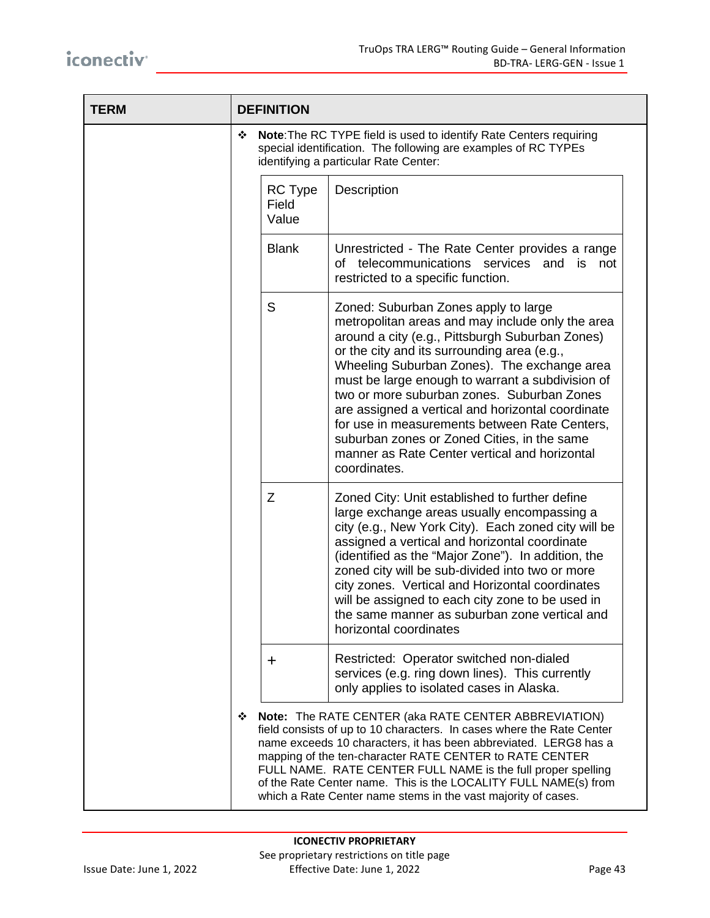| <b>TERM</b> | <b>DEFINITION</b>                                                                                                                                                                                                                                                                                                                                                                                                                                                     |                                                                                                                                                                                                                                                                                                                                                                                                                                                                                                                                                                   |  |  |  |
|-------------|-----------------------------------------------------------------------------------------------------------------------------------------------------------------------------------------------------------------------------------------------------------------------------------------------------------------------------------------------------------------------------------------------------------------------------------------------------------------------|-------------------------------------------------------------------------------------------------------------------------------------------------------------------------------------------------------------------------------------------------------------------------------------------------------------------------------------------------------------------------------------------------------------------------------------------------------------------------------------------------------------------------------------------------------------------|--|--|--|
|             | Note: The RC TYPE field is used to identify Rate Centers requiring<br>❖<br>special identification. The following are examples of RC TYPEs<br>identifying a particular Rate Center:                                                                                                                                                                                                                                                                                    |                                                                                                                                                                                                                                                                                                                                                                                                                                                                                                                                                                   |  |  |  |
|             | <b>RC</b> Type<br>Field<br>Value                                                                                                                                                                                                                                                                                                                                                                                                                                      | Description                                                                                                                                                                                                                                                                                                                                                                                                                                                                                                                                                       |  |  |  |
|             | <b>Blank</b>                                                                                                                                                                                                                                                                                                                                                                                                                                                          | Unrestricted - The Rate Center provides a range<br>of telecommunications<br>services<br>and<br>is<br>not<br>restricted to a specific function.                                                                                                                                                                                                                                                                                                                                                                                                                    |  |  |  |
|             | S                                                                                                                                                                                                                                                                                                                                                                                                                                                                     | Zoned: Suburban Zones apply to large<br>metropolitan areas and may include only the area<br>around a city (e.g., Pittsburgh Suburban Zones)<br>or the city and its surrounding area (e.g.,<br>Wheeling Suburban Zones). The exchange area<br>must be large enough to warrant a subdivision of<br>two or more suburban zones. Suburban Zones<br>are assigned a vertical and horizontal coordinate<br>for use in measurements between Rate Centers,<br>suburban zones or Zoned Cities, in the same<br>manner as Rate Center vertical and horizontal<br>coordinates. |  |  |  |
|             | Z                                                                                                                                                                                                                                                                                                                                                                                                                                                                     | Zoned City: Unit established to further define<br>large exchange areas usually encompassing a<br>city (e.g., New York City). Each zoned city will be<br>assigned a vertical and horizontal coordinate<br>(identified as the "Major Zone"). In addition, the<br>zoned city will be sub-divided into two or more<br>city zones. Vertical and Horizontal coordinates<br>will be assigned to each city zone to be used in<br>the same manner as suburban zone vertical and<br>horizontal coordinates                                                                  |  |  |  |
|             | $\mathbf +$                                                                                                                                                                                                                                                                                                                                                                                                                                                           | Restricted: Operator switched non-dialed<br>services (e.g. ring down lines). This currently<br>only applies to isolated cases in Alaska.                                                                                                                                                                                                                                                                                                                                                                                                                          |  |  |  |
|             | Note: The RATE CENTER (aka RATE CENTER ABBREVIATION)<br>❖<br>field consists of up to 10 characters. In cases where the Rate Center<br>name exceeds 10 characters, it has been abbreviated. LERG8 has a<br>mapping of the ten-character RATE CENTER to RATE CENTER<br>FULL NAME. RATE CENTER FULL NAME is the full proper spelling<br>of the Rate Center name. This is the LOCALITY FULL NAME(s) from<br>which a Rate Center name stems in the vast majority of cases. |                                                                                                                                                                                                                                                                                                                                                                                                                                                                                                                                                                   |  |  |  |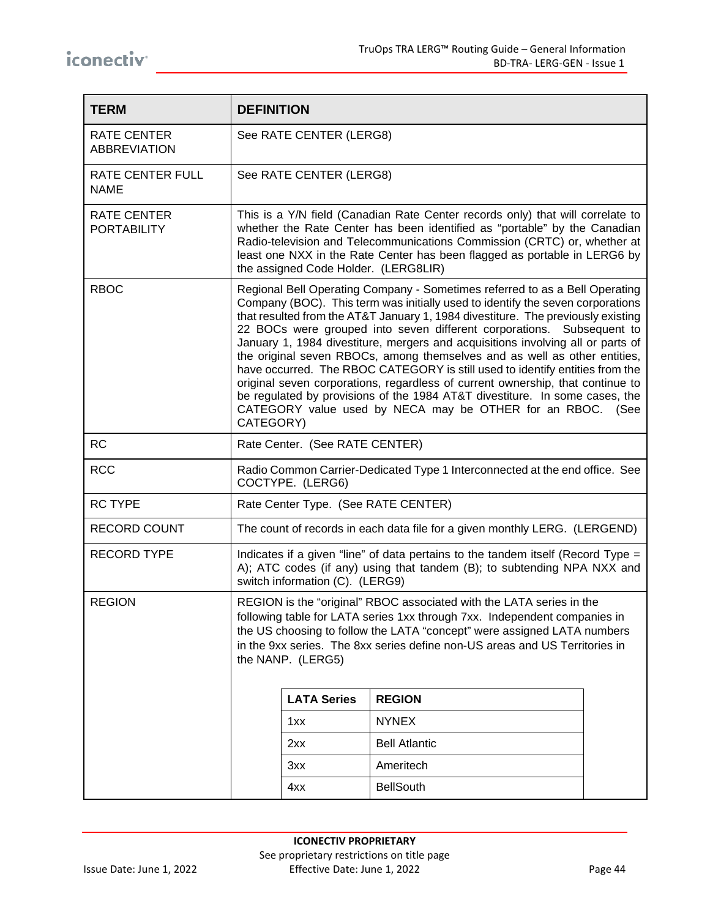| <b>TERM</b>                              | <b>DEFINITION</b>                                                                                                                                                                                                                                                                                                                |                                                                                                                                                                                                                                                                                                                                                                                                                                                                                                                                                                                                                                                                                                                                                                                                                        |                      |  |  |  |
|------------------------------------------|----------------------------------------------------------------------------------------------------------------------------------------------------------------------------------------------------------------------------------------------------------------------------------------------------------------------------------|------------------------------------------------------------------------------------------------------------------------------------------------------------------------------------------------------------------------------------------------------------------------------------------------------------------------------------------------------------------------------------------------------------------------------------------------------------------------------------------------------------------------------------------------------------------------------------------------------------------------------------------------------------------------------------------------------------------------------------------------------------------------------------------------------------------------|----------------------|--|--|--|
| RATE CENTER<br><b>ABBREVIATION</b>       | See RATE CENTER (LERG8)                                                                                                                                                                                                                                                                                                          |                                                                                                                                                                                                                                                                                                                                                                                                                                                                                                                                                                                                                                                                                                                                                                                                                        |                      |  |  |  |
| RATE CENTER FULL<br><b>NAME</b>          |                                                                                                                                                                                                                                                                                                                                  | See RATE CENTER (LERG8)                                                                                                                                                                                                                                                                                                                                                                                                                                                                                                                                                                                                                                                                                                                                                                                                |                      |  |  |  |
| <b>RATE CENTER</b><br><b>PORTABILITY</b> |                                                                                                                                                                                                                                                                                                                                  | This is a Y/N field (Canadian Rate Center records only) that will correlate to<br>whether the Rate Center has been identified as "portable" by the Canadian<br>Radio-television and Telecommunications Commission (CRTC) or, whether at<br>least one NXX in the Rate Center has been flagged as portable in LERG6 by<br>the assigned Code Holder. (LERG8LIR)                                                                                                                                                                                                                                                                                                                                                                                                                                                           |                      |  |  |  |
| <b>RBOC</b>                              |                                                                                                                                                                                                                                                                                                                                  | Regional Bell Operating Company - Sometimes referred to as a Bell Operating<br>Company (BOC). This term was initially used to identify the seven corporations<br>that resulted from the AT&T January 1, 1984 divestiture. The previously existing<br>22 BOCs were grouped into seven different corporations. Subsequent to<br>January 1, 1984 divestiture, mergers and acquisitions involving all or parts of<br>the original seven RBOCs, among themselves and as well as other entities,<br>have occurred. The RBOC CATEGORY is still used to identify entities from the<br>original seven corporations, regardless of current ownership, that continue to<br>be regulated by provisions of the 1984 AT&T divestiture. In some cases, the<br>CATEGORY value used by NECA may be OTHER for an RBOC. (See<br>CATEGORY) |                      |  |  |  |
| <b>RC</b>                                |                                                                                                                                                                                                                                                                                                                                  | Rate Center. (See RATE CENTER)                                                                                                                                                                                                                                                                                                                                                                                                                                                                                                                                                                                                                                                                                                                                                                                         |                      |  |  |  |
| <b>RCC</b>                               | Radio Common Carrier-Dedicated Type 1 Interconnected at the end office. See<br>COCTYPE. (LERG6)                                                                                                                                                                                                                                  |                                                                                                                                                                                                                                                                                                                                                                                                                                                                                                                                                                                                                                                                                                                                                                                                                        |                      |  |  |  |
| <b>RC TYPE</b>                           | Rate Center Type. (See RATE CENTER)                                                                                                                                                                                                                                                                                              |                                                                                                                                                                                                                                                                                                                                                                                                                                                                                                                                                                                                                                                                                                                                                                                                                        |                      |  |  |  |
| <b>RECORD COUNT</b>                      |                                                                                                                                                                                                                                                                                                                                  | The count of records in each data file for a given monthly LERG. (LERGEND)                                                                                                                                                                                                                                                                                                                                                                                                                                                                                                                                                                                                                                                                                                                                             |                      |  |  |  |
| <b>RECORD TYPE</b>                       | Indicates if a given "line" of data pertains to the tandem itself (Record Type =<br>A); ATC codes (if any) using that tandem (B); to subtending NPA NXX and<br>switch information (C). (LERG9)                                                                                                                                   |                                                                                                                                                                                                                                                                                                                                                                                                                                                                                                                                                                                                                                                                                                                                                                                                                        |                      |  |  |  |
| <b>REGION</b>                            | REGION is the "original" RBOC associated with the LATA series in the<br>following table for LATA series 1xx through 7xx. Independent companies in<br>the US choosing to follow the LATA "concept" were assigned LATA numbers<br>in the 9xx series. The 8xx series define non-US areas and US Territories in<br>the NANP. (LERG5) |                                                                                                                                                                                                                                                                                                                                                                                                                                                                                                                                                                                                                                                                                                                                                                                                                        |                      |  |  |  |
|                                          |                                                                                                                                                                                                                                                                                                                                  | <b>LATA Series</b>                                                                                                                                                                                                                                                                                                                                                                                                                                                                                                                                                                                                                                                                                                                                                                                                     | <b>REGION</b>        |  |  |  |
|                                          |                                                                                                                                                                                                                                                                                                                                  | 1xx                                                                                                                                                                                                                                                                                                                                                                                                                                                                                                                                                                                                                                                                                                                                                                                                                    | <b>NYNEX</b>         |  |  |  |
|                                          |                                                                                                                                                                                                                                                                                                                                  | 2xx                                                                                                                                                                                                                                                                                                                                                                                                                                                                                                                                                                                                                                                                                                                                                                                                                    | <b>Bell Atlantic</b> |  |  |  |
|                                          |                                                                                                                                                                                                                                                                                                                                  | 3xx                                                                                                                                                                                                                                                                                                                                                                                                                                                                                                                                                                                                                                                                                                                                                                                                                    | Ameritech            |  |  |  |
|                                          |                                                                                                                                                                                                                                                                                                                                  | 4xx                                                                                                                                                                                                                                                                                                                                                                                                                                                                                                                                                                                                                                                                                                                                                                                                                    | <b>BellSouth</b>     |  |  |  |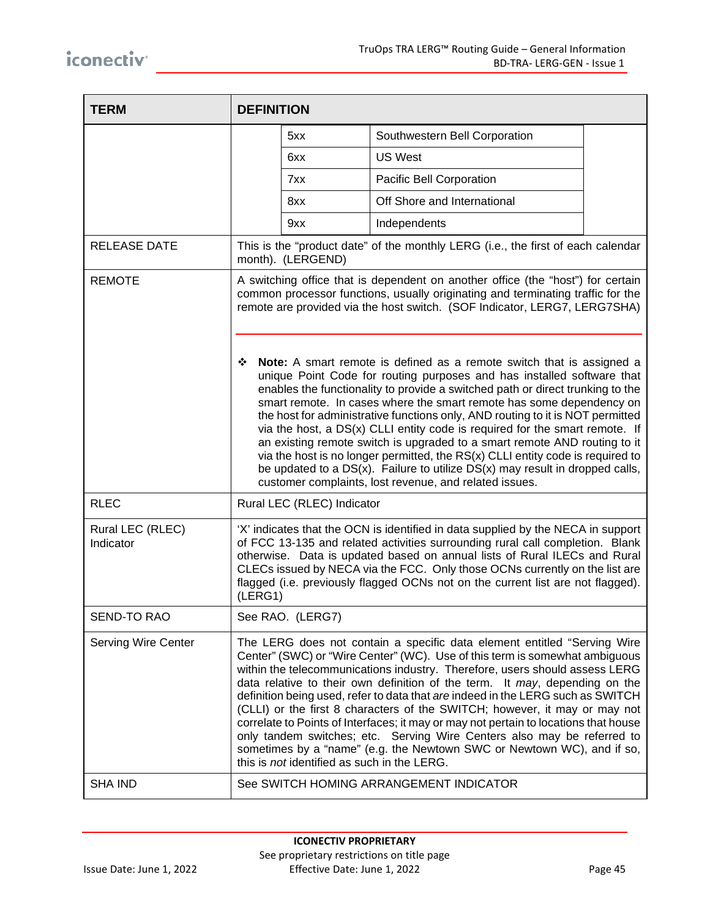| <b>TERM</b>                   | <b>DEFINITION</b>                                                                                                                                                                                                                                                                                                                                                                                                                                                                                                                                                                                                                                                                                                                                                                                                                                                                                                                                                                                                                                       |                                             |                                                                                                                                                                                                                                                                                                                                                                                                                                                                                                                                                                                                                                                                                                                                     |  |
|-------------------------------|---------------------------------------------------------------------------------------------------------------------------------------------------------------------------------------------------------------------------------------------------------------------------------------------------------------------------------------------------------------------------------------------------------------------------------------------------------------------------------------------------------------------------------------------------------------------------------------------------------------------------------------------------------------------------------------------------------------------------------------------------------------------------------------------------------------------------------------------------------------------------------------------------------------------------------------------------------------------------------------------------------------------------------------------------------|---------------------------------------------|-------------------------------------------------------------------------------------------------------------------------------------------------------------------------------------------------------------------------------------------------------------------------------------------------------------------------------------------------------------------------------------------------------------------------------------------------------------------------------------------------------------------------------------------------------------------------------------------------------------------------------------------------------------------------------------------------------------------------------------|--|
|                               |                                                                                                                                                                                                                                                                                                                                                                                                                                                                                                                                                                                                                                                                                                                                                                                                                                                                                                                                                                                                                                                         | 5xx                                         | Southwestern Bell Corporation                                                                                                                                                                                                                                                                                                                                                                                                                                                                                                                                                                                                                                                                                                       |  |
|                               |                                                                                                                                                                                                                                                                                                                                                                                                                                                                                                                                                                                                                                                                                                                                                                                                                                                                                                                                                                                                                                                         | 6xx                                         | <b>US West</b>                                                                                                                                                                                                                                                                                                                                                                                                                                                                                                                                                                                                                                                                                                                      |  |
|                               |                                                                                                                                                                                                                                                                                                                                                                                                                                                                                                                                                                                                                                                                                                                                                                                                                                                                                                                                                                                                                                                         | 7xx                                         | Pacific Bell Corporation                                                                                                                                                                                                                                                                                                                                                                                                                                                                                                                                                                                                                                                                                                            |  |
|                               |                                                                                                                                                                                                                                                                                                                                                                                                                                                                                                                                                                                                                                                                                                                                                                                                                                                                                                                                                                                                                                                         | 8xx                                         | Off Shore and International                                                                                                                                                                                                                                                                                                                                                                                                                                                                                                                                                                                                                                                                                                         |  |
|                               |                                                                                                                                                                                                                                                                                                                                                                                                                                                                                                                                                                                                                                                                                                                                                                                                                                                                                                                                                                                                                                                         | 9xx                                         | Independents                                                                                                                                                                                                                                                                                                                                                                                                                                                                                                                                                                                                                                                                                                                        |  |
| <b>RELEASE DATE</b>           | This is the "product date" of the monthly LERG (i.e., the first of each calendar<br>month). (LERGEND)                                                                                                                                                                                                                                                                                                                                                                                                                                                                                                                                                                                                                                                                                                                                                                                                                                                                                                                                                   |                                             |                                                                                                                                                                                                                                                                                                                                                                                                                                                                                                                                                                                                                                                                                                                                     |  |
| <b>REMOTE</b>                 | A switching office that is dependent on another office (the "host") for certain<br>common processor functions, usually originating and terminating traffic for the<br>remote are provided via the host switch. (SOF Indicator, LERG7, LERG7SHA)<br><b>Note:</b> A smart remote is defined as a remote switch that is assigned a<br>❖<br>unique Point Code for routing purposes and has installed software that<br>enables the functionality to provide a switched path or direct trunking to the<br>smart remote. In cases where the smart remote has some dependency on<br>the host for administrative functions only, AND routing to it is NOT permitted<br>via the host, a DS(x) CLLI entity code is required for the smart remote. If<br>an existing remote switch is upgraded to a smart remote AND routing to it<br>via the host is no longer permitted, the RS(x) CLLI entity code is required to<br>be updated to a $DS(x)$ . Failure to utilize $DS(x)$ may result in dropped calls,<br>customer complaints, lost revenue, and related issues. |                                             |                                                                                                                                                                                                                                                                                                                                                                                                                                                                                                                                                                                                                                                                                                                                     |  |
| <b>RLEC</b>                   |                                                                                                                                                                                                                                                                                                                                                                                                                                                                                                                                                                                                                                                                                                                                                                                                                                                                                                                                                                                                                                                         | Rural LEC (RLEC) Indicator                  |                                                                                                                                                                                                                                                                                                                                                                                                                                                                                                                                                                                                                                                                                                                                     |  |
| Rural LEC (RLEC)<br>Indicator | (LERG1)                                                                                                                                                                                                                                                                                                                                                                                                                                                                                                                                                                                                                                                                                                                                                                                                                                                                                                                                                                                                                                                 |                                             | 'X' indicates that the OCN is identified in data supplied by the NECA in support<br>of FCC 13-135 and related activities surrounding rural call completion. Blank<br>otherwise. Data is updated based on annual lists of Rural ILECs and Rural<br>CLECs issued by NECA via the FCC. Only those OCNs currently on the list are<br>flagged (i.e. previously flagged OCNs not on the current list are not flagged).                                                                                                                                                                                                                                                                                                                    |  |
| SEND-TO RAO                   |                                                                                                                                                                                                                                                                                                                                                                                                                                                                                                                                                                                                                                                                                                                                                                                                                                                                                                                                                                                                                                                         | See RAO. (LERG7)                            |                                                                                                                                                                                                                                                                                                                                                                                                                                                                                                                                                                                                                                                                                                                                     |  |
| <b>Serving Wire Center</b>    |                                                                                                                                                                                                                                                                                                                                                                                                                                                                                                                                                                                                                                                                                                                                                                                                                                                                                                                                                                                                                                                         | this is not identified as such in the LERG. | The LERG does not contain a specific data element entitled "Serving Wire<br>Center" (SWC) or "Wire Center" (WC). Use of this term is somewhat ambiguous<br>within the telecommunications industry. Therefore, users should assess LERG<br>data relative to their own definition of the term. It may, depending on the<br>definition being used, refer to data that are indeed in the LERG such as SWITCH<br>(CLLI) or the first 8 characters of the SWITCH; however, it may or may not<br>correlate to Points of Interfaces; it may or may not pertain to locations that house<br>only tandem switches; etc. Serving Wire Centers also may be referred to<br>sometimes by a "name" (e.g. the Newtown SWC or Newtown WC), and if so, |  |
| <b>SHA IND</b>                |                                                                                                                                                                                                                                                                                                                                                                                                                                                                                                                                                                                                                                                                                                                                                                                                                                                                                                                                                                                                                                                         |                                             | See SWITCH HOMING ARRANGEMENT INDICATOR                                                                                                                                                                                                                                                                                                                                                                                                                                                                                                                                                                                                                                                                                             |  |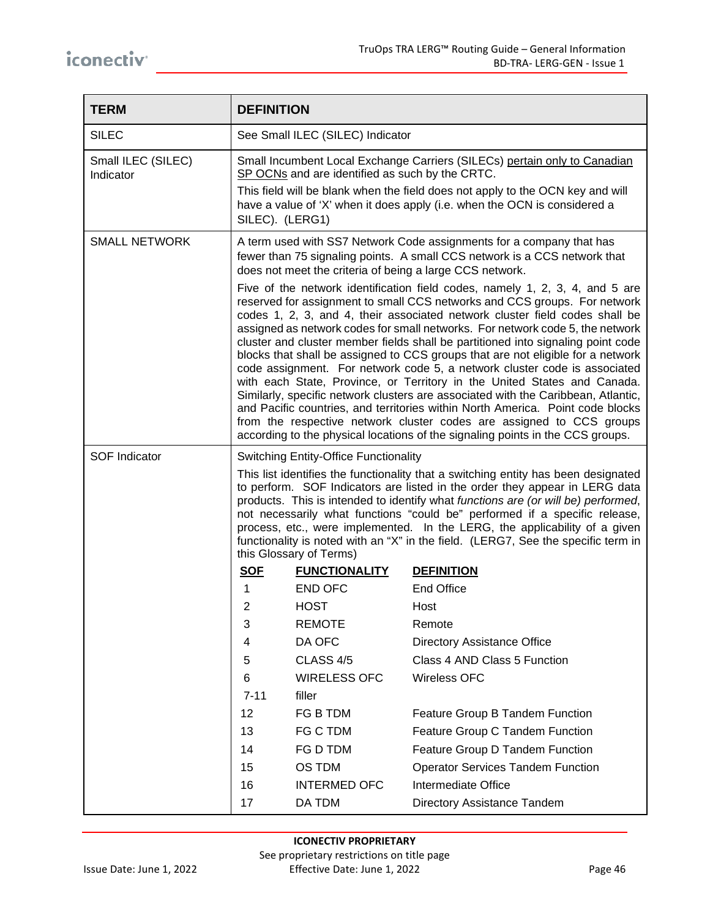| <b>TERM</b>                     | <b>DEFINITION</b>                                                                                                                                                                                                                                                                                                                                                                                                                                                                                                                  |                                                 |                                                                                                                                                                                                                                                                                                                                                                                                                                                                                                                                                                                                                                                                                                                                                                                                                                                                                                                                                                                            |
|---------------------------------|------------------------------------------------------------------------------------------------------------------------------------------------------------------------------------------------------------------------------------------------------------------------------------------------------------------------------------------------------------------------------------------------------------------------------------------------------------------------------------------------------------------------------------|-------------------------------------------------|--------------------------------------------------------------------------------------------------------------------------------------------------------------------------------------------------------------------------------------------------------------------------------------------------------------------------------------------------------------------------------------------------------------------------------------------------------------------------------------------------------------------------------------------------------------------------------------------------------------------------------------------------------------------------------------------------------------------------------------------------------------------------------------------------------------------------------------------------------------------------------------------------------------------------------------------------------------------------------------------|
| <b>SILEC</b>                    | See Small ILEC (SILEC) Indicator                                                                                                                                                                                                                                                                                                                                                                                                                                                                                                   |                                                 |                                                                                                                                                                                                                                                                                                                                                                                                                                                                                                                                                                                                                                                                                                                                                                                                                                                                                                                                                                                            |
| Small ILEC (SILEC)<br>Indicator | SILEC). (LERG1)                                                                                                                                                                                                                                                                                                                                                                                                                                                                                                                    | SP OCNs and are identified as such by the CRTC. | Small Incumbent Local Exchange Carriers (SILECs) pertain only to Canadian<br>This field will be blank when the field does not apply to the OCN key and will<br>have a value of 'X' when it does apply (i.e. when the OCN is considered a                                                                                                                                                                                                                                                                                                                                                                                                                                                                                                                                                                                                                                                                                                                                                   |
| <b>SMALL NETWORK</b>            | A term used with SS7 Network Code assignments for a company that has<br>fewer than 75 signaling points. A small CCS network is a CCS network that<br>does not meet the criteria of being a large CCS network.                                                                                                                                                                                                                                                                                                                      |                                                 |                                                                                                                                                                                                                                                                                                                                                                                                                                                                                                                                                                                                                                                                                                                                                                                                                                                                                                                                                                                            |
|                                 |                                                                                                                                                                                                                                                                                                                                                                                                                                                                                                                                    |                                                 | Five of the network identification field codes, namely 1, 2, 3, 4, and 5 are<br>reserved for assignment to small CCS networks and CCS groups. For network<br>codes 1, 2, 3, and 4, their associated network cluster field codes shall be<br>assigned as network codes for small networks. For network code 5, the network<br>cluster and cluster member fields shall be partitioned into signaling point code<br>blocks that shall be assigned to CCS groups that are not eligible for a network<br>code assignment. For network code 5, a network cluster code is associated<br>with each State, Province, or Territory in the United States and Canada.<br>Similarly, specific network clusters are associated with the Caribbean, Atlantic,<br>and Pacific countries, and territories within North America. Point code blocks<br>from the respective network cluster codes are assigned to CCS groups<br>according to the physical locations of the signaling points in the CCS groups. |
| <b>SOF Indicator</b>            |                                                                                                                                                                                                                                                                                                                                                                                                                                                                                                                                    | <b>Switching Entity-Office Functionality</b>    |                                                                                                                                                                                                                                                                                                                                                                                                                                                                                                                                                                                                                                                                                                                                                                                                                                                                                                                                                                                            |
|                                 | This list identifies the functionality that a switching entity has been designated<br>to perform. SOF Indicators are listed in the order they appear in LERG data<br>products. This is intended to identify what functions are (or will be) performed,<br>not necessarily what functions "could be" performed if a specific release,<br>process, etc., were implemented. In the LERG, the applicability of a given<br>functionality is noted with an "X" in the field. (LERG7, See the specific term in<br>this Glossary of Terms) |                                                 |                                                                                                                                                                                                                                                                                                                                                                                                                                                                                                                                                                                                                                                                                                                                                                                                                                                                                                                                                                                            |
|                                 | <b>SOF</b>                                                                                                                                                                                                                                                                                                                                                                                                                                                                                                                         | <b>FUNCTIONALITY</b>                            | <b>DEFINITION</b>                                                                                                                                                                                                                                                                                                                                                                                                                                                                                                                                                                                                                                                                                                                                                                                                                                                                                                                                                                          |
|                                 | 1                                                                                                                                                                                                                                                                                                                                                                                                                                                                                                                                  | <b>END OFC</b>                                  | <b>End Office</b>                                                                                                                                                                                                                                                                                                                                                                                                                                                                                                                                                                                                                                                                                                                                                                                                                                                                                                                                                                          |
|                                 | 2                                                                                                                                                                                                                                                                                                                                                                                                                                                                                                                                  | <b>HOST</b>                                     | Host                                                                                                                                                                                                                                                                                                                                                                                                                                                                                                                                                                                                                                                                                                                                                                                                                                                                                                                                                                                       |
|                                 | 3                                                                                                                                                                                                                                                                                                                                                                                                                                                                                                                                  | <b>REMOTE</b>                                   | Remote                                                                                                                                                                                                                                                                                                                                                                                                                                                                                                                                                                                                                                                                                                                                                                                                                                                                                                                                                                                     |
|                                 | 4                                                                                                                                                                                                                                                                                                                                                                                                                                                                                                                                  | DA OFC                                          | <b>Directory Assistance Office</b>                                                                                                                                                                                                                                                                                                                                                                                                                                                                                                                                                                                                                                                                                                                                                                                                                                                                                                                                                         |
|                                 | 5                                                                                                                                                                                                                                                                                                                                                                                                                                                                                                                                  | CLASS 4/5                                       | Class 4 AND Class 5 Function                                                                                                                                                                                                                                                                                                                                                                                                                                                                                                                                                                                                                                                                                                                                                                                                                                                                                                                                                               |
|                                 | 6                                                                                                                                                                                                                                                                                                                                                                                                                                                                                                                                  | <b>WIRELESS OFC</b>                             | <b>Wireless OFC</b>                                                                                                                                                                                                                                                                                                                                                                                                                                                                                                                                                                                                                                                                                                                                                                                                                                                                                                                                                                        |
|                                 | $7 - 11$                                                                                                                                                                                                                                                                                                                                                                                                                                                                                                                           | filler                                          |                                                                                                                                                                                                                                                                                                                                                                                                                                                                                                                                                                                                                                                                                                                                                                                                                                                                                                                                                                                            |
|                                 | 12                                                                                                                                                                                                                                                                                                                                                                                                                                                                                                                                 | FG B TDM                                        | Feature Group B Tandem Function                                                                                                                                                                                                                                                                                                                                                                                                                                                                                                                                                                                                                                                                                                                                                                                                                                                                                                                                                            |
|                                 | 13                                                                                                                                                                                                                                                                                                                                                                                                                                                                                                                                 | FG C TDM                                        | Feature Group C Tandem Function                                                                                                                                                                                                                                                                                                                                                                                                                                                                                                                                                                                                                                                                                                                                                                                                                                                                                                                                                            |
|                                 | 14                                                                                                                                                                                                                                                                                                                                                                                                                                                                                                                                 | FG D TDM                                        | Feature Group D Tandem Function                                                                                                                                                                                                                                                                                                                                                                                                                                                                                                                                                                                                                                                                                                                                                                                                                                                                                                                                                            |
|                                 | 15                                                                                                                                                                                                                                                                                                                                                                                                                                                                                                                                 | OS TDM                                          | <b>Operator Services Tandem Function</b>                                                                                                                                                                                                                                                                                                                                                                                                                                                                                                                                                                                                                                                                                                                                                                                                                                                                                                                                                   |
|                                 | 16                                                                                                                                                                                                                                                                                                                                                                                                                                                                                                                                 | <b>INTERMED OFC</b>                             | Intermediate Office                                                                                                                                                                                                                                                                                                                                                                                                                                                                                                                                                                                                                                                                                                                                                                                                                                                                                                                                                                        |
|                                 | 17                                                                                                                                                                                                                                                                                                                                                                                                                                                                                                                                 | DA TDM                                          | Directory Assistance Tandem                                                                                                                                                                                                                                                                                                                                                                                                                                                                                                                                                                                                                                                                                                                                                                                                                                                                                                                                                                |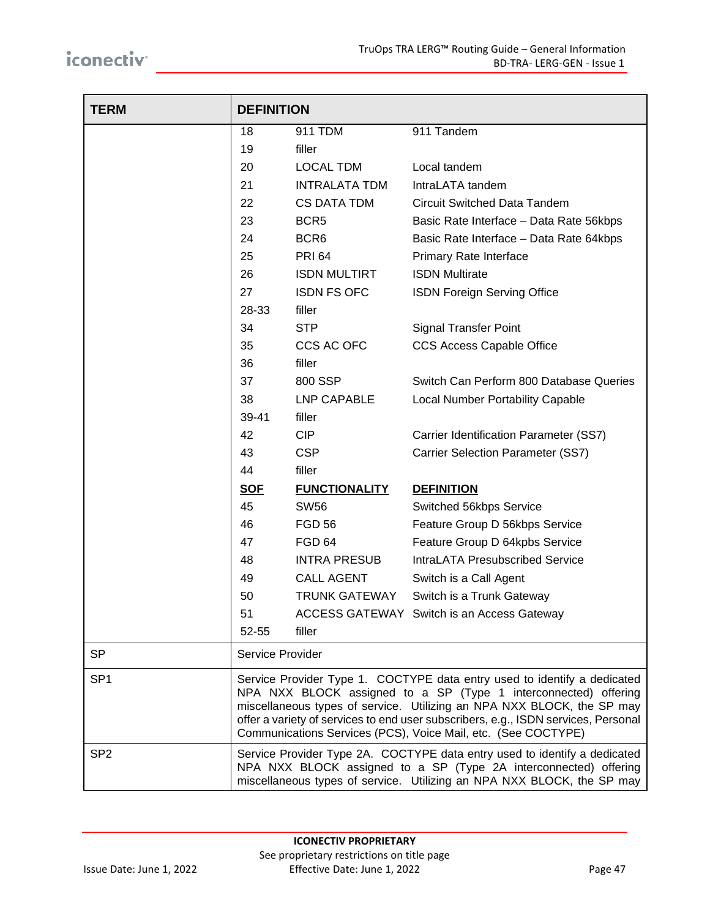| <b>TERM</b>     | <b>DEFINITION</b>                                                                                                                                                                                                       |                      |                                                                                                                                                                                                                                                                                                                                                                              |
|-----------------|-------------------------------------------------------------------------------------------------------------------------------------------------------------------------------------------------------------------------|----------------------|------------------------------------------------------------------------------------------------------------------------------------------------------------------------------------------------------------------------------------------------------------------------------------------------------------------------------------------------------------------------------|
|                 | 18                                                                                                                                                                                                                      | 911 TDM              | 911 Tandem                                                                                                                                                                                                                                                                                                                                                                   |
|                 | 19                                                                                                                                                                                                                      | filler               |                                                                                                                                                                                                                                                                                                                                                                              |
|                 | 20                                                                                                                                                                                                                      | <b>LOCAL TDM</b>     | Local tandem                                                                                                                                                                                                                                                                                                                                                                 |
|                 | 21                                                                                                                                                                                                                      | <b>INTRALATA TDM</b> | IntraLATA tandem                                                                                                                                                                                                                                                                                                                                                             |
|                 | 22                                                                                                                                                                                                                      | <b>CS DATA TDM</b>   | <b>Circuit Switched Data Tandem</b>                                                                                                                                                                                                                                                                                                                                          |
|                 | 23                                                                                                                                                                                                                      | BCR <sub>5</sub>     | Basic Rate Interface - Data Rate 56kbps                                                                                                                                                                                                                                                                                                                                      |
|                 | 24                                                                                                                                                                                                                      | BCR <sub>6</sub>     | Basic Rate Interface - Data Rate 64kbps                                                                                                                                                                                                                                                                                                                                      |
|                 | 25                                                                                                                                                                                                                      | <b>PRI 64</b>        | Primary Rate Interface                                                                                                                                                                                                                                                                                                                                                       |
|                 | 26                                                                                                                                                                                                                      | <b>ISDN MULTIRT</b>  | <b>ISDN Multirate</b>                                                                                                                                                                                                                                                                                                                                                        |
|                 | 27                                                                                                                                                                                                                      | <b>ISDN FS OFC</b>   | ISDN Foreign Serving Office                                                                                                                                                                                                                                                                                                                                                  |
|                 | 28-33                                                                                                                                                                                                                   | filler               |                                                                                                                                                                                                                                                                                                                                                                              |
|                 | 34                                                                                                                                                                                                                      | <b>STP</b>           | <b>Signal Transfer Point</b>                                                                                                                                                                                                                                                                                                                                                 |
|                 | 35                                                                                                                                                                                                                      | CCS AC OFC           | CCS Access Capable Office                                                                                                                                                                                                                                                                                                                                                    |
|                 | 36                                                                                                                                                                                                                      | filler               |                                                                                                                                                                                                                                                                                                                                                                              |
|                 | 37                                                                                                                                                                                                                      | 800 SSP              | Switch Can Perform 800 Database Queries                                                                                                                                                                                                                                                                                                                                      |
|                 | 38                                                                                                                                                                                                                      | <b>LNP CAPABLE</b>   | Local Number Portability Capable                                                                                                                                                                                                                                                                                                                                             |
|                 | 39-41                                                                                                                                                                                                                   | filler               |                                                                                                                                                                                                                                                                                                                                                                              |
|                 | 42                                                                                                                                                                                                                      | <b>CIP</b>           | Carrier Identification Parameter (SS7)                                                                                                                                                                                                                                                                                                                                       |
|                 | 43                                                                                                                                                                                                                      | <b>CSP</b>           | Carrier Selection Parameter (SS7)                                                                                                                                                                                                                                                                                                                                            |
|                 | 44                                                                                                                                                                                                                      | filler               |                                                                                                                                                                                                                                                                                                                                                                              |
|                 | <b>SOF</b>                                                                                                                                                                                                              | <b>FUNCTIONALITY</b> | <b>DEFINITION</b>                                                                                                                                                                                                                                                                                                                                                            |
|                 | 45                                                                                                                                                                                                                      | <b>SW56</b>          | Switched 56kbps Service                                                                                                                                                                                                                                                                                                                                                      |
|                 | 46                                                                                                                                                                                                                      | <b>FGD 56</b>        | Feature Group D 56kbps Service                                                                                                                                                                                                                                                                                                                                               |
|                 | 47                                                                                                                                                                                                                      | FGD <sub>64</sub>    | Feature Group D 64kpbs Service                                                                                                                                                                                                                                                                                                                                               |
|                 | 48                                                                                                                                                                                                                      | <b>INTRA PRESUB</b>  | <b>IntraLATA Presubscribed Service</b>                                                                                                                                                                                                                                                                                                                                       |
|                 | 49                                                                                                                                                                                                                      | <b>CALL AGENT</b>    | Switch is a Call Agent                                                                                                                                                                                                                                                                                                                                                       |
|                 | 50                                                                                                                                                                                                                      | <b>TRUNK GATEWAY</b> | Switch is a Trunk Gateway                                                                                                                                                                                                                                                                                                                                                    |
|                 | 51                                                                                                                                                                                                                      |                      | ACCESS GATEWAY Switch is an Access Gateway                                                                                                                                                                                                                                                                                                                                   |
|                 | 52-55                                                                                                                                                                                                                   | filler               |                                                                                                                                                                                                                                                                                                                                                                              |
| <b>SP</b>       | Service Provider                                                                                                                                                                                                        |                      |                                                                                                                                                                                                                                                                                                                                                                              |
| SP <sub>1</sub> |                                                                                                                                                                                                                         |                      | Service Provider Type 1. COCTYPE data entry used to identify a dedicated<br>NPA NXX BLOCK assigned to a SP (Type 1 interconnected) offering<br>miscellaneous types of service. Utilizing an NPA NXX BLOCK, the SP may<br>offer a variety of services to end user subscribers, e.g., ISDN services, Personal<br>Communications Services (PCS), Voice Mail, etc. (See COCTYPE) |
| SP <sub>2</sub> | Service Provider Type 2A. COCTYPE data entry used to identify a dedicated<br>NPA NXX BLOCK assigned to a SP (Type 2A interconnected) offering<br>miscellaneous types of service. Utilizing an NPA NXX BLOCK, the SP may |                      |                                                                                                                                                                                                                                                                                                                                                                              |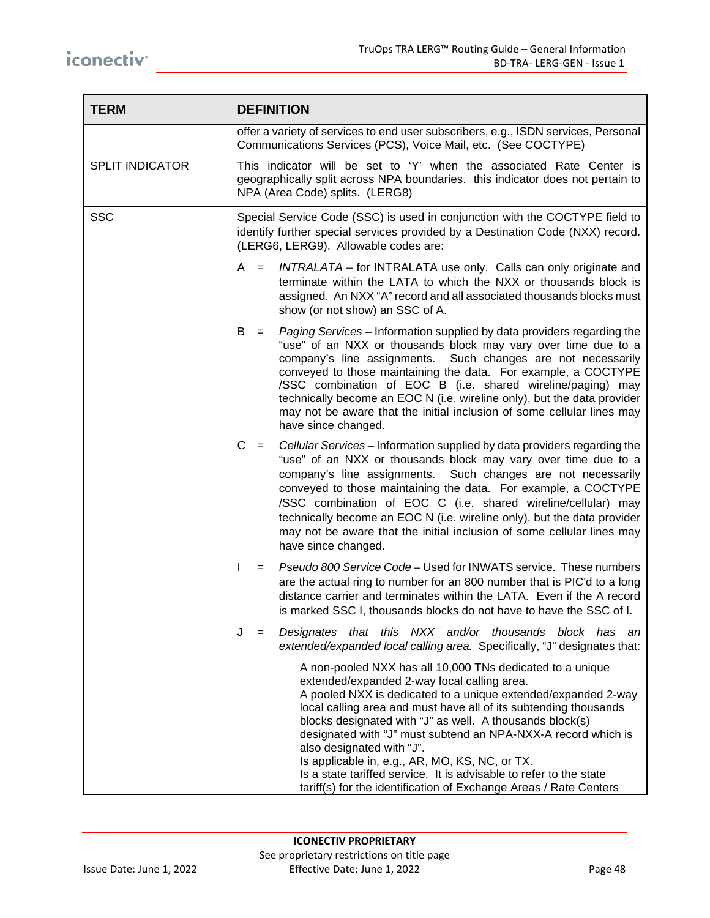| <b>TERM</b>            | <b>DEFINITION</b>                                                                                                                                                                                                                                                                                                                                                                                                                                                                                                                                                                                    |  |
|------------------------|------------------------------------------------------------------------------------------------------------------------------------------------------------------------------------------------------------------------------------------------------------------------------------------------------------------------------------------------------------------------------------------------------------------------------------------------------------------------------------------------------------------------------------------------------------------------------------------------------|--|
|                        | offer a variety of services to end user subscribers, e.g., ISDN services, Personal<br>Communications Services (PCS), Voice Mail, etc. (See COCTYPE)                                                                                                                                                                                                                                                                                                                                                                                                                                                  |  |
| <b>SPLIT INDICATOR</b> | This indicator will be set to 'Y' when the associated Rate Center is<br>geographically split across NPA boundaries. this indicator does not pertain to<br>NPA (Area Code) splits. (LERG8)                                                                                                                                                                                                                                                                                                                                                                                                            |  |
| <b>SSC</b>             | Special Service Code (SSC) is used in conjunction with the COCTYPE field to<br>identify further special services provided by a Destination Code (NXX) record.<br>(LERG6, LERG9). Allowable codes are:                                                                                                                                                                                                                                                                                                                                                                                                |  |
|                        | INTRALATA – for INTRALATA use only. Calls can only originate and<br>A<br>$=$<br>terminate within the LATA to which the NXX or thousands block is<br>assigned. An NXX "A" record and all associated thousands blocks must<br>show (or not show) an SSC of A.                                                                                                                                                                                                                                                                                                                                          |  |
|                        | Paging Services - Information supplied by data providers regarding the<br>B<br>$=$<br>"use" of an NXX or thousands block may vary over time due to a<br>company's line assignments.<br>Such changes are not necessarily<br>conveyed to those maintaining the data. For example, a COCTYPE<br>/SSC combination of EOC B (i.e. shared wireline/paging) may<br>technically become an EOC N (i.e. wireline only), but the data provider<br>may not be aware that the initial inclusion of some cellular lines may<br>have since changed.                                                                 |  |
|                        | C<br>Cellular Services – Information supplied by data providers regarding the<br>$=$<br>"use" of an NXX or thousands block may vary over time due to a<br>company's line assignments. Such changes are not necessarily<br>conveyed to those maintaining the data. For example, a COCTYPE<br>/SSC combination of EOC C (i.e. shared wireline/cellular) may<br>technically become an EOC N (i.e. wireline only), but the data provider<br>may not be aware that the initial inclusion of some cellular lines may<br>have since changed.                                                                |  |
|                        | Pseudo 800 Service Code - Used for INWATS service. These numbers<br>J.<br>$=$<br>are the actual ring to number for an 800 number that is PIC'd to a long<br>distance carrier and terminates within the LATA. Even if the A record<br>is marked SSC I, thousands blocks do not have to have the SSC of I.                                                                                                                                                                                                                                                                                             |  |
|                        | J<br>Designates that this NXX and/or thousands block has an<br>$=$<br>extended/expanded local calling area. Specifically, "J" designates that:                                                                                                                                                                                                                                                                                                                                                                                                                                                       |  |
|                        | A non-pooled NXX has all 10,000 TNs dedicated to a unique<br>extended/expanded 2-way local calling area.<br>A pooled NXX is dedicated to a unique extended/expanded 2-way<br>local calling area and must have all of its subtending thousands<br>blocks designated with "J" as well. A thousands block(s)<br>designated with "J" must subtend an NPA-NXX-A record which is<br>also designated with "J".<br>Is applicable in, e.g., AR, MO, KS, NC, or TX.<br>Is a state tariffed service. It is advisable to refer to the state<br>tariff(s) for the identification of Exchange Areas / Rate Centers |  |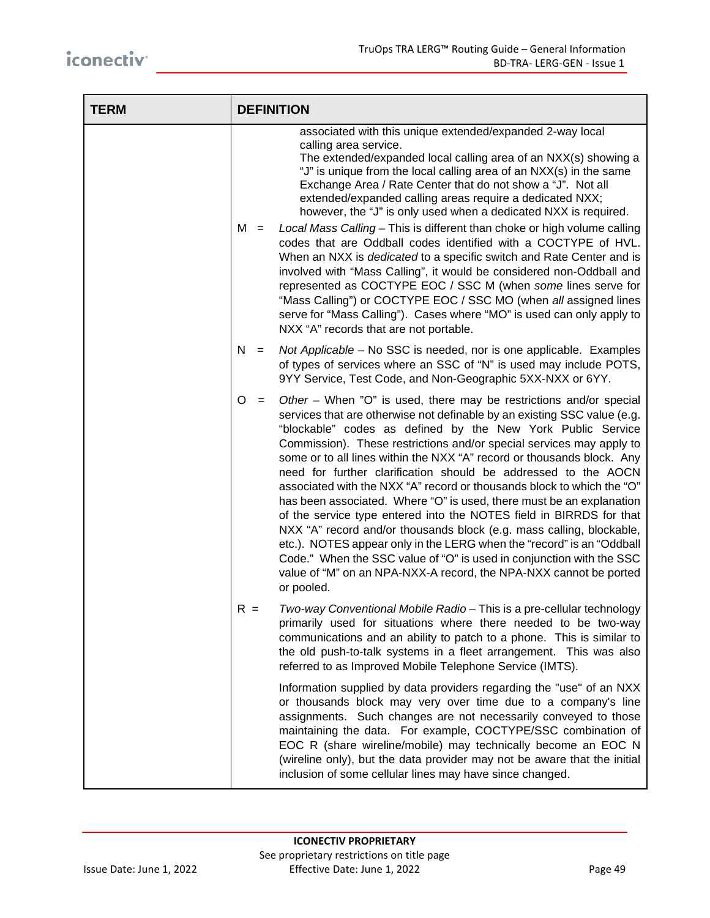| <b>TERM</b> | <b>DEFINITION</b> |                                                                                                                                                                                                                                                                                                                                                                                                                                                                                                                                                                                                                                                                                                                                                                                                                                                                                                                                                                                        |
|-------------|-------------------|----------------------------------------------------------------------------------------------------------------------------------------------------------------------------------------------------------------------------------------------------------------------------------------------------------------------------------------------------------------------------------------------------------------------------------------------------------------------------------------------------------------------------------------------------------------------------------------------------------------------------------------------------------------------------------------------------------------------------------------------------------------------------------------------------------------------------------------------------------------------------------------------------------------------------------------------------------------------------------------|
|             | $M =$             | associated with this unique extended/expanded 2-way local<br>calling area service.<br>The extended/expanded local calling area of an NXX(s) showing a<br>"J" is unique from the local calling area of an NXX(s) in the same<br>Exchange Area / Rate Center that do not show a "J". Not all<br>extended/expanded calling areas require a dedicated NXX;<br>however, the "J" is only used when a dedicated NXX is required.<br>Local Mass Calling - This is different than choke or high volume calling<br>codes that are Oddball codes identified with a COCTYPE of HVL.<br>When an NXX is <i>dedicated</i> to a specific switch and Rate Center and is<br>involved with "Mass Calling", it would be considered non-Oddball and<br>represented as COCTYPE EOC / SSC M (when some lines serve for<br>"Mass Calling") or COCTYPE EOC / SSC MO (when all assigned lines<br>serve for "Mass Calling"). Cases where "MO" is used can only apply to<br>NXX "A" records that are not portable. |
|             | N<br>$=$          | Not Applicable - No SSC is needed, nor is one applicable. Examples<br>of types of services where an SSC of "N" is used may include POTS,<br>9YY Service, Test Code, and Non-Geographic 5XX-NXX or 6YY.                                                                                                                                                                                                                                                                                                                                                                                                                                                                                                                                                                                                                                                                                                                                                                                 |
|             | O<br>$=$          | Other – When "O" is used, there may be restrictions and/or special<br>services that are otherwise not definable by an existing SSC value (e.g.<br>"blockable" codes as defined by the New York Public Service<br>Commission). These restrictions and/or special services may apply to<br>some or to all lines within the NXX "A" record or thousands block. Any<br>need for further clarification should be addressed to the AOCN<br>associated with the NXX "A" record or thousands block to which the "O"<br>has been associated. Where "O" is used, there must be an explanation<br>of the service type entered into the NOTES field in BIRRDS for that<br>NXX "A" record and/or thousands block (e.g. mass calling, blockable,<br>etc.). NOTES appear only in the LERG when the "record" is an "Oddball<br>Code." When the SSC value of "O" is used in conjunction with the SSC<br>value of "M" on an NPA-NXX-A record, the NPA-NXX cannot be ported<br>or pooled.                 |
|             | $R =$             | Two-way Conventional Mobile Radio - This is a pre-cellular technology<br>primarily used for situations where there needed to be two-way<br>communications and an ability to patch to a phone. This is similar to<br>the old push-to-talk systems in a fleet arrangement. This was also<br>referred to as Improved Mobile Telephone Service (IMTS).                                                                                                                                                                                                                                                                                                                                                                                                                                                                                                                                                                                                                                     |
|             |                   | Information supplied by data providers regarding the "use" of an NXX<br>or thousands block may very over time due to a company's line<br>assignments. Such changes are not necessarily conveyed to those<br>maintaining the data. For example, COCTYPE/SSC combination of<br>EOC R (share wireline/mobile) may technically become an EOC N<br>(wireline only), but the data provider may not be aware that the initial<br>inclusion of some cellular lines may have since changed.                                                                                                                                                                                                                                                                                                                                                                                                                                                                                                     |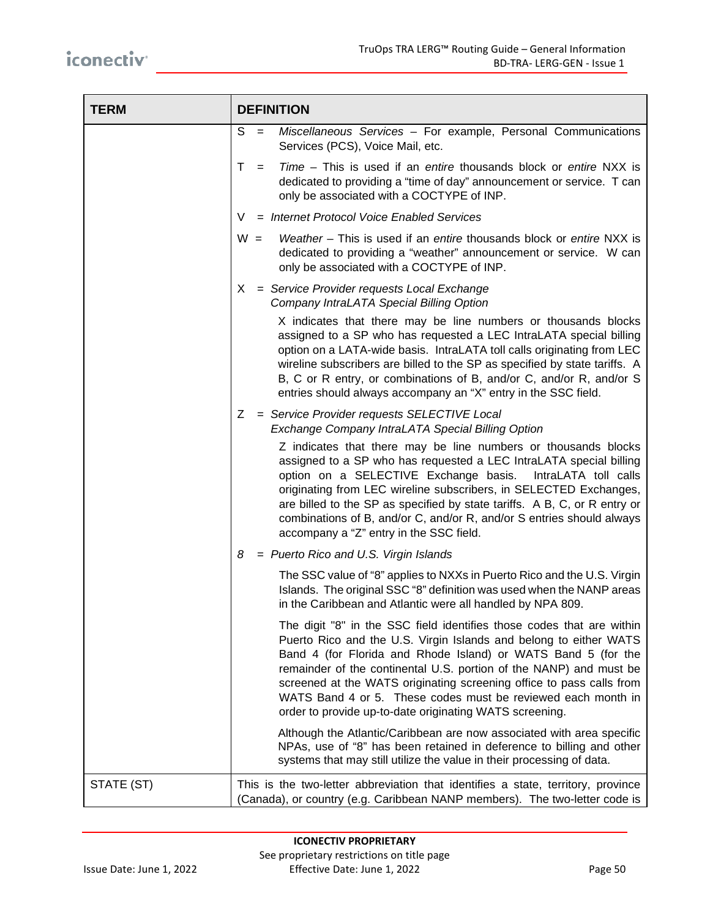| <b>TERM</b> | <b>DEFINITION</b>                                                                                                                                                                                                                                                                                                                                                                                                                                                                                                                                                                     |  |  |
|-------------|---------------------------------------------------------------------------------------------------------------------------------------------------------------------------------------------------------------------------------------------------------------------------------------------------------------------------------------------------------------------------------------------------------------------------------------------------------------------------------------------------------------------------------------------------------------------------------------|--|--|
|             | S<br>Miscellaneous Services - For example, Personal Communications<br>$=$<br>Services (PCS), Voice Mail, etc.                                                                                                                                                                                                                                                                                                                                                                                                                                                                         |  |  |
|             | T.<br><i>Time – This is used if an entire thousands block or entire NXX is</i><br>$=$<br>dedicated to providing a "time of day" announcement or service. T can<br>only be associated with a COCTYPE of INP.                                                                                                                                                                                                                                                                                                                                                                           |  |  |
|             | = Internet Protocol Voice Enabled Services<br>V                                                                                                                                                                                                                                                                                                                                                                                                                                                                                                                                       |  |  |
|             | Weather - This is used if an entire thousands block or entire NXX is<br>$W =$<br>dedicated to providing a "weather" announcement or service. W can<br>only be associated with a COCTYPE of INP.                                                                                                                                                                                                                                                                                                                                                                                       |  |  |
|             | = Service Provider requests Local Exchange<br>X.<br>Company IntraLATA Special Billing Option                                                                                                                                                                                                                                                                                                                                                                                                                                                                                          |  |  |
|             | X indicates that there may be line numbers or thousands blocks<br>assigned to a SP who has requested a LEC IntraLATA special billing<br>option on a LATA-wide basis. IntraLATA toll calls originating from LEC<br>wireline subscribers are billed to the SP as specified by state tariffs. A<br>B, C or R entry, or combinations of B, and/or C, and/or R, and/or S<br>entries should always accompany an "X" entry in the SSC field.                                                                                                                                                 |  |  |
|             | Z.<br>= Service Provider requests SELECTIVE Local<br>Exchange Company IntraLATA Special Billing Option<br>Z indicates that there may be line numbers or thousands blocks<br>assigned to a SP who has requested a LEC IntraLATA special billing<br>option on a SELECTIVE Exchange basis.<br>IntraLATA toll calls<br>originating from LEC wireline subscribers, in SELECTED Exchanges,<br>are billed to the SP as specified by state tariffs. A B, C, or R entry or<br>combinations of B, and/or C, and/or R, and/or S entries should always<br>accompany a "Z" entry in the SSC field. |  |  |
|             | = Puerto Rico and U.S. Virgin Islands<br>8                                                                                                                                                                                                                                                                                                                                                                                                                                                                                                                                            |  |  |
|             | The SSC value of "8" applies to NXXs in Puerto Rico and the U.S. Virgin<br>Islands. The original SSC "8" definition was used when the NANP areas<br>in the Caribbean and Atlantic were all handled by NPA 809.                                                                                                                                                                                                                                                                                                                                                                        |  |  |
|             | The digit "8" in the SSC field identifies those codes that are within<br>Puerto Rico and the U.S. Virgin Islands and belong to either WATS<br>Band 4 (for Florida and Rhode Island) or WATS Band 5 (for the<br>remainder of the continental U.S. portion of the NANP) and must be<br>screened at the WATS originating screening office to pass calls from<br>WATS Band 4 or 5. These codes must be reviewed each month in<br>order to provide up-to-date originating WATS screening.                                                                                                  |  |  |
|             | Although the Atlantic/Caribbean are now associated with area specific<br>NPAs, use of "8" has been retained in deference to billing and other<br>systems that may still utilize the value in their processing of data.                                                                                                                                                                                                                                                                                                                                                                |  |  |
| STATE (ST)  | This is the two-letter abbreviation that identifies a state, territory, province<br>(Canada), or country (e.g. Caribbean NANP members). The two-letter code is                                                                                                                                                                                                                                                                                                                                                                                                                        |  |  |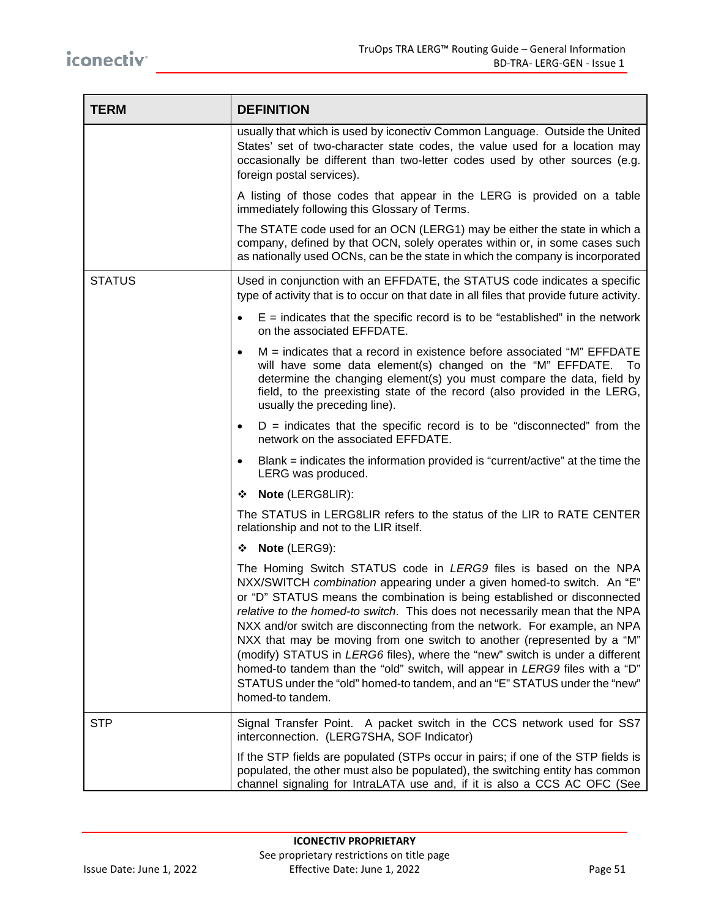| <b>TERM</b>   | <b>DEFINITION</b>                                                                                                                                                                                                                                                                                                                                                                                                                                                                                                                                                                                                                                                                                                               |
|---------------|---------------------------------------------------------------------------------------------------------------------------------------------------------------------------------------------------------------------------------------------------------------------------------------------------------------------------------------------------------------------------------------------------------------------------------------------------------------------------------------------------------------------------------------------------------------------------------------------------------------------------------------------------------------------------------------------------------------------------------|
|               | usually that which is used by iconectiv Common Language. Outside the United<br>States' set of two-character state codes, the value used for a location may<br>occasionally be different than two-letter codes used by other sources (e.g.<br>foreign postal services).                                                                                                                                                                                                                                                                                                                                                                                                                                                          |
|               | A listing of those codes that appear in the LERG is provided on a table<br>immediately following this Glossary of Terms.                                                                                                                                                                                                                                                                                                                                                                                                                                                                                                                                                                                                        |
|               | The STATE code used for an OCN (LERG1) may be either the state in which a<br>company, defined by that OCN, solely operates within or, in some cases such<br>as nationally used OCNs, can be the state in which the company is incorporated                                                                                                                                                                                                                                                                                                                                                                                                                                                                                      |
| <b>STATUS</b> | Used in conjunction with an EFFDATE, the STATUS code indicates a specific<br>type of activity that is to occur on that date in all files that provide future activity.                                                                                                                                                                                                                                                                                                                                                                                                                                                                                                                                                          |
|               | $E$ = indicates that the specific record is to be "established" in the network<br>on the associated EFFDATE.                                                                                                                                                                                                                                                                                                                                                                                                                                                                                                                                                                                                                    |
|               | $M =$ indicates that a record in existence before associated "M" EFFDATE<br>will have some data element(s) changed on the "M" EFFDATE. To<br>determine the changing element(s) you must compare the data, field by<br>field, to the preexisting state of the record (also provided in the LERG,<br>usually the preceding line).                                                                                                                                                                                                                                                                                                                                                                                                 |
|               | $D =$ indicates that the specific record is to be "disconnected" from the<br>$\bullet$<br>network on the associated EFFDATE.                                                                                                                                                                                                                                                                                                                                                                                                                                                                                                                                                                                                    |
|               | Blank = indicates the information provided is "current/active" at the time the<br>$\bullet$<br>LERG was produced.                                                                                                                                                                                                                                                                                                                                                                                                                                                                                                                                                                                                               |
|               | Note (LERG8LIR):<br>❖                                                                                                                                                                                                                                                                                                                                                                                                                                                                                                                                                                                                                                                                                                           |
|               | The STATUS in LERG8LIR refers to the status of the LIR to RATE CENTER<br>relationship and not to the LIR itself.                                                                                                                                                                                                                                                                                                                                                                                                                                                                                                                                                                                                                |
|               | ❖ Note (LERG9):                                                                                                                                                                                                                                                                                                                                                                                                                                                                                                                                                                                                                                                                                                                 |
|               | The Homing Switch STATUS code in LERG9 files is based on the NPA<br>NXX/SWITCH combination appearing under a given homed-to switch. An "E"<br>or "D" STATUS means the combination is being established or disconnected<br>relative to the homed-to switch. This does not necessarily mean that the NPA<br>NXX and/or switch are disconnecting from the network. For example, an NPA<br>NXX that may be moving from one switch to another (represented by a "M"<br>(modify) STATUS in LERG6 files), where the "new" switch is under a different<br>homed-to tandem than the "old" switch, will appear in LERG9 files with a "D"<br>STATUS under the "old" homed-to tandem, and an "E" STATUS under the "new"<br>homed-to tandem. |
| <b>STP</b>    | Signal Transfer Point. A packet switch in the CCS network used for SS7<br>interconnection. (LERG7SHA, SOF Indicator)                                                                                                                                                                                                                                                                                                                                                                                                                                                                                                                                                                                                            |
|               | If the STP fields are populated (STPs occur in pairs; if one of the STP fields is<br>populated, the other must also be populated), the switching entity has common<br>channel signaling for IntraLATA use and, if it is also a CCS AC OFC (See                                                                                                                                                                                                                                                                                                                                                                                                                                                                                  |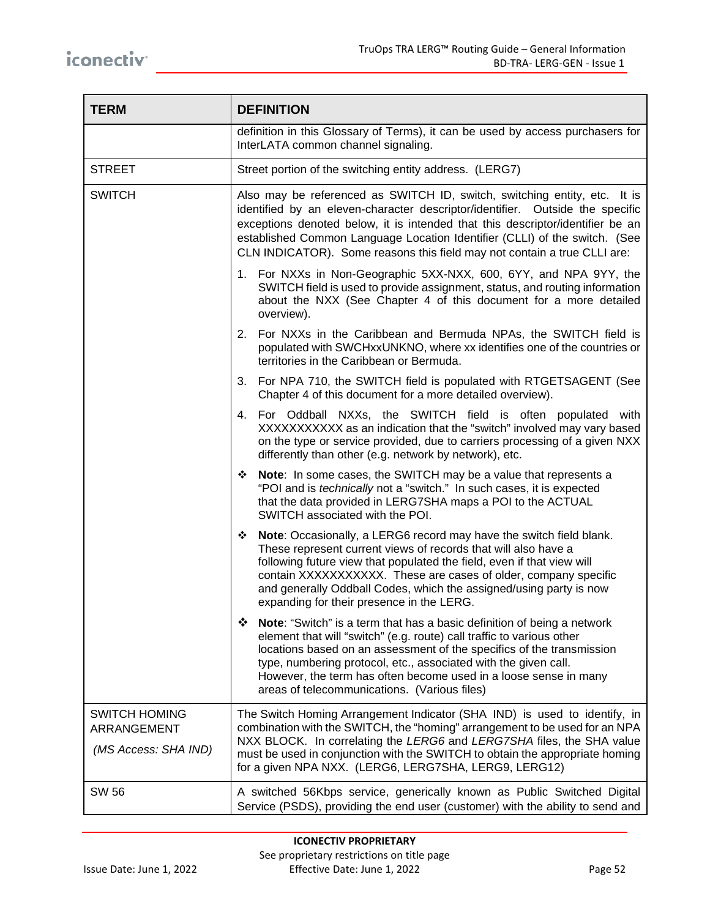| <b>TERM</b>                                                 | <b>DEFINITION</b>                                                                                                                                                                                                                                                                                                                                                                                                            |  |  |
|-------------------------------------------------------------|------------------------------------------------------------------------------------------------------------------------------------------------------------------------------------------------------------------------------------------------------------------------------------------------------------------------------------------------------------------------------------------------------------------------------|--|--|
|                                                             | definition in this Glossary of Terms), it can be used by access purchasers for<br>InterLATA common channel signaling.                                                                                                                                                                                                                                                                                                        |  |  |
| <b>STREET</b>                                               | Street portion of the switching entity address. (LERG7)                                                                                                                                                                                                                                                                                                                                                                      |  |  |
| <b>SWITCH</b>                                               | Also may be referenced as SWITCH ID, switch, switching entity, etc. It is<br>identified by an eleven-character descriptor/identifier. Outside the specific<br>exceptions denoted below, it is intended that this descriptor/identifier be an<br>established Common Language Location Identifier (CLLI) of the switch. (See<br>CLN INDICATOR). Some reasons this field may not contain a true CLLI are:                       |  |  |
|                                                             | 1. For NXXs in Non-Geographic 5XX-NXX, 600, 6YY, and NPA 9YY, the<br>SWITCH field is used to provide assignment, status, and routing information<br>about the NXX (See Chapter 4 of this document for a more detailed<br>overview).                                                                                                                                                                                          |  |  |
|                                                             | 2. For NXXs in the Caribbean and Bermuda NPAs, the SWITCH field is<br>populated with SWCHxxUNKNO, where xx identifies one of the countries or<br>territories in the Caribbean or Bermuda.                                                                                                                                                                                                                                    |  |  |
|                                                             | 3. For NPA 710, the SWITCH field is populated with RTGETSAGENT (See<br>Chapter 4 of this document for a more detailed overview).                                                                                                                                                                                                                                                                                             |  |  |
|                                                             | 4. For Oddball NXXs, the SWITCH field is often populated with<br>XXXXXXXXXX as an indication that the "switch" involved may vary based<br>on the type or service provided, due to carriers processing of a given NXX<br>differently than other (e.g. network by network), etc.                                                                                                                                               |  |  |
|                                                             | • Note: In some cases, the SWITCH may be a value that represents a<br>"POI and is <i>technically</i> not a "switch." In such cases, it is expected<br>that the data provided in LERG7SHA maps a POI to the ACTUAL<br>SWITCH associated with the POI.                                                                                                                                                                         |  |  |
|                                                             | Note: Occasionally, a LERG6 record may have the switch field blank.<br>❖<br>These represent current views of records that will also have a<br>following future view that populated the field, even if that view will<br>contain XXXXXXXXXXX. These are cases of older, company specific<br>and generally Oddball Codes, which the assigned/using party is now<br>expanding for their presence in the LERG.                   |  |  |
|                                                             | ❖<br><b>Note:</b> "Switch" is a term that has a basic definition of being a network<br>element that will "switch" (e.g. route) call traffic to various other<br>locations based on an assessment of the specifics of the transmission<br>type, numbering protocol, etc., associated with the given call.<br>However, the term has often become used in a loose sense in many<br>areas of telecommunications. (Various files) |  |  |
| <b>SWITCH HOMING</b><br>ARRANGEMENT<br>(MS Access: SHA IND) | The Switch Homing Arrangement Indicator (SHA IND) is used to identify, in<br>combination with the SWITCH, the "homing" arrangement to be used for an NPA<br>NXX BLOCK. In correlating the LERG6 and LERG7SHA files, the SHA value<br>must be used in conjunction with the SWITCH to obtain the appropriate homing<br>for a given NPA NXX. (LERG6, LERG7SHA, LERG9, LERG12)                                                   |  |  |
| <b>SW 56</b>                                                | A switched 56Kbps service, generically known as Public Switched Digital<br>Service (PSDS), providing the end user (customer) with the ability to send and                                                                                                                                                                                                                                                                    |  |  |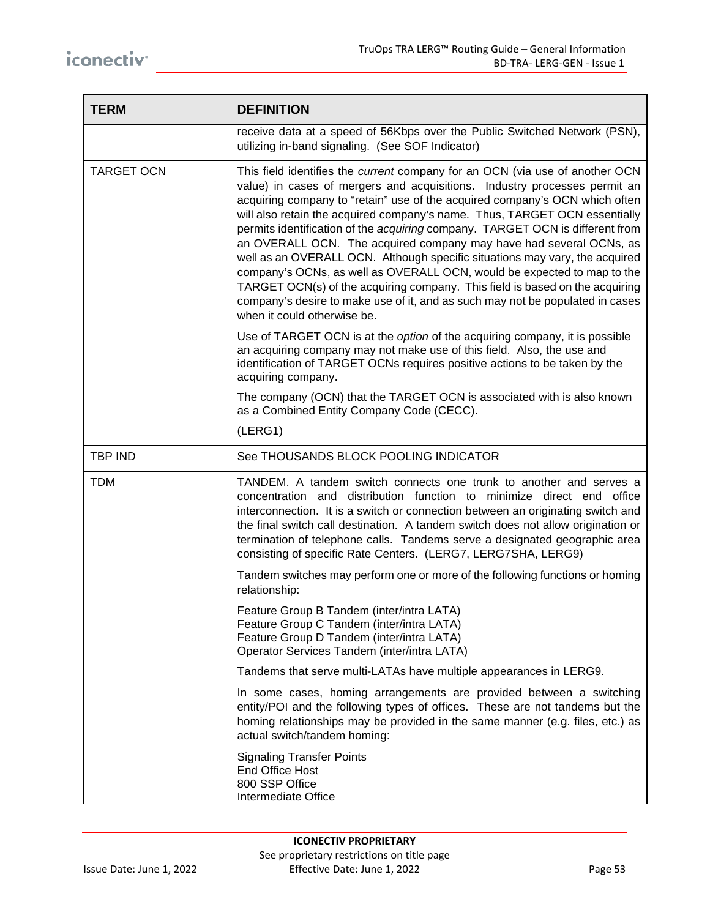| <b>TERM</b>       | <b>DEFINITION</b>                                                                                                                                                                                                                                                                                                                                                                                                                                                                                                                                                                                                                                                                                                                                                                                                                       |  |  |
|-------------------|-----------------------------------------------------------------------------------------------------------------------------------------------------------------------------------------------------------------------------------------------------------------------------------------------------------------------------------------------------------------------------------------------------------------------------------------------------------------------------------------------------------------------------------------------------------------------------------------------------------------------------------------------------------------------------------------------------------------------------------------------------------------------------------------------------------------------------------------|--|--|
|                   | receive data at a speed of 56Kbps over the Public Switched Network (PSN),<br>utilizing in-band signaling. (See SOF Indicator)                                                                                                                                                                                                                                                                                                                                                                                                                                                                                                                                                                                                                                                                                                           |  |  |
| <b>TARGET OCN</b> | This field identifies the current company for an OCN (via use of another OCN<br>value) in cases of mergers and acquisitions. Industry processes permit an<br>acquiring company to "retain" use of the acquired company's OCN which often<br>will also retain the acquired company's name. Thus, TARGET OCN essentially<br>permits identification of the acquiring company. TARGET OCN is different from<br>an OVERALL OCN. The acquired company may have had several OCNs, as<br>well as an OVERALL OCN. Although specific situations may vary, the acquired<br>company's OCNs, as well as OVERALL OCN, would be expected to map to the<br>TARGET OCN(s) of the acquiring company. This field is based on the acquiring<br>company's desire to make use of it, and as such may not be populated in cases<br>when it could otherwise be. |  |  |
|                   | Use of TARGET OCN is at the option of the acquiring company, it is possible<br>an acquiring company may not make use of this field. Also, the use and<br>identification of TARGET OCNs requires positive actions to be taken by the<br>acquiring company.                                                                                                                                                                                                                                                                                                                                                                                                                                                                                                                                                                               |  |  |
|                   | The company (OCN) that the TARGET OCN is associated with is also known<br>as a Combined Entity Company Code (CECC).                                                                                                                                                                                                                                                                                                                                                                                                                                                                                                                                                                                                                                                                                                                     |  |  |
|                   | (LERG1)                                                                                                                                                                                                                                                                                                                                                                                                                                                                                                                                                                                                                                                                                                                                                                                                                                 |  |  |
| <b>TBP IND</b>    | See THOUSANDS BLOCK POOLING INDICATOR                                                                                                                                                                                                                                                                                                                                                                                                                                                                                                                                                                                                                                                                                                                                                                                                   |  |  |
| <b>TDM</b>        | TANDEM. A tandem switch connects one trunk to another and serves a<br>concentration and distribution function to minimize direct end office<br>interconnection. It is a switch or connection between an originating switch and<br>the final switch call destination. A tandem switch does not allow origination or<br>termination of telephone calls. Tandems serve a designated geographic area<br>consisting of specific Rate Centers. (LERG7, LERG7SHA, LERG9)                                                                                                                                                                                                                                                                                                                                                                       |  |  |
|                   | Tandem switches may perform one or more of the following functions or homing<br>relationship:                                                                                                                                                                                                                                                                                                                                                                                                                                                                                                                                                                                                                                                                                                                                           |  |  |
|                   | Feature Group B Tandem (inter/intra LATA)<br>Feature Group C Tandem (inter/intra LATA)<br>Feature Group D Tandem (inter/intra LATA)<br>Operator Services Tandem (inter/intra LATA)                                                                                                                                                                                                                                                                                                                                                                                                                                                                                                                                                                                                                                                      |  |  |
|                   | Tandems that serve multi-LATAs have multiple appearances in LERG9.                                                                                                                                                                                                                                                                                                                                                                                                                                                                                                                                                                                                                                                                                                                                                                      |  |  |
|                   | In some cases, homing arrangements are provided between a switching<br>entity/POI and the following types of offices. These are not tandems but the<br>homing relationships may be provided in the same manner (e.g. files, etc.) as<br>actual switch/tandem homing:                                                                                                                                                                                                                                                                                                                                                                                                                                                                                                                                                                    |  |  |
|                   | <b>Signaling Transfer Points</b><br>End Office Host<br>800 SSP Office<br>Intermediate Office                                                                                                                                                                                                                                                                                                                                                                                                                                                                                                                                                                                                                                                                                                                                            |  |  |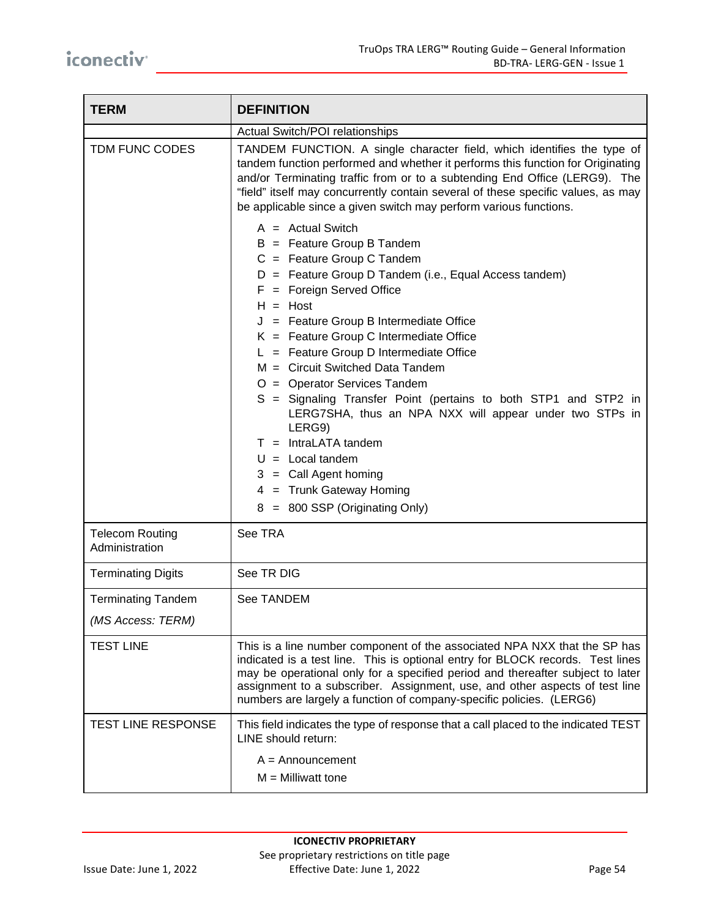| <b>TERM</b>                              | <b>DEFINITION</b>                                                                                                                                                                                                                                                                                                                                                                                                                                                                                                                                                                                                                                                                        |  |
|------------------------------------------|------------------------------------------------------------------------------------------------------------------------------------------------------------------------------------------------------------------------------------------------------------------------------------------------------------------------------------------------------------------------------------------------------------------------------------------------------------------------------------------------------------------------------------------------------------------------------------------------------------------------------------------------------------------------------------------|--|
|                                          | Actual Switch/POI relationships                                                                                                                                                                                                                                                                                                                                                                                                                                                                                                                                                                                                                                                          |  |
| TDM FUNC CODES                           | TANDEM FUNCTION. A single character field, which identifies the type of<br>tandem function performed and whether it performs this function for Originating<br>and/or Terminating traffic from or to a subtending End Office (LERG9). The<br>"field" itself may concurrently contain several of these specific values, as may<br>be applicable since a given switch may perform various functions.                                                                                                                                                                                                                                                                                        |  |
|                                          | $A =$ Actual Switch<br>$B =$ Feature Group B Tandem<br>$C =$ Feature Group C Tandem<br>$D =$ Feature Group D Tandem (i.e., Equal Access tandem)<br>$F =$ Foreign Served Office<br>$H = Host$<br>$J =$ Feature Group B Intermediate Office<br>$K =$ Feature Group C Intermediate Office<br>$L =$ Feature Group D Intermediate Office<br>M = Circuit Switched Data Tandem<br>O = Operator Services Tandem<br>S = Signaling Transfer Point (pertains to both STP1 and STP2 in<br>LERG7SHA, thus an NPA NXX will appear under two STPs in<br>LERG9)<br>$T = IntraLATA$ tandem<br>$U =$ Local tandem<br>$3 =$ Call Agent homing<br>4 = Trunk Gateway Homing<br>8 = 800 SSP (Originating Only) |  |
| <b>Telecom Routing</b><br>Administration | See TRA                                                                                                                                                                                                                                                                                                                                                                                                                                                                                                                                                                                                                                                                                  |  |
| <b>Terminating Digits</b>                | See TR DIG                                                                                                                                                                                                                                                                                                                                                                                                                                                                                                                                                                                                                                                                               |  |
| <b>Terminating Tandem</b>                | See TANDEM                                                                                                                                                                                                                                                                                                                                                                                                                                                                                                                                                                                                                                                                               |  |
| (MS Access: TERM)                        |                                                                                                                                                                                                                                                                                                                                                                                                                                                                                                                                                                                                                                                                                          |  |
| <b>TEST LINE</b>                         | This is a line number component of the associated NPA NXX that the SP has<br>indicated is a test line. This is optional entry for BLOCK records. Test lines<br>may be operational only for a specified period and thereafter subject to later<br>assignment to a subscriber. Assignment, use, and other aspects of test line<br>numbers are largely a function of company-specific policies. (LERG6)                                                                                                                                                                                                                                                                                     |  |
| TEST LINE RESPONSE                       | This field indicates the type of response that a call placed to the indicated TEST<br>LINE should return:<br>$A =$ Announcement<br>$M =$ Milliwatt tone                                                                                                                                                                                                                                                                                                                                                                                                                                                                                                                                  |  |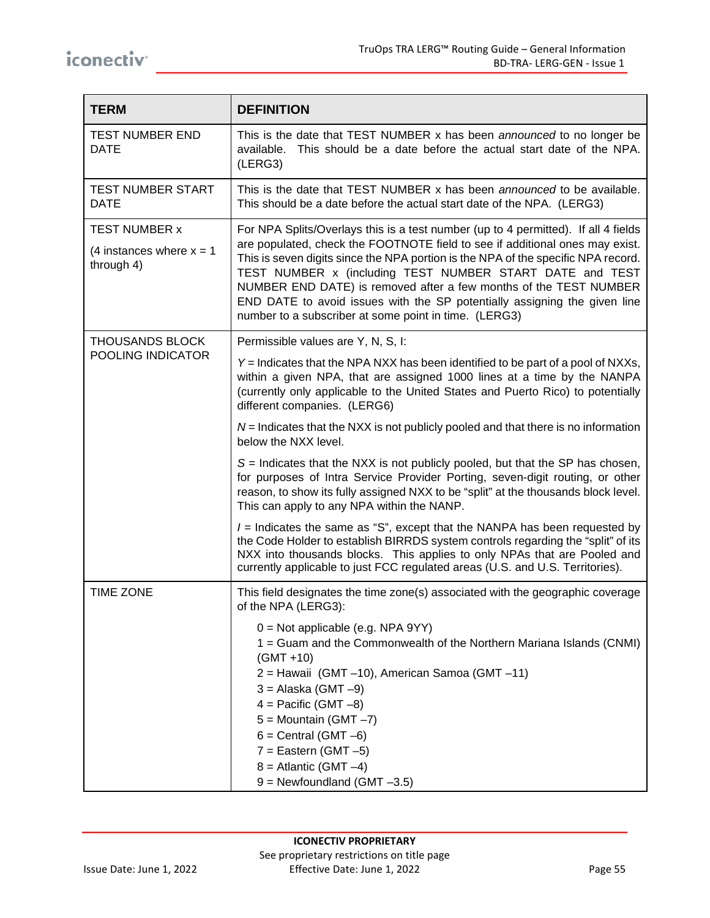| <b>TERM</b>                                                      | <b>DEFINITION</b>                                                                                                                                                                                                                                                                                                                                                                                                                                                                                                              |
|------------------------------------------------------------------|--------------------------------------------------------------------------------------------------------------------------------------------------------------------------------------------------------------------------------------------------------------------------------------------------------------------------------------------------------------------------------------------------------------------------------------------------------------------------------------------------------------------------------|
| <b>TEST NUMBER END</b><br><b>DATE</b>                            | This is the date that TEST NUMBER x has been announced to no longer be<br>This should be a date before the actual start date of the NPA.<br>available.<br>(LERG3)                                                                                                                                                                                                                                                                                                                                                              |
| <b>TEST NUMBER START</b><br><b>DATE</b>                          | This is the date that TEST NUMBER x has been announced to be available.<br>This should be a date before the actual start date of the NPA. (LERG3)                                                                                                                                                                                                                                                                                                                                                                              |
| <b>TEST NUMBER x</b><br>(4 instances where $x = 1$<br>through 4) | For NPA Splits/Overlays this is a test number (up to 4 permitted). If all 4 fields<br>are populated, check the FOOTNOTE field to see if additional ones may exist.<br>This is seven digits since the NPA portion is the NPA of the specific NPA record.<br>TEST NUMBER x (including TEST NUMBER START DATE and TEST<br>NUMBER END DATE) is removed after a few months of the TEST NUMBER<br>END DATE to avoid issues with the SP potentially assigning the given line<br>number to a subscriber at some point in time. (LERG3) |
| <b>THOUSANDS BLOCK</b>                                           | Permissible values are Y, N, S, I:                                                                                                                                                                                                                                                                                                                                                                                                                                                                                             |
| POOLING INDICATOR                                                | Y = Indicates that the NPA NXX has been identified to be part of a pool of NXXs,<br>within a given NPA, that are assigned 1000 lines at a time by the NANPA<br>(currently only applicable to the United States and Puerto Rico) to potentially<br>different companies. (LERG6)                                                                                                                                                                                                                                                 |
|                                                                  | $N =$ Indicates that the NXX is not publicly pooled and that there is no information<br>below the NXX level.                                                                                                                                                                                                                                                                                                                                                                                                                   |
|                                                                  | $S =$ Indicates that the NXX is not publicly pooled, but that the SP has chosen,<br>for purposes of Intra Service Provider Porting, seven-digit routing, or other<br>reason, to show its fully assigned NXX to be "split" at the thousands block level.<br>This can apply to any NPA within the NANP.                                                                                                                                                                                                                          |
|                                                                  | $I =$ Indicates the same as "S", except that the NANPA has been requested by<br>the Code Holder to establish BIRRDS system controls regarding the "split" of its<br>NXX into thousands blocks. This applies to only NPAs that are Pooled and<br>currently applicable to just FCC regulated areas (U.S. and U.S. Territories).                                                                                                                                                                                                  |
| <b>TIME ZONE</b>                                                 | This field designates the time zone(s) associated with the geographic coverage<br>of the NPA (LERG3):                                                                                                                                                                                                                                                                                                                                                                                                                          |
|                                                                  | $0 = Not$ applicable (e.g. NPA 9YY)<br>1 = Guam and the Commonwealth of the Northern Mariana Islands (CNMI)<br>$(GMT + 10)$<br>2 = Hawaii (GMT -10), American Samoa (GMT -11)<br>$3 = Alaska (GMT - 9)$<br>$4 =$ Pacific (GMT $-8$ )<br>$5 =$ Mountain (GMT $-7$ )<br>$6 =$ Central (GMT $-6$ )<br>$7 =$ Eastern (GMT $-5$ )<br>$8 =$ Atlantic (GMT $-4$ )<br>$9$ = Newfoundland (GMT $-3.5$ )                                                                                                                                 |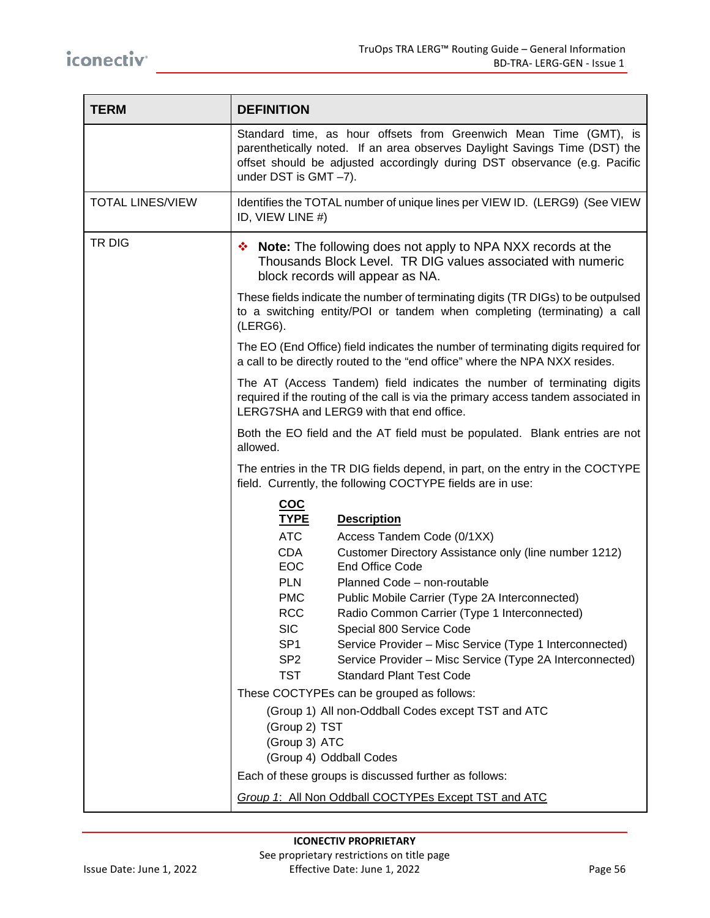| <b>TERM</b>             | <b>DEFINITION</b>                                                                                                                                                                                                                                        |  |  |
|-------------------------|----------------------------------------------------------------------------------------------------------------------------------------------------------------------------------------------------------------------------------------------------------|--|--|
|                         | Standard time, as hour offsets from Greenwich Mean Time (GMT), is<br>parenthetically noted. If an area observes Daylight Savings Time (DST) the<br>offset should be adjusted accordingly during DST observance (e.g. Pacific<br>under DST is $GMT -7$ ). |  |  |
| <b>TOTAL LINES/VIEW</b> | Identifies the TOTAL number of unique lines per VIEW ID. (LERG9) (See VIEW<br>ID, VIEW LINE #)                                                                                                                                                           |  |  |
| TR DIG                  | ❖ Note: The following does not apply to NPA NXX records at the<br>Thousands Block Level. TR DIG values associated with numeric<br>block records will appear as NA.                                                                                       |  |  |
|                         | These fields indicate the number of terminating digits (TR DIGs) to be outpulsed<br>to a switching entity/POI or tandem when completing (terminating) a call<br>(LERG6).                                                                                 |  |  |
|                         | The EO (End Office) field indicates the number of terminating digits required for<br>a call to be directly routed to the "end office" where the NPA NXX resides.                                                                                         |  |  |
|                         | The AT (Access Tandem) field indicates the number of terminating digits<br>required if the routing of the call is via the primary access tandem associated in<br>LERG7SHA and LERG9 with that end office.                                                |  |  |
|                         | Both the EO field and the AT field must be populated. Blank entries are not<br>allowed.                                                                                                                                                                  |  |  |
|                         | The entries in the TR DIG fields depend, in part, on the entry in the COCTYPE<br>field. Currently, the following COCTYPE fields are in use:                                                                                                              |  |  |
|                         | $coc$<br><b>TYPE</b><br><b>Description</b>                                                                                                                                                                                                               |  |  |
|                         | <b>ATC</b><br>Access Tandem Code (0/1XX)<br><b>CDA</b><br>Customer Directory Assistance only (line number 1212)<br><b>EOC</b><br><b>End Office Code</b>                                                                                                  |  |  |
|                         | <b>PLN</b><br>Planned Code - non-routable<br><b>PMC</b><br>Public Mobile Carrier (Type 2A Interconnected)                                                                                                                                                |  |  |
|                         | Radio Common Carrier (Type 1 Interconnected)<br><b>RCC</b>                                                                                                                                                                                               |  |  |
|                         | <b>SIC</b><br>Special 800 Service Code<br>SP <sub>1</sub><br>Service Provider - Misc Service (Type 1 Interconnected)                                                                                                                                     |  |  |
|                         | SP <sub>2</sub><br>Service Provider - Misc Service (Type 2A Interconnected)                                                                                                                                                                              |  |  |
|                         | <b>TST</b><br><b>Standard Plant Test Code</b>                                                                                                                                                                                                            |  |  |
|                         | These COCTYPEs can be grouped as follows:<br>(Group 1) All non-Oddball Codes except TST and ATC<br>(Group 2) TST<br>(Group 3) ATC<br>(Group 4) Oddball Codes                                                                                             |  |  |
|                         | Each of these groups is discussed further as follows:                                                                                                                                                                                                    |  |  |
|                         | Group 1: All Non Oddball COCTYPEs Except TST and ATC                                                                                                                                                                                                     |  |  |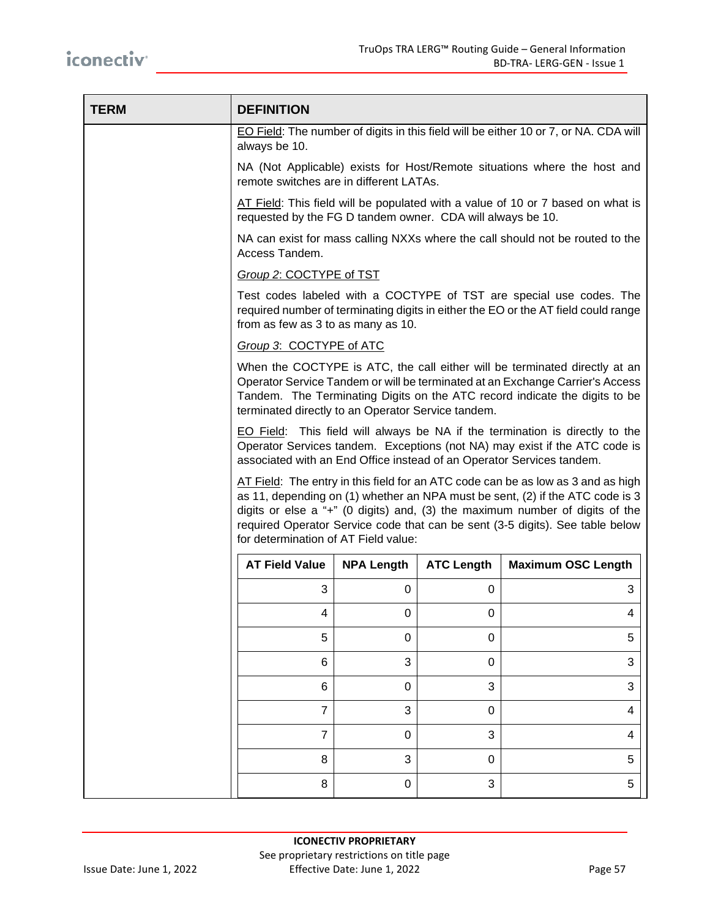| <b>TERM</b> | <b>DEFINITION</b>                                                                                                                                                                                                                                                                                                                                                            |                   |                   |                                                                               |
|-------------|------------------------------------------------------------------------------------------------------------------------------------------------------------------------------------------------------------------------------------------------------------------------------------------------------------------------------------------------------------------------------|-------------------|-------------------|-------------------------------------------------------------------------------|
|             | EO Field: The number of digits in this field will be either 10 or 7, or NA. CDA will<br>always be 10.                                                                                                                                                                                                                                                                        |                   |                   |                                                                               |
|             | NA (Not Applicable) exists for Host/Remote situations where the host and<br>remote switches are in different LATAs.                                                                                                                                                                                                                                                          |                   |                   |                                                                               |
|             | AT Field: This field will be populated with a value of 10 or 7 based on what is<br>requested by the FG D tandem owner. CDA will always be 10.                                                                                                                                                                                                                                |                   |                   |                                                                               |
|             | Access Tandem.                                                                                                                                                                                                                                                                                                                                                               |                   |                   | NA can exist for mass calling NXXs where the call should not be routed to the |
|             | Group 2: COCTYPE of TST                                                                                                                                                                                                                                                                                                                                                      |                   |                   |                                                                               |
|             | Test codes labeled with a COCTYPE of TST are special use codes. The<br>required number of terminating digits in either the EO or the AT field could range<br>from as few as 3 to as many as 10.                                                                                                                                                                              |                   |                   |                                                                               |
|             | Group 3: COCTYPE of ATC                                                                                                                                                                                                                                                                                                                                                      |                   |                   |                                                                               |
|             | When the COCTYPE is ATC, the call either will be terminated directly at an<br>Operator Service Tandem or will be terminated at an Exchange Carrier's Access<br>Tandem. The Terminating Digits on the ATC record indicate the digits to be<br>terminated directly to an Operator Service tandem.                                                                              |                   |                   |                                                                               |
|             | <b>EO</b> Field: This field will always be NA if the termination is directly to the<br>Operator Services tandem. Exceptions (not NA) may exist if the ATC code is<br>associated with an End Office instead of an Operator Services tandem.                                                                                                                                   |                   |                   |                                                                               |
|             | AT Field: The entry in this field for an ATC code can be as low as 3 and as high<br>as 11, depending on (1) whether an NPA must be sent, (2) if the ATC code is 3<br>digits or else $a$ "+" (0 digits) and, (3) the maximum number of digits of the<br>required Operator Service code that can be sent (3-5 digits). See table below<br>for determination of AT Field value: |                   |                   |                                                                               |
|             | <b>AT Field Value</b>                                                                                                                                                                                                                                                                                                                                                        | <b>NPA Length</b> | <b>ATC Length</b> | <b>Maximum OSC Length</b>                                                     |
|             | 3                                                                                                                                                                                                                                                                                                                                                                            | 0                 | 0                 | 3                                                                             |
|             | 4                                                                                                                                                                                                                                                                                                                                                                            | 0                 | 0                 | 4                                                                             |
|             | 5                                                                                                                                                                                                                                                                                                                                                                            | 0                 | 0                 | 5                                                                             |
|             | 6                                                                                                                                                                                                                                                                                                                                                                            | 3                 | $\pmb{0}$         | 3                                                                             |
|             | $\,6$                                                                                                                                                                                                                                                                                                                                                                        | 0                 | 3                 | 3                                                                             |
|             | $\overline{7}$                                                                                                                                                                                                                                                                                                                                                               | 3                 | $\pmb{0}$         | $\overline{\mathbf{4}}$                                                       |
|             | $\overline{7}$                                                                                                                                                                                                                                                                                                                                                               | 0                 | 3                 | 4                                                                             |
|             | 8                                                                                                                                                                                                                                                                                                                                                                            | 3                 | $\pmb{0}$         | 5                                                                             |
|             | 8                                                                                                                                                                                                                                                                                                                                                                            | 0                 | 3                 | 5                                                                             |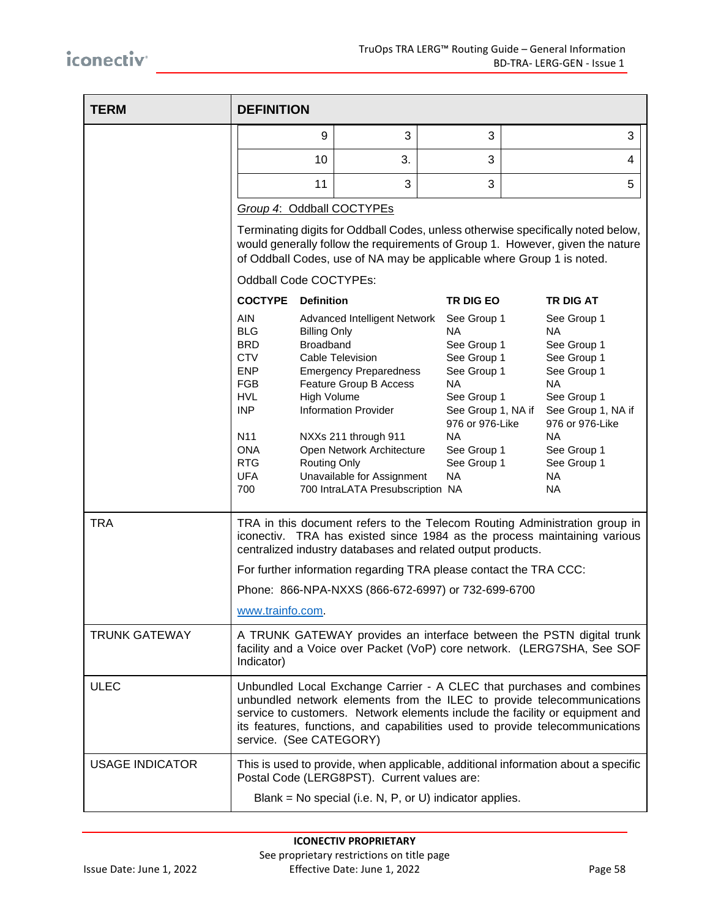| <b>TERM</b>            | <b>DEFINITION</b>                                                                                                                                                                                                                                                                                                                          |                                                                                                                                                                                                                                                                                                 |                                                                                                                                                                                              |                                                                                                                                                                                                                                            |
|------------------------|--------------------------------------------------------------------------------------------------------------------------------------------------------------------------------------------------------------------------------------------------------------------------------------------------------------------------------------------|-------------------------------------------------------------------------------------------------------------------------------------------------------------------------------------------------------------------------------------------------------------------------------------------------|----------------------------------------------------------------------------------------------------------------------------------------------------------------------------------------------|--------------------------------------------------------------------------------------------------------------------------------------------------------------------------------------------------------------------------------------------|
|                        | 9                                                                                                                                                                                                                                                                                                                                          | 3                                                                                                                                                                                                                                                                                               | 3                                                                                                                                                                                            | 3                                                                                                                                                                                                                                          |
|                        | 10                                                                                                                                                                                                                                                                                                                                         | 3.                                                                                                                                                                                                                                                                                              | 3                                                                                                                                                                                            | 4                                                                                                                                                                                                                                          |
|                        | 11                                                                                                                                                                                                                                                                                                                                         | 3                                                                                                                                                                                                                                                                                               | 3                                                                                                                                                                                            | 5                                                                                                                                                                                                                                          |
|                        | Group 4: Oddball COCTYPEs                                                                                                                                                                                                                                                                                                                  |                                                                                                                                                                                                                                                                                                 |                                                                                                                                                                                              |                                                                                                                                                                                                                                            |
|                        |                                                                                                                                                                                                                                                                                                                                            |                                                                                                                                                                                                                                                                                                 |                                                                                                                                                                                              | Terminating digits for Oddball Codes, unless otherwise specifically noted below,<br>would generally follow the requirements of Group 1. However, given the nature<br>of Oddball Codes, use of NA may be applicable where Group 1 is noted. |
|                        | Oddball Code COCTYPEs:                                                                                                                                                                                                                                                                                                                     |                                                                                                                                                                                                                                                                                                 |                                                                                                                                                                                              |                                                                                                                                                                                                                                            |
|                        | <b>COCTYPE</b><br><b>Definition</b>                                                                                                                                                                                                                                                                                                        |                                                                                                                                                                                                                                                                                                 | TR DIG EO                                                                                                                                                                                    | <b>TR DIG AT</b>                                                                                                                                                                                                                           |
|                        | <b>AIN</b><br><b>BLG</b><br><b>Billing Only</b><br><b>Broadband</b><br><b>BRD</b><br><b>CTV</b><br><b>ENP</b><br><b>FGB</b><br><b>HVL</b><br><b>High Volume</b><br><b>INP</b><br>N11<br><b>ONA</b><br><b>RTG</b><br><b>UFA</b><br>700                                                                                                      | Advanced Intelligent Network<br><b>Cable Television</b><br><b>Emergency Preparedness</b><br>Feature Group B Access<br><b>Information Provider</b><br>NXXs 211 through 911<br>Open Network Architecture<br><b>Routing Only</b><br>Unavailable for Assignment<br>700 IntraLATA Presubscription NA | See Group 1<br>NA.<br>See Group 1<br>See Group 1<br>See Group 1<br><b>NA</b><br>See Group 1<br>See Group 1, NA if<br>976 or 976-Like<br><b>NA</b><br>See Group 1<br>See Group 1<br><b>NA</b> | See Group 1<br>NA.<br>See Group 1<br>See Group 1<br>See Group 1<br><b>NA</b><br>See Group 1<br>See Group 1, NA if<br>976 or 976-Like<br><b>NA</b><br>See Group 1<br>See Group 1<br><b>NA</b><br><b>NA</b>                                  |
| <b>TRA</b>             | TRA in this document refers to the Telecom Routing Administration group in<br>iconectiv. TRA has existed since 1984 as the process maintaining various<br>centralized industry databases and related output products.                                                                                                                      |                                                                                                                                                                                                                                                                                                 |                                                                                                                                                                                              |                                                                                                                                                                                                                                            |
|                        | For further information regarding TRA please contact the TRA CCC:                                                                                                                                                                                                                                                                          |                                                                                                                                                                                                                                                                                                 |                                                                                                                                                                                              |                                                                                                                                                                                                                                            |
|                        | Phone: 866-NPA-NXXS (866-672-6997) or 732-699-6700<br>www.trainfo.com.                                                                                                                                                                                                                                                                     |                                                                                                                                                                                                                                                                                                 |                                                                                                                                                                                              |                                                                                                                                                                                                                                            |
| <b>TRUNK GATEWAY</b>   | A TRUNK GATEWAY provides an interface between the PSTN digital trunk<br>facility and a Voice over Packet (VoP) core network. (LERG7SHA, See SOF<br>Indicator)                                                                                                                                                                              |                                                                                                                                                                                                                                                                                                 |                                                                                                                                                                                              |                                                                                                                                                                                                                                            |
| <b>ULEC</b>            | Unbundled Local Exchange Carrier - A CLEC that purchases and combines<br>unbundled network elements from the ILEC to provide telecommunications<br>service to customers. Network elements include the facility or equipment and<br>its features, functions, and capabilities used to provide telecommunications<br>service. (See CATEGORY) |                                                                                                                                                                                                                                                                                                 |                                                                                                                                                                                              |                                                                                                                                                                                                                                            |
| <b>USAGE INDICATOR</b> | Postal Code (LERG8PST). Current values are:                                                                                                                                                                                                                                                                                                |                                                                                                                                                                                                                                                                                                 |                                                                                                                                                                                              | This is used to provide, when applicable, additional information about a specific                                                                                                                                                          |
|                        |                                                                                                                                                                                                                                                                                                                                            | Blank = No special (i.e. N, P, or U) indicator applies.                                                                                                                                                                                                                                         |                                                                                                                                                                                              |                                                                                                                                                                                                                                            |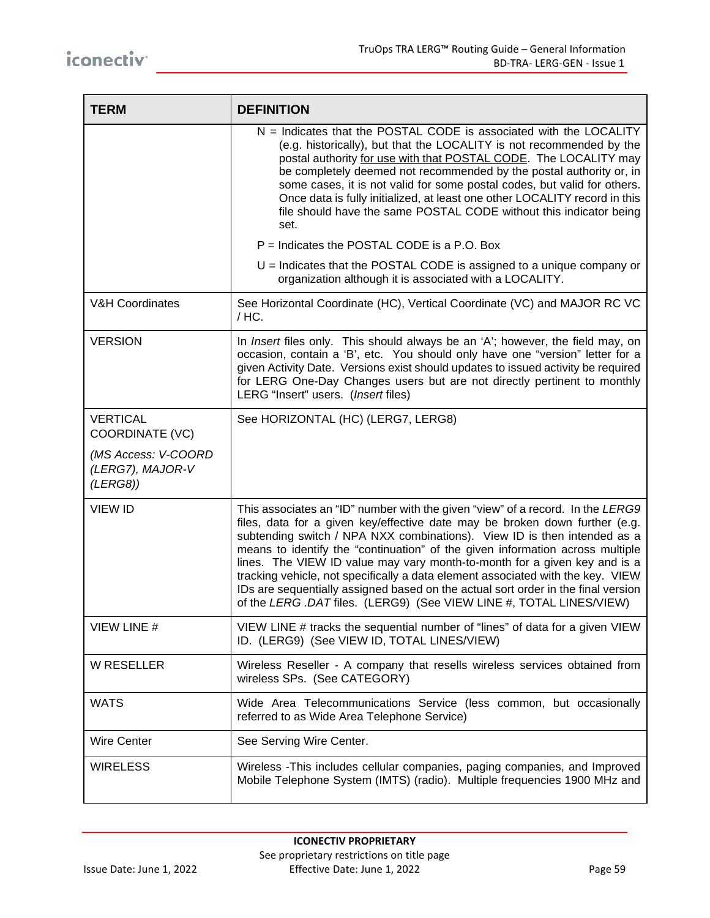| <b>TERM</b>                                         | <b>DEFINITION</b>                                                                                                                                                                                                                                                                                                                                                                                                                                                                                                                                                                                                                                      |
|-----------------------------------------------------|--------------------------------------------------------------------------------------------------------------------------------------------------------------------------------------------------------------------------------------------------------------------------------------------------------------------------------------------------------------------------------------------------------------------------------------------------------------------------------------------------------------------------------------------------------------------------------------------------------------------------------------------------------|
|                                                     | $N =$ Indicates that the POSTAL CODE is associated with the LOCALITY<br>(e.g. historically), but that the LOCALITY is not recommended by the<br>postal authority for use with that POSTAL CODE. The LOCALITY may<br>be completely deemed not recommended by the postal authority or, in<br>some cases, it is not valid for some postal codes, but valid for others.<br>Once data is fully initialized, at least one other LOCALITY record in this<br>file should have the same POSTAL CODE without this indicator being<br>set.                                                                                                                        |
|                                                     | P = Indicates the POSTAL CODE is a P.O. Box                                                                                                                                                                                                                                                                                                                                                                                                                                                                                                                                                                                                            |
|                                                     | $U =$ Indicates that the POSTAL CODE is assigned to a unique company or<br>organization although it is associated with a LOCALITY.                                                                                                                                                                                                                                                                                                                                                                                                                                                                                                                     |
| <b>V&amp;H Coordinates</b>                          | See Horizontal Coordinate (HC), Vertical Coordinate (VC) and MAJOR RC VC<br>/ HC.                                                                                                                                                                                                                                                                                                                                                                                                                                                                                                                                                                      |
| <b>VERSION</b>                                      | In Insert files only. This should always be an 'A'; however, the field may, on<br>occasion, contain a 'B', etc. You should only have one "version" letter for a<br>given Activity Date. Versions exist should updates to issued activity be required<br>for LERG One-Day Changes users but are not directly pertinent to monthly<br>LERG "Insert" users. (Insert files)                                                                                                                                                                                                                                                                                |
| <b>VERTICAL</b><br>COORDINATE (VC)                  | See HORIZONTAL (HC) (LERG7, LERG8)                                                                                                                                                                                                                                                                                                                                                                                                                                                                                                                                                                                                                     |
| (MS Access: V-COORD<br>(LERG7), MAJOR-V<br>(LERG8)) |                                                                                                                                                                                                                                                                                                                                                                                                                                                                                                                                                                                                                                                        |
| <b>VIEW ID</b>                                      | This associates an "ID" number with the given "view" of a record. In the LERG9<br>files, data for a given key/effective date may be broken down further (e.g.<br>subtending switch / NPA NXX combinations). View ID is then intended as a<br>means to identify the "continuation" of the given information across multiple<br>lines. The VIEW ID value may vary month-to-month for a given key and is a<br>tracking vehicle, not specifically a data element associated with the key. VIEW<br>IDs are sequentially assigned based on the actual sort order in the final version<br>of the LERG .DAT files. (LERG9) (See VIEW LINE #, TOTAL LINES/VIEW) |
| VIEW LINE #                                         | VIEW LINE # tracks the sequential number of "lines" of data for a given VIEW<br>ID. (LERG9) (See VIEW ID, TOTAL LINES/VIEW)                                                                                                                                                                                                                                                                                                                                                                                                                                                                                                                            |
| <b>W RESELLER</b>                                   | Wireless Reseller - A company that resells wireless services obtained from<br>wireless SPs. (See CATEGORY)                                                                                                                                                                                                                                                                                                                                                                                                                                                                                                                                             |
| <b>WATS</b>                                         | Wide Area Telecommunications Service (less common, but occasionally<br>referred to as Wide Area Telephone Service)                                                                                                                                                                                                                                                                                                                                                                                                                                                                                                                                     |
| <b>Wire Center</b>                                  | See Serving Wire Center.                                                                                                                                                                                                                                                                                                                                                                                                                                                                                                                                                                                                                               |
| <b>WIRELESS</b>                                     | Wireless -This includes cellular companies, paging companies, and Improved<br>Mobile Telephone System (IMTS) (radio). Multiple frequencies 1900 MHz and                                                                                                                                                                                                                                                                                                                                                                                                                                                                                                |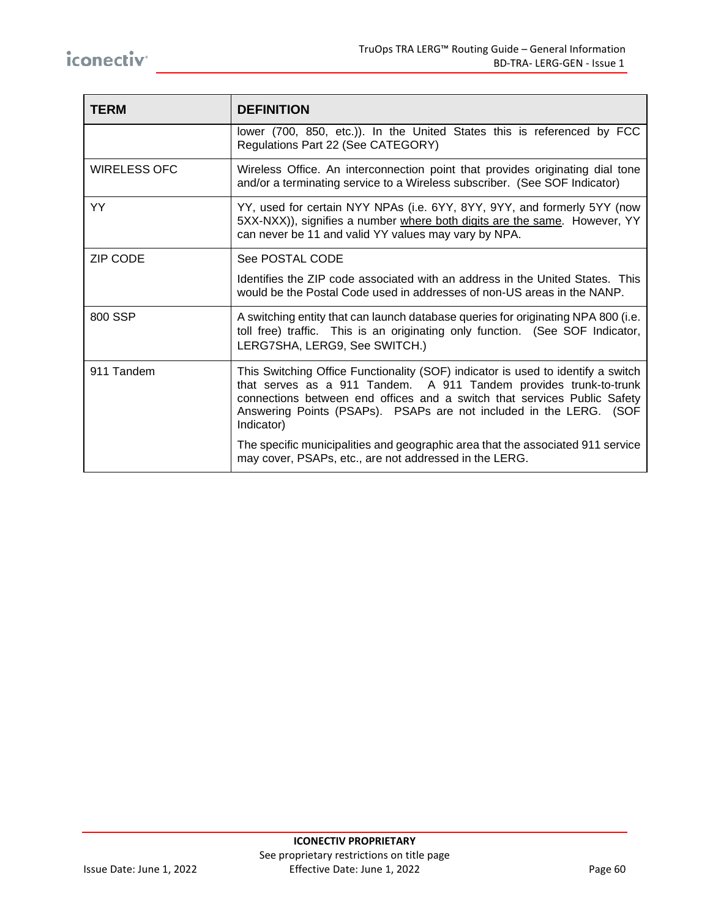| <b>TERM</b>         | <b>DEFINITION</b>                                                                                                                                                                                                                                                                                                     |
|---------------------|-----------------------------------------------------------------------------------------------------------------------------------------------------------------------------------------------------------------------------------------------------------------------------------------------------------------------|
|                     | lower (700, 850, etc.)). In the United States this is referenced by FCC<br>Regulations Part 22 (See CATEGORY)                                                                                                                                                                                                         |
| <b>WIRELESS OFC</b> | Wireless Office. An interconnection point that provides originating dial tone<br>and/or a terminating service to a Wireless subscriber. (See SOF Indicator)                                                                                                                                                           |
| <b>YY</b>           | YY, used for certain NYY NPAs (i.e. 6YY, 8YY, 9YY, and formerly 5YY (now<br>5XX-NXX)), signifies a number where both digits are the same. However, YY<br>can never be 11 and valid YY values may vary by NPA.                                                                                                         |
| <b>ZIP CODE</b>     | See POSTAL CODE                                                                                                                                                                                                                                                                                                       |
|                     | Identifies the ZIP code associated with an address in the United States. This<br>would be the Postal Code used in addresses of non-US areas in the NANP.                                                                                                                                                              |
| 800 SSP             | A switching entity that can launch database queries for originating NPA 800 (i.e.<br>toll free) traffic. This is an originating only function. (See SOF Indicator,<br>LERG7SHA, LERG9, See SWITCH.)                                                                                                                   |
| 911 Tandem          | This Switching Office Functionality (SOF) indicator is used to identify a switch<br>that serves as a 911 Tandem. A 911 Tandem provides trunk-to-trunk<br>connections between end offices and a switch that services Public Safety<br>Answering Points (PSAPs). PSAPs are not included in the LERG. (SOF<br>Indicator) |
|                     | The specific municipalities and geographic area that the associated 911 service<br>may cover, PSAPs, etc., are not addressed in the LERG.                                                                                                                                                                             |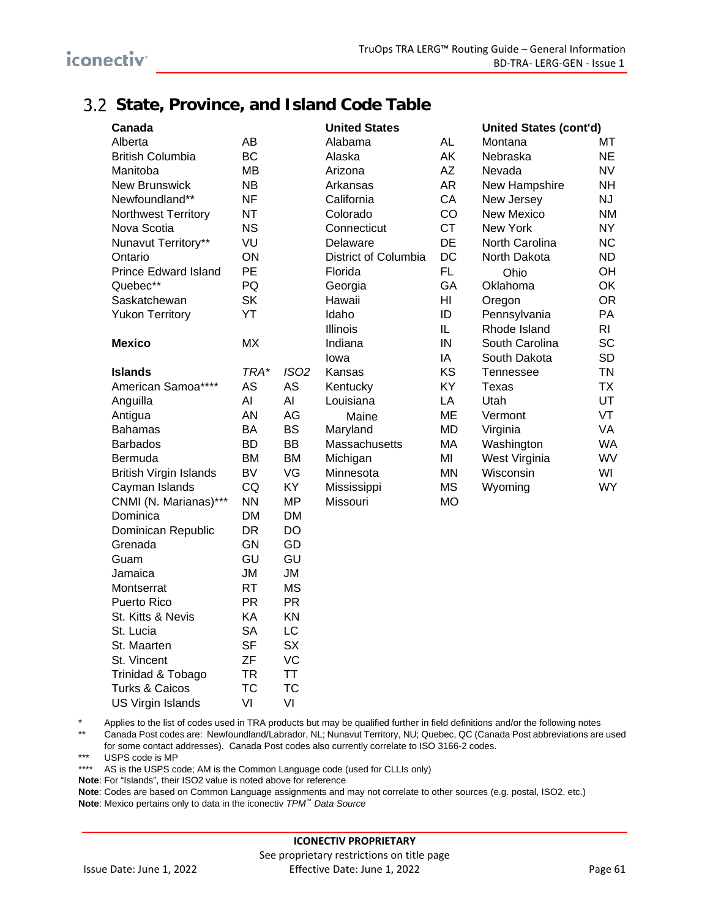### **State, Province, and Island Code Table**

| Canada                        |           |             | <b>United States</b> |           | <b>United States (cont'd)</b> |                |
|-------------------------------|-----------|-------------|----------------------|-----------|-------------------------------|----------------|
| Alberta                       | AB        |             | Alabama              | <b>AL</b> | Montana                       | МT             |
| <b>British Columbia</b>       | <b>BC</b> |             | Alaska               | AK        | Nebraska                      | <b>NE</b>      |
| Manitoba                      | <b>MB</b> |             | Arizona              | ΑZ        | Nevada                        | <b>NV</b>      |
| <b>New Brunswick</b>          | <b>NB</b> |             | Arkansas             | AR        | New Hampshire                 | <b>NH</b>      |
| Newfoundland**                | <b>NF</b> |             | California           | CA        | New Jersey                    | <b>NJ</b>      |
| Northwest Territory           | <b>NT</b> |             | Colorado             | CO        | <b>New Mexico</b>             | <b>NM</b>      |
| Nova Scotia                   | <b>NS</b> |             | Connecticut          | <b>CT</b> | New York                      | <b>NY</b>      |
| Nunavut Territory**           | VU        |             | Delaware             | <b>DE</b> | North Carolina                | <b>NC</b>      |
| Ontario                       | ON        |             | District of Columbia | DC        | North Dakota                  | <b>ND</b>      |
| <b>Prince Edward Island</b>   | PE        |             | Florida              | FL.       | Ohio                          | OH             |
| Quebec**                      | PQ        |             | Georgia              | GA        | Oklahoma                      | OK             |
| Saskatchewan                  | <b>SK</b> |             | Hawaii               | HI        | Oregon                        | <b>OR</b>      |
| <b>Yukon Territory</b>        | YT        |             | Idaho                | ID        | Pennsylvania                  | PA             |
|                               |           |             | <b>Illinois</b>      | IL        | Rhode Island                  | R <sub>l</sub> |
| <b>Mexico</b>                 | MX        |             | Indiana              | IN        | South Carolina                | <b>SC</b>      |
|                               |           |             | lowa                 | IA        | South Dakota                  | <b>SD</b>      |
| <b>Islands</b>                | TRA*      | <b>ISO2</b> | Kansas               | KS        | Tennessee                     | <b>TN</b>      |
| American Samoa****            | AS        | <b>AS</b>   | Kentucky             | KY        | Texas                         | <b>TX</b>      |
| Anguilla                      | Al        | AI          | Louisiana            | LA        | Utah                          | UT             |
| Antigua                       | AN        | AG          | Maine                | <b>ME</b> | Vermont                       | VT             |
| <b>Bahamas</b>                | BA        | <b>BS</b>   | Maryland             | MD        | Virginia                      | VA             |
| <b>Barbados</b>               | <b>BD</b> | <b>BB</b>   | Massachusetts        | MA        | Washington                    | <b>WA</b>      |
| Bermuda                       | <b>BM</b> | <b>BM</b>   | Michigan             | MI        | West Virginia                 | WV             |
| <b>British Virgin Islands</b> | <b>BV</b> | VG          | Minnesota            | <b>MN</b> | Wisconsin                     | WI             |
| Cayman Islands                | CQ        | KY          | Mississippi          | <b>MS</b> | Wyoming                       | <b>WY</b>      |
| CNMI (N. Marianas)***         | <b>NN</b> | <b>MP</b>   | Missouri             | <b>MO</b> |                               |                |
| Dominica                      | <b>DM</b> | <b>DM</b>   |                      |           |                               |                |
| Dominican Republic            | <b>DR</b> | <b>DO</b>   |                      |           |                               |                |
| Grenada                       | <b>GN</b> | GD          |                      |           |                               |                |
| Guam                          | GU        | GU          |                      |           |                               |                |
| Jamaica                       | ЛU        | <b>JM</b>   |                      |           |                               |                |
| Montserrat                    | <b>RT</b> | <b>MS</b>   |                      |           |                               |                |
| Puerto Rico                   | <b>PR</b> | <b>PR</b>   |                      |           |                               |                |
| St. Kitts & Nevis             | KA        | KN          |                      |           |                               |                |
| St. Lucia                     | <b>SA</b> | LC          |                      |           |                               |                |
| St. Maarten                   | <b>SF</b> | <b>SX</b>   |                      |           |                               |                |
| St. Vincent                   | ZF        | VC          |                      |           |                               |                |
| Trinidad & Tobago             | <b>TR</b> | <b>TT</b>   |                      |           |                               |                |
| <b>Turks &amp; Caicos</b>     | <b>TC</b> | <b>TC</b>   |                      |           |                               |                |

\* Applies to the list of codes used in TRA products but may be qualified further in field definitions and/or the following notes<br>\*\* Capada Bost codes are: Noutfoundlead! ebroder NL: Nunoust Territory NLI: Quebec OC (Capada

Canada Post codes are: Newfoundland/Labrador, NL; Nunavut Territory, NU; Quebec, QC (Canada Post abbreviations are used for some contact addresses). Canada Post codes also currently correlate to ISO 3166-2 codes.

\*\*\* USPS code is MP

\*\*\*\* AS is the USPS code; AM is the Common Language code (used for CLLIs only)

**Note**: For "Islands", their ISO2 value is noted above for reference

US Virgin Islands VI VI

**Note**: Codes are based on Common Language assignments and may not correlate to other sources (e.g. postal, ISO2, etc.) **Note**: Mexico pertains only to data in the iconectiv *TPM™ Data Source*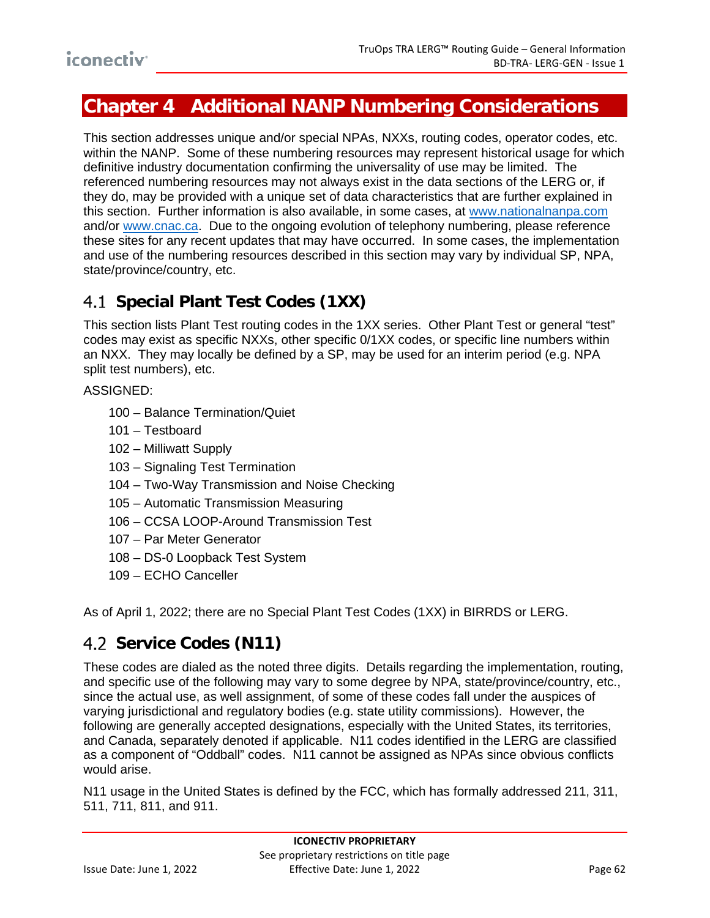# iconectiv<sup>-</sup>

## <span id="page-65-0"></span>**Chapter 4 Additional NANP Numbering Considerations**

This section addresses unique and/or special NPAs, NXXs, routing codes, operator codes, etc. within the NANP. Some of these numbering resources may represent historical usage for which definitive industry documentation confirming the universality of use may be limited. The referenced numbering resources may not always exist in the data sections of the LERG or, if they do, may be provided with a unique set of data characteristics that are further explained in this section. Further information is also available, in some cases, at [www.nationalnanpa.com](http://www.nationalnanpa.com/) and/or [www.cnac.ca.](http://www.cnac.ca/) Due to the ongoing evolution of telephony numbering, please reference these sites for any recent updates that may have occurred. In some cases, the implementation and use of the numbering resources described in this section may vary by individual SP, NPA, state/province/country, etc.

## **Special Plant Test Codes (1XX)**

This section lists Plant Test routing codes in the 1XX series. Other Plant Test or general "test" codes may exist as specific NXXs, other specific 0/1XX codes, or specific line numbers within an NXX. They may locally be defined by a SP, may be used for an interim period (e.g. NPA split test numbers), etc.

ASSIGNED:

- 100 Balance Termination/Quiet
- 101 Testboard
- 102 Milliwatt Supply
- 103 Signaling Test Termination
- 104 Two-Way Transmission and Noise Checking
- 105 Automatic Transmission Measuring
- 106 CCSA LOOP-Around Transmission Test
- 107 Par Meter Generator
- 108 DS-0 Loopback Test System
- 109 ECHO Canceller

As of April 1, 2022; there are no Special Plant Test Codes (1XX) in BIRRDS or LERG.

### **4.2 Service Codes (N11)**

These codes are dialed as the noted three digits. Details regarding the implementation, routing, and specific use of the following may vary to some degree by NPA, state/province/country, etc., since the actual use, as well assignment, of some of these codes fall under the auspices of varying jurisdictional and regulatory bodies (e.g. state utility commissions). However, the following are generally accepted designations, especially with the United States, its territories, and Canada, separately denoted if applicable. N11 codes identified in the LERG are classified as a component of "Oddball" codes. N11 cannot be assigned as NPAs since obvious conflicts would arise.

N11 usage in the United States is defined by the FCC, which has formally addressed 211, 311, 511, 711, 811, and 911.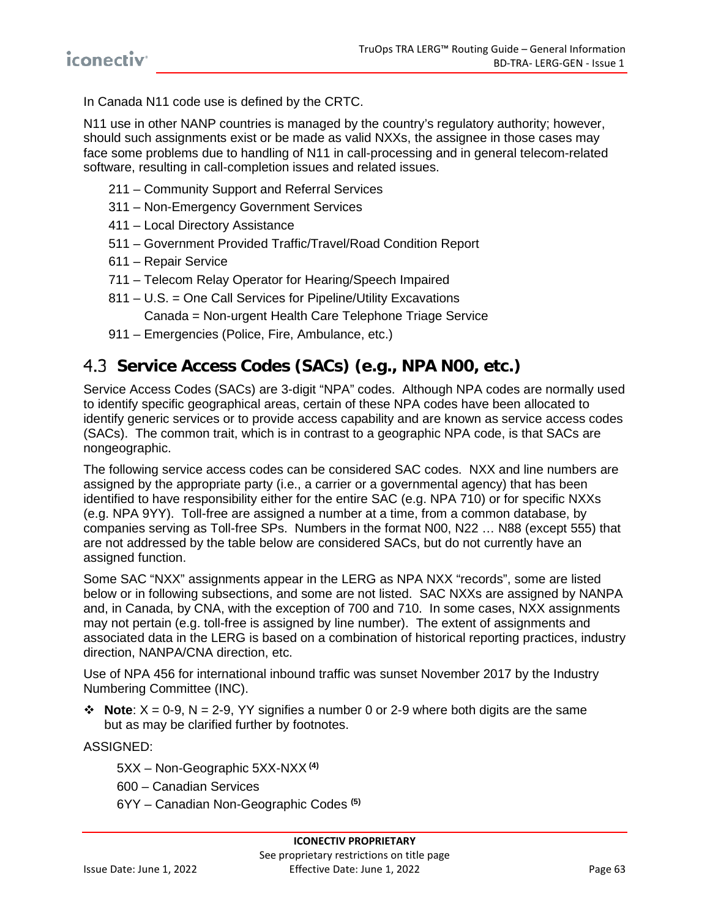In Canada N11 code use is defined by the CRTC.

N11 use in other NANP countries is managed by the country's regulatory authority; however, should such assignments exist or be made as valid NXXs, the assignee in those cases may face some problems due to handling of N11 in call-processing and in general telecom-related software, resulting in call-completion issues and related issues.

- 211 Community Support and Referral Services
- 311 Non-Emergency Government Services
- 411 Local Directory Assistance
- 511 Government Provided Traffic/Travel/Road Condition Report
- 611 Repair Service
- 711 Telecom Relay Operator for Hearing/Speech Impaired
- 811 U.S. = One Call Services for Pipeline/Utility Excavations Canada = Non-urgent Health Care Telephone Triage Service
- 911 Emergencies (Police, Fire, Ambulance, etc.)

### **Service Access Codes (SACs) (e.g., NPA N00, etc.)**

Service Access Codes (SACs) are 3-digit "NPA" codes. Although NPA codes are normally used to identify specific geographical areas, certain of these NPA codes have been allocated to identify generic services or to provide access capability and are known as service access codes (SACs). The common trait, which is in contrast to a geographic NPA code, is that SACs are nongeographic.

The following service access codes can be considered SAC codes. NXX and line numbers are assigned by the appropriate party (i.e., a carrier or a governmental agency) that has been identified to have responsibility either for the entire SAC (e.g. NPA 710) or for specific NXXs (e.g. NPA 9YY). Toll-free are assigned a number at a time, from a common database, by companies serving as Toll-free SPs. Numbers in the format N00, N22 … N88 (except 555) that are not addressed by the table below are considered SACs, but do not currently have an assigned function.

Some SAC "NXX" assignments appear in the LERG as NPA NXX "records", some are listed below or in following subsections, and some are not listed. SAC NXXs are assigned by NANPA and, in Canada, by CNA, with the exception of 700 and 710. In some cases, NXX assignments may not pertain (e.g. toll-free is assigned by line number). The extent of assignments and associated data in the LERG is based on a combination of historical reporting practices, industry direction, NANPA/CNA direction, etc.

Use of NPA 456 for international inbound traffic was sunset November 2017 by the Industry Numbering Committee (INC).

 $\div$  **Note**:  $X = 0.9$ ,  $N = 2.9$ , YY signifies a number 0 or 2-9 where both digits are the same but as may be clarified further by footnotes.

ASSIGNED:

5XX – Non-Geographic 5XX-NXX **(4)**

600 – Canadian Services

6YY – Canadian Non-Geographic Codes **(5)**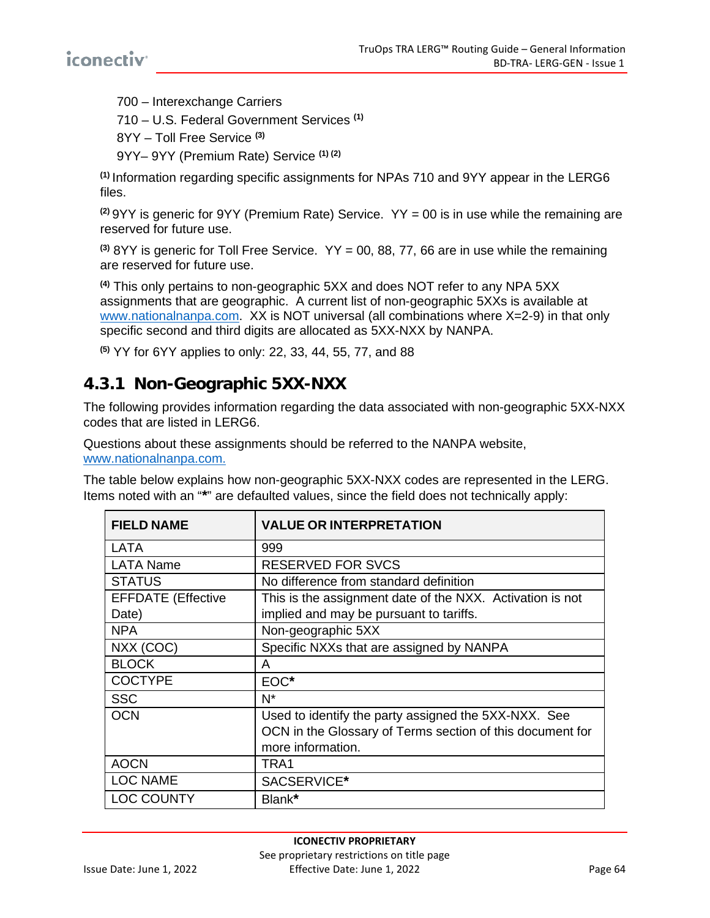700 – Interexchange Carriers

710 – U.S. Federal Government Services **(1)**

8YY – Toll Free Service **(3)**

9YY– 9YY (Premium Rate) Service **(1) (2)**

**(1)** Information regarding specific assignments for NPAs 710 and 9YY appear in the LERG6 files.

**(2)** 9YY is generic for 9YY (Premium Rate) Service. YY = 00 is in use while the remaining are reserved for future use.

**(3)** 8YY is generic for Toll Free Service. YY = 00, 88, 77, 66 are in use while the remaining are reserved for future use.

**(4)** This only pertains to non-geographic 5XX and does NOT refer to any NPA 5XX assignments that are geographic. A current list of non-geographic 5XXs is available at [www.nationalnanpa.com.](http://www.nationalnanpa.com/) XX is NOT universal (all combinations where X=2-9) in that only specific second and third digits are allocated as 5XX-NXX by NANPA.

**(5)** YY for 6YY applies to only: 22, 33, 44, 55, 77, and 88

### **4.3.1 Non-Geographic 5XX-NXX**

The following provides information regarding the data associated with non-geographic 5XX-NXX codes that are listed in LERG6.

Questions about these assignments should be referred to the NANPA website, [www.nationalnanpa.com.](http://www.nationalnanpa.com/)

The table below explains how non-geographic 5XX-NXX codes are represented in the LERG. Items noted with an "**\***" are defaulted values, since the field does not technically apply:

| <b>FIELD NAME</b>         | <b>VALUE OR INTERPRETATION</b>                            |
|---------------------------|-----------------------------------------------------------|
| LATA                      | 999                                                       |
| <b>LATA Name</b>          | <b>RESERVED FOR SVCS</b>                                  |
| <b>STATUS</b>             | No difference from standard definition                    |
| <b>EFFDATE</b> (Effective | This is the assignment date of the NXX. Activation is not |
| Date)                     | implied and may be pursuant to tariffs.                   |
| <b>NPA</b>                | Non-geographic 5XX                                        |
| NXX (COC)                 | Specific NXXs that are assigned by NANPA                  |
| <b>BLOCK</b>              | A                                                         |
| <b>COCTYPE</b>            | EOC*                                                      |
| <b>SSC</b>                | $N^*$                                                     |
| <b>OCN</b>                | Used to identify the party assigned the 5XX-NXX. See      |
|                           | OCN in the Glossary of Terms section of this document for |
|                           | more information.                                         |
| <b>AOCN</b>               | TRA1                                                      |
| <b>LOC NAME</b>           | SACSERVICE*                                               |
| <b>LOC COUNTY</b>         | Blank*                                                    |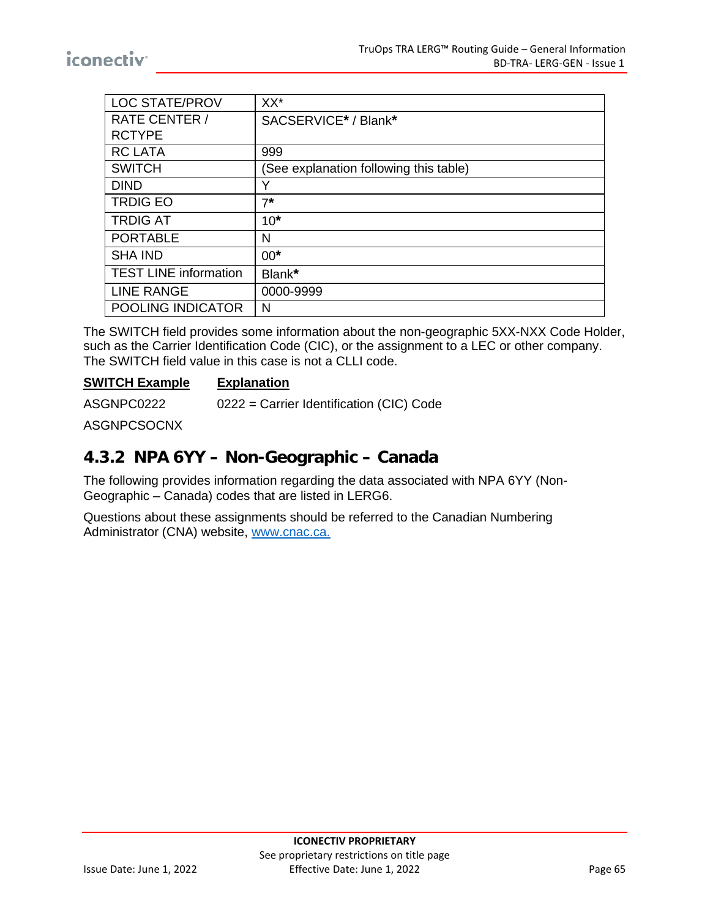| <b>LOC STATE/PROV</b>        | XX*                                    |
|------------------------------|----------------------------------------|
| <b>RATE CENTER /</b>         | SACSERVICE* / Blank*                   |
| <b>RCTYPE</b>                |                                        |
| <b>RC LATA</b>               | 999                                    |
| <b>SWITCH</b>                | (See explanation following this table) |
| <b>DIND</b>                  | Y                                      |
| <b>TRDIG EO</b>              | $7*$                                   |
| <b>TRDIG AT</b>              | $10*$                                  |
| <b>PORTABLE</b>              | N                                      |
| <b>SHA IND</b>               | $00*$                                  |
| <b>TEST LINE information</b> | Blank*                                 |
| <b>LINE RANGE</b>            | 0000-9999                              |
| POOLING INDICATOR            | N                                      |
|                              |                                        |

The SWITCH field provides some information about the non-geographic 5XX-NXX Code Holder, such as the Carrier Identification Code (CIC), or the assignment to a LEC or other company. The SWITCH field value in this case is not a CLLI code.

#### **SWITCH Example Explanation**

ASGNPC0222 0222 = Carrier Identification (CIC) Code

ASGNPCSOCNX

#### **4.3.2 NPA 6YY – Non-Geographic – Canada**

The following provides information regarding the data associated with NPA 6YY (Non-Geographic – Canada) codes that are listed in LERG6.

Questions about these assignments should be referred to the Canadian Numbering Administrator (CNA) website, [www.cnac.ca.](http://www.cnac.ca/)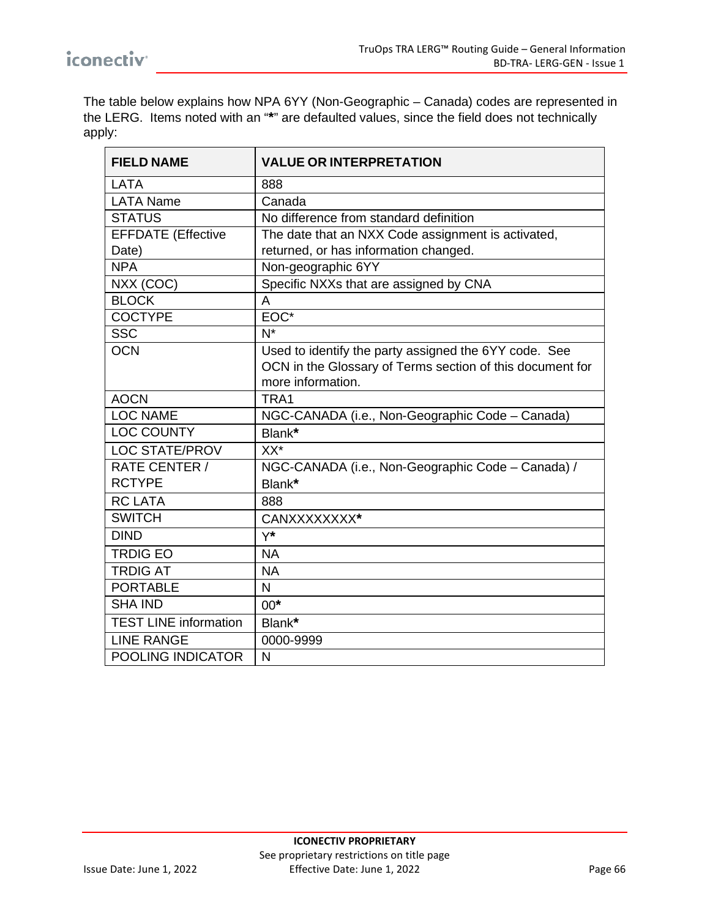The table below explains how NPA 6YY (Non-Geographic – Canada) codes are represented in the LERG. Items noted with an "**\***" are defaulted values, since the field does not technically apply:

| <b>FIELD NAME</b>            | <b>VALUE OR INTERPRETATION</b>                            |
|------------------------------|-----------------------------------------------------------|
| LATA                         | 888                                                       |
| <b>LATA Name</b>             | Canada                                                    |
| <b>STATUS</b>                | No difference from standard definition                    |
| <b>EFFDATE</b> (Effective    | The date that an NXX Code assignment is activated,        |
| Date)                        | returned, or has information changed.                     |
| <b>NPA</b>                   | Non-geographic 6YY                                        |
| NXX (COC)                    | Specific NXXs that are assigned by CNA                    |
| <b>BLOCK</b>                 | A                                                         |
| <b>COCTYPE</b>               | EOC*                                                      |
| <b>SSC</b>                   | $N^*$                                                     |
| <b>OCN</b>                   | Used to identify the party assigned the 6YY code. See     |
|                              | OCN in the Glossary of Terms section of this document for |
|                              | more information.                                         |
| <b>AOCN</b>                  | TRA1                                                      |
| <b>LOC NAME</b>              | NGC-CANADA (i.e., Non-Geographic Code - Canada)           |
| <b>LOC COUNTY</b>            | Blank*                                                    |
| <b>LOC STATE/PROV</b>        | $XX^*$                                                    |
| RATE CENTER /                | NGC-CANADA (i.e., Non-Geographic Code - Canada) /         |
| <b>RCTYPE</b>                | Blank*                                                    |
| <b>RC LATA</b>               | 888                                                       |
| <b>SWITCH</b>                | CANXXXXXXXX*                                              |
| <b>DIND</b>                  | $Y^*$                                                     |
| <b>TRDIG EO</b>              | <b>NA</b>                                                 |
| <b>TRDIG AT</b>              | <b>NA</b>                                                 |
| <b>PORTABLE</b>              | $\overline{\mathsf{N}}$                                   |
| <b>SHA IND</b>               | $00*$                                                     |
| <b>TEST LINE information</b> | Blank*                                                    |
| <b>LINE RANGE</b>            | 0000-9999                                                 |
| POOLING INDICATOR            | $\mathsf{N}$                                              |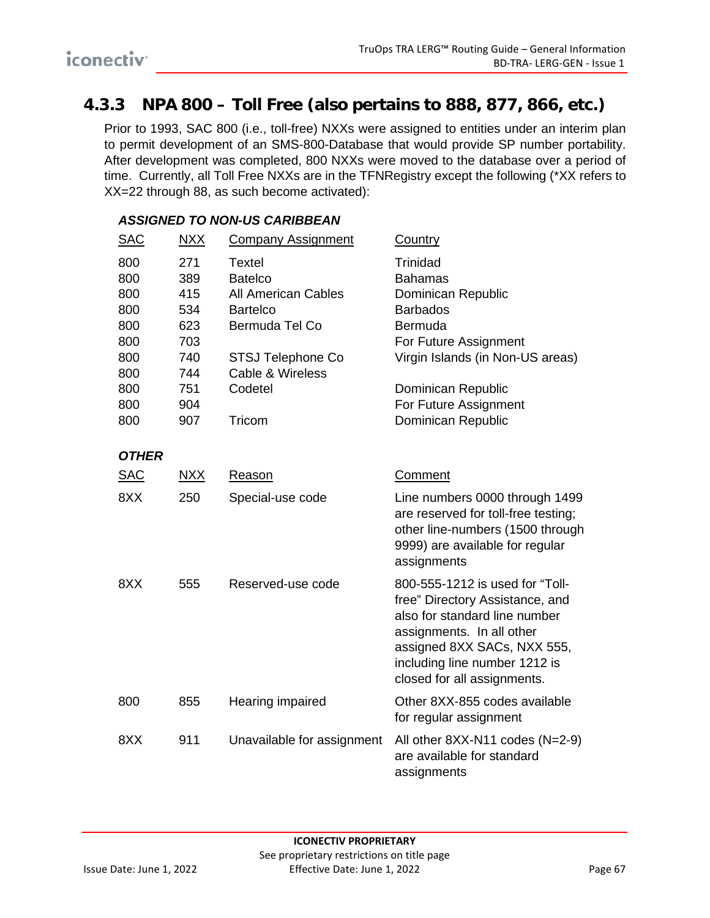### **4.3.3 NPA 800 – Toll Free (also pertains to 888, 877, 866, etc.)**

Prior to 1993, SAC 800 (i.e., toll-free) NXXs were assigned to entities under an interim plan to permit development of an SMS-800-Database that would provide SP number portability. After development was completed, 800 NXXs were moved to the database over a period of time. Currently, all Toll Free NXXs are in the TFNRegistry except the following (\*XX refers to XX=22 through 88, as such become activated):

| <u>SAC</u>                                                                | <u>NXX</u>                                                                | <b>Company Assignment</b>                                                                                                                                        | Country                                                                                                                                                                                                                         |
|---------------------------------------------------------------------------|---------------------------------------------------------------------------|------------------------------------------------------------------------------------------------------------------------------------------------------------------|---------------------------------------------------------------------------------------------------------------------------------------------------------------------------------------------------------------------------------|
| 800<br>800<br>800<br>800<br>800<br>800<br>800<br>800<br>800<br>800<br>800 | 271<br>389<br>415<br>534<br>623<br>703<br>740<br>744<br>751<br>904<br>907 | <b>Textel</b><br><b>Batelco</b><br><b>All American Cables</b><br><b>Bartelco</b><br>Bermuda Tel Co<br>STSJ Telephone Co<br>Cable & Wireless<br>Codetel<br>Tricom | Trinidad<br><b>Bahamas</b><br>Dominican Republic<br><b>Barbados</b><br>Bermuda<br>For Future Assignment<br>Virgin Islands (in Non-US areas)<br>Dominican Republic<br>For Future Assignment<br>Dominican Republic                |
| <b>OTHER</b>                                                              |                                                                           |                                                                                                                                                                  |                                                                                                                                                                                                                                 |
| <b>SAC</b>                                                                | $\overline{\text{NXX}}$                                                   | Reason                                                                                                                                                           | Comment                                                                                                                                                                                                                         |
| 8XX                                                                       | 250                                                                       | Special-use code                                                                                                                                                 | Line numbers 0000 through 1499<br>are reserved for toll-free testing;<br>other line-numbers (1500 through<br>9999) are available for regular<br>assignments                                                                     |
| 8XX                                                                       | 555                                                                       | Reserved-use code                                                                                                                                                | 800-555-1212 is used for "Toll-<br>free" Directory Assistance, and<br>also for standard line number<br>assignments. In all other<br>assigned 8XX SACs, NXX 555,<br>including line number 1212 is<br>closed for all assignments. |
| 800                                                                       | 855                                                                       | Hearing impaired                                                                                                                                                 | Other 8XX-855 codes available<br>for regular assignment                                                                                                                                                                         |
| 8XX                                                                       | 911                                                                       | Unavailable for assignment                                                                                                                                       | All other $8XX-N11$ codes $(N=2-9)$<br>are available for standard<br>assignments                                                                                                                                                |

#### *ASSIGNED TO NON-US CARIBBEAN*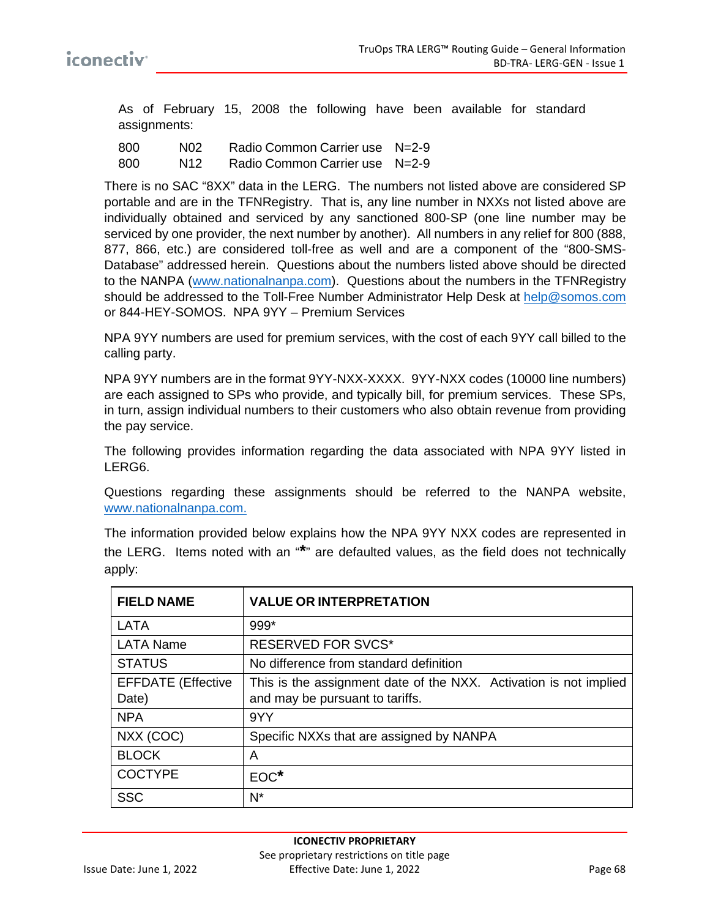As of February 15, 2008 the following have been available for standard assignments:

| 800 | N02. | Radio Common Carrier use N=2-9 |  |
|-----|------|--------------------------------|--|
| 800 | N12  | Radio Common Carrier use N=2-9 |  |

There is no SAC "8XX" data in the LERG. The numbers not listed above are considered SP portable and are in the TFNRegistry. That is, any line number in NXXs not listed above are individually obtained and serviced by any sanctioned 800-SP (one line number may be serviced by one provider, the next number by another). All numbers in any relief for 800 (888, 877, 866, etc.) are considered toll-free as well and are a component of the "800-SMS-Database" addressed herein. Questions about the numbers listed above should be directed to the NANPA [\(www.nationalnanpa.com\)](http://www.nationalnanpa.com/). Questions about the numbers in the TFNRegistry should be addressed to the Toll-Free Number Administrator Help Desk at [help@somos.com](mailto:help@somos.com) or 844-HEY-SOMOS. NPA 9YY – Premium Services

NPA 9YY numbers are used for premium services, with the cost of each 9YY call billed to the calling party.

NPA 9YY numbers are in the format 9YY-NXX-XXXX. 9YY-NXX codes (10000 line numbers) are each assigned to SPs who provide, and typically bill, for premium services. These SPs, in turn, assign individual numbers to their customers who also obtain revenue from providing the pay service.

The following provides information regarding the data associated with NPA 9YY listed in LERG6.

Questions regarding these assignments should be referred to the NANPA website, [www.nationalnanpa.com.](http://www.nationalnanpa.com/)

The information provided below explains how the NPA 9YY NXX codes are represented in the LERG. Items noted with an "**\***" are defaulted values, as the field does not technically apply:

| <b>FIELD NAME</b>         | <b>VALUE OR INTERPRETATION</b>                                    |
|---------------------------|-------------------------------------------------------------------|
| <b>LATA</b>               | 999*                                                              |
| <b>LATA Name</b>          | <b>RESERVED FOR SVCS*</b>                                         |
| <b>STATUS</b>             | No difference from standard definition                            |
| <b>EFFDATE</b> (Effective | This is the assignment date of the NXX. Activation is not implied |
| Date)                     | and may be pursuant to tariffs.                                   |
| <b>NPA</b>                | 9YY                                                               |
| NXX (COC)                 | Specific NXXs that are assigned by NANPA                          |
| <b>BLOCK</b>              | А                                                                 |
| <b>COCTYPE</b>            | $EOC^*$                                                           |
| <b>SSC</b>                | N*                                                                |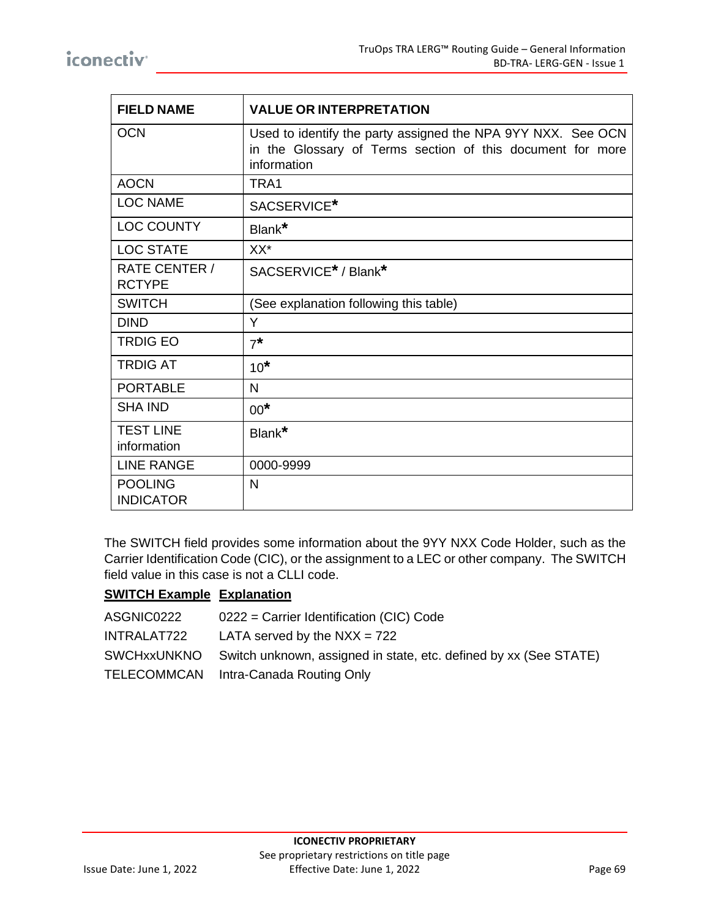| <b>FIELD NAME</b>                  | <b>VALUE OR INTERPRETATION</b>                                                                                                            |
|------------------------------------|-------------------------------------------------------------------------------------------------------------------------------------------|
| <b>OCN</b>                         | Used to identify the party assigned the NPA 9YY NXX. See OCN<br>in the Glossary of Terms section of this document for more<br>information |
| <b>AOCN</b>                        | TRA1                                                                                                                                      |
| <b>LOC NAME</b>                    | SACSERVICE*                                                                                                                               |
| <b>LOC COUNTY</b>                  | Blank*                                                                                                                                    |
| <b>LOC STATE</b>                   | XX*                                                                                                                                       |
| RATE CENTER /<br><b>RCTYPE</b>     | SACSERVICE <sup>*</sup> / Blank <sup>*</sup>                                                                                              |
| <b>SWITCH</b>                      | (See explanation following this table)                                                                                                    |
| <b>DIND</b>                        | Y                                                                                                                                         |
| <b>TRDIG EO</b>                    | $7^*$                                                                                                                                     |
| <b>TRDIG AT</b>                    | $10*$                                                                                                                                     |
| <b>PORTABLE</b>                    | $\mathsf{N}$                                                                                                                              |
| <b>SHA IND</b>                     | $00*$                                                                                                                                     |
| <b>TEST LINE</b><br>information    | Blank*                                                                                                                                    |
| <b>LINE RANGE</b>                  | 0000-9999                                                                                                                                 |
| <b>POOLING</b><br><b>INDICATOR</b> | N                                                                                                                                         |

The SWITCH field provides some information about the 9YY NXX Code Holder, such as the Carrier Identification Code (CIC), or the assignment to a LEC or other company. The SWITCH field value in this case is not a CLLI code.

#### **SWITCH Example Explanation**

| ASGNIC0222  | 0222 = Carrier Identification (CIC) Code                                      |
|-------------|-------------------------------------------------------------------------------|
| INTRALAT722 | LATA served by the $NXX = 722$                                                |
|             | SWCHxxUNKNO Switch unknown, assigned in state, etc. defined by xx (See STATE) |
|             | TELECOMMCAN Intra-Canada Routing Only                                         |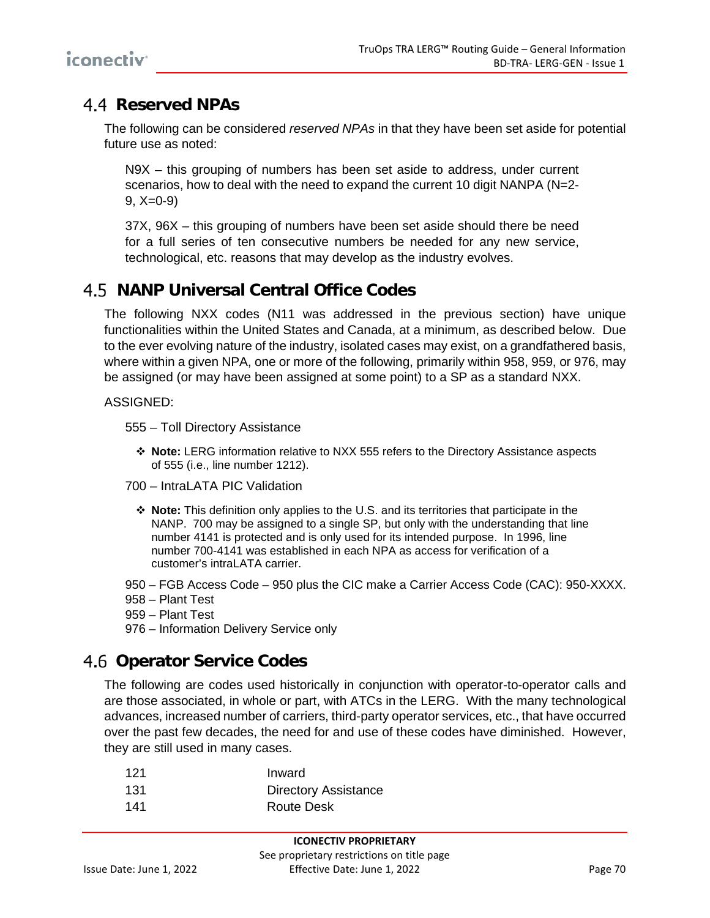## **Reserved NPAs**

The following can be considered *reserved NPAs* in that they have been set aside for potential future use as noted:

N9X – this grouping of numbers has been set aside to address, under current scenarios, how to deal with the need to expand the current 10 digit NANPA (N=2-  $9, X=0-9$ 

37X, 96X – this grouping of numbers have been set aside should there be need for a full series of ten consecutive numbers be needed for any new service, technological, etc. reasons that may develop as the industry evolves.

## **NANP Universal Central Office Codes**

The following NXX codes (N11 was addressed in the previous section) have unique functionalities within the United States and Canada, at a minimum, as described below. Due to the ever evolving nature of the industry, isolated cases may exist, on a grandfathered basis, where within a given NPA, one or more of the following, primarily within 958, 959, or 976, may be assigned (or may have been assigned at some point) to a SP as a standard NXX.

#### ASSIGNED:

555 – Toll Directory Assistance

- **Note:** LERG information relative to NXX 555 refers to the Directory Assistance aspects of 555 (i.e., line number 1212).
- 700 IntraLATA PIC Validation
	- **Note:** This definition only applies to the U.S. and its territories that participate in the NANP. 700 may be assigned to a single SP, but only with the understanding that line number 4141 is protected and is only used for its intended purpose. In 1996, line number 700-4141 was established in each NPA as access for verification of a customer's intral ATA carrier
- 950 FGB Access Code 950 plus the CIC make a Carrier Access Code (CAC): 950-XXXX.
- 958 Plant Test
- 959 Plant Test
- 976 Information Delivery Service only

### **Operator Service Codes**

The following are codes used historically in conjunction with operator-to-operator calls and are those associated, in whole or part, with ATCs in the LERG. With the many technological advances, increased number of carriers, third-party operator services, etc., that have occurred over the past few decades, the need for and use of these codes have diminished. However, they are still used in many cases.

| 121  | Inward                      |
|------|-----------------------------|
| -131 | <b>Directory Assistance</b> |
| 141  | Route Desk                  |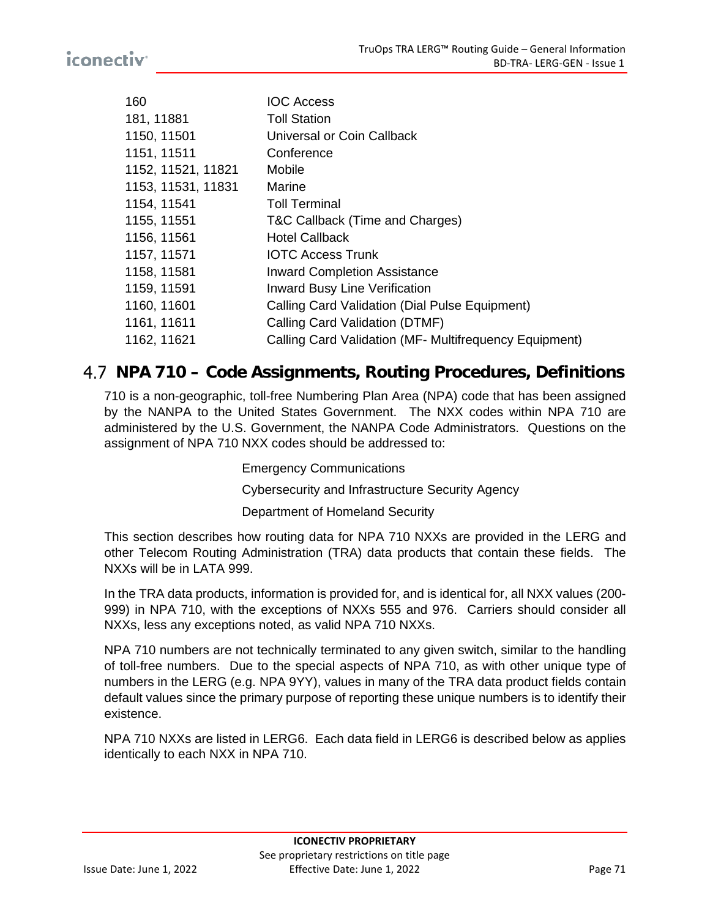| 160                | <b>IOC Access</b>                                      |
|--------------------|--------------------------------------------------------|
| 181, 11881         | <b>Toll Station</b>                                    |
| 1150, 11501        | Universal or Coin Callback                             |
| 1151, 11511        | Conference                                             |
| 1152, 11521, 11821 | Mobile                                                 |
| 1153, 11531, 11831 | Marine                                                 |
| 1154, 11541        | <b>Toll Terminal</b>                                   |
| 1155, 11551        | T&C Callback (Time and Charges)                        |
| 1156, 11561        | <b>Hotel Callback</b>                                  |
| 1157, 11571        | <b>IOTC Access Trunk</b>                               |
| 1158, 11581        | <b>Inward Completion Assistance</b>                    |
| 1159, 11591        | <b>Inward Busy Line Verification</b>                   |
| 1160, 11601        | Calling Card Validation (Dial Pulse Equipment)         |
| 1161, 11611        | Calling Card Validation (DTMF)                         |
| 1162, 11621        | Calling Card Validation (MF- Multifrequency Equipment) |
|                    |                                                        |

### **NPA 710 – Code Assignments, Routing Procedures, Definitions**

710 is a non-geographic, toll-free Numbering Plan Area (NPA) code that has been assigned by the NANPA to the United States Government. The NXX codes within NPA 710 are administered by the U.S. Government, the NANPA Code Administrators. Questions on the assignment of NPA 710 NXX codes should be addressed to:

Emergency Communications

Cybersecurity and Infrastructure Security Agency

Department of Homeland Security

This section describes how routing data for NPA 710 NXXs are provided in the LERG and other Telecom Routing Administration (TRA) data products that contain these fields. The NXXs will be in LATA 999.

In the TRA data products, information is provided for, and is identical for, all NXX values (200- 999) in NPA 710, with the exceptions of NXXs 555 and 976. Carriers should consider all NXXs, less any exceptions noted, as valid NPA 710 NXXs.

NPA 710 numbers are not technically terminated to any given switch, similar to the handling of toll-free numbers. Due to the special aspects of NPA 710, as with other unique type of numbers in the LERG (e.g. NPA 9YY), values in many of the TRA data product fields contain default values since the primary purpose of reporting these unique numbers is to identify their existence.

NPA 710 NXXs are listed in LERG6. Each data field in LERG6 is described below as applies identically to each NXX in NPA 710.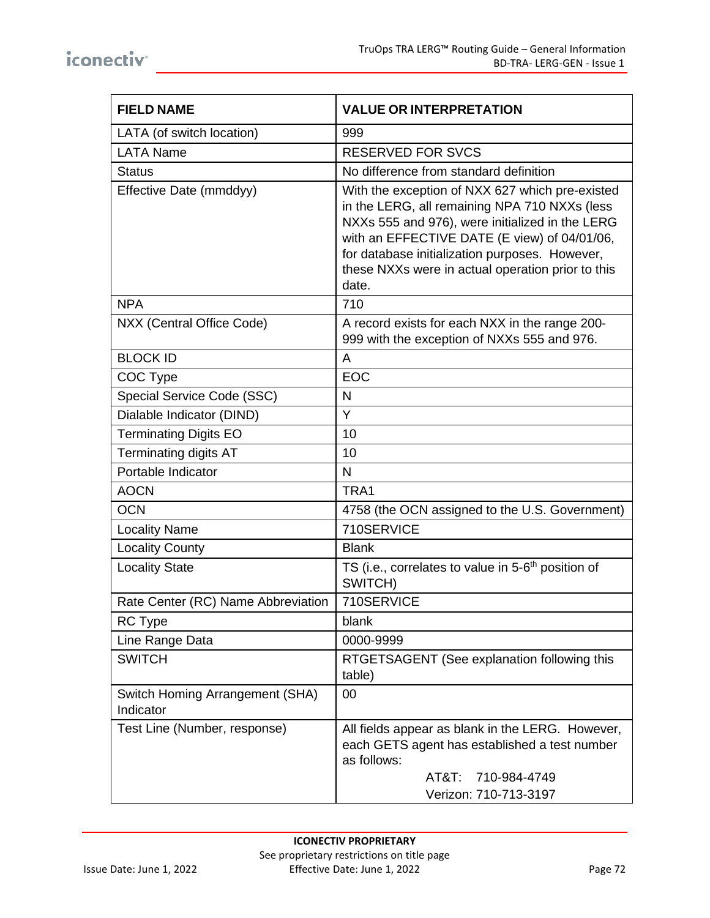| <b>FIELD NAME</b>                            | <b>VALUE OR INTERPRETATION</b>                                                                                                                                                                                                                                                                                      |
|----------------------------------------------|---------------------------------------------------------------------------------------------------------------------------------------------------------------------------------------------------------------------------------------------------------------------------------------------------------------------|
| LATA (of switch location)                    | 999                                                                                                                                                                                                                                                                                                                 |
| <b>LATA Name</b>                             | <b>RESERVED FOR SVCS</b>                                                                                                                                                                                                                                                                                            |
| <b>Status</b>                                | No difference from standard definition                                                                                                                                                                                                                                                                              |
| Effective Date (mmddyy)                      | With the exception of NXX 627 which pre-existed<br>in the LERG, all remaining NPA 710 NXXs (less<br>NXXs 555 and 976), were initialized in the LERG<br>with an EFFECTIVE DATE (E view) of 04/01/06,<br>for database initialization purposes. However,<br>these NXXs were in actual operation prior to this<br>date. |
| <b>NPA</b>                                   | 710                                                                                                                                                                                                                                                                                                                 |
| NXX (Central Office Code)                    | A record exists for each NXX in the range 200-<br>999 with the exception of NXXs 555 and 976.                                                                                                                                                                                                                       |
| <b>BLOCK ID</b>                              | A                                                                                                                                                                                                                                                                                                                   |
| COC Type                                     | EOC                                                                                                                                                                                                                                                                                                                 |
| Special Service Code (SSC)                   | N                                                                                                                                                                                                                                                                                                                   |
| Dialable Indicator (DIND)                    | Y                                                                                                                                                                                                                                                                                                                   |
| <b>Terminating Digits EO</b>                 | 10                                                                                                                                                                                                                                                                                                                  |
| <b>Terminating digits AT</b>                 | 10                                                                                                                                                                                                                                                                                                                  |
| Portable Indicator                           | N                                                                                                                                                                                                                                                                                                                   |
| <b>AOCN</b>                                  | TRA1                                                                                                                                                                                                                                                                                                                |
| <b>OCN</b>                                   | 4758 (the OCN assigned to the U.S. Government)                                                                                                                                                                                                                                                                      |
| <b>Locality Name</b>                         | 710SERVICE                                                                                                                                                                                                                                                                                                          |
| <b>Locality County</b>                       | <b>Blank</b>                                                                                                                                                                                                                                                                                                        |
| <b>Locality State</b>                        | TS (i.e., correlates to value in 5-6 <sup>th</sup> position of<br>SWITCH)                                                                                                                                                                                                                                           |
| Rate Center (RC) Name Abbreviation           | 710SERVICE                                                                                                                                                                                                                                                                                                          |
| RC Type                                      | blank                                                                                                                                                                                                                                                                                                               |
| Line Range Data                              | 0000-9999                                                                                                                                                                                                                                                                                                           |
| <b>SWITCH</b>                                | RTGETSAGENT (See explanation following this<br>table)                                                                                                                                                                                                                                                               |
| Switch Homing Arrangement (SHA)<br>Indicator | 00                                                                                                                                                                                                                                                                                                                  |
| Test Line (Number, response)                 | All fields appear as blank in the LERG. However,<br>each GETS agent has established a test number<br>as follows:<br>$AT&T$ :<br>710-984-4749<br>Verizon: 710-713-3197                                                                                                                                               |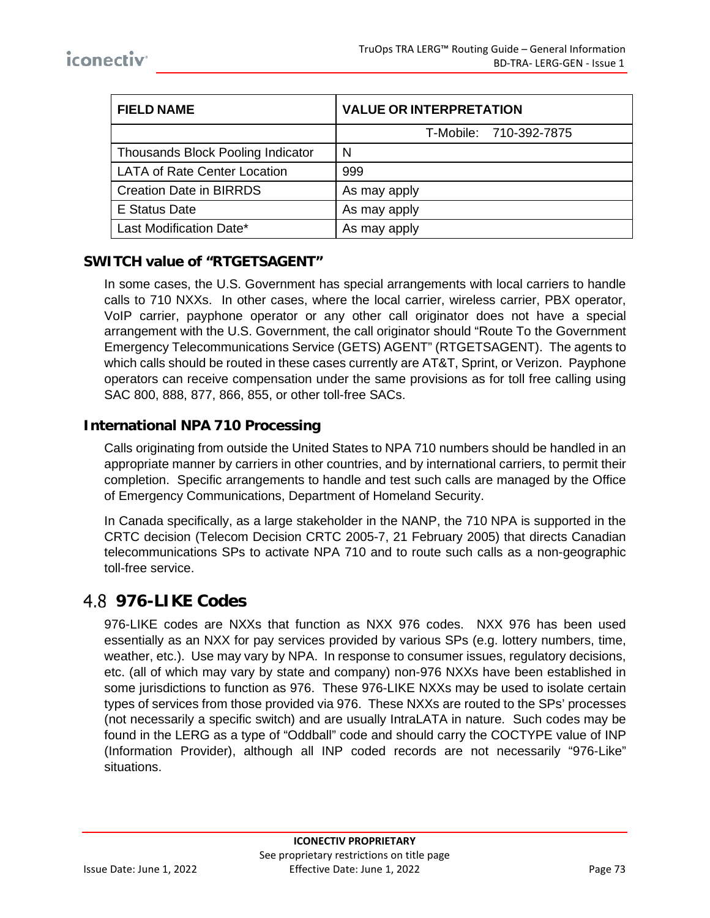| <b>FIELD NAME</b>                   | <b>VALUE OR INTERPRETATION</b> |  |
|-------------------------------------|--------------------------------|--|
|                                     | T-Mobile: 710-392-7875         |  |
| Thousands Block Pooling Indicator   | <sub>N</sub>                   |  |
| <b>LATA of Rate Center Location</b> | 999                            |  |
| <b>Creation Date in BIRRDS</b>      | As may apply                   |  |
| <b>E</b> Status Date                | As may apply                   |  |
| Last Modification Date*             | As may apply                   |  |

#### **SWITCH value of "RTGETSAGENT"**

In some cases, the U.S. Government has special arrangements with local carriers to handle calls to 710 NXXs. In other cases, where the local carrier, wireless carrier, PBX operator, VoIP carrier, payphone operator or any other call originator does not have a special arrangement with the U.S. Government, the call originator should "Route To the Government Emergency Telecommunications Service (GETS) AGENT" (RTGETSAGENT). The agents to which calls should be routed in these cases currently are AT&T, Sprint, or Verizon. Payphone operators can receive compensation under the same provisions as for toll free calling using SAC 800, 888, 877, 866, 855, or other toll-free SACs.

#### **International NPA 710 Processing**

Calls originating from outside the United States to NPA 710 numbers should be handled in an appropriate manner by carriers in other countries, and by international carriers, to permit their completion. Specific arrangements to handle and test such calls are managed by the Office of Emergency Communications, Department of Homeland Security.

In Canada specifically, as a large stakeholder in the NANP, the 710 NPA is supported in the CRTC decision (Telecom Decision CRTC 2005-7, 21 February 2005) that directs Canadian telecommunications SPs to activate NPA 710 and to route such calls as a non-geographic toll-free service.

### **976-LIKE Codes**

976-LIKE codes are NXXs that function as NXX 976 codes. NXX 976 has been used essentially as an NXX for pay services provided by various SPs (e.g. lottery numbers, time, weather, etc.). Use may vary by NPA. In response to consumer issues, regulatory decisions, etc. (all of which may vary by state and company) non-976 NXXs have been established in some jurisdictions to function as 976. These 976-LIKE NXXs may be used to isolate certain types of services from those provided via 976. These NXXs are routed to the SPs' processes (not necessarily a specific switch) and are usually IntraLATA in nature. Such codes may be found in the LERG as a type of "Oddball" code and should carry the COCTYPE value of INP (Information Provider), although all INP coded records are not necessarily "976-Like" situations.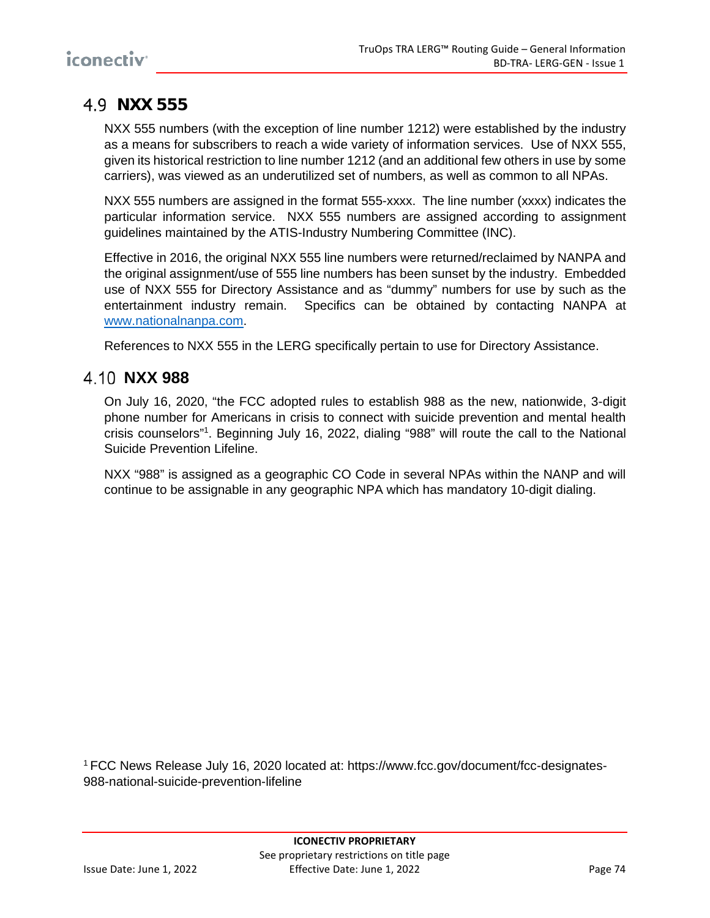# **NXX 555**

NXX 555 numbers (with the exception of line number 1212) were established by the industry as a means for subscribers to reach a wide variety of information services. Use of NXX 555, given its historical restriction to line number 1212 (and an additional few others in use by some carriers), was viewed as an underutilized set of numbers, as well as common to all NPAs.

NXX 555 numbers are assigned in the format 555-xxxx. The line number (xxxx) indicates the particular information service. NXX 555 numbers are assigned according to assignment guidelines maintained by the ATIS-Industry Numbering Committee (INC).

Effective in 2016, the original NXX 555 line numbers were returned/reclaimed by NANPA and the original assignment/use of 555 line numbers has been sunset by the industry. Embedded use of NXX 555 for Directory Assistance and as "dummy" numbers for use by such as the entertainment industry remain. Specifics can be obtained by contacting NANPA at [www.nationalnanpa.com.](http://www.nationalnanpa.com/)

References to NXX 555 in the LERG specifically pertain to use for Directory Assistance.

### **NXX 988**

On July 16, 2020, "the FCC adopted rules to establish 988 as the new, nationwide, 3-digit phone number for Americans in crisis to connect with suicide prevention and mental health crisis counselors"1 . Beginning July 16, 2022, dialing "988" will route the call to the National Suicide Prevention Lifeline.

NXX "988" is assigned as a geographic CO Code in several NPAs within the NANP and will continue to be assignable in any geographic NPA which has mandatory 10-digit dialing.

1 FCC News Release July 16, 2020 located at: https://www.fcc.gov/document/fcc-designates-988-national-suicide-prevention-lifeline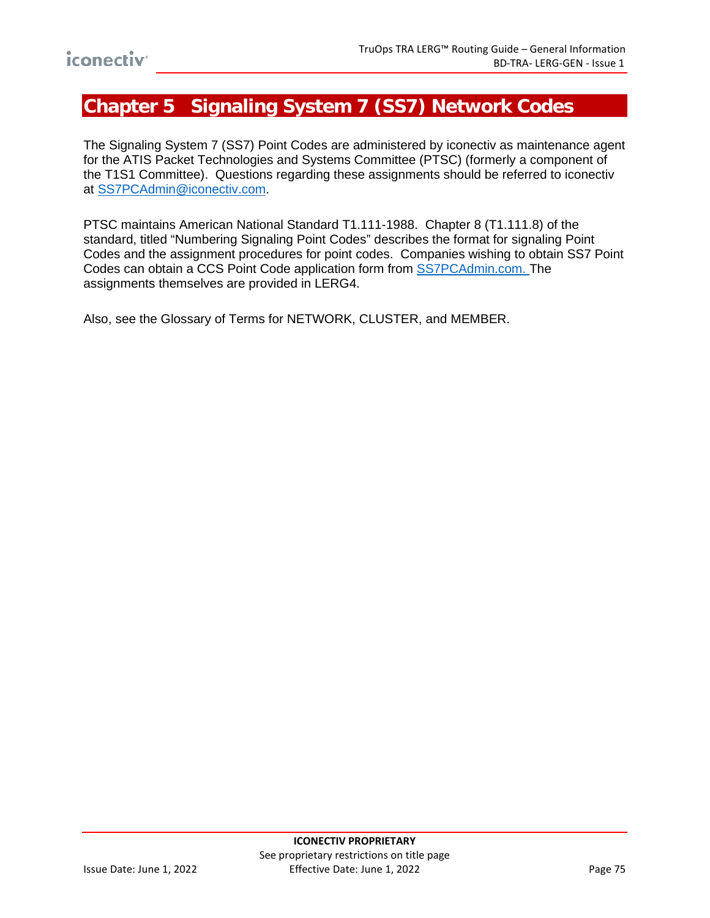# **Chapter 5 Signaling System 7 (SS7) Network Codes**

The Signaling System 7 (SS7) Point Codes are administered by iconectiv as maintenance agent for the ATIS Packet Technologies and Systems Committee (PTSC) (formerly a component of the T1S1 Committee). Questions regarding these assignments should be referred to iconectiv at [SS7PCAdmin@iconectiv.com.](mailto:SS7PCAdmin@iconectiv.com)

PTSC maintains American National Standard T1.111-1988. Chapter 8 (T1.111.8) of the standard, titled "Numbering Signaling Point Codes" describes the format for signaling Point Codes and the assignment procedures for point codes. Companies wishing to obtain SS7 Point Codes can obtain a CCS Point Code application form from [SS7PCAdmin.com.](mailto:SS7PCAdmin@iconectiv.com) The assignments themselves are provided in LERG4.

Also, see the [Glossary of Terms](#page-15-0) for NETWORK, CLUSTER, and MEMBER.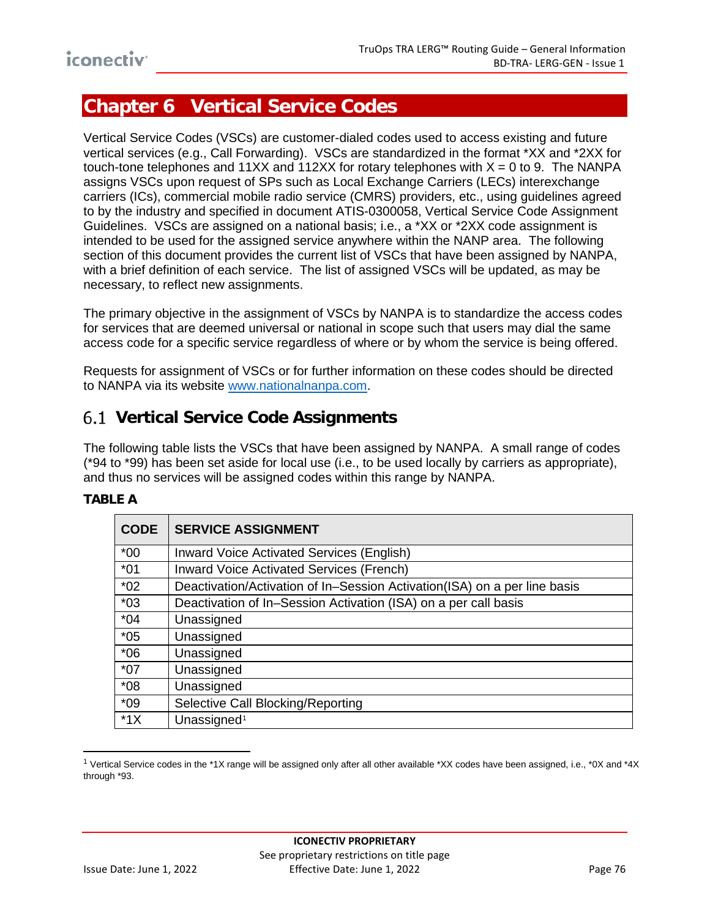# **Chapter 6 Vertical Service Codes**

Vertical Service Codes (VSCs) are customer-dialed codes used to access existing and future vertical services (e.g., Call Forwarding). VSCs are standardized in the format \*XX and \*2XX for touch-tone telephones and 11XX and 112XX for rotary telephones with  $X = 0$  to 9. The NANPA assigns VSCs upon request of SPs such as Local Exchange Carriers (LECs) interexchange carriers (ICs), commercial mobile radio service (CMRS) providers, etc., using guidelines agreed to by the industry and specified in document ATIS-0300058, Vertical Service Code Assignment Guidelines. VSCs are assigned on a national basis; i.e., a \*XX or \*2XX code assignment is intended to be used for the assigned service anywhere within the NANP area. The following section of this document provides the current list of VSCs that have been assigned by NANPA, with a brief definition of each service. The list of assigned VSCs will be updated, as may be necessary, to reflect new assignments.

The primary objective in the assignment of VSCs by NANPA is to standardize the access codes for services that are deemed universal or national in scope such that users may dial the same access code for a specific service regardless of where or by whom the service is being offered.

Requests for assignment of VSCs or for further information on these codes should be directed to NANPA via its website [www.nationalnanpa.com.](http://www.nationalnanpa.com/)

## **Vertical Service Code Assignments**

The following table lists the VSCs that have been assigned by NANPA. A small range of codes (\*94 to \*99) has been set aside for local use (i.e., to be used locally by carriers as appropriate), and thus no services will be assigned codes within this range by NANPA.

#### **TABLE A**

| <b>CODE</b> | <b>SERVICE ASSIGNMENT</b>                                                 |
|-------------|---------------------------------------------------------------------------|
| $*00$       | <b>Inward Voice Activated Services (English)</b>                          |
| $*01$       | <b>Inward Voice Activated Services (French)</b>                           |
| $*02$       | Deactivation/Activation of In-Session Activation(ISA) on a per line basis |
| $*03$       | Deactivation of In–Session Activation (ISA) on a per call basis           |
| $*04$       | Unassigned                                                                |
| $*05$       | Unassigned                                                                |
| $*06$       | Unassigned                                                                |
| $*07$       | Unassigned                                                                |
| $*08$       | Unassigned                                                                |
| $*09$       | Selective Call Blocking/Reporting                                         |
| $*1X$       | Unassigned <sup>1</sup>                                                   |

<span id="page-79-0"></span><sup>1</sup> Vertical Service codes in the \*1X range will be assigned only after all other available \*XX codes have been assigned, i.e., \*0X and \*4X through \*93.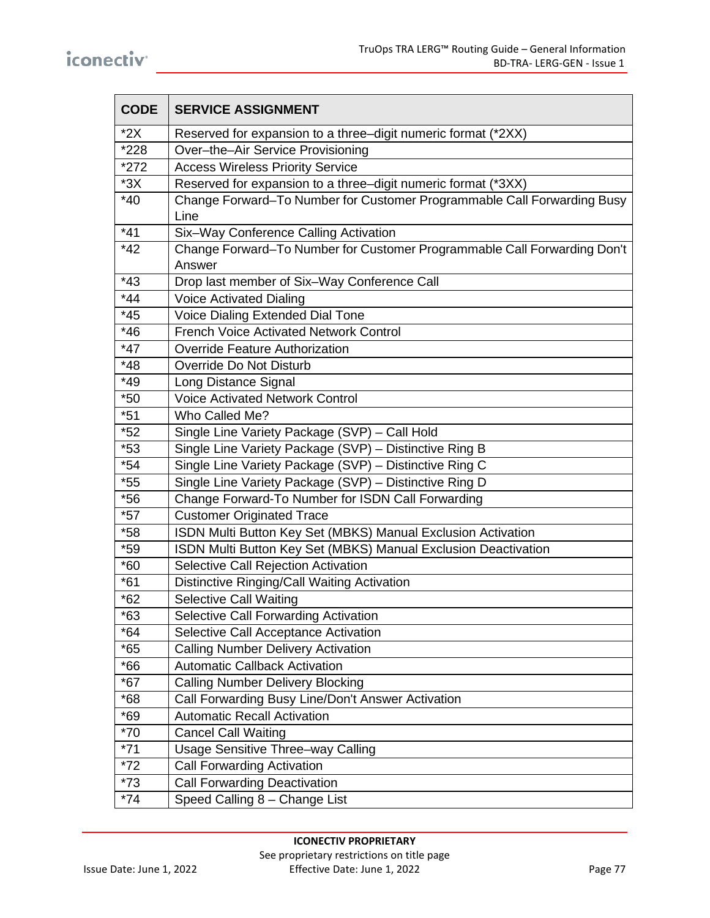| <b>CODE</b> | <b>SERVICE ASSIGNMENT</b>                                                          |
|-------------|------------------------------------------------------------------------------------|
| $*2X$       | Reserved for expansion to a three-digit numeric format (*2XX)                      |
| *228        | Over-the-Air Service Provisioning                                                  |
| $*272$      | <b>Access Wireless Priority Service</b>                                            |
| $*3X$       | Reserved for expansion to a three-digit numeric format (*3XX)                      |
| $*40$       | Change Forward-To Number for Customer Programmable Call Forwarding Busy<br>Line    |
| $*41$       | Six-Way Conference Calling Activation                                              |
| $*42$       | Change Forward-To Number for Customer Programmable Call Forwarding Don't<br>Answer |
| $*43$       | Drop last member of Six-Way Conference Call                                        |
| $*44$       | <b>Voice Activated Dialing</b>                                                     |
| $*45$       | Voice Dialing Extended Dial Tone                                                   |
| $*46$       | <b>French Voice Activated Network Control</b>                                      |
| $*47$       | <b>Override Feature Authorization</b>                                              |
| $*48$       | Override Do Not Disturb                                                            |
| $*49$       | Long Distance Signal                                                               |
| $*50$       | <b>Voice Activated Network Control</b>                                             |
| $*51$       | Who Called Me?                                                                     |
| $*52$       | Single Line Variety Package (SVP) - Call Hold                                      |
| $*53$       | Single Line Variety Package (SVP) - Distinctive Ring B                             |
| $*54$       | Single Line Variety Package (SVP) - Distinctive Ring C                             |
| $*55$       | Single Line Variety Package (SVP) - Distinctive Ring D                             |
| $*56$       | Change Forward-To Number for ISDN Call Forwarding                                  |
| $*57$       | <b>Customer Originated Trace</b>                                                   |
| $*58$       | ISDN Multi Button Key Set (MBKS) Manual Exclusion Activation                       |
| $*59$       | ISDN Multi Button Key Set (MBKS) Manual Exclusion Deactivation                     |
| $*60$       | Selective Call Rejection Activation                                                |
| $*61$       | Distinctive Ringing/Call Waiting Activation                                        |
| $*62$       | <b>Selective Call Waiting</b>                                                      |
| $*63$       | Selective Call Forwarding Activation                                               |
| $*64$       | Selective Call Acceptance Activation                                               |
| $*65$       | <b>Calling Number Delivery Activation</b>                                          |
| $*66$       | <b>Automatic Callback Activation</b>                                               |
| $*67$       | <b>Calling Number Delivery Blocking</b>                                            |
| $*68$       | Call Forwarding Busy Line/Don't Answer Activation                                  |
| $*69$       | <b>Automatic Recall Activation</b>                                                 |
| $*70$       | <b>Cancel Call Waiting</b>                                                         |
| $*71$       | Usage Sensitive Three-way Calling                                                  |
| $*72$       | <b>Call Forwarding Activation</b>                                                  |
| $*73$       | <b>Call Forwarding Deactivation</b>                                                |
| $*74$       | Speed Calling 8 - Change List                                                      |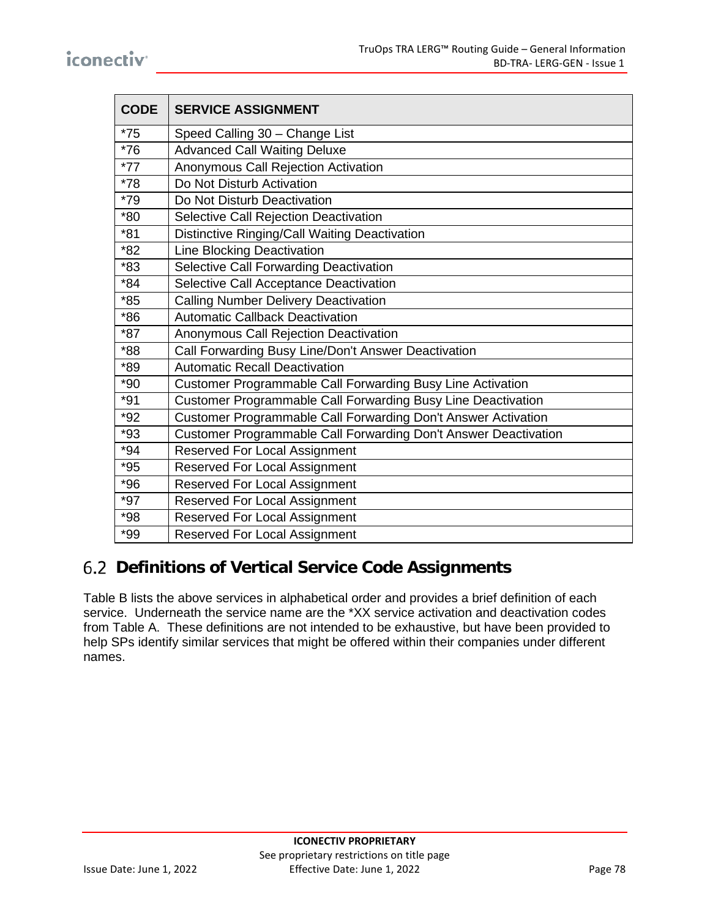| <b>CODE</b> | <b>SERVICE ASSIGNMENT</b>                                       |
|-------------|-----------------------------------------------------------------|
| $*75$       | Speed Calling 30 - Change List                                  |
| $*76$       | <b>Advanced Call Waiting Deluxe</b>                             |
| $*77$       | Anonymous Call Rejection Activation                             |
| $*78$       | Do Not Disturb Activation                                       |
| $*79$       | Do Not Disturb Deactivation                                     |
| $*80$       | Selective Call Rejection Deactivation                           |
| $*81$       | Distinctive Ringing/Call Waiting Deactivation                   |
| *82         | <b>Line Blocking Deactivation</b>                               |
| $*83$       | Selective Call Forwarding Deactivation                          |
| *84         | Selective Call Acceptance Deactivation                          |
| $*85$       | <b>Calling Number Delivery Deactivation</b>                     |
| $*86$       | <b>Automatic Callback Deactivation</b>                          |
| $*87$       | Anonymous Call Rejection Deactivation                           |
| *88         | Call Forwarding Busy Line/Don't Answer Deactivation             |
| *89         | <b>Automatic Recall Deactivation</b>                            |
| $*90$       | Customer Programmable Call Forwarding Busy Line Activation      |
| $*91$       | Customer Programmable Call Forwarding Busy Line Deactivation    |
| $*92$       | Customer Programmable Call Forwarding Don't Answer Activation   |
| $*93$       | Customer Programmable Call Forwarding Don't Answer Deactivation |
| $*94$       | <b>Reserved For Local Assignment</b>                            |
| $*95$       | Reserved For Local Assignment                                   |
| $*96$       | <b>Reserved For Local Assignment</b>                            |
| $*97$       | <b>Reserved For Local Assignment</b>                            |
| *98         | Reserved For Local Assignment                                   |
| *99         | <b>Reserved For Local Assignment</b>                            |

# **Definitions of Vertical Service Code Assignments**

Table B lists the above services in alphabetical order and provides a brief definition of each service. Underneath the service name are the \*XX service activation and deactivation codes from Table A. These definitions are not intended to be exhaustive, but have been provided to help SPs identify similar services that might be offered within their companies under different names.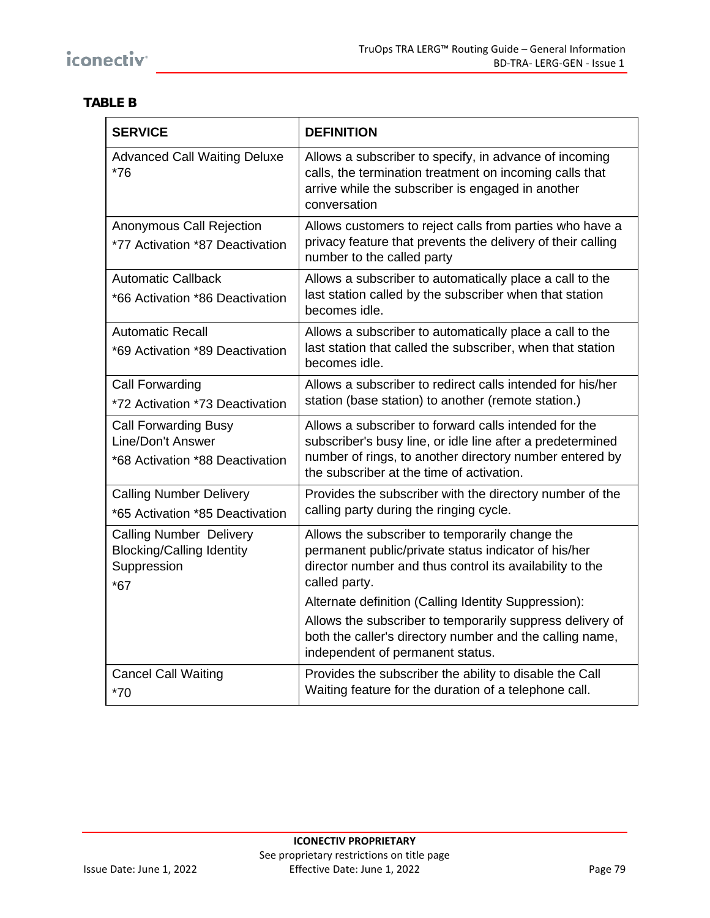### **TABLE B**

| <b>SERVICE</b>                                                                             | <b>DEFINITION</b>                                                                                                                                                                                                                                                                                         |
|--------------------------------------------------------------------------------------------|-----------------------------------------------------------------------------------------------------------------------------------------------------------------------------------------------------------------------------------------------------------------------------------------------------------|
| <b>Advanced Call Waiting Deluxe</b><br>$*76$                                               | Allows a subscriber to specify, in advance of incoming<br>calls, the termination treatment on incoming calls that<br>arrive while the subscriber is engaged in another<br>conversation                                                                                                                    |
| Anonymous Call Rejection<br>*77 Activation *87 Deactivation                                | Allows customers to reject calls from parties who have a<br>privacy feature that prevents the delivery of their calling<br>number to the called party                                                                                                                                                     |
| <b>Automatic Callback</b><br>*66 Activation *86 Deactivation                               | Allows a subscriber to automatically place a call to the<br>last station called by the subscriber when that station<br>becomes idle.                                                                                                                                                                      |
| <b>Automatic Recall</b><br>*69 Activation *89 Deactivation                                 | Allows a subscriber to automatically place a call to the<br>last station that called the subscriber, when that station<br>becomes idle.                                                                                                                                                                   |
| Call Forwarding<br>*72 Activation *73 Deactivation                                         | Allows a subscriber to redirect calls intended for his/her<br>station (base station) to another (remote station.)                                                                                                                                                                                         |
| <b>Call Forwarding Busy</b><br>Line/Don't Answer<br>*68 Activation *88 Deactivation        | Allows a subscriber to forward calls intended for the<br>subscriber's busy line, or idle line after a predetermined<br>number of rings, to another directory number entered by<br>the subscriber at the time of activation.                                                                               |
| <b>Calling Number Delivery</b><br>*65 Activation *85 Deactivation                          | Provides the subscriber with the directory number of the<br>calling party during the ringing cycle.                                                                                                                                                                                                       |
| <b>Calling Number Delivery</b><br><b>Blocking/Calling Identity</b><br>Suppression<br>$*67$ | Allows the subscriber to temporarily change the<br>permanent public/private status indicator of his/her<br>director number and thus control its availability to the<br>called party.<br>Alternate definition (Calling Identity Suppression):<br>Allows the subscriber to temporarily suppress delivery of |
|                                                                                            | both the caller's directory number and the calling name,<br>independent of permanent status.                                                                                                                                                                                                              |
| <b>Cancel Call Waiting</b><br>$*70$                                                        | Provides the subscriber the ability to disable the Call<br>Waiting feature for the duration of a telephone call.                                                                                                                                                                                          |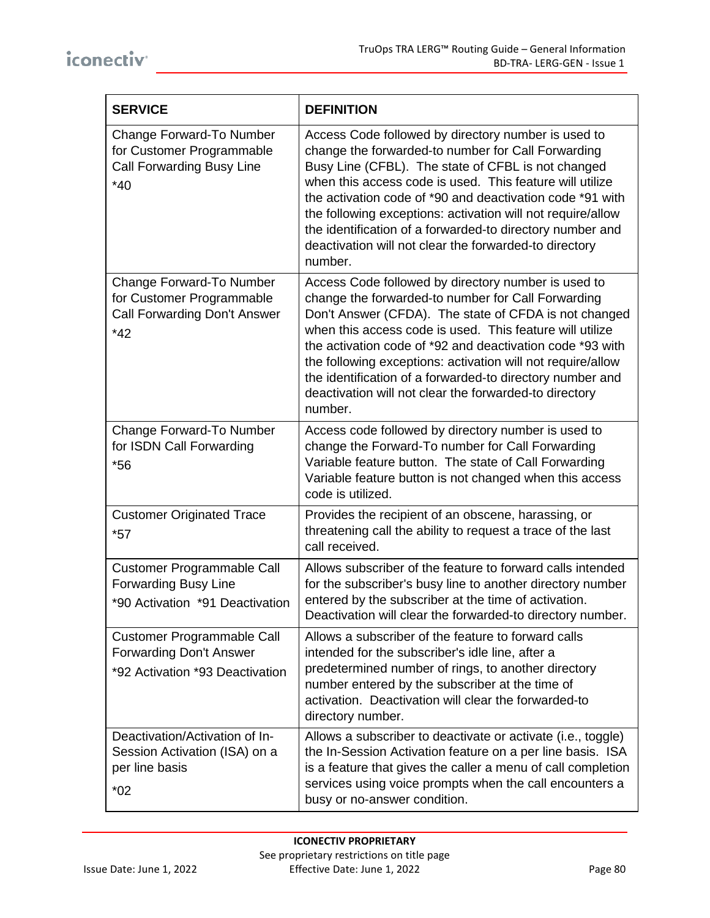| <b>SERVICE</b>                                                                                         | <b>DEFINITION</b>                                                                                                                                                                                                                                                                                                                                                                                                                                                                            |
|--------------------------------------------------------------------------------------------------------|----------------------------------------------------------------------------------------------------------------------------------------------------------------------------------------------------------------------------------------------------------------------------------------------------------------------------------------------------------------------------------------------------------------------------------------------------------------------------------------------|
| Change Forward-To Number<br>for Customer Programmable<br>Call Forwarding Busy Line<br>$*40$            | Access Code followed by directory number is used to<br>change the forwarded-to number for Call Forwarding<br>Busy Line (CFBL). The state of CFBL is not changed<br>when this access code is used. This feature will utilize<br>the activation code of *90 and deactivation code *91 with<br>the following exceptions: activation will not require/allow<br>the identification of a forwarded-to directory number and<br>deactivation will not clear the forwarded-to directory<br>number.    |
| Change Forward-To Number<br>for Customer Programmable<br>Call Forwarding Don't Answer<br>$*42$         | Access Code followed by directory number is used to<br>change the forwarded-to number for Call Forwarding<br>Don't Answer (CFDA). The state of CFDA is not changed<br>when this access code is used. This feature will utilize<br>the activation code of *92 and deactivation code *93 with<br>the following exceptions: activation will not require/allow<br>the identification of a forwarded-to directory number and<br>deactivation will not clear the forwarded-to directory<br>number. |
| Change Forward-To Number<br>for ISDN Call Forwarding<br>$*56$                                          | Access code followed by directory number is used to<br>change the Forward-To number for Call Forwarding<br>Variable feature button. The state of Call Forwarding<br>Variable feature button is not changed when this access<br>code is utilized.                                                                                                                                                                                                                                             |
| <b>Customer Originated Trace</b><br>$*57$                                                              | Provides the recipient of an obscene, harassing, or<br>threatening call the ability to request a trace of the last<br>call received.                                                                                                                                                                                                                                                                                                                                                         |
| Customer Programmable Call<br><b>Forwarding Busy Line</b><br>*90 Activation *91 Deactivation           | Allows subscriber of the feature to forward calls intended<br>for the subscriber's busy line to another directory number<br>entered by the subscriber at the time of activation.<br>Deactivation will clear the forwarded-to directory number.                                                                                                                                                                                                                                               |
| <b>Customer Programmable Call</b><br><b>Forwarding Don't Answer</b><br>*92 Activation *93 Deactivation | Allows a subscriber of the feature to forward calls<br>intended for the subscriber's idle line, after a<br>predetermined number of rings, to another directory<br>number entered by the subscriber at the time of<br>activation. Deactivation will clear the forwarded-to<br>directory number.                                                                                                                                                                                               |
| Deactivation/Activation of In-<br>Session Activation (ISA) on a<br>per line basis<br>$*02$             | Allows a subscriber to deactivate or activate (i.e., toggle)<br>the In-Session Activation feature on a per line basis. ISA<br>is a feature that gives the caller a menu of call completion<br>services using voice prompts when the call encounters a<br>busy or no-answer condition.                                                                                                                                                                                                        |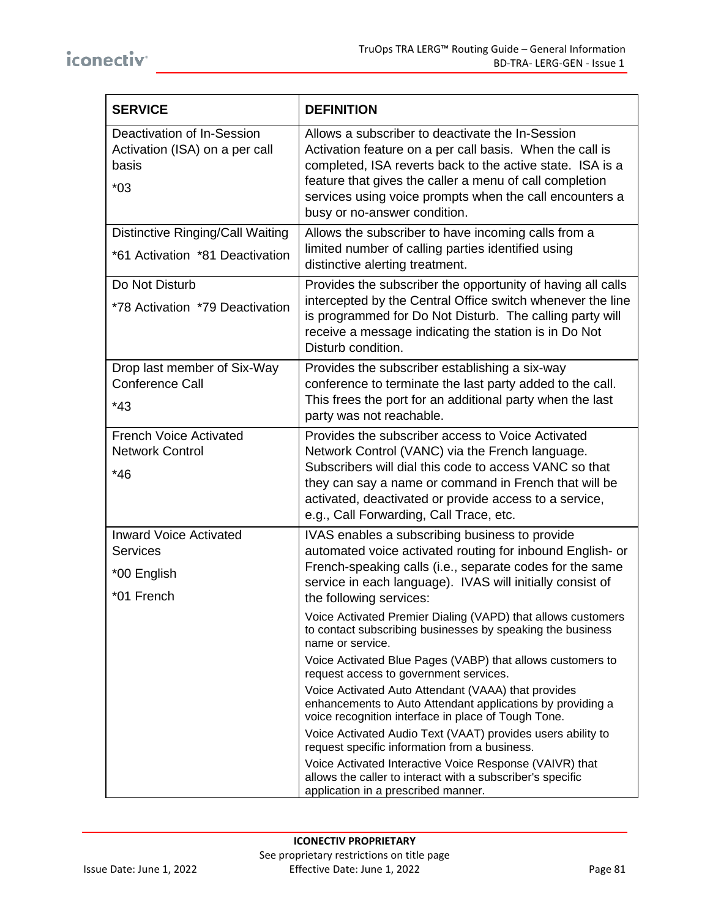| <b>SERVICE</b>                                                                 | <b>DEFINITION</b>                                                                                                                                                                                                                                                                                                                                                                                                                                                                                                                                                                                                                                                                                                  |
|--------------------------------------------------------------------------------|--------------------------------------------------------------------------------------------------------------------------------------------------------------------------------------------------------------------------------------------------------------------------------------------------------------------------------------------------------------------------------------------------------------------------------------------------------------------------------------------------------------------------------------------------------------------------------------------------------------------------------------------------------------------------------------------------------------------|
| Deactivation of In-Session<br>Activation (ISA) on a per call<br>basis<br>$*03$ | Allows a subscriber to deactivate the In-Session<br>Activation feature on a per call basis. When the call is<br>completed, ISA reverts back to the active state. ISA is a<br>feature that gives the caller a menu of call completion<br>services using voice prompts when the call encounters a<br>busy or no-answer condition.                                                                                                                                                                                                                                                                                                                                                                                    |
| <b>Distinctive Ringing/Call Waiting</b><br>*61 Activation *81 Deactivation     | Allows the subscriber to have incoming calls from a<br>limited number of calling parties identified using<br>distinctive alerting treatment.                                                                                                                                                                                                                                                                                                                                                                                                                                                                                                                                                                       |
| Do Not Disturb<br>*78 Activation *79 Deactivation                              | Provides the subscriber the opportunity of having all calls<br>intercepted by the Central Office switch whenever the line<br>is programmed for Do Not Disturb. The calling party will<br>receive a message indicating the station is in Do Not<br>Disturb condition.                                                                                                                                                                                                                                                                                                                                                                                                                                               |
| Drop last member of Six-Way<br>Conference Call<br>$*43$                        | Provides the subscriber establishing a six-way<br>conference to terminate the last party added to the call.<br>This frees the port for an additional party when the last<br>party was not reachable.                                                                                                                                                                                                                                                                                                                                                                                                                                                                                                               |
| <b>French Voice Activated</b><br><b>Network Control</b><br>$*46$               | Provides the subscriber access to Voice Activated<br>Network Control (VANC) via the French language.<br>Subscribers will dial this code to access VANC so that<br>they can say a name or command in French that will be<br>activated, deactivated or provide access to a service,<br>e.g., Call Forwarding, Call Trace, etc.                                                                                                                                                                                                                                                                                                                                                                                       |
| <b>Inward Voice Activated</b><br>Services<br>*00 English<br>*01 French         | IVAS enables a subscribing business to provide<br>automated voice activated routing for inbound English- or<br>French-speaking calls (i.e., separate codes for the same<br>service in each language). IVAS will initially consist of<br>the following services:                                                                                                                                                                                                                                                                                                                                                                                                                                                    |
|                                                                                | Voice Activated Premier Dialing (VAPD) that allows customers<br>to contact subscribing businesses by speaking the business<br>name or service.<br>Voice Activated Blue Pages (VABP) that allows customers to<br>request access to government services.<br>Voice Activated Auto Attendant (VAAA) that provides<br>enhancements to Auto Attendant applications by providing a<br>voice recognition interface in place of Tough Tone.<br>Voice Activated Audio Text (VAAT) provides users ability to<br>request specific information from a business.<br>Voice Activated Interactive Voice Response (VAIVR) that<br>allows the caller to interact with a subscriber's specific<br>application in a prescribed manner. |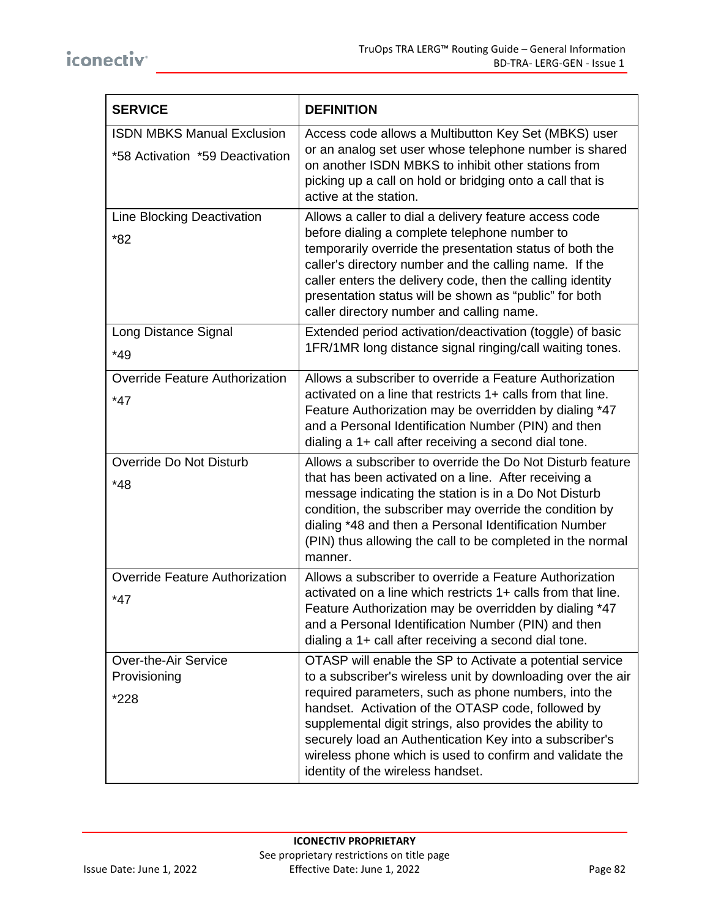| <b>SERVICE</b>                                                       | <b>DEFINITION</b>                                                                                                                                                                                                                                                                                                                                                                                                                                             |
|----------------------------------------------------------------------|---------------------------------------------------------------------------------------------------------------------------------------------------------------------------------------------------------------------------------------------------------------------------------------------------------------------------------------------------------------------------------------------------------------------------------------------------------------|
| <b>ISDN MBKS Manual Exclusion</b><br>*58 Activation *59 Deactivation | Access code allows a Multibutton Key Set (MBKS) user<br>or an analog set user whose telephone number is shared<br>on another ISDN MBKS to inhibit other stations from<br>picking up a call on hold or bridging onto a call that is<br>active at the station.                                                                                                                                                                                                  |
| Line Blocking Deactivation<br>$*82$                                  | Allows a caller to dial a delivery feature access code<br>before dialing a complete telephone number to<br>temporarily override the presentation status of both the<br>caller's directory number and the calling name. If the<br>caller enters the delivery code, then the calling identity<br>presentation status will be shown as "public" for both<br>caller directory number and calling name.                                                            |
| Long Distance Signal<br>$*49$                                        | Extended period activation/deactivation (toggle) of basic<br>1FR/1MR long distance signal ringing/call waiting tones.                                                                                                                                                                                                                                                                                                                                         |
| <b>Override Feature Authorization</b><br>$*47$                       | Allows a subscriber to override a Feature Authorization<br>activated on a line that restricts 1+ calls from that line.<br>Feature Authorization may be overridden by dialing *47<br>and a Personal Identification Number (PIN) and then<br>dialing a 1+ call after receiving a second dial tone.                                                                                                                                                              |
| Override Do Not Disturb<br>$*48$                                     | Allows a subscriber to override the Do Not Disturb feature<br>that has been activated on a line. After receiving a<br>message indicating the station is in a Do Not Disturb<br>condition, the subscriber may override the condition by<br>dialing *48 and then a Personal Identification Number<br>(PIN) thus allowing the call to be completed in the normal<br>manner.                                                                                      |
| <b>Override Feature Authorization</b><br>$*47$                       | Allows a subscriber to override a Feature Authorization<br>activated on a line which restricts 1+ calls from that line.<br>Feature Authorization may be overridden by dialing *47<br>and a Personal Identification Number (PIN) and then<br>dialing a 1+ call after receiving a second dial tone.                                                                                                                                                             |
| <b>Over-the-Air Service</b><br>Provisioning<br>*228                  | OTASP will enable the SP to Activate a potential service<br>to a subscriber's wireless unit by downloading over the air<br>required parameters, such as phone numbers, into the<br>handset. Activation of the OTASP code, followed by<br>supplemental digit strings, also provides the ability to<br>securely load an Authentication Key into a subscriber's<br>wireless phone which is used to confirm and validate the<br>identity of the wireless handset. |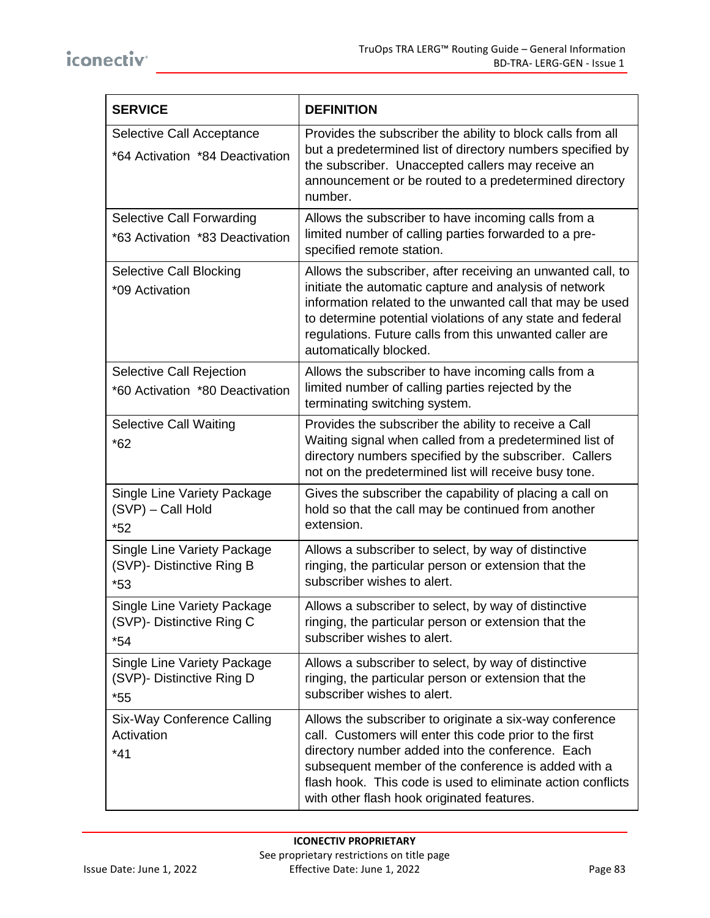| <b>SERVICE</b>                                                      | <b>DEFINITION</b>                                                                                                                                                                                                                                                                                                                          |
|---------------------------------------------------------------------|--------------------------------------------------------------------------------------------------------------------------------------------------------------------------------------------------------------------------------------------------------------------------------------------------------------------------------------------|
| Selective Call Acceptance<br>*64 Activation *84 Deactivation        | Provides the subscriber the ability to block calls from all<br>but a predetermined list of directory numbers specified by<br>the subscriber. Unaccepted callers may receive an<br>announcement or be routed to a predetermined directory<br>number.                                                                                        |
| <b>Selective Call Forwarding</b><br>*63 Activation *83 Deactivation | Allows the subscriber to have incoming calls from a<br>limited number of calling parties forwarded to a pre-<br>specified remote station.                                                                                                                                                                                                  |
| Selective Call Blocking<br>*09 Activation                           | Allows the subscriber, after receiving an unwanted call, to<br>initiate the automatic capture and analysis of network<br>information related to the unwanted call that may be used<br>to determine potential violations of any state and federal<br>regulations. Future calls from this unwanted caller are<br>automatically blocked.      |
| <b>Selective Call Rejection</b><br>*60 Activation *80 Deactivation  | Allows the subscriber to have incoming calls from a<br>limited number of calling parties rejected by the<br>terminating switching system.                                                                                                                                                                                                  |
| <b>Selective Call Waiting</b><br>$*62$                              | Provides the subscriber the ability to receive a Call<br>Waiting signal when called from a predetermined list of<br>directory numbers specified by the subscriber. Callers<br>not on the predetermined list will receive busy tone.                                                                                                        |
| Single Line Variety Package<br>(SVP) - Call Hold<br>$*52$           | Gives the subscriber the capability of placing a call on<br>hold so that the call may be continued from another<br>extension.                                                                                                                                                                                                              |
| Single Line Variety Package<br>(SVP)- Distinctive Ring B<br>$*53$   | Allows a subscriber to select, by way of distinctive<br>ringing, the particular person or extension that the<br>subscriber wishes to alert.                                                                                                                                                                                                |
| Single Line Variety Package<br>(SVP)- Distinctive Ring C<br>$*54$   | Allows a subscriber to select, by way of distinctive<br>ringing, the particular person or extension that the<br>subscriber wishes to alert.                                                                                                                                                                                                |
| Single Line Variety Package<br>(SVP)- Distinctive Ring D<br>$*55$   | Allows a subscriber to select, by way of distinctive<br>ringing, the particular person or extension that the<br>subscriber wishes to alert.                                                                                                                                                                                                |
| Six-Way Conference Calling<br>Activation<br>$*41$                   | Allows the subscriber to originate a six-way conference<br>call. Customers will enter this code prior to the first<br>directory number added into the conference. Each<br>subsequent member of the conference is added with a<br>flash hook. This code is used to eliminate action conflicts<br>with other flash hook originated features. |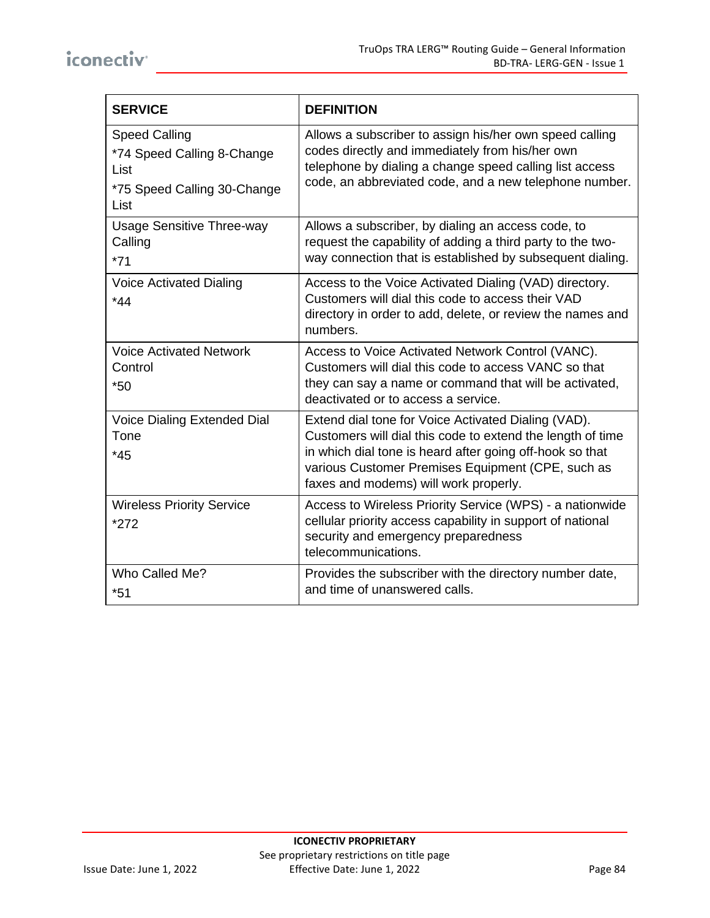| <b>SERVICE</b>                                                                                    | <b>DEFINITION</b>                                                                                                                                                                                                                                                           |
|---------------------------------------------------------------------------------------------------|-----------------------------------------------------------------------------------------------------------------------------------------------------------------------------------------------------------------------------------------------------------------------------|
| <b>Speed Calling</b><br>*74 Speed Calling 8-Change<br>List<br>*75 Speed Calling 30-Change<br>List | Allows a subscriber to assign his/her own speed calling<br>codes directly and immediately from his/her own<br>telephone by dialing a change speed calling list access<br>code, an abbreviated code, and a new telephone number.                                             |
| <b>Usage Sensitive Three-way</b><br>Calling<br>$*71$                                              | Allows a subscriber, by dialing an access code, to<br>request the capability of adding a third party to the two-<br>way connection that is established by subsequent dialing.                                                                                               |
| <b>Voice Activated Dialing</b><br>$*44$                                                           | Access to the Voice Activated Dialing (VAD) directory.<br>Customers will dial this code to access their VAD<br>directory in order to add, delete, or review the names and<br>numbers.                                                                                       |
| <b>Voice Activated Network</b><br>Control<br>$*50$                                                | Access to Voice Activated Network Control (VANC).<br>Customers will dial this code to access VANC so that<br>they can say a name or command that will be activated,<br>deactivated or to access a service.                                                                  |
| Voice Dialing Extended Dial<br>Tone<br>$*45$                                                      | Extend dial tone for Voice Activated Dialing (VAD).<br>Customers will dial this code to extend the length of time<br>in which dial tone is heard after going off-hook so that<br>various Customer Premises Equipment (CPE, such as<br>faxes and modems) will work properly. |
| <b>Wireless Priority Service</b><br>$*272$                                                        | Access to Wireless Priority Service (WPS) - a nationwide<br>cellular priority access capability in support of national<br>security and emergency preparedness<br>telecommunications.                                                                                        |
| Who Called Me?<br>$*51$                                                                           | Provides the subscriber with the directory number date,<br>and time of unanswered calls.                                                                                                                                                                                    |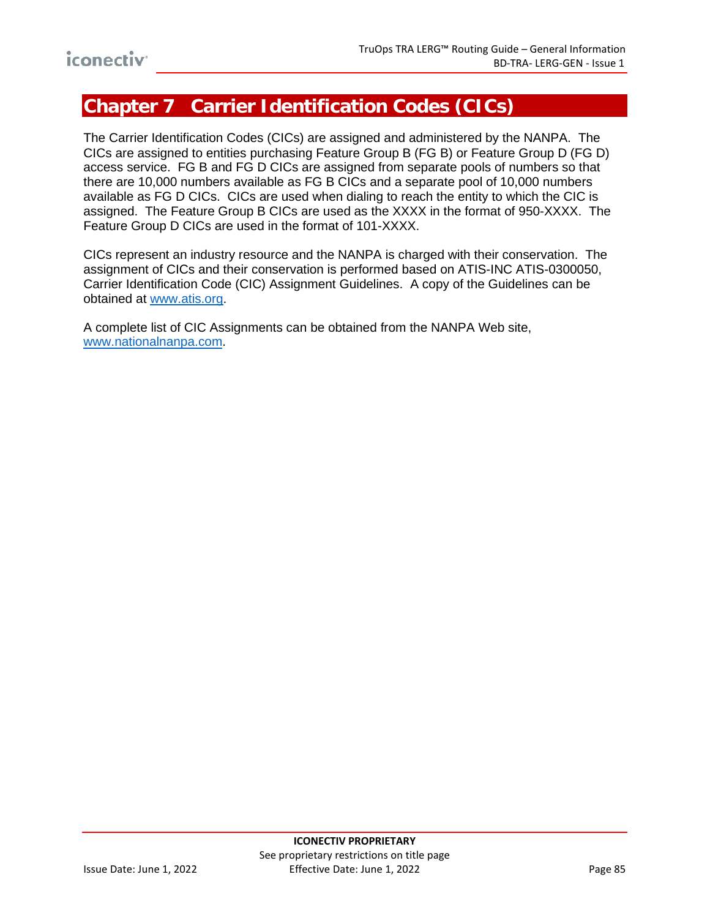# **Chapter 7 Carrier Identification Codes (CICs)**

The Carrier Identification Codes (CICs) are assigned and administered by the NANPA. The CICs are assigned to entities purchasing Feature Group B (FG B) or Feature Group D (FG D) access service. FG B and FG D CICs are assigned from separate pools of numbers so that there are 10,000 numbers available as FG B CICs and a separate pool of 10,000 numbers available as FG D CICs. CICs are used when dialing to reach the entity to which the CIC is assigned. The Feature Group B CICs are used as the XXXX in the format of 950-XXXX. The Feature Group D CICs are used in the format of 101-XXXX.

CICs represent an industry resource and the NANPA is charged with their conservation. The assignment of CICs and their conservation is performed based on ATIS-INC ATIS-0300050, Carrier Identification Code (CIC) Assignment Guidelines. A copy of the Guidelines can be obtained at [www.atis.org.](http://www.atis.org/)

A complete list of CIC Assignments can be obtained from the NANPA Web site, [www.nationalnanpa.com.](http://www.nationalnanpa.com/)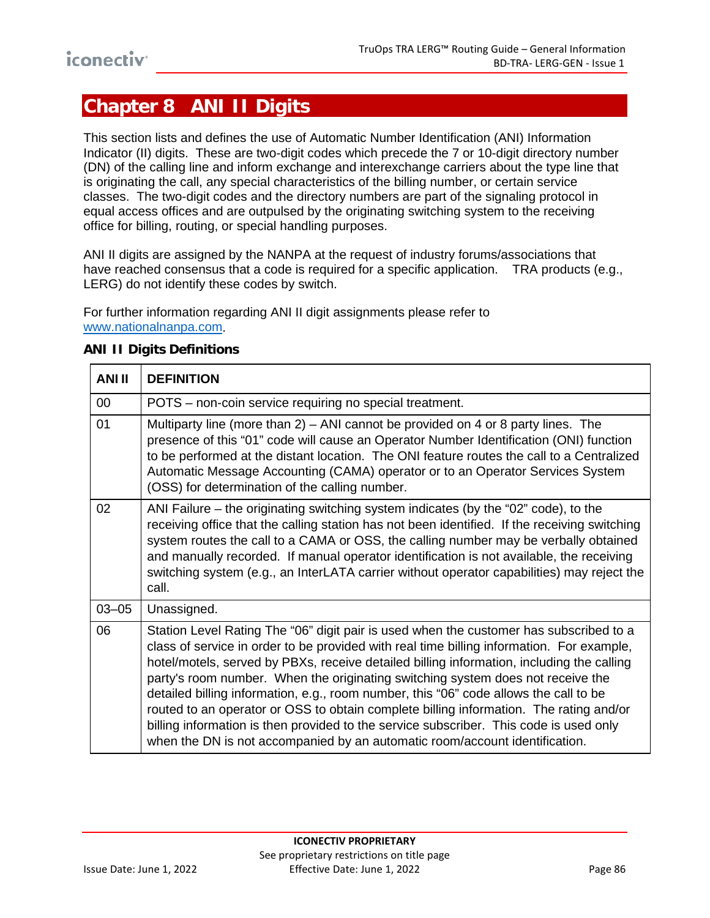# **Chapter 8 ANI II Digits**

This section lists and defines the use of Automatic Number Identification (ANI) Information Indicator (II) digits. These are two-digit codes which precede the 7 or 10-digit directory number (DN) of the calling line and inform exchange and interexchange carriers about the type line that is originating the call, any special characteristics of the billing number, or certain service classes. The two-digit codes and the directory numbers are part of the signaling protocol in equal access offices and are outpulsed by the originating switching system to the receiving office for billing, routing, or special handling purposes.

ANI II digits are assigned by the NANPA at the request of industry forums/associations that have reached consensus that a code is required for a specific application. TRA products (e.g., LERG) do not identify these codes by switch.

For further information regarding ANI II digit assignments please refer to [www.nationalnanpa.com.](http://www.nanpa.com/)

| <b>ANI II</b> | <b>DEFINITION</b>                                                                                                                                                                                                                                                                                                                                                                                                                                                                                                                                                                                                                                                                                                               |
|---------------|---------------------------------------------------------------------------------------------------------------------------------------------------------------------------------------------------------------------------------------------------------------------------------------------------------------------------------------------------------------------------------------------------------------------------------------------------------------------------------------------------------------------------------------------------------------------------------------------------------------------------------------------------------------------------------------------------------------------------------|
| 00            | POTS - non-coin service requiring no special treatment.                                                                                                                                                                                                                                                                                                                                                                                                                                                                                                                                                                                                                                                                         |
| 01            | Multiparty line (more than 2) – ANI cannot be provided on 4 or 8 party lines. The<br>presence of this "01" code will cause an Operator Number Identification (ONI) function<br>to be performed at the distant location. The ONI feature routes the call to a Centralized<br>Automatic Message Accounting (CAMA) operator or to an Operator Services System<br>(OSS) for determination of the calling number.                                                                                                                                                                                                                                                                                                                    |
| 02            | ANI Failure - the originating switching system indicates (by the "02" code), to the<br>receiving office that the calling station has not been identified. If the receiving switching<br>system routes the call to a CAMA or OSS, the calling number may be verbally obtained<br>and manually recorded. If manual operator identification is not available, the receiving<br>switching system (e.g., an InterLATA carrier without operator capabilities) may reject the<br>call.                                                                                                                                                                                                                                                 |
| $03 - 05$     | Unassigned.                                                                                                                                                                                                                                                                                                                                                                                                                                                                                                                                                                                                                                                                                                                     |
| 06            | Station Level Rating The "06" digit pair is used when the customer has subscribed to a<br>class of service in order to be provided with real time billing information. For example,<br>hotel/motels, served by PBXs, receive detailed billing information, including the calling<br>party's room number. When the originating switching system does not receive the<br>detailed billing information, e.g., room number, this "06" code allows the call to be<br>routed to an operator or OSS to obtain complete billing information. The rating and/or<br>billing information is then provided to the service subscriber. This code is used only<br>when the DN is not accompanied by an automatic room/account identification. |

#### **ANI II Digits Definitions**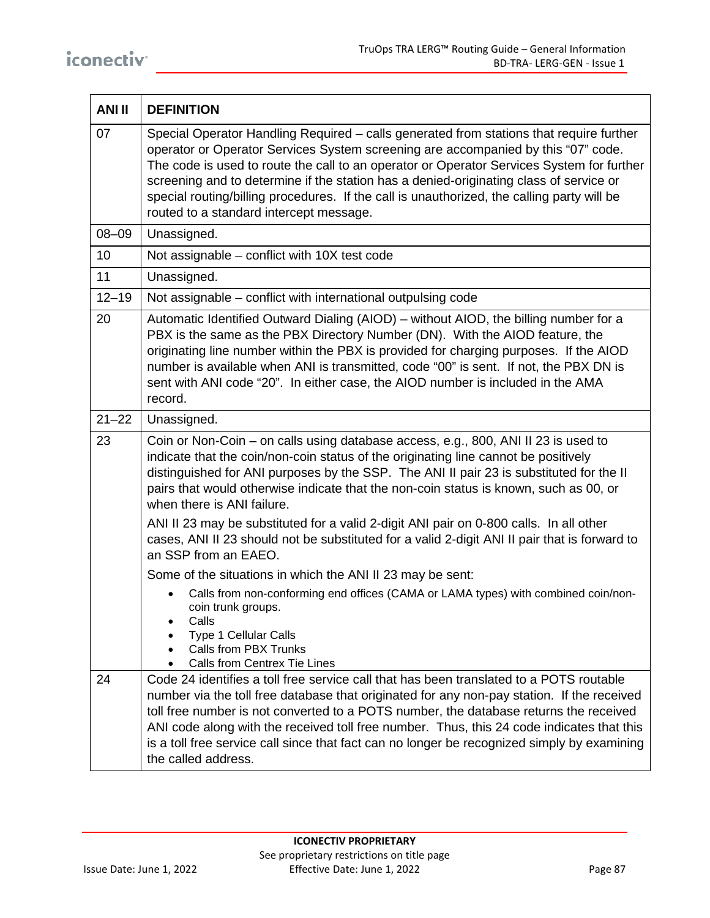| <b>ANI II</b> | <b>DEFINITION</b>                                                                                                                                                                                                                                                                                                                                                                                                                                                                                            |
|---------------|--------------------------------------------------------------------------------------------------------------------------------------------------------------------------------------------------------------------------------------------------------------------------------------------------------------------------------------------------------------------------------------------------------------------------------------------------------------------------------------------------------------|
| 07            | Special Operator Handling Required – calls generated from stations that require further<br>operator or Operator Services System screening are accompanied by this "07" code.<br>The code is used to route the call to an operator or Operator Services System for further<br>screening and to determine if the station has a denied-originating class of service or<br>special routing/billing procedures. If the call is unauthorized, the calling party will be<br>routed to a standard intercept message. |
| $08 - 09$     | Unassigned.                                                                                                                                                                                                                                                                                                                                                                                                                                                                                                  |
| 10            | Not assignable – conflict with 10X test code                                                                                                                                                                                                                                                                                                                                                                                                                                                                 |
| 11            | Unassigned.                                                                                                                                                                                                                                                                                                                                                                                                                                                                                                  |
| $12 - 19$     | Not assignable – conflict with international outpulsing code                                                                                                                                                                                                                                                                                                                                                                                                                                                 |
| 20            | Automatic Identified Outward Dialing (AIOD) – without AIOD, the billing number for a<br>PBX is the same as the PBX Directory Number (DN). With the AIOD feature, the<br>originating line number within the PBX is provided for charging purposes. If the AIOD<br>number is available when ANI is transmitted, code "00" is sent. If not, the PBX DN is<br>sent with ANI code "20". In either case, the AIOD number is included in the AMA<br>record.                                                         |
| $21 - 22$     | Unassigned.                                                                                                                                                                                                                                                                                                                                                                                                                                                                                                  |
| 23            | Coin or Non-Coin - on calls using database access, e.g., 800, ANI II 23 is used to<br>indicate that the coin/non-coin status of the originating line cannot be positively<br>distinguished for ANI purposes by the SSP. The ANI II pair 23 is substituted for the II<br>pairs that would otherwise indicate that the non-coin status is known, such as 00, or<br>when there is ANI failure.                                                                                                                  |
|               | ANI II 23 may be substituted for a valid 2-digit ANI pair on 0-800 calls. In all other<br>cases, ANI II 23 should not be substituted for a valid 2-digit ANI II pair that is forward to<br>an SSP from an EAEO.                                                                                                                                                                                                                                                                                              |
|               | Some of the situations in which the ANI II 23 may be sent:                                                                                                                                                                                                                                                                                                                                                                                                                                                   |
|               | Calls from non-conforming end offices (CAMA or LAMA types) with combined coin/non-<br>coin trunk groups.<br>Calls<br>Type 1 Cellular Calls<br>Calls from PBX Trunks<br>Calls from Centrex Tie Lines                                                                                                                                                                                                                                                                                                          |
| 24            | Code 24 identifies a toll free service call that has been translated to a POTS routable<br>number via the toll free database that originated for any non-pay station. If the received<br>toll free number is not converted to a POTS number, the database returns the received<br>ANI code along with the received toll free number. Thus, this 24 code indicates that this<br>is a toll free service call since that fact can no longer be recognized simply by examining<br>the called address.            |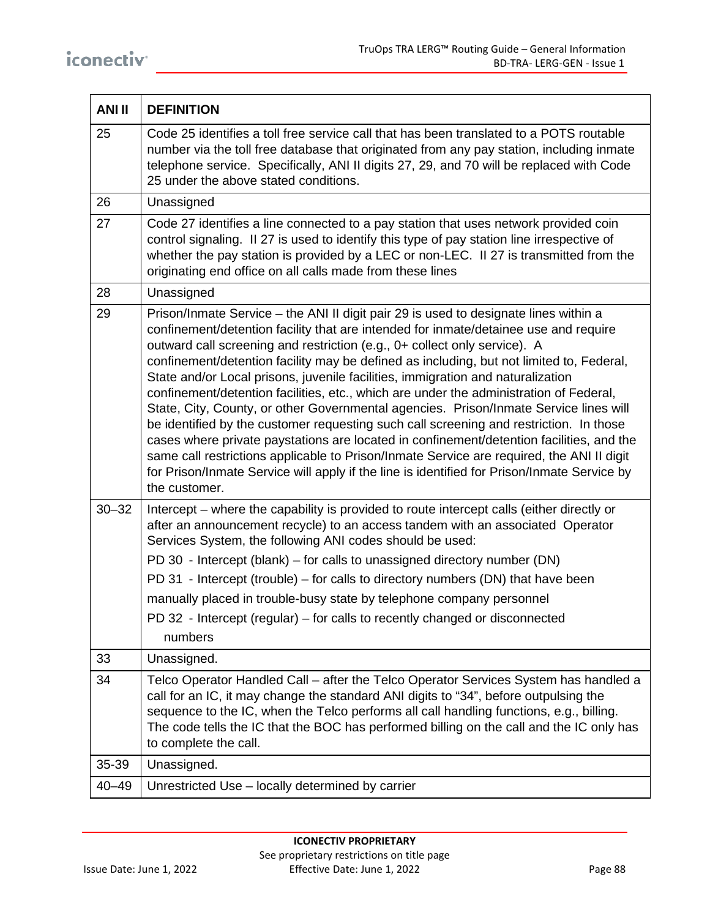| <b>ANI II</b> | <b>DEFINITION</b>                                                                                                                                                                                                                                                                                                                                                                                                                                                                                                                                                                                                                                                                                                                                                                                                                                                                                                                                                                                                              |
|---------------|--------------------------------------------------------------------------------------------------------------------------------------------------------------------------------------------------------------------------------------------------------------------------------------------------------------------------------------------------------------------------------------------------------------------------------------------------------------------------------------------------------------------------------------------------------------------------------------------------------------------------------------------------------------------------------------------------------------------------------------------------------------------------------------------------------------------------------------------------------------------------------------------------------------------------------------------------------------------------------------------------------------------------------|
| 25            | Code 25 identifies a toll free service call that has been translated to a POTS routable<br>number via the toll free database that originated from any pay station, including inmate<br>telephone service. Specifically, ANI II digits 27, 29, and 70 will be replaced with Code<br>25 under the above stated conditions.                                                                                                                                                                                                                                                                                                                                                                                                                                                                                                                                                                                                                                                                                                       |
| 26            | Unassigned                                                                                                                                                                                                                                                                                                                                                                                                                                                                                                                                                                                                                                                                                                                                                                                                                                                                                                                                                                                                                     |
| 27            | Code 27 identifies a line connected to a pay station that uses network provided coin<br>control signaling. Il 27 is used to identify this type of pay station line irrespective of<br>whether the pay station is provided by a LEC or non-LEC. II 27 is transmitted from the<br>originating end office on all calls made from these lines                                                                                                                                                                                                                                                                                                                                                                                                                                                                                                                                                                                                                                                                                      |
| 28            | Unassigned                                                                                                                                                                                                                                                                                                                                                                                                                                                                                                                                                                                                                                                                                                                                                                                                                                                                                                                                                                                                                     |
| 29            | Prison/Inmate Service - the ANI II digit pair 29 is used to designate lines within a<br>confinement/detention facility that are intended for inmate/detainee use and require<br>outward call screening and restriction (e.g., 0+ collect only service). A<br>confinement/detention facility may be defined as including, but not limited to, Federal,<br>State and/or Local prisons, juvenile facilities, immigration and naturalization<br>confinement/detention facilities, etc., which are under the administration of Federal,<br>State, City, County, or other Governmental agencies. Prison/Inmate Service lines will<br>be identified by the customer requesting such call screening and restriction. In those<br>cases where private paystations are located in confinement/detention facilities, and the<br>same call restrictions applicable to Prison/Inmate Service are required, the ANI II digit<br>for Prison/Inmate Service will apply if the line is identified for Prison/Inmate Service by<br>the customer. |
| $30 - 32$     | Intercept – where the capability is provided to route intercept calls (either directly or<br>after an announcement recycle) to an access tandem with an associated Operator<br>Services System, the following ANI codes should be used:<br>PD 30 - Intercept (blank) – for calls to unassigned directory number (DN)<br>PD 31 - Intercept (trouble) – for calls to directory numbers (DN) that have been<br>manually placed in trouble-busy state by telephone company personnel<br>PD 32 - Intercept (regular) – for calls to recently changed or disconnected<br>numbers                                                                                                                                                                                                                                                                                                                                                                                                                                                     |
| 33            | Unassigned.                                                                                                                                                                                                                                                                                                                                                                                                                                                                                                                                                                                                                                                                                                                                                                                                                                                                                                                                                                                                                    |
| 34            | Telco Operator Handled Call – after the Telco Operator Services System has handled a<br>call for an IC, it may change the standard ANI digits to "34", before outpulsing the<br>sequence to the IC, when the Telco performs all call handling functions, e.g., billing.<br>The code tells the IC that the BOC has performed billing on the call and the IC only has<br>to complete the call.                                                                                                                                                                                                                                                                                                                                                                                                                                                                                                                                                                                                                                   |
| 35-39         | Unassigned.                                                                                                                                                                                                                                                                                                                                                                                                                                                                                                                                                                                                                                                                                                                                                                                                                                                                                                                                                                                                                    |
| $40 - 49$     | Unrestricted Use - locally determined by carrier                                                                                                                                                                                                                                                                                                                                                                                                                                                                                                                                                                                                                                                                                                                                                                                                                                                                                                                                                                               |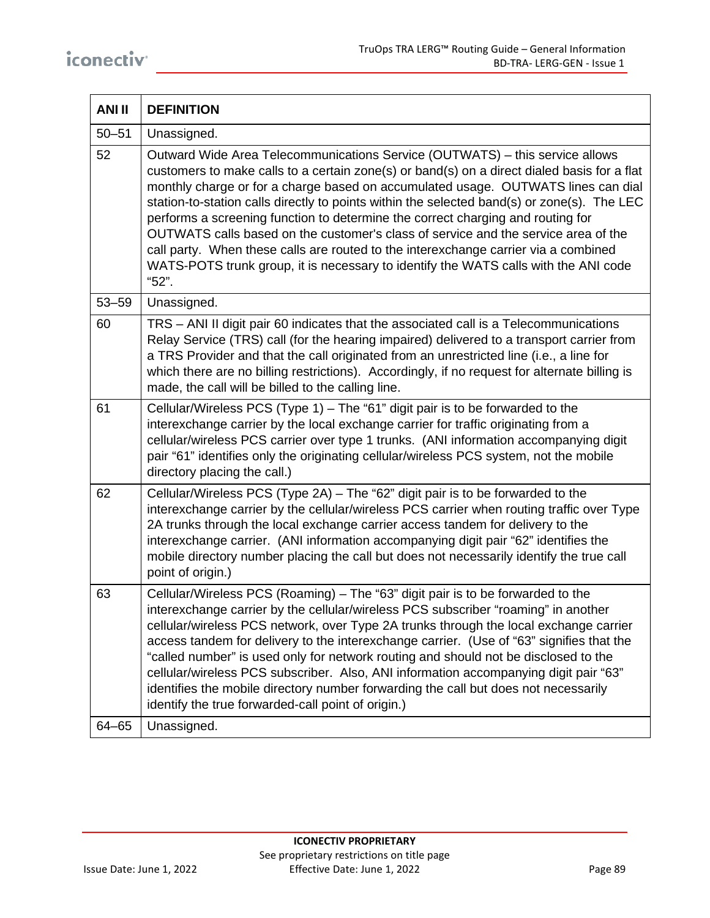| <b>ANI II</b> | <b>DEFINITION</b>                                                                                                                                                                                                                                                                                                                                                                                                                                                                                                                                                                                                                                                                                                               |
|---------------|---------------------------------------------------------------------------------------------------------------------------------------------------------------------------------------------------------------------------------------------------------------------------------------------------------------------------------------------------------------------------------------------------------------------------------------------------------------------------------------------------------------------------------------------------------------------------------------------------------------------------------------------------------------------------------------------------------------------------------|
| $50 - 51$     | Unassigned.                                                                                                                                                                                                                                                                                                                                                                                                                                                                                                                                                                                                                                                                                                                     |
| 52            | Outward Wide Area Telecommunications Service (OUTWATS) - this service allows<br>customers to make calls to a certain zone(s) or band(s) on a direct dialed basis for a flat<br>monthly charge or for a charge based on accumulated usage. OUTWATS lines can dial<br>station-to-station calls directly to points within the selected band(s) or zone(s). The LEC<br>performs a screening function to determine the correct charging and routing for<br>OUTWATS calls based on the customer's class of service and the service area of the<br>call party. When these calls are routed to the interexchange carrier via a combined<br>WATS-POTS trunk group, it is necessary to identify the WATS calls with the ANI code<br>"52". |
| $53 - 59$     | Unassigned.                                                                                                                                                                                                                                                                                                                                                                                                                                                                                                                                                                                                                                                                                                                     |
| 60            | TRS - ANI II digit pair 60 indicates that the associated call is a Telecommunications<br>Relay Service (TRS) call (for the hearing impaired) delivered to a transport carrier from<br>a TRS Provider and that the call originated from an unrestricted line (i.e., a line for<br>which there are no billing restrictions). Accordingly, if no request for alternate billing is<br>made, the call will be billed to the calling line.                                                                                                                                                                                                                                                                                            |
| 61            | Cellular/Wireless PCS (Type 1) – The "61" digit pair is to be forwarded to the<br>interexchange carrier by the local exchange carrier for traffic originating from a<br>cellular/wireless PCS carrier over type 1 trunks. (ANI information accompanying digit<br>pair "61" identifies only the originating cellular/wireless PCS system, not the mobile<br>directory placing the call.)                                                                                                                                                                                                                                                                                                                                         |
| 62            | Cellular/Wireless PCS (Type 2A) - The "62" digit pair is to be forwarded to the<br>interexchange carrier by the cellular/wireless PCS carrier when routing traffic over Type<br>2A trunks through the local exchange carrier access tandem for delivery to the<br>interexchange carrier. (ANI information accompanying digit pair "62" identifies the<br>mobile directory number placing the call but does not necessarily identify the true call<br>point of origin.)                                                                                                                                                                                                                                                          |
| 63            | Cellular/Wireless PCS (Roaming) – The "63" digit pair is to be forwarded to the<br>interexchange carrier by the cellular/wireless PCS subscriber "roaming" in another<br>cellular/wireless PCS network, over Type 2A trunks through the local exchange carrier<br>access tandem for delivery to the interexchange carrier. (Use of "63" signifies that the<br>"called number" is used only for network routing and should not be disclosed to the<br>cellular/wireless PCS subscriber. Also, ANI information accompanying digit pair "63"<br>identifies the mobile directory number forwarding the call but does not necessarily<br>identify the true forwarded-call point of origin.)                                          |
| 64-65         | Unassigned.                                                                                                                                                                                                                                                                                                                                                                                                                                                                                                                                                                                                                                                                                                                     |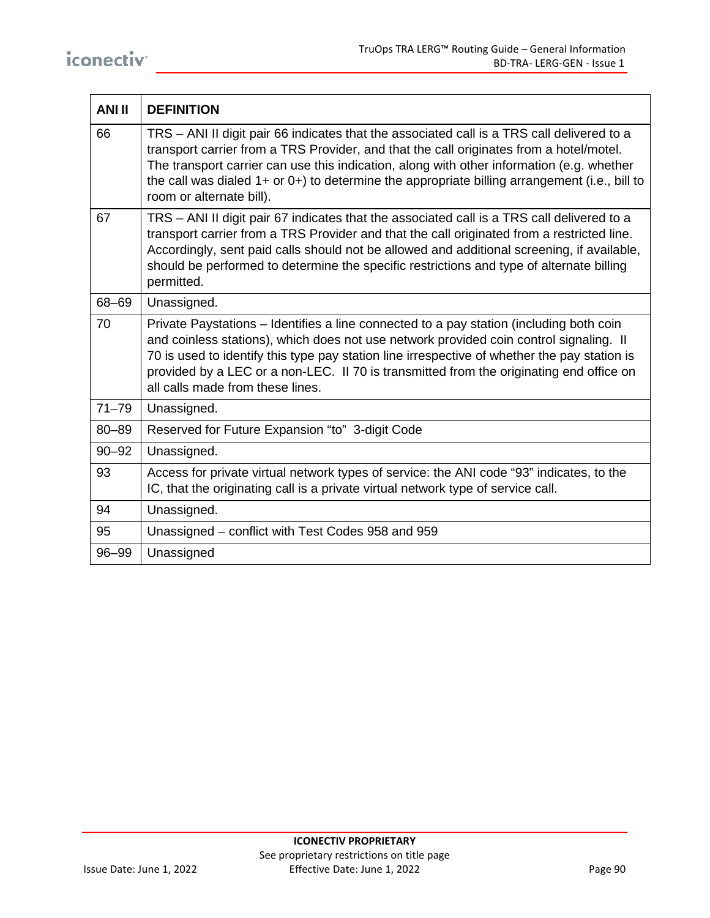| <b>ANI II</b> | <b>DEFINITION</b>                                                                                                                                                                                                                                                                                                                                                                                                |
|---------------|------------------------------------------------------------------------------------------------------------------------------------------------------------------------------------------------------------------------------------------------------------------------------------------------------------------------------------------------------------------------------------------------------------------|
| 66            | TRS - ANI II digit pair 66 indicates that the associated call is a TRS call delivered to a<br>transport carrier from a TRS Provider, and that the call originates from a hotel/motel.<br>The transport carrier can use this indication, along with other information (e.g. whether<br>the call was dialed 1+ or 0+) to determine the appropriate billing arrangement (i.e., bill to<br>room or alternate bill).  |
| 67            | TRS - ANI II digit pair 67 indicates that the associated call is a TRS call delivered to a<br>transport carrier from a TRS Provider and that the call originated from a restricted line.<br>Accordingly, sent paid calls should not be allowed and additional screening, if available,<br>should be performed to determine the specific restrictions and type of alternate billing<br>permitted.                 |
| 68-69         | Unassigned.                                                                                                                                                                                                                                                                                                                                                                                                      |
| 70            | Private Paystations – Identifies a line connected to a pay station (including both coin<br>and coinless stations), which does not use network provided coin control signaling. Il<br>70 is used to identify this type pay station line irrespective of whether the pay station is<br>provided by a LEC or a non-LEC. II 70 is transmitted from the originating end office on<br>all calls made from these lines. |
| $71 - 79$     | Unassigned.                                                                                                                                                                                                                                                                                                                                                                                                      |
| $80 - 89$     | Reserved for Future Expansion "to" 3-digit Code                                                                                                                                                                                                                                                                                                                                                                  |
| $90 - 92$     | Unassigned.                                                                                                                                                                                                                                                                                                                                                                                                      |
| 93            | Access for private virtual network types of service: the ANI code "93" indicates, to the<br>IC, that the originating call is a private virtual network type of service call.                                                                                                                                                                                                                                     |
| 94            | Unassigned.                                                                                                                                                                                                                                                                                                                                                                                                      |
| 95            | Unassigned – conflict with Test Codes 958 and 959                                                                                                                                                                                                                                                                                                                                                                |
| 96-99         | Unassigned                                                                                                                                                                                                                                                                                                                                                                                                       |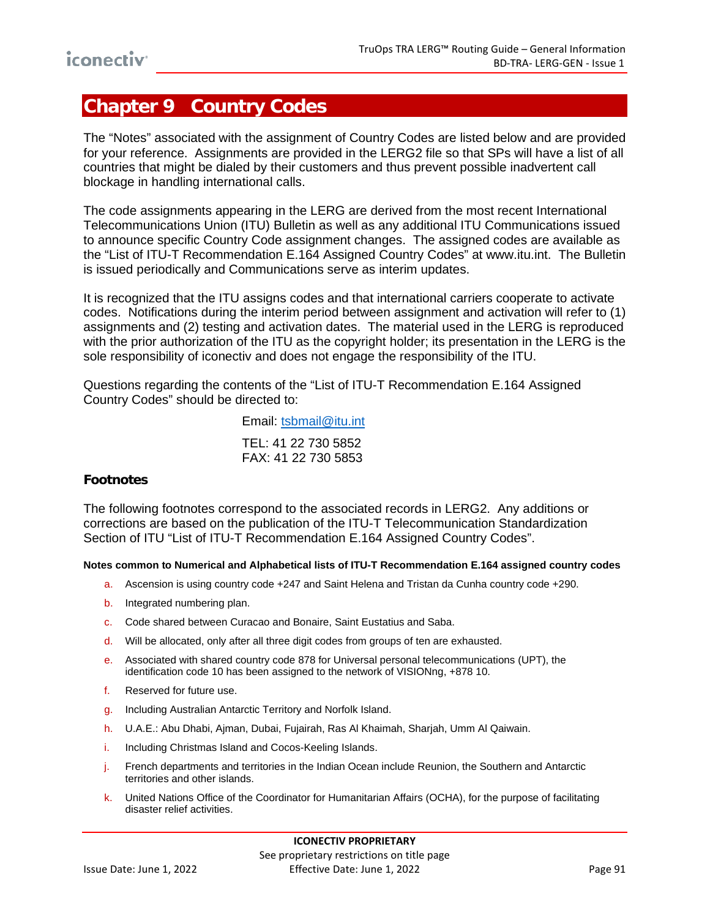# **Chapter 9 Country Codes**

The "Notes" associated with the assignment of Country Codes are listed below and are provided for your reference. Assignments are provided in the LERG2 file so that SPs will have a list of all countries that might be dialed by their customers and thus prevent possible inadvertent call blockage in handling international calls.

The code assignments appearing in the LERG are derived from the most recent International Telecommunications Union (ITU) Bulletin as well as any additional ITU Communications issued to announce specific Country Code assignment changes. The assigned codes are available as the "List of ITU-T Recommendation E.164 Assigned Country Codes" at www.itu.int. The Bulletin is issued periodically and Communications serve as interim updates.

It is recognized that the ITU assigns codes and that international carriers cooperate to activate codes. Notifications during the interim period between assignment and activation will refer to (1) assignments and (2) testing and activation dates. The material used in the LERG is reproduced with the prior authorization of the ITU as the copyright holder; its presentation in the LERG is the sole responsibility of iconectiv and does not engage the responsibility of the ITU.

Questions regarding the contents of the "List of ITU-T Recommendation E.164 Assigned Country Codes" should be directed to:

> Email: [tsbmail@itu.int](mailto:tsbmail@itu.int) TEL: 41 22 730 5852 FAX: 41 22 730 5853

#### **Footnotes**

The following footnotes correspond to the associated records in LERG2. Any additions or corrections are based on the publication of the ITU-T Telecommunication Standardization Section of ITU "List of ITU-T Recommendation E.164 Assigned Country Codes".

**Notes common to Numerical and Alphabetical lists of ITU-T Recommendation E.164 assigned country codes**

- a. Ascension is using country code +247 and Saint Helena and Tristan da Cunha country code +290.
- b. Integrated numbering plan.
- c. Code shared between Curacao and Bonaire, Saint Eustatius and Saba.
- d. Will be allocated, only after all three digit codes from groups of ten are exhausted.
- e. Associated with shared country code 878 for Universal personal telecommunications (UPT), the identification code 10 has been assigned to the network of VISIONng, +878 10.
- f. Reserved for future use.
- g. Including Australian Antarctic Territory and Norfolk Island.
- h. U.A.E.: Abu Dhabi, Ajman, Dubai, Fujairah, Ras Al Khaimah, Sharjah, Umm Al Qaiwain.
- i. Including Christmas Island and Cocos-Keeling Islands.
- j. French departments and territories in the Indian Ocean include Reunion, the Southern and Antarctic territories and other islands.
- k. United Nations Office of the Coordinator for Humanitarian Affairs (OCHA), for the purpose of facilitating disaster relief activities.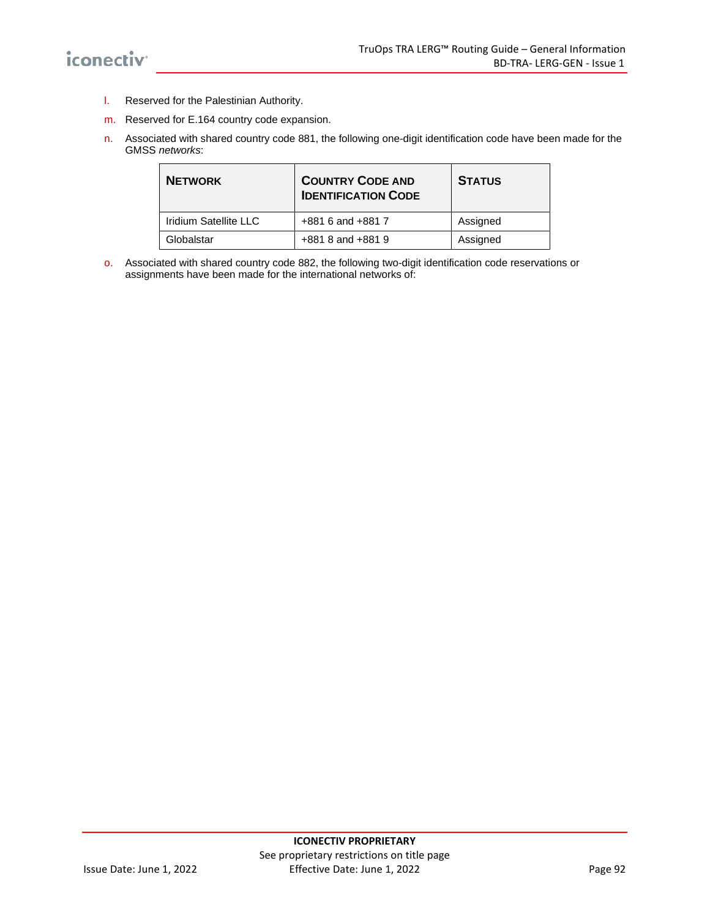- l. Reserved for the Palestinian Authority.
- m. Reserved for E.164 country code expansion.
- n. Associated with shared country code 881, the following one-digit identification code have been made for the GMSS *networks*:

| <b>NETWORK</b>        | <b>COUNTRY CODE AND</b><br><b>IDENTIFICATION CODE</b> | <b>STATUS</b> |
|-----------------------|-------------------------------------------------------|---------------|
| Iridium Satellite LLC | +881 6 and +881 7                                     | Assigned      |
| Globalstar            | +881 8 and +881 9                                     | Assigned      |

o. Associated with shared country code 882, the following two-digit identification code reservations or assignments have been made for the international networks of: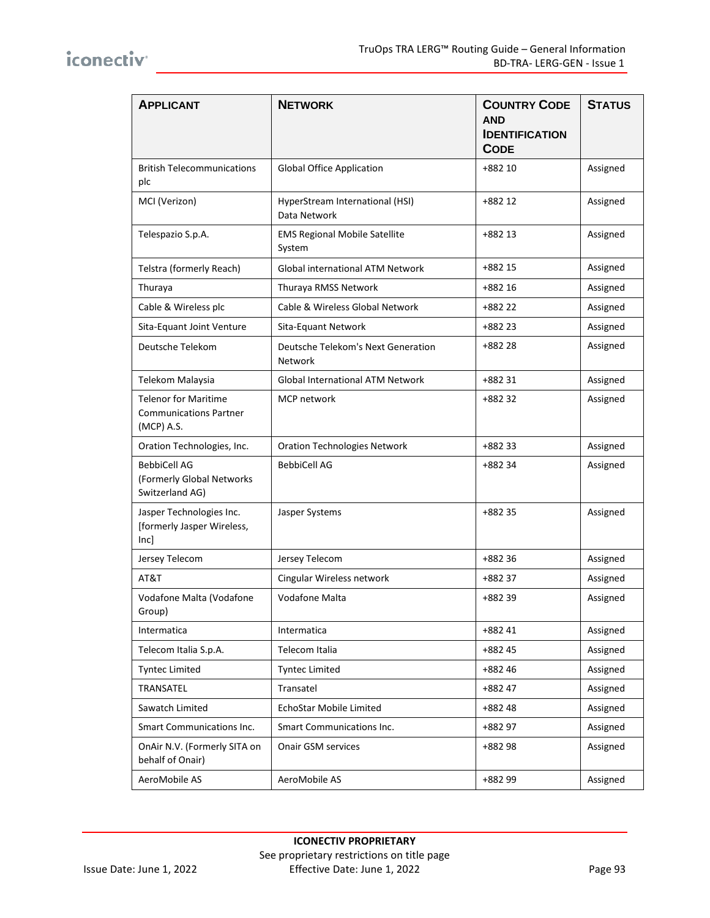| <b>APPLICANT</b>                                                           | <b>NETWORK</b>                                       | <b>COUNTRY CODE</b><br><b>AND</b><br><b>IDENTIFICATION</b><br><b>CODE</b> | <b>STATUS</b> |
|----------------------------------------------------------------------------|------------------------------------------------------|---------------------------------------------------------------------------|---------------|
| <b>British Telecommunications</b><br>plc                                   | <b>Global Office Application</b>                     | +882 10                                                                   | Assigned      |
| MCI (Verizon)                                                              | HyperStream International (HSI)<br>Data Network      | +882 12                                                                   | Assigned      |
| Telespazio S.p.A.                                                          | <b>EMS Regional Mobile Satellite</b><br>System       | +882 13                                                                   | Assigned      |
| Telstra (formerly Reach)                                                   | Global international ATM Network                     | +882 15                                                                   | Assigned      |
| Thuraya                                                                    | Thuraya RMSS Network                                 | +882 16                                                                   | Assigned      |
| Cable & Wireless plc                                                       | Cable & Wireless Global Network                      | +882 22                                                                   | Assigned      |
| Sita-Equant Joint Venture                                                  | Sita-Equant Network                                  | +882 23                                                                   | Assigned      |
| Deutsche Telekom                                                           | Deutsche Telekom's Next Generation<br><b>Network</b> | +882 28                                                                   | Assigned      |
| Telekom Malaysia                                                           | Global International ATM Network                     | +882 31                                                                   | Assigned      |
| <b>Telenor for Maritime</b><br><b>Communications Partner</b><br>(MCP) A.S. | <b>MCP</b> network                                   | +882 32                                                                   | Assigned      |
| Oration Technologies, Inc.                                                 | <b>Oration Technologies Network</b>                  | +882 33                                                                   | Assigned      |
| <b>BebbiCell AG</b><br>(Formerly Global Networks<br>Switzerland AG)        | <b>BebbiCell AG</b>                                  | +882 34                                                                   | Assigned      |
| Jasper Technologies Inc.<br>[formerly Jasper Wireless,<br> nc              | Jasper Systems                                       | +882 35                                                                   | Assigned      |
| Jersey Telecom                                                             | Jersey Telecom                                       | +882 36                                                                   | Assigned      |
| AT&T                                                                       | Cingular Wireless network                            | +882 37                                                                   | Assigned      |
| Vodafone Malta (Vodafone<br>Group)                                         | <b>Vodafone Malta</b>                                | +882 39                                                                   | Assigned      |
| Intermatica                                                                | Intermatica                                          | +882 41                                                                   | Assigned      |
| Telecom Italia S.p.A.                                                      | Telecom Italia                                       | +882 45                                                                   | Assigned      |
| <b>Tyntec Limited</b>                                                      | <b>Tyntec Limited</b>                                | +882 46                                                                   | Assigned      |
| TRANSATEL                                                                  | Transatel                                            | +882 47                                                                   | Assigned      |
| Sawatch Limited                                                            | EchoStar Mobile Limited                              | +88248                                                                    | Assigned      |
| Smart Communications Inc.                                                  | Smart Communications Inc.                            | +882 97                                                                   | Assigned      |
| OnAir N.V. (Formerly SITA on<br>behalf of Onair)                           | <b>Onair GSM services</b>                            | +882 98                                                                   | Assigned      |
| AeroMobile AS                                                              | AeroMobile AS                                        | +882 99                                                                   | Assigned      |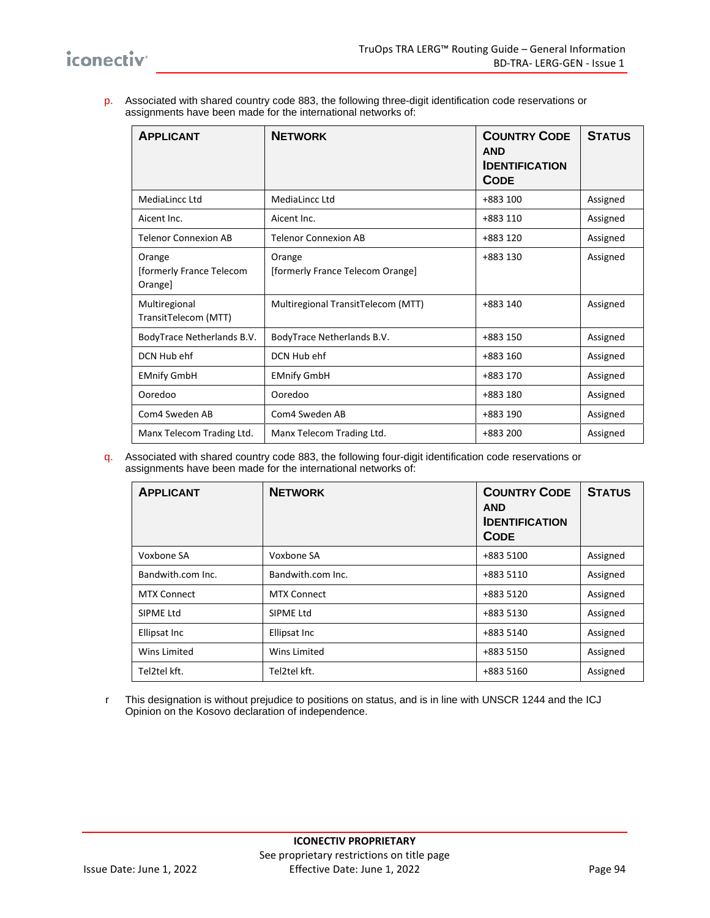p. Associated with shared country code 883, the following three-digit identification code reservations or assignments have been made for the international networks of:

| <b>APPLICANT</b>                              | <b>NETWORK</b>                             | <b>COUNTRY CODE</b><br><b>AND</b><br><b>IDENTIFICATION</b><br><b>CODE</b> | <b>STATUS</b> |
|-----------------------------------------------|--------------------------------------------|---------------------------------------------------------------------------|---------------|
| MediaLincc Ltd                                | MediaLincc Ltd                             | +883 100                                                                  | Assigned      |
| Aicent Inc.                                   | Aicent Inc.                                | +883 110                                                                  | Assigned      |
| <b>Telenor Connexion AB</b>                   | <b>Telenor Connexion AB</b>                | +883 120                                                                  | Assigned      |
| Orange<br>[formerly France Telecom<br>Orange] | Orange<br>[formerly France Telecom Orange] | +883 130                                                                  | Assigned      |
| Multiregional<br>TransitTelecom (MTT)         | Multiregional TransitTelecom (MTT)         | +883 140                                                                  | Assigned      |
| BodyTrace Netherlands B.V.                    | BodyTrace Netherlands B.V.                 | +883 150                                                                  | Assigned      |
| DCN Hub ehf                                   | DCN Hub ehf                                | +883 160                                                                  | Assigned      |
| <b>EMnify GmbH</b>                            | <b>EMnify GmbH</b>                         | +883 170                                                                  | Assigned      |
| Ooredoo                                       | Ooredoo                                    | +883 180                                                                  | Assigned      |
| Com4 Sweden AB                                | Com4 Sweden AB                             | +883 190                                                                  | Assigned      |
| Manx Telecom Trading Ltd.                     | Manx Telecom Trading Ltd.                  | +883 200                                                                  | Assigned      |

q. Associated with shared country code 883, the following four-digit identification code reservations or assignments have been made for the international networks of:

| <b>APPLICANT</b>   | <b>NETWORK</b>     | <b>COUNTRY CODE</b><br><b>AND</b><br><b>IDENTIFICATION</b><br><b>CODE</b> | <b>STATUS</b> |
|--------------------|--------------------|---------------------------------------------------------------------------|---------------|
| Voxbone SA         | Voxbone SA         | +883 5100                                                                 | Assigned      |
| Bandwith.com Inc.  | Bandwith.com Inc.  | +883 5110                                                                 | Assigned      |
| <b>MTX Connect</b> | <b>MTX Connect</b> | +883 5120                                                                 | Assigned      |
| SIPME Ltd          | SIPME Ltd          | +883 5130                                                                 | Assigned      |
| Ellipsat Inc       | Ellipsat Inc       | +883 5140                                                                 | Assigned      |
| Wins Limited       | Wins Limited       | +883 5150                                                                 | Assigned      |
| Tel2tel kft.       | Tel2tel kft.       | +883 5160                                                                 | Assigned      |

r This designation is without prejudice to positions on status, and is in line with UNSCR 1244 and the ICJ Opinion on the Kosovo declaration of independence.